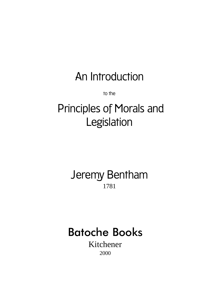## An Introduction

to the

# Principles of Morals and Legislation

## Jeremy Bentham 1781

## Batoche Books

Kitchener 2000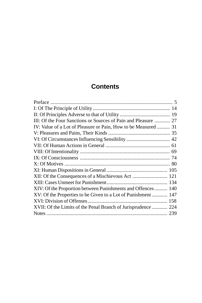## **[Contents](#page-68-0)**

| III: Of the Four Sanctions or Sources of Pain and Pleasure  27 |     |
|----------------------------------------------------------------|-----|
| IV: Value of a Lot of Pleasure or Pain, How to be Measured  31 |     |
|                                                                |     |
|                                                                |     |
|                                                                |     |
|                                                                |     |
|                                                                |     |
|                                                                |     |
|                                                                |     |
| XII: Of the Consequences of a Mischievous Act  121             |     |
|                                                                |     |
| XIV: Of the Proportion between Punishments and Offences 140    |     |
| XV: Of the Properties to be Given to a Lot of Punishment  147  |     |
|                                                                | 158 |
| XVII: Of the Limits of the Penal Branch of Jurisprudence  224  |     |
|                                                                |     |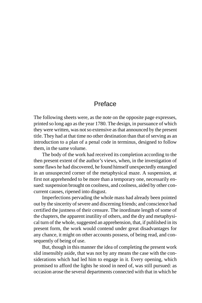## Preface

The following sheets were, as the note on the opposite page expresses, printed so long ago as the year 1780. The design, in pursuance of which they were written, was not so extensive as that announced by the present title. They had at that time no other destination than that of serving as an introduction to a plan of a penal code in terminus, designed to follow them, in the same volume.

The body of the work had received its completion according to the then present extent of the author's views, when, in the investigation of some flaws he had discovered, he found himself unexpectedly entangled in an unsuspected corner of the metaphysical maze. A suspension, at first not apprehended to be more than a temporary one, necessarily ensued: suspension brought on coolness, and coolness, aided by other concurrent causes, ripened into disgust.

Imperfections pervading the whole mass had already been pointed out by the sincerity of severe and discerning friends; and conscience had certified the justness of their censure. The inordinate length of some of the chapters, the apparent inutility of others, and the dry and metaphysical turn of the whole, suggested an apprehension, that, if published in its present form, the work would contend under great disadvantages for any chance, it might on other accounts possess, of being read, and consequently of being of use.

But, though in this manner the idea of completing the present work slid insensibly aside, that was not by any means the case with the considerations which had led him to engage in it. Every opening, which promised to afford the lights he stood in need of, was still pursued: as occasion arose the several departments connected with that in which he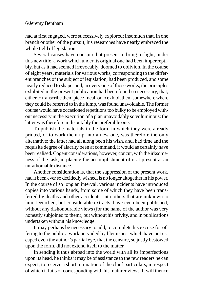had at first engaged, were successively explored; insomuch that, in one branch or other of the pursuit, his researches have nearly embraced the whole field of legislation.

Several causes have conspired at present to bring to light, under this new title, a work which under its original one had been imperceptibly, but as it had seemed irrevocably, doomed to oblivion. In the course of eight years, materials for various works, corresponding to the different branches of the subject of legislation, had been produced, and some nearly reduced to shape: and, in every one of those works, the principles exhibited in the present publication had been found so necessary, that, either to transcribe them piece-meal, or to exhibit them somewhere where they could be referred to in the lump, was found unavoidable. The former course would have occasioned repetitions too bulky to be employed without necessity in the execution of a plan unavoidably so voluminous: the latter was therefore indisputably the preferable one.

To publish the materials in the form in which they were already printed, or to work them up into a new one, was therefore the only alternative: the latter had all along been his wish, and, had time and the requisite degree of alacrity been at command, it would as certainly have been realised. Cogent considerations, however, concur, with the irksomeness of the task, in placing the accomplishment of it at present at an unfathomable distance.

Another consideration is, that the suppression of the present work, had it been ever so decidedly wished, is no longer altogether in his power. In the course of so long an interval, various incidents have introduced copies into various hands, from some of which they have been transferred by deaths and other accidents, into others that are unknown to him. Detached, but considerable extracts, have even been published, without any dishonourable views (for the name of the author was very honestly subjoined to them), but without his privity, and in publications undertaken without his knowledge.

It may perhaps be necessary to add, to complete his excuse for offering to the public a work pervaded by blemishes, which have not escaped even the author's partial eye, that the censure, so justly bestowed upon the form, did not extend itself to the matter.

In sending it thus abroad into the world with all its imperfections upon its head, he thinks it may be of assistance to the few readers he can expect, to receive a short intimation of the chief particulars, in respect of which it fails of corresponding with his maturer views. It will thence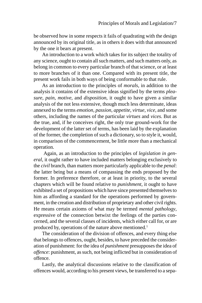be observed how in some respects it fails of quadrating with the design announced by its original title, as in others it does with that announced by the one it bears at present.

An introduction to a work which takes for its subject the totality of any science, ought to contain all such matters, and such matters only, as belong in common to every particular branch of that science, or at least to more branches of it than one. Compared with its present title, the present work fails in both ways of being conformable to that rule.

As an introduction to the principles of *morals*, in addition to the analysis it contains of the extensive ideas signified by the terms *pleasure*, *pain*, *motive*, and *disposition*, it ought to have given a similar analysis of the not less extensive, though much less determinate, ideas annexed to the terms *emotion*, *passion*, *appetite*, *virtue*, *vice*, and some others, including the names of the particular *virtues* and *vices*. But as the true, and, if he conceives right, the only true ground-work for the development of the latter set of terms, has been laid by the explanation of the former, the completion of such a dictionary, so to style it, would, in comparison of the commencement, be little more than a mechanical operation.

 Again, as an introduction to the principles of *legislation in general*, it ought rather to have included matters belonging exclusively to the *civil* branch, than matters more particularly applicable to the *penal*: the latter being but a means of compassing the ends proposed by the former. In preference therefore, or at least in priority, to the several chapters which will be found relative to *punishment*, it ought to have exhibited a set of propositions which have since presented themselves to him as affording a standard for the operations performed by government, in the creation and distribution of proprietary and other civil rights. He means certain axioms of what may be termed *mental pathology*, expressive of the connection betwixt the feelings of the parties concerned, and the several classes of incidents, which either call for, or are produced by, operations of the nature above mentioned.<sup>1</sup>

The consideration of the division of offences, and every thing else that belongs to offences, ought, besides, to have preceded the consideration of punishment: for the idea of *punishment* presupposes the idea of *offence*: punishment, as such, not being inflicted but in consideration of offence.

Lastly, the analytical discussions relative to the classification of offences would, according to his present views, be transferred to a sepa-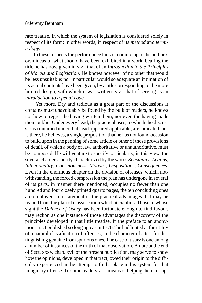rate treatise, in which the system of legislation is considered solely in respect of its form: in other words, in respect of its *method* and *terminology*.

In these respects the performance fails of coming up to the author's own ideas of what should have been exhibited in a work, bearing the title he has now given it. viz., that of an *Introduction to the Principles of Morals and Legislation*. He knows however of no other that would be less unsuitable: nor in particular would so adequate an intimation of its actual contents have been given, by a title corresponding to the more limited design, with which it was written: viz., that of serving as an *introduction to a penal code*.

 Yet more. Dry and tedious as a great part of the discussions it contains must unavoidably be found by the bulk of readers, he knows not how to regret the having written them, nor even the having made them public. Under every head, the practical uses, to which the discussions contained under that head appeared applicable, are indicated: nor is there, he believes, a single proposition that he has not found occasion to build upon in the penning of some article or other of those provisions of detail, of which a body of law, authoritative or unauthoritative, must be composed. He will venture to specify particularly, in this view, the several chapters shortly characterized by the words *Sensibility*, *Actions*, *Intentionality*, *Consciousness*, *Motives*, *Dispositions*, *Consequences*. Even in the enormous chapter on the division of offenses, which, notwithstanding the forced compression the plan has undergone in several of its parts, in manner there mentioned, occupies no fewer than one hundred and four closely printed quarto pages, the ten concluding ones are employed in a statement of the practical advantages that may be reaped from the plan of classification which it exhibits. Those in whose sight the *Defence of Usury* has been fortunate enough to find favour, may reckon as one instance of those advantages the discovery of the principles developed in that little treatise. In the preface to an anonymous tract published so long ago as in  $1776$ <sup>2</sup> he had hinted at the utility of a natural classification of offenses, in the character of a test for distinguishing genuine from spurious ones. The case of usury is one among a number of instances of the truth of that observation. A note at the end of Sect. xxxv. chap. xvi. of the present publication, may serve to show how the opinions, developed in that tract, owed their origin to the difficulty experienced in the attempt to find a place in his system for that imaginary offense. To some readers, as a means of helping them to sup-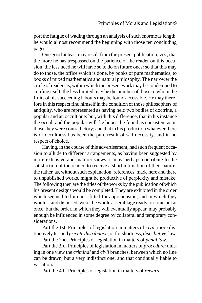port the fatigue of wading through an analysis of such enormous length, he would almost recommend the beginning with those ten concluding pages.

One good at least may result from the present publication; viz., that the more he has trespassed on the patience of the reader on this occasion, the less need he will have so to do on future ones: so that this may do to those, the office which is done, by books of pure mathematics, to books of mixed mathematics and natural philosophy. The narrower the circle of readers is, within which the present work may be condemned to confine itself, the less limited may be the number of those to whom the fruits of his succeeding labours may be found accessible. He may therefore in this respect find himself in the condition of those philosophers of antiquity, who are represented as having held two bodies of doctrine, a popular and an occult one: but, with this difference, that in his instance the occult and the popular will, he hopes, be found as consistent as in those they were contradictory; and that in his production whatever there is of occultness has been the pure result of sad necessity, and in no respect of choice.

Having, in the course of this advertisement, had such frequent occasion to allude to different arrangements, as having been suggested by more extensive and maturer views, it may perhaps contribute to the satisfaction of the reader, to receive a short intimation of their nature: the rather, as, without such explanation, references, made here and there to unpublished works, might be productive of perplexity and mistake. The following then are the titles of the works by the publication of which his present designs would be completed. They are exhibited in the order which seemed to him best fitted for apprehension, and in which they would stand disposed, were the whole assemblage ready to come out at once: but the order, in which they will eventually appear, may probably enough be influenced in some degree by collateral and temporary considerations.

Part the 1st. Principles of legislation in matters of *civil*, more distinctively termed *private distributive*, or for shortness, *distributive*, law.

Part the 2nd. Principles of legislation in matters of *penal law*.

Part the 3rd. Principles of legislation in matters of *procedure*: uniting in one view the *criminal* and *civil* branches, between which no line can be drawn, but a very indistinct one, and that continually liable to variation.

Part the 4th. Principles of legislation in matters of *reward*.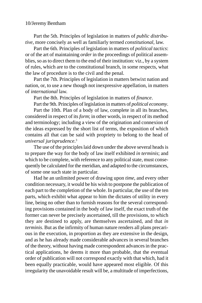Part the 5th. Principles of legislation in matters of *public distributive*, more concisely as well as familiarly termed *constitutional*, law.

Part the 6th. Principles of legislation in matters of *political tactics*: or of the art of maintaining *order* in the proceedings of political assemblies, so as to direct them to the end of their institution: viz., by a system of rules, which are to the constitutional branch, in some respects, what the law of procedure is to the civil and the penal.

Part the 7th. Principles of legislation in matters betwixt nation and nation, or, to use a new though not inexpressive appellation, in matters of *international* law.

Part the 8th. Principles of legislation in matters of *finance*.

Part the 9th. Principles of legislation in matters of *political economy*.

Part the 10th. Plan of a body of law, complete in all its branches, considered in respect of its *form*; in other words, in respect of its method and terminology; including a view of the origination and connexion of the ideas expressed by the short list of terms, the exposition of which contains all that can be said with propriety to belong to the head of *universal jurisprudence*. 3

The use of the principles laid down under the above several heads is to prepare the way for the body of law itself exhibited *in terminis*; and which to be complete, with reference to any political state, must consequently be calculated for the meridian, and adapted to the circumstances, of some one such state in particular.

Had he an unlimited power of drawing upon *time*, and every other condition necessary, it would be his wish to postpone the publication of each part to the completion of the whole. In particular, the use of the ten parts, which exhibit what appear to him the dictates of utility in every line, being no other than to furnish reasons for the several corresponding provisions contained in the body of law itself, the exact truth of the former can never be precisely ascertained, till the provisions, to which they are destined to apply, are themselves ascertained, and that *in terminis*. But as the infirmity of human nature renders all plans precarious in the execution, in proportion as they are extensive in the design, and as he has already made considerable advances in several branches of the theory, without having made correspondent advances in the practical applications, he deems it more than probable, that the eventual order of publication will not correspond exactly with that which, had it been equally practicable, would have appeared most eligible. Of this irregularity the unavoidable result will be, a multitude of imperfections,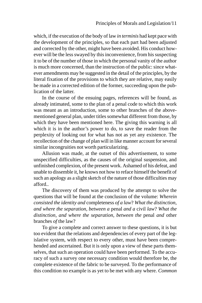which, if the execution of the body of law *in terminis* had kept pace with the development of the principles, so that each part had been adjusted and corrected by the other, might have been avoided. His conduct however will be the less swayed by this inconvenience, from his suspecting it to be of the number of those in which the personal vanity of the author is much more concerned, than the instruction of the public: since whatever amendments may be suggested in the detail of the principles, by the literal fixation of the provisions to which they are relative, may easily be made in a corrected edition of the former, succeeding upon the publication of the latter.

In the course of the ensuing pages, references will be found, as already intimated, some to the plan of a penal code to which this work was meant as an introduction, some to other branches of the abovementioned general plan, under titles somewhat different from those, by which they have been mentioned here. The giving this warning is all which it is in the author's power to do, to save the reader from the perplexity of looking out for what has not as yet any existence. The recollection of the change of plan will in like manner account for several similar incongruities not worth particularizing.

Allusion was made, at the outset of this advertisement, to some unspecified difficulties, as the causes of the original suspension, and unfinished complexion, of the present work. Ashamed of his defeat, and unable to dissemble it, he knows not how to reface himself the benefit of such an apology as a slight sketch of the nature of those difficulties may afford..

The discovery of them was produced by the attempt to solve the questions that will be found at the conclusion of the volume: *Wherein consisted the identity and* completeness *of a law*? *What the distinction, and where the separation, between a* penal *and a* civil *law*? *What the distinction, and where the separation, between the* penal *and* other branches *of* the law?

To give a complete and correct answer to these questions, it is but too evident that the relations and dependencies of every part of the legislative system, with respect to every other, must have been comprehended and ascertained. But it is only upon a view of these parts themselves, that such an operation could have been performed. To the accuracy of such a survey one necessary condition would therefore be, the complete existence of the fabric to be surveyed. To the performance of this condition no example is as yet to be met with any where. *Common*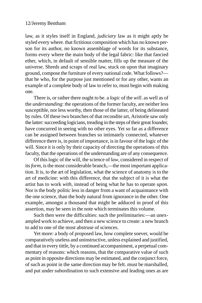law, as it styles itself in England, *judiciary* law as it might aptly be styled every where. that fictitious composition which has no known person for its author, no known assemblage of words for its substance, forms every where the main body of the legal fabric: like that fancied ether, which, in default of sensible matter, fills up the measure of the universe. Shreds and scraps of real law, stuck on upon that imaginary ground, compose the furniture of every national code. What follows? that he who, for the purpose just mentioned or for any other, wants an example of a complete body of law to refer to, must begin with making one.

There is, or rather there ought to be. a *logic* of the *will*. as well as of the *understanding*: the operations of the former faculty, are neither less susceptible, nor less worthy, then those of the latter, of being delineated by rules. Of these two branches of that recondite art, Aristotle saw only the latter: succeeding logicians, treading in the steps of their great founder, have concurred in seeing with no other eyes. Yet so far as a difference can be assigned between branches so intimately connected, whatever difference there is, in point of importance, is in favour of the logic of the will. Since it is only by their capacity of directing the operations of this faculty, that the operations of the understanding are of any consequence.

Of this logic of the will, the science of *law*, considered in respect of its *form*, is the most considerable branch,—the most important application. It is, to the art of legislation, what the science of anatomy is to the art of medicine: with this difference, that the subject of it is what the artist has to work *with*, instead of being what he has to operate *upon*. Nor is the body politic less in danger from a want of acquaintance with the one science, than the body natural from ignorance in the other. One example, amongst a thousand that might be adduced in proof of this assertion, may be seen in the note which terminates this volume.

Such then were the difficulties: such the preliminaries:—an unexampled work to achieve, and then a new science to create: a new branch to add to one of the most abstruse of sciences.

Yet more: a body of proposed law, how complete soever, would be comparatively useless and uninstructive, unless explained and justified, and that in every tittle, by a continued accompaniment, a perpetual commentary of reasons: which reasons, that the comparative value of such as point in opposite directions may be estimated, and the conjunct force, of such as point in the same direction may be felt. must be marshalled, and put under subordination to such extensive and leading ones as are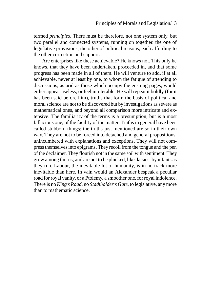termed *principles*. There must be therefore, not one system only, but two parallel and connected systems, running on together. the one of legislative provisions, the other of political reasons, each affording to the other correction and support.

Are enterprises like these achievable? He knows not. This only he knows, that they have been undertaken, proceeded in, and that some progress has been made in all of them. He will venture to add, if at all achievable, never at least by one, to whom the fatigue of attending to discussions, as arid as those which occupy the ensuing pages, would either appear useless, or feel intolerable. He will repeat it boldly (for it has been said before him), truths that form the basis of political and moral science are not to be discovered but by investigations as severe as mathematical ones, and beyond all comparison more intricate and extensive. The familiarity of the terms is a presumption, but is a most fallacious one, of the facility of the matter. Truths in general have been called stubborn things: the truths just mentioned are so in their own way. They are not to be forced into detached and general propositions, unincumbered with explanations and exceptions. They will not compress themselves into epigrams. They recoil from the tongue and the pen of the declaimer. They flourish not in the same soil with sentiment. They grow among thorns; and are not to be plucked, like daisies, by infants as they run. Labour, the inevitable lot of humanity, is in no track more inevitable than here. In vain would an Alexander bespeak a peculiar road for royal vanity, or a Ptolemy, a smoother one, for royal indolence. There is no *King's Road*, no *Stadtholder's Gate*, to legislative, any more than to mathematic science.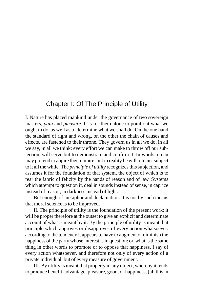## Chapter I: Of The Principle of Utility

I. Nature has placed mankind under the governance of two sovereign masters, *pain* and *pleasure*. It is for them alone to point out what we ought to do, as well as to determine what we shall do. On the one hand the standard of right and wrong, on the other the chain of causes and effects, are fastened to their throne. They govern us in all we do, in all we say, in all we think: every effort we can make to throw off our subjection, will serve but to demonstrate and confirm it. In words a man may pretend to abjure their empire: but in reality he will remain. subject to it all the while. The *principle of utility* recognizes this subjection, and assumes it for the foundation of that system, the object of which is to rear the fabric of felicity by the hands of reason and of law. Systems which attempt to question it, deal in sounds instead of sense, in caprice instead of reason, in darkness instead of light.

But enough of metaphor and declamation: it is not by such means that moral science is to be improved.

II. The principle of utility is the foundation of the present work: it will be proper therefore at the outset to give an explicit and determinate account of what is meant by it. By the principle of utility is meant that principle which approves or disapproves of every action whatsoever. according to the tendency it appears to have to augment or diminish the happiness of the party whose interest is in question: or, what is the same thing in other words to promote or to oppose that happiness. I say of every action whatsoever, and therefore not only of every action of a private individual, but of every measure of government.

III. By utility is meant that property in any object, whereby it tends to produce benefit, advantage, pleasure, good, or happiness, (all this in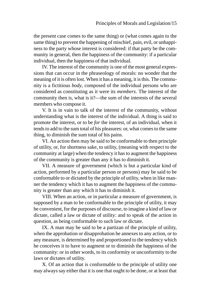the present case comes to the same thing) or (what comes again to the same thing) to prevent the happening of mischief, pain, evil, or unhappiness to the party whose interest is considered: if that party be the community in general, then the happiness of the community: if a particular individual, then the happiness of that individual.

IV. The interest of the community is one of the most general expressions that can occur in the phraseology of morals: no wonder that the meaning of it is often lost. When it has a meaning, it is this. The community is a fictitious *body*, composed of the individual persons who are considered as constituting as it were its *members*. The interest of the community then is, what is it?—the sum of the interests of the several members who compose it.

V. It is in vain to talk of the interest of the community, without understanding what is the interest of the individual. A thing is said to promote the interest, or to be *for* the interest, of an individual, when it tends to add to the sum total of his pleasures: or, what comes to the same thing, to diminish the sum total of his pains.

VI. An action then may be said to be conformable to then principle of utility, or, for shortness sake, to utility, (meaning with respect to the community at large) when the tendency it has to augment the happiness of the community is greater than any it has to diminish it.

VII. A measure of government (which is but a particular kind of action, performed by a particular person or persons) may be said to be conformable to or dictated by the principle of utility, when in like manner the tendency which it has to augment the happiness of the community is greater than any which it has to diminish it.

VIII. When an action, or in particular a measure of government, is supposed by a man to be conformable to the principle of utility, it may be convenient, for the purposes of discourse, to imagine a kind of law or dictate, called a law or dictate of utility: and to speak of the action in question, as being conformable to such law or dictate.

IX. A man may be said to be a partizan of the principle of utility, when the approbation or disapprobation he annexes to any action, or to any measure, is determined by and proportioned to the tendency which he conceives it to have to augment or to diminish the happiness of the community: or in other words, to its conformity or unconformity to the laws or dictates of utility.

X. Of an action that is conformable to the principle of utility one may always say either that it is one that ought to be done, or at least that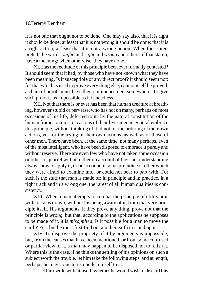it is not one that ought not to be done. One may say also, that it is right it should be done; at least that it is not wrong it should be done: that it is a right action; at least that it is not a wrong action. When thus interpreted, the words *ought*, and *right* and *wrong* and others of that stamp, have a meaning: when otherwise, they have none.

XI. Has the rectitude of this principle been ever formally contested? It should seem that it had, by those who have not known what they have been meaning. Is it susceptible of any direct proof? it should seem not: for that which is used to prove every thing else, cannot itself be proved: a chain of proofs must have their commencement somewhere. To give such proof is as impossible as it is needless.

XII. Not that there is or ever has been that human creature at breathing, however stupid or perverse, who has not on many, perhaps on most occasions of his life, deferred to it. By the natural constitution of the human frame, on most occasions of their lives men in general embrace this principle, without thinking of it: if not for the ordering of their own actions, yet for the trying of their own actions, as well as of those of other men. There have been, at the same time, not many perhaps, even of the most intelligent, who have been disposed to embrace it purely and without reserve. There are even few who have not taken some occasion or other to quarrel with it, either on account of their not understanding always how to apply it, or on account of some prejudice or other which they were afraid to examine into, or could not bear to part with. For such is the stuff that man is made of: in principle and in practice, in a right track and in a wrong one, the rarest of all human qualities is consistency.

XIII. When a man attempts to combat the principle of utility, it is with reasons drawn, without his being aware of it, from that very principle itself. His arguments, if they prove any thing, prove not that the principle is *wrong*, but that, according to the applications he supposes to be made of it, it is *misapplied*. Is it possible for a man to move the earth? Yes; but he must first find out another earth to stand upon.

XIV. To disprove the propriety of it by arguments is impossible; but, from the causes that have been mentioned, or from some confused or partial view of it, a man may happen to be disposed not to relish it. Where this is the case, if he thinks the settling of his opinions on such a subject worth the trouble, let him take the following steps, and at length, perhaps, he may come to reconcile himself to it.

1. Let him settle with himself, whether he would wish to discard this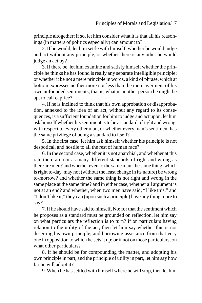principle altogether; if so, let him consider what it is that all his reasonings (in matters of politics especially) can amount to?

2. If he would, let him settle with himself, whether he would judge and act without any principle, or whether there is any other he would judge an act by?

3. If there be, let him examine and satisfy himself whether the principle he thinks he has found is really any separate intelligible principle; or whether it be not a mere principle in words, a kind of phrase, which at bottom expresses neither more nor less than the mere averment of his own unfounded sentiments; that is, what in another person he might be apt to call caprice?

4. If he is inclined to think that his own approbation or disapprobation, annexed to the idea of an act, without any regard to its consequences, is a sufficient foundation for him to judge and act upon, let him ask himself whether his sentiment is to be a standard of right and wrong, with respect to every other man, or whether every man's sentiment has the same privilege of being a standard to itself?

5. In the first case, let him ask himself whether his principle is not despotical, and hostile to all the rest of human race?

6. In the second case, whether it is not anarchial, and whether at this rate there are not as many different standards of right and wrong as there are men? and whether even to the same man, the same thing, which is right to-day, may not (without the least change in its nature) be wrong to-morrow? and whether the same thing is not right and wrong in the same place at the same time? and in either case, whether all argument is not at an end? and whether, when two men have said, "I like this," and "I don't like it," they can (upon such a principle) have any thing more to say?

7. If he should have said to himself, No: for that the sentiment which he proposes as a standard must be grounded on reflection, let him say on what particulars the reflection is to turn? if on particulars having relation to the utility of the act, then let him say whether this is not deserting his own principle, and borrowing assistance from that very one in opposition to which he sets it up: or if not on those particulars, on what other particulars?

8. If he should be for compounding the matter, and adopting his own principle in part, and the principle of utility in part, let him say how far he will adopt it?

9. When he has settled with himself where he will stop, then let him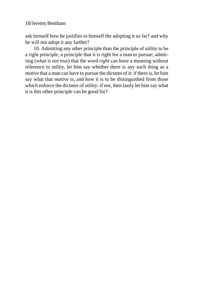ask himself how he justifies to himself the adopting it so far? and why he will not adopt it any farther?

10. Admitting any other principle than the principle of utility to be a right principle, a principle that it is right for a man to pursue; admitting (what is not true) that the word *right* can have a meaning without reference to utility, let him say whether there is any such thing as a *motive* that a man can have to pursue the dictates of it: if there is, let him say what that motive is, and how it is to be distinguished from those which enforce the dictates of utility: if not, then lastly let him say what it is this other principle can be good for?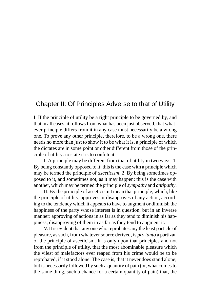## Chapter II: Of Principles Adverse to that of Utility

I. If the principle of utility be a right principle to be governed by, and that in all cases, it follows from what has been just observed, that whatever principle differs from it in any case must necessarily be a wrong one. To prove any other principle, therefore, to be a wrong one, there needs no more than just to show it to be what it is, a principle of which the dictates are in some point or other different from those of the principle of utility: to state it is to confute it.

II. A principle may be different from that of utility in two ways: 1. By being constantly opposed to it: this is the case with a principle which may be termed the principle of *asceticism*. 2. By being sometimes opposed to it, and sometimes not, as it may happen: this is the case with another, which may be termed the principle of *sympathy* and *antipathy*.

III. By the principle of asceticism I mean that principle, which, like the principle of utility, approves or disapproves of any action, according to the tendency which it appears to have to augment or diminish the happiness of the party whose interest is in question; but in an inverse manner: approving of actions in as far as they tend to diminish his happiness; disapproving of them in as far as they tend to augment it.

IV. It is evident that any one who reprobates any the least particle of pleasure, as such, from whatever source derived, is *pro tanto* a partizan of the principle of asceticism. It is only upon that principles and not from the principle of utility, that the most abominable pleasure which the vilest of malefactors ever reaped from his crime would be to be reprobated, if it stood alone. The case is, that it never does stand alone; but is necessarily followed by such a quantity of pain (or, what comes to the same thing, such a chance for a certain quantity of pain) that, the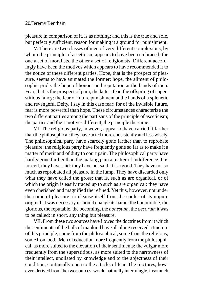pleasure in comparison of it, is as nothing: and this is the true and sole, but perfectly sufficient, reason for making it a ground for punishment.

V. There are two classes of men of very different complexions, by whom the principle of asceticism appears to have been embraced; the one a set of moralists, the other a set of religionists. Different accordingly have been the motives which appears to have recommended it to the notice of these different parties. Hope, that is the prospect of pleasure, seems to have animated the former: hope, the aliment of philosophic pride: the hope of honour and reputation at the hands of men. Fear, that is the prospect of pain, the latter: fear, the offspring of superstitious fancy: the fear of future punishment at the hands of a splenetic and revengeful Deity. I say in this case fear: for of the invisible future, fear is more powerful than hope. These circumstances characterize the two different parties among the partisans of the principle of asceticism; the parties and their motives different, the principle the same.

VI. The religious party, however, appear to have carried it farther than the philosophical: they have acted more consistently and less wisely. The philosophical party have scarcely gone farther than to reprobate pleasure: the religious party have frequently gone so far as to make it a matter of merit and of duty to court pain. The philosophical party have hardly gone farther than the making pain a matter of indifference. It is no evil, they have said: they have not said, it is a good. They have not so much as reprobated all pleasure in the lump. They have discarded only what they have called the gross; that is, such as are organical, or of which the origin is easily traced up to such as are organical: they have even cherished and magnified the refined. Yet this, however, not under the name of pleasure: to cleanse itself from the sordes of its impure original, it was necessary it should change its name: the honourable, the glorious, the reputable, the becoming, the *honestum*, the *decorum* it was to be called: in short, any thing but pleasure.

VII. From these two sources have flowed the doctrines from it which the sentiments of the bulk of mankind have all along received a tincture of this principle; some from the philosophical, some from the religious, some from both. Men of education more frequently from the philosophical, as more suited to the elevation of their sentiments: the vulgar more frequently from the superstitious, as more suited to the narrowness of their intellect, undilated by knowledge and to the abjectness of their condition, continually open to the attacks of fear. The tinctures, however, derived from the two sources, would naturally intermingle, insomuch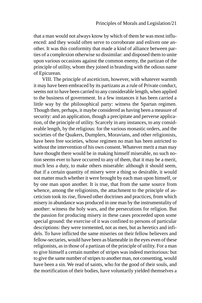that a man would not always know by which of them he was most influenced: and they would often serve to corroborate and enliven one another. It was this conformity that made a kind of alliance between parties of a complexion otherwise so dissimilar: and disposed them to unite upon various occasions against the common enemy, the partizan of the principle of utility, whom they joined in branding with the odious name of Epicurean.

VIII. The principle of asceticism, however, with whatever warmth it may have been embraced by its partizans as a rule of Private conduct, seems not to have been carried to any considerable length, when applied to the business of government. In a few instances it has been carried a little way by the philosophical party: witness the Spartan regimen. Though then, perhaps, it maybe considered as having been a measure of security: and an application, though a precipitate and perverse application, of the principle of utility. Scarcely in any instances, to any considerable length, by the religious: for the various monastic orders, and the societies of the Quakers, Dumplers, Moravians, and other religionists, have been free societies, whose regimen no man has been astricted to without the intervention of his own consent. Whatever merit a man may have thought there would be in making himself miserable, no such notion seems ever to have occurred to any of them, that it may be a merit, much less a duty, to make others miserable: although it should seem, that if a certain quantity of misery were a thing so desirable, it would not matter much whether it were brought by each man upon himself, or by one man upon another. It is true, that from the same source from whence, among the religionists, the attachment to the principle of asceticism took its rise, flowed other doctrines and practices, from which misery in abundance was produced in one man by the instrumentality of another: witness the holy wars, and the persecutions for religion. But the passion for producing misery in these cases proceeded upon some special ground: the exercise of it was confined to persons of particular descriptions: they were tormented, not as men, but as heretics and infidels. To have inflicted the same miseries on their fellow believers and fellow-sectaries, would have been as blameable in the eyes even of these religionists, as in those of a partizan of the principle of utility. For a man to give himself a certain number of stripes was indeed meritorious: but to give the same number of stripes to another man, not consenting, would have been a sin. We read of saints, who for the good of their souls, and the mortification of their bodies, have voluntarily yielded themselves a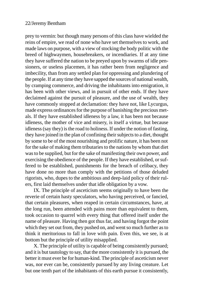prey to vermin: but though many persons of this class have wielded the reins of empire, we read of none who have set themselves to work, and made laws on purpose, with a view of stocking the body politic with the breed of highwaymen, housebreakers, or incendiaries. If at any time they have suffered the nation to be preyed upon by swarms of idle pensioners, or useless placemen, it has rather been from negligence and imbecility, than from any settled plan for oppressing and plundering of the people. If at any time they have sapped the sources of national wealth, by cramping commerce, and driving the inhabitants into emigration, it has been with other views, and in pursuit of other ends. If they have declaimed against the pursuit of pleasure, and the use of wealth, they have commonly stopped at declamation: they have not, like Lycurgus, made express ordinances for the purpose of banishing the precious metals. If they have established idleness by a law, it has been not because idleness, the mother of vice and misery, is itself a virtue, but because idleness (say they) is the road to holiness. If under the notion of fasting, they have joined in the plan of confining their subjects to a diet, thought by some to be of the most nourishing and prolific nature, it has been not for the sake of making them tributaries to the nations by whom that diet was to be supplied, but for the sake of manifesting their own power, and exercising the obedience of the people. If they have established, or suffered to be established, punishments for the breach of celibacy, they have done no more than comply with the petitions of those deluded rigorists, who, dupes to the ambitious and deep-laid policy of their rulers, first laid themselves under that idle obligation by a vow.

IX. The principle of asceticism seems originally to have been the reverie of certain hasty speculators, who having perceived, or fancied, that certain pleasures, when reaped in certain circumstances, have, at the long run, been attended with pains more than equivalent to them, took occasion to quarrel with every thing that offered itself under the name of pleasure. Having then got thus far, and having forgot the point which they set out from, they pushed on, and went so much further as to think it meritorious to fall in love with pain. Even this, we see, is at bottom but the principle of utility misapplied.

X. The principle of utility is capable of being consistently pursued; and it is but tautology to say, that the more consistently it is pursued, the better it must ever be for human-kind. The principle of asceticism never was, nor ever can be, consistently pursued by any living creature. Let but one tenth part of the inhabitants of this earth pursue it consistently,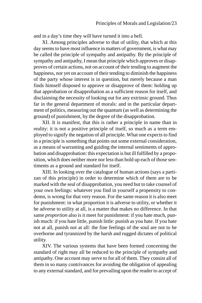and in a day's time they will have turned it into a hell.

XI. Among principles adverse to that of utility, that which at this day seems to have most influence in matters of government, is what may be called the principle of sympathy and antipathy. By the principle of sympathy and antipathy, I mean that principle which approves or disapproves of certain actions, not on account of their tending to augment the happiness, nor yet on account of their tending to diminish the happiness of the party whose interest is in question, but merely because a man finds himself disposed to approve or disapprove of them: holding up that approbation or disapprobation as a sufficient reason for itself, and disclaiming the necessity of looking out for any extrinsic ground. Thus far in the general department of morals: and in the particular department of politics, measuring out the quantum (as well as determining the ground) of punishment, by the degree of the disapprobation.

XII. It is manifest, that this is rather a principle in name than in reality: it is not a positive principle of itself, so much as a term employed to signify the negation of all principle. What one expects to find in a principle is something that points out some external consideration, as a means of warranting and guiding the internal sentiments of approbation and disapprobation: this expectation is but ill fulfilled by a proposition, which does neither more nor less than hold up each of those sentiments as a ground and standard for itself.

XIII. In looking over the catalogue of human actions (says a partizan of this principle) in order to determine which of them are to be marked with the seal of disapprobation, you need but to take counsel of your own feelings: whatever you find in yourself a propensity to condemn, is wrong for that very reason. For the same reason it is also meet for punishment: in what proportion it is adverse to utility, or whether it be adverse to utility at all, is a matter that makes no difference. In that same *proportion* also is it meet for punishment: if you hate much, punish much: if you hate little, punish little: punish as you hate. If you hate not at all, punish not at all: the fine feelings of the soul are not to be overborne and tyrannized by the harsh and rugged dictates of political utility.

XIV. The various systems that have been formed concerning the standard of right may all be reduced to the principle of sympathy and antipathy. One account may serve to for all of them. They consist all of them in so many contrivances for avoiding the obligation of appealing to any external standard, and for prevailing upon the reader to accept of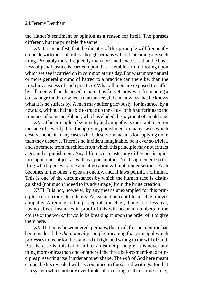the author's sentiment or opinion as a reason for itself. The phrases different, but the principle the same.

XV. It is manifest, that the dictates of this principle will frequently coincide with those of utility, though perhaps without intending any such thing. Probably more frequently than not: and hence it is that the business of penal justice is carried upon that tolerable sort of footing upon which we see it carried on in common at this day. For what more natural or more general ground of hatred to a practice can there be, than the mischievousness of such practice? What all men are exposed to suffer by, all men will be disposed to hate. It is far yet, however, from being a constant ground: for when a man suffers, it is not always that he knows what it is he suffers by. A man may suffer grievously, for instance, by a new tax, without being able to trace up the cause of his sufferings to the injustice of some neighbour, who has eluded the payment of an old one.

XVI. The principle of sympathy and antipathy is most apt to err on the side of severity. It is for applying punishment in many cases which deserve none: in many cases which deserve some, it is for applying more than they deserve. There is no incident imaginable, be it ever so trivial, and so remote from mischief, from which this principle may not extract a ground of punishment. Any difference in taste: any difference in opinion: upon one subject as well as upon another. No disagreement so trifling which perseverance and altercation will not render serious. Each becomes in the other's eyes an enemy, and, if laws permit, a criminal. This is one of the circumstances by which the human race is distinguished (not much indeed to its advantage) from the brute creation.

XVII. It is not, however, by any means unexampled for this principle to err on the side of lenity. A near and perceptible mischief moves antipathy. A remote and imperceptible mischief, though not less real, has no effect. Instances in proof of this will occur in numbers in the course of the work.4 It would be breaking in upon the order of it to give them here.

XVIII. It may be wondered, perhaps, that in all this no mention has been made of the *theological* principle; meaning that principal which professes to recur for the standard of right and wrong to the will of God. But the case is, this is not in fact a distinct principle. It is never any thing more or less than one or other of the three before-mentioned principles presenting itself under another shape. The *will* of God here meant cannot be his revealed will, as contained in the sacred writings: for that is a system which nobody ever thinks of recurring to at this time of day,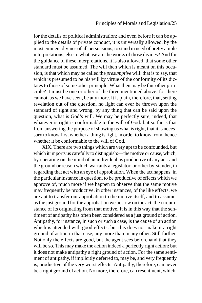for the details of political administration: and even before it can be applied to the details of private conduct, it is universally allowed, by the most eminent divines of all persuasions, to stand in need of pretty ample interpretations; else to what use are the works of those divines? And for the guidance of these interpretations, it is also allowed, that some other standard must be assumed. The will then which is meant on this occasion, is that which may be called the *presumptive* will: that is to say, that which is presumed to be his will by virtue of the conformity of its dictates to those of some other principle. What then may be this other principle? it must be one or other of the three mentioned above: for there cannot, as we have seen, be any more. It is plain, therefore, that, setting revelation out of the question, no light can ever be thrown upon the standard of right and wrong, by any thing that can be said upon the question, what is God's will. We may be perfectly sure, indeed, that whatever is right is conformable to the will of God: but so far is that from answering the purpose of showing us what is right, that it is necessary to know first whether a thing is right, in order to know from thence whether it be conformable to the will of God.

XIX. There are two things which are very apt to be confounded, but which it imports us carefully to distinguish:—the motive or cause, which, by operating on the mind of an individual, is productive of any act: and the ground or reason which warrants a legislator, or other by-stander, in regarding that act with an eye of approbation. When the act happens, in the particular instance in question, to be productive of effects which we approve of, much more if we happen to observe that the same motive may frequently be productive, in other instances, of the like effects, we are apt to transfer our approbation to the motive itself, and to assume, as the just ground for the approbation we bestow on the act, the circumstance of its originating from that motive. It is in this way that the sentiment of antipathy has often been considered as a just ground of action. Antipathy, for instance, in such or such a case, is the cause of an action which is attended with good effects: but this does not make it a right ground of action in that case, any more than in any other. Still farther. Not only the effects are good, but the agent sees beforehand that they will be so. This may make the action indeed a perfectly right action: but it does not make antipathy a right ground of action. For the same sentiment of antipathy, if implicitly deferred to, may be, and very frequently is, productive of the very worst effects. Antipathy, therefore, can never be a right ground of action. No more, therefore, can resentment, which,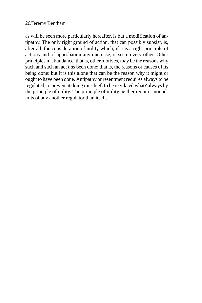as will be seen more particularly hereafter, is but a modification of antipathy. The only right ground of action, that can possibly subsist, is, after all, the consideration of utility which, if it is a right principle of actions and of approbation any one case, is so in every other. Other principles in abundance, that is, other motives, may be the reasons why such and such an act *has* been done: that is, the reasons or causes of its being done: but it is this alone that can be the reason why it might or ought to have been done. Antipathy or resentment requires always to be regulated, to prevent it doing mischief: to be regulated what? always by the principle of utility. The principle of utility neither requires nor admits of any another regulator than itself.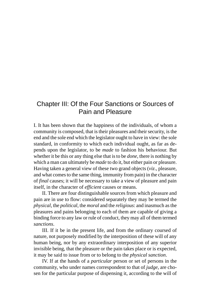## Chapter III: Of the Four Sanctions or Sources of Pain and Pleasure

I. It has been shown that the happiness of the individuals, of whom a community is composed, that is their pleasures and their security, is the end and the sole end which the legislator ought to have in view: the sole standard, in conformity to which each individual ought, as far as depends upon the legislator, to be *made* to fashion his behaviour. But whether it be this or any thing else that is to be *done*, there is nothing by which a man can ultimately be *made* to do it, but either pain or pleasure. Having taken a general view of these two grand objects (*viz*., pleasure, and what comes to the same thing, immunity from pain) in the character of *final* causes; it will be necessary to take a view of pleasure and pain itself, in the character of *efficient* causes or means.

II. There are four distinguishable sources from which pleasure and pain are in use to flow: considered separately they may be termed the *physical*, the *political*, the *moral* and the *religious*: and inasmuch as the pleasures and pains belonging to each of them are capable of giving a binding force to any law or rule of conduct, they may all of them termed *sanctions*.

III. If it be in the present life, and from the ordinary coursed of nature, not purposely modified by the interposition of these will of any human being, nor by any extraordinary interposition of any superior invisible being, that the pleasure or the pain takes place or is expected, it may be said to issue from or to belong to the *physical sanction*.

IV. If at the hands of a *particular* person or set of persons in the community, who under names correspondent to that of *judge*, are chosen for the particular purpose of dispensing it, according to the will of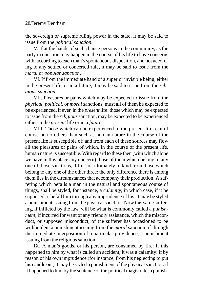the sovereign or supreme ruling power in the state, it may be said to issue from the *political sanction*.

V. If at the hands of such chance persons in the community, as the party in question may happen in the course of his life to have concerns with, according to each man's spontaneous disposition, and not according to any settled or concerted rule, it may be said to issue from the *moral* or *popular sanction*.

VI. If from the immediate hand of a superior invisible being, either in the present life, or in a future, it may be said to issue from the *religious sanction*.

VII. Pleasures or pains which may be expected to issue from the *physical*, *political*, or *moral* sanctions, must all of them be expected to be experienced, if ever, in the *present* life: those which may be expected to issue from the *religious* sanction, may be expected to be experienced either in the *present* life or in a *future*.

VIII. Those which can be experienced in the present life, can of course be no others than such as human nature in the course of the present life is susceptible of: and from each of these sources may flow all the pleasures or pains of which, in the course of the present life, human nature is susceptible. With regard to these then (with which alone we have in this place any concern) those of them which belong to any one of those sanctions, differ not ultimately in kind from those which belong to any one of the other three: the only difference there is among them lies in the circumstances that accompany their production. A suffering which befalls a man in the natural and spontaneous course of things, shall be styled, for instance, a *calamity*; in which case, if it be supposed to befall him through any imprudence of his, it may be styled a punishment issuing from the physical sanction. Now this same suffering, if inflicted by the law, will be what is commonly called a *punishment*; if incurred for want of any friendly assistance, which the misconduct, or supposed misconduct, of the sufferer has occasioned to be withholden, a punishment issuing from the *moral* sanction; if through the immediate interposition of a particular providence, a punishment issuing from the religious sanction.

IX. A man's goods, or his person, are consumed by fire. If this happened to him by what is called an accident, it was a calamity: if by reason of his own imprudence (for instance, from his neglecting to put his candle out) it may be styled a punishment of the physical sanction: if it happened to him by the sentence of the political magistrate, a punish-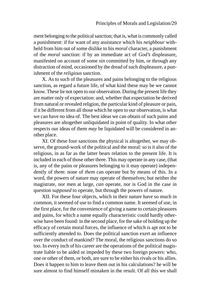ment belonging to the political sanction; that is, what is commonly called a punishment: if for want of any assistance which his *neighbour* withheld from him out of some dislike to his *moral* character, a punishment of the *moral* sanction: if by an immediate act of *God's* displeasure, manifested on account of some *sin* committed by him, or through any distraction of mind, occasioned by the dread of such displeasure, a punishment of the *religious* sanction.

X. As to such of the pleasures and pains belonging to the religious sanction, as regard a future life, of what kind these may be we cannot know. These lie not open to our observation. During the present life they are matter only of expectation: and, whether that expectation be derived from natural or revealed religion, the particular kind of pleasure or pain, if it be different from all those which he open to our observation, is what we can have no idea of. The best ideas we can obtain of such pains and pleasures are altogether unliquidated in point of quality. In what other respects our ideas of them *may* be liquidated will be considered in another place.

XI. Of these four sanctions the physical is altogether, we may observe, the ground-work of the political and the moral: so is it also of the religious, in as far as the latter bears relation to the present life. It is included in each of those other three. This may operate in any case, (that is, any of the pains or pleasures belonging to it may operate) independently of *them*: none of *them* can operate but by means of this. In a word, the powers of nature may operate of themselves; but neither the magistrate, nor men at large, *can* operate, nor is God in the case in question *supposed* to operate, but through the powers of nature.

XII. For these four objects, which in their nature have so much in common, it seemed of use to find a common name. It seemed of use, in the first place, for the convenience of giving a name to certain pleasures and pains, for which a name equally characteristic could hardly otherwise have been found: in the second place, for the sake of holding up the efficacy of certain moral forces, the influence of which is apt not to be sufficiently attended to. Does the political sanction exert an influence over the conduct of mankind? The moral, the religious sanctions do so too. In every inch of his career are the operations of the political magistrate liable to be aided or impeded by these two foreign powers: who, one or other of them, or both, are sure to be either his rivals or his allies. Does it happen to him to leave them out in his calculations? he will be sure almost to find himself mistaken in the result. Of all this we shall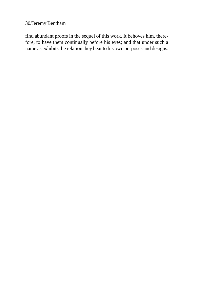find abundant proofs in the sequel of this work. It behoves him, therefore, to have them continually before his eyes; and that under such a name as exhibits the relation they bear to his own purposes and designs.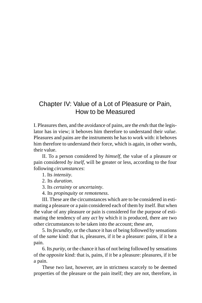## Chapter IV: Value of a Lot of Pleasure or Pain, How to be Measured

I. Pleasures then, and the avoidance of pains, are the *ends* that the legislator has in view; it behoves him therefore to understand their *value*. Pleasures and pains are the instruments he has to work with: it behoves him therefore to understand their force, which is again, in other words, their value.

II. To a person considered by *himself*, the value of a pleasure or pain considered *by itself*, will be greater or less, according to the four following *circumstances*:

1. Its *intensity*.

2. Its *duration*.

3. Its *certainty* or *uncertainty*.

4. Its *propinquity* or *remoteness*.

III. These are the circumstances which are to be considered in estimating a pleasure or a pain considered each of them by itself. But when the value of any pleasure or pain is considered for the purpose of estimating the tendency of any *act* by which it is produced, there are two other circumstances to be taken into the account; these are,

5. Its *fecundity*, or the chance it has of being followed by sensations of the *same* kind: that is, pleasures, if it be a pleasure: pains, if it be a pain.

6. Its *purity*, or the chance it has of not being followed by sensations of the *opposite* kind: that is, pains, if it be a pleasure: pleasures, if it be a pain.

These two last, however, are in strictness scarcely to be deemed properties of the pleasure or the pain itself; they are not, therefore, in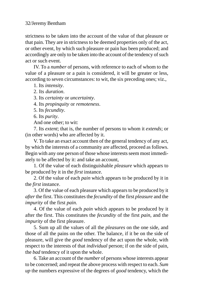strictness to be taken into the account of the value of that pleasure or that pain. They are in strictness to be deemed properties only of the act, or other event, by which such pleasure or pain has been produced; and accordingly are only to be taken into the account of the tendency of such act or such event.

IV. To a *number* of persons, with reference to each of whom to the value of a pleasure or a pain is considered, it will be greater or less, according to seven circumstances: to wit, the six preceding ones; viz.,

1. Its *intensity*.

2. Its *duration*.

3. Its *certainty* or *uncertainty*.

4. Its *propinquity* or *remoteness*.

5. Its *fecundity*.

6. Its *purity*.

And one other; to wit:

7. Its *extent*; that is, the number of persons to whom it *extends*; or (in other words) who are affected by it.

V. To take an exact account then of the general tendency of any act, by which the interests of a community are affected, proceed as follows. Begin with any one person of those whose interests seem most immediately to be affected by it: and take an account,

1. Of the value of each distinguishable *pleasure* which appears to be produced by it in the *first* instance.

2. Of the value of each *pain* which appears to be produced by it in the *first* instance.

3. Of the value of each pleasure which appears to be produced by it *after* the first. This constitutes the *fecundity* of the first *pleasure* and the *impurity* of the first *pain*.

4. Of the value of each *pain* which appears to be produced by it after the first. This constitutes the *fecundity* of the first *pain*, and the *impurity* of the first pleasure.

5. Sum up all the values of all the *pleasures* on the one side, and those of all the pains on the other. The balance, if it be on the side of pleasure, will give the *good* tendency of the act upon the whole, with respect to the interests of that *individual* person; if on the side of pain, the *bad* tendency of it upon the whole.

6. Take an account of the *number* of persons whose interests appear to be concerned; and repeat the above process with respect to each. *Sum up* the numbers expressive of the degrees of *good* tendency, which the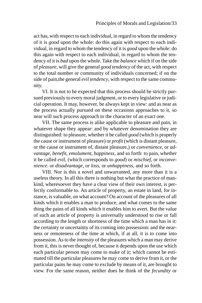act has, with respect to each individual, in regard to whom the tendency of it is *good* upon the whole: do this again with respect to each individual, in regard to whom the tendency of it is *good* upon the whole: do this again with respect to each individual, in regard to whom the tendency of it is *bad* upon the whole. Take the *balance* which if on the side of *pleasure*, will give the general *good tendency* of the act, with respect to the total number or community of individuals concerned; if on the side of pain,the general *evil tendency*, with respect to the same community.

VI. It is not to be expected that this process should be strictly pursued previously to every moral judgment, or to every legislative or judicial operation. It may, however, be always kept in view: and as near as the process actually pursued on these occasions approaches to it, so near will such process approach to the character of an exact one.

VII. The same process is alike applicable to pleasure and pain, in whatever shape they appear: and by whatever denomination they are distinguished: to pleasure, whether it be called *good* (which is properly the cause or instrument of pleasure) or *profit* (which is distant pleasure, or the cause or instrument of, distant pleasure,) or *convenience*, or *advantage*, *benefit*, *emolument*, *happiness*, and so forth: to pain, whether it be called *evil*, (which corresponds to *good*) or *mischief*, or *inconvenience*. or *disadvantage*, or *loss*, or *unhappiness*, and so forth.

VIII. Nor is this a novel and unwarranted, any more than it is a useless theory. In all this there is nothing but what the practice of mankind, wheresoever they have a clear view of their own interest, is perfectly conformable to. An article of property, an estate in land, for instance, is valuable, on what account? On account of the pleasures of all kinds which it enables a man to produce, and what comes to the same thing the pains of all kinds which it enables him to avert. But the value of such an article of property is universally understood to rise or fall according to the length or shortness of the time which a man has in it: the certainty or uncertainty of its coming into possession: and the nearness or remoteness of the time at which, if at all, it is to come into possession. As to the *intensity* of the pleasures which a man may derive from it, this is never thought of, because it depends upon the use which each particular person may come to make of it; which cannot be estimated till the particular pleasures he may come to derive from it, or the particular pains he may come to exclude by means of it, are brought to view. For the same reason, neither does he think of the *fecundity* or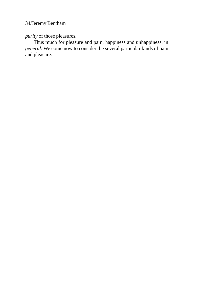*purity* of those pleasures.

Thus much for pleasure and pain, happiness and unhappiness, in *general*. We come now to consider the several particular kinds of pain and pleasure.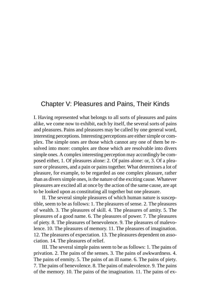## Chapter V: Pleasures and Pains, Their Kinds

I. Having represented what belongs to all sorts of pleasures and pains alike, we come now to exhibit, each by itself, the several sorts of pains and pleasures. Pains and pleasures may be called by one general word, interesting perceptions. Interesting perceptions are either simple or complex. The simple ones are those which cannot any one of them be resolved into more: complex are those which are resolvable into divers simple ones. A complex interesting perception may accordingly be composed either, 1. Of pleasures alone: 2. Of pains alone: or, 3. Of a pleasure or pleasures, and a pain or pains together. What determines a lot of pleasure, for example, to be regarded as one complex pleasure, rather than as divers simple ones, is the nature of the exciting cause. Whatever pleasures are excited all at once by the action of the same cause, are apt to be looked upon as constituting all together but one pleasure.

II. The several simple pleasures of which human nature is susceptible, seem to be as follows: 1. The pleasures of sense. 2. The pleasures of wealth. 3. The pleasures of skill. 4. The pleasures of amity. 5. The pleasures of a good name. 6. The pleasures of power. 7. The pleasures of piety. 8. The pleasures of benevolence. 9. The pleasures of malevolence. 10. The pleasures of memory. 11. The pleasures of imagination. 12. The pleasures of expectation. 13. The pleasures dependent on association. 14. The pleasures of relief.

III. The several simple pains seem to be as follows: 1. The pains of privation. 2. The pains of the senses. 3. The pains of awkwardness. 4. The pains of enmity. 5. The pains of an ill name. 6. The pains of piety. 7. The pains of benevolence. 8. The pains of malevolence. 9. The pains of the memory. 10. The pains of the imagination. 11. The pains of ex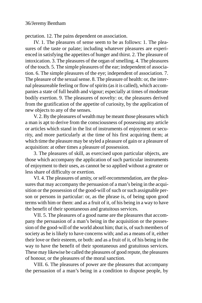pectation. 12. The pains dependent on association.

IV. 1. The pleasures of sense seem to be as follows: 1. The pleasures of the taste or palate; including whatever pleasures are experienced in satisfying the appetites of hunger and thirst. 2. The pleasure of intoxication. 3. The pleasures of the organ of smelling. 4. The pleasures of the touch. 5. The simple pleasures of the ear; independent of association. 6. The simple pleasures of the eye; independent of association. 7. The pleasure of the sexual sense. 8. The pleasure of health: or, the internal pleasureable feeling or flow of spirits (as it is called), which accompanies a state of full health and vigour; especially at times of moderate bodily exertion. 9. The pleasures of novelty: or, the pleasures derived from the gratification of the appetite of curiosity, by the application of new objects to any of the senses.

V. 2. By the pleasures of wealth may be meant those pleasures which a man is apt to derive from the consciousness of possessing any article or articles which stand in the list of instruments of enjoyment or security, and more particularly at the time of his first acquiring them; at which time the pleasure may be styled a pleasure of gain or a pleasure of acquisition: at other times a pleasure of possession.

3. The pleasures of skill, as exercised upon particular objects, are those which accompany the application of such particular instruments of enjoyment to their uses, as cannot be so applied without a greater or less share of difficulty or exertion.

VI. 4. The pleasures of amity, or self-recommendation, are the pleasures that may accompany the persuasion of a man's being in the acquisition or the possession of the good-will of such or such assignable person or persons in particular: or, as the phrase is, of being upon good terms with him or them: and as a fruit of it, of his being in a way to have the benefit of their spontaneous and gratuitous services.

VII. 5. The pleasures of a good name are the pleasures that accompany the persuasion of a man's being in the acquisition or the possession of the good-will of the world about him; that is, of such members of society as he is likely to have concerns with; and as a means of it, either their love or their esteem, or both: and as a fruit of it, of his being in the way to have the benefit of their spontaneous and gratuitous services. These may likewise be called the pleasures of good repute, the pleasures of honour, or the pleasures of the moral sanction.

VIII. 6. The pleasures of power are the pleasures that accompany the persuasion of a man's being in a condition to dispose people, by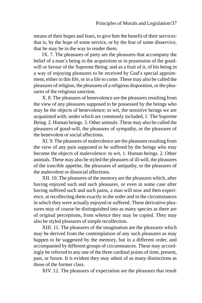means of their hopes and fears, to give him the benefit of their services: that is, by the hope of some service, or by the fear of some disservice, that he may be in the way to render them.

IX. 7. The pleasures of piety are the pleasures that accompany the belief of a man's being in the acquisition or in possession of the goodwill or favour of the Supreme Being: and as a fruit of it, of his being in a way of enjoying pleasures to be received by God's special appointment, either in this life, or in a life to come. These may also be called the pleasures of religion, the pleasures of a religious disposition, or the pleasures of the religious sanction.

X. 8. The pleasures of benevolence are the pleasures resulting from the view of any pleasures supposed to be possessed by the beings who may be the objects of benevolence; to wit, the sensitive beings we are acquainted with; under which are commonly included, 1. The Supreme Being. 2. Human beings. 3. Other animals. These may also be called the pleasures of good-will, the pleasures of sympathy, or the pleasures of the benevolent or social affections.

XI. 9. The pleasures of malevolence are the pleasures resulting from the view of any pain supposed to be suffered by the beings who may become the objects of malevolence: to wit, 1. Human beings. 2. Other animals. These may also be styled the pleasures of ill-will, the pleasures of the irascible appetite, the pleasures of antipathy, or the pleasures of the malevolent or dissocial affections.

XII. 10. The pleasures of the memory are the pleasures which, after having enjoyed such and such pleasures, or even in some case after having suffered such and such pains, a man will now and then experience, at recollecting them exactly in the order and in the circumstances in which they were actually enjoyed or suffered. These derivative pleasures may of course be distinguished into as many species as there are of original perceptions, from whence they may be copied. They may also be styled pleasures of simple recollection.

XIII. 11. The pleasures of the imagination are the pleasures which may be derived from the contemplation of any such pleasures as may happen to be suggested by the memory, but in a different order, and accompanied by different groups of circumstances. These may accordingly be referred to any one of the three cardinal points of time, present, past, or future. It is evident they may admit of as many distinctions as those of the former class.

XIV. 12. The pleasures of expectation are the pleasures that result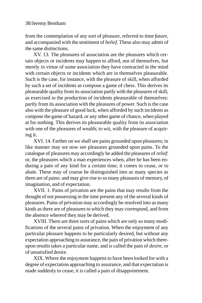from the contemplation of any sort of pleasure, referred to time *future*, and accompanied with the sentiment of *belief*. These also may admit of the same distinctions.

XV. 13. The pleasures of association are the pleasures which certain objects or incidents may happen to afford, not of themselves, but merely in virtue of some association they have contracted in the mind with certain objects or incidents which are in themselves pleasurable. Such is the case, for instance, with the pleasure of skill, when afforded by such a set of incidents as compose a game of chess. This derives its pleasurable quality from its association partly with the pleasures of skill, as exercised in the production of incidents pleasurable of themselves: partly from its association with the pleasures of power. Such is the case also with the pleasure of good luck, when afforded by such incidents as compose the game of hazard, or any other game of chance, when played at for nothing. This derives its pleasurable quality from its association with one of the pleasures of wealth; to wit, with the pleasure of acquiring it.

XVI. 14. Farther on we shall see pains grounded upon pleasures; in like manner may we now see pleasures grounded upon pains. To the catalogue of pleasures may accordingly be added the pleasures of *relief*: or, the pleasures which a man experiences when, after he has been enduring a pain of any kind for a certain time, it comes to cease, or to abate. These may of course be distinguished into as many species as there are of pains: and may give rise to so many pleasures of memory, of imagination, and of expectation.

XVII. 1. Pains of privation are the pains that may results from the thought of not possessing in the time present any of the several kinds of pleasures. Pains of privation may accordingly be resolved into as many kinds as there are of pleasures to which they may correspond, and from the absence whereof they may be derived.

XVIII. There are three sorts of pains which are only so many modifications of the several pains of privation. When the enjoyment of any particular pleasure happens to be particularly desired, but without any expectation approaching to assurance, the pain of privation which thereupon results takes a particular name, and is called the pain of *desire*, or of unsatisfied desire.

XIX. Where the enjoyment happens to have been looked for with a degree of expectation approaching to assurance, and that expectation is made suddenly to cease, it is called a pain of disappointment.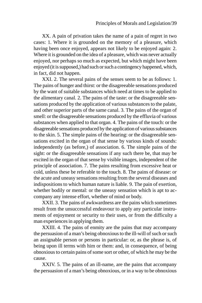XX. A pain of privation takes the name of a pain of regret in two cases: 1. Where it is grounded on the memory of a pleasure, which having been once enjoyed, appears not likely to be enjoyed again: 2. Where it is grounded on the idea of a pleasure, which was never actually enjoyed, nor perhaps so much as expected, but which might have been enjoyed (it is supposed,) had such or such a contingency happened, which, in fact, did not happen.

XXI. 2. The several pains of the senses seem to be as follows: 1. The pains of hunger and thirst: or the disagreeable sensations produced by the want of suitable substances which need at times to be applied to the alimentary canal. 2. The pains of the taste: or the disagreeable sensations produced by the application of various substances to the palate, and other superior parts of the same canal. 3. The pains of the organ of smell: or the disagreeable sensations produced by the effluvia of various substances when applied to that organ. 4. The pains of the touch: or the disagreeable sensations produced by the application of various substances to the skin. 5. The simple pains of the hearing: or the disagreeable sensations excited in the organ of that sense by various kinds of sounds: independently (as before,) of association. 6. The simple pains of the sight: or the disagreeable sensations if any such there be, that may be excited in the organ of that sense by visible images, independent of the principle of association. 7. The pains resulting from excessive heat or cold, unless these be referable to the touch. 8. The pains of disease: or the acute and uneasy sensations resulting from the several diseases and indispositions to which human nature is liable. 9. The pain of exertion, whether bodily or mental: or the uneasy sensation which is apt to accompany any intense effort, whether of mind or body.

XXII. 3. The pains of awkwardness are the pains which sometimes result from the unsuccessful endeavour to apply any particular instruments of enjoyment or security to their uses, or from the difficulty a man experiences in applying them.

XXIII. 4. The pains of enmity are the pains that may accompany the persuasion of a man's being obnoxious to the ill-will of such or such an assignable person or persons in particular: or, as the phrase is, of being upon ill terms with him or them: and, in consequence, of being obnoxious to certain pains of some sort or other, of which he may be the cause.

XXIV. 5. The pains of an ill-name, are the pains that accompany the persuasion of a man's being obnoxious, or in a way to be obnoxious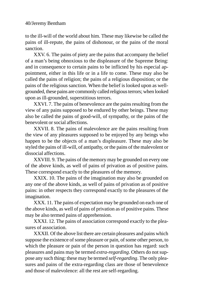to the ill-will of the world about him. These may likewise be called the pains of ill-repute, the pains of dishonour, or the pains of the moral sanction.

XXV. 6. The pains of piety are the pains that accompany the belief of a man's being obnoxious to the displeasure of the Supreme Being: and in consequence to certain pains to be inflicted by his especial appointment, either in this life or in a life to come. These may also be called the pains of religion; the pains of a religious disposition; or the pains of the religious sanction. When the belief is looked upon as wellgrounded, these pains are commonly called religious terrors; when looked upon as ill-grounded, superstitious terrors.

XXVI. 7. The pains of benevolence are the pains resulting from the view of any pains supposed to be endured by other beings. These may also be called the pains of good-will, of sympathy, or the pains of the benevolent or social affections.

XXVII. 8. The pains of malevolence are the pains resulting from the view of any pleasures supposed to be enjoyed by any beings who happen to be the objects of a man's displeasure. These may also be styled the pains of ill-will, of antipathy, or the pains of the malevolent or dissocial affections.

XXVIII. 9. The pains of the memory may be grounded on every one of the above kinds, as well of pains of privation as of positive pains. These correspond exactly to the pleasures of the memory.

XXIX. 10. The pains of the imagination may also be grounded on any one of the above kinds, as well of pains of privation as of positive pains: in other respects they correspond exactly to the pleasures of the imagination.

XXX. 11. The pains of expectation may be grounded on each one of the above kinds, as well of pains of privation as of positive pains. These may be also termed pains of apprehension.

XXXI. 12. The pains of association correspond exactly to the pleasures of association.

XXXII. Of the above list there are certain pleasures and pains which suppose the existence of some pleasure or pain, of some other person, to which the pleasure or pain of the person in question has regard: such pleasures and pains may be termed *extra-regarding*. Others do not suppose any such thing: these may be termed *self-regarding*. The only pleasures and pains of the extra-regarding class are those of benevolence and those of malevolence: all the rest are self-regarding.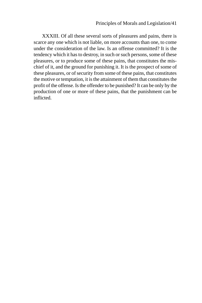XXXIII. Of all these several sorts of pleasures and pains, there is scarce any one which is not liable, on more accounts than one, to come under the consideration of the law. Is an offense committed? It is the tendency which it has to destroy, in such or such persons, some of these pleasures, or to produce some of these pains, that constitutes the mischief of it, and the ground for punishing it. It is the prospect of some of these pleasures, or of security from some of these pains, that constitutes the motive or temptation, it is the attainment of them that constitutes the profit of the offense. Is the offender to be punished? It can be only by the production of one or more of these pains, that the punishment can be inflicted.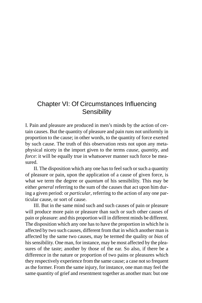# Chapter VI: Of Circumstances Influencing **Sensibility**

I. Pain and pleasure are produced in men's minds by the action of certain causes. But the quantity of pleasure and pain runs not uniformly in proportion to the cause; in other words, to the quantity of force exerted by such cause. The truth of this observation rests not upon any metaphysical nicety in the import given to the terms *cause*, *quantity*, and *force*: it will be equally true in whatsoever manner such force be measured.

II. The disposition which any one has to feel such or such a quantity of pleasure or pain, upon the application of a cause of given force, is what we term the degree or *quantum* of his sensibility. This may be either *general* referring to the sum of the causes that act upon him during a given period: or *particular*, referring to the action of any one particular cause, or sort of cause.

III. But in the same mind such and such causes of pain or pleasure will produce more pain or pleasure than such or such other causes of pain or pleasure: and this proportion will in different minds be different. The disposition which any one has to have the proportion in which he is affected by two such causes, different from that in which another man is affected by the same two causes, may be termed the quality or *bias* of his sensibility. One man, for instance, may be most affected by the pleasures of the taste; another by those of the ear. So also, if there be a difference in the nature or proportion of two pains or pleasures which they respectively experience from the same cause; a case not so frequent as the former. From the same injury, for instance, one man may feel the same quantity of grief and resentment together as another man: but one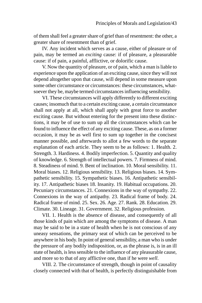of them shall feel a greater share of grief than of resentment: the other, a greater share of resentment than of grief.

IV. Any incident which serves as a cause, either of pleasure or of pain, may be termed an *exciting* cause: if of pleasure, a pleasurable cause: if of pain, a painful, afflictive, or dolorific cause.

V. Now the quantity of pleasure, or of pain, which a man is liable to experience upon the application of an exciting cause, since they will not depend altogether upon that cause, will depend in some measure upon some other circumstance or circumstances: these circumstances, whatsoever they be, maybe termed circumstances influencing sensibility.

VI. These circumstances will apply differently to different exciting causes; insomuch that to a certain exciting cause, a certain circumstance shall not apply at all, which shall apply with great force to another exciting cause. But without entering for the present into these distinctions, it may be of use to sum up all the circumstances which can be found to influence the effect of any exciting cause. These, as on a former occasion, it may be as well first to sum up together in the concisest manner possible, and afterwards to allot a few words to the separate explanation of each article. They seem to be as follows: 1. Health. 2. Strength. 3. Hardiness. 4. Bodily imperfection. 5. Quantity and quality of knowledge. 6. Strength of intellectual powers. 7. Firmness of mind. 8. Steadiness of mind. 9. Bent of inclination. 10. Moral sensibility. 11. Moral biases. 12. Religious sensibility. 13. Religious biases. 14. Sympathetic sensibility. 15. Sympathetic biases. 16. Antipathetic sensibility. 17. Antipathetic biases 18. Insanity. 19. Habitual occupations. 20. Pecuniary circumstances. 21. Connexions in the way of sympathy. 22. Connexions in the way of antipathy. 23. Radical frame of body. 24. Radical frame of mind. 25. Sex. 26. Age. 27. Rank. 28. Education. 29. Climate. 30. Lineage. 31. Government. 32. Religious profession.

VII. 1. Health is the absence of disease, and consequently of all those kinds of pain which are among the symptoms of disease. A man may be said to be in a state of health when he is not conscious of any uneasy sensations, the primary seat of which can be perceived to be anywhere in his body. In point of general sensibility, a man who is under the pressure of any bodily indisposition, or, as the phrase is, is in an ill state of health, is less sensible to the influence of any pleasurable cause, and more so to that of any afflictive one, than if he were *well*.

VIII. 2. The circumstance of strength, though in point of causality closely connected with that of health, is perfectly distinguishable from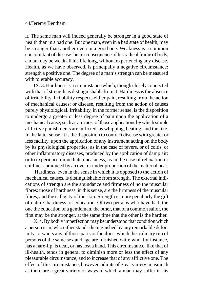it. The same man will indeed generally be stronger in a good state of health than in a bad one. But one man, even in a bad state of health, may be stronger than another even in a good one. Weakness is a common concomitant of disease: but in consequence of his radical frame of body, a man may be weak all his life long, without experiencing any disease. Health, as we have observed, is principally a negative circumstance: strength a positive one. The degree of a man's strength can be measured with tolerable accuracy.

IX. 3. Hardiness is a circumstance which, though closely connected with that of strength, is distinguishable from it. Hardiness is the absence of irritability. Irritability respects either pain, resulting from the action of mechanical causes; or disease, resulting from the action of causes purely physiological. Irritability, in the former sense, is the disposition to undergo a greater or less degree of pain upon the application of a mechanical cause; such as are most of those applications by which simple afflictive punishments are inflicted, as whipping, beating, and the like. In the latter sense, it is the disposition to contract disease with greater or less facility, upon the application of any instrument acting on the body by its physiological properties; as in the case of fevers, or of colds, or other inflammatory diseases, produced by the application of damp air: or to experience immediate uneasiness, as in the case of relaxation or chilliness produced by an over or under proportion of the matter of heat.

 Hardiness, even in the sense in which it is opposed to the action of mechanical causes, is distinguishable from strength. The external indications of strength are the abundance and firmness of no the muscular fibres: those of hardiness, in this sense, are the firmness of the muscular fibres, and the callosity of the skin. Strength is more peculiarly the gift of nature: hardiness, of education. Of two persons who have had, the one the education of a gentleman, the other, that of a common sailor, the first may be the stronger, at the same time that the other is the hardier.

X. 4. By bodily imperfection may be understood that condition which a person is in, who either stands distinguished by any remarkable deformity, or wants any of those parts or faculties, which the ordinary run of persons of the same sex and age are furnished with: who, for instance, has a hare-lip, is deaf, or has lost a hand. This circumstance, like that of ill-health, tends in general to diminish more or less the effect of any pleasurable circumstance, and to increase that of any afflictive one. The effect of this circumstance, however, admits of great variety: inasmuch as there are a great variety of ways in which a man may suffer in his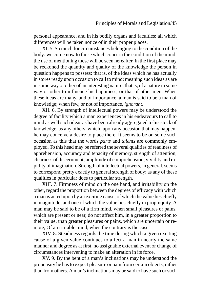personal appearance, and in his bodily organs and faculties: all which differences will be taken notice of in their proper places.

XI. 5. So much for circumstances belonging to the condition of the body: we come now to those which concern the condition of the mind: the use of mentioning these will be seen hereafter. In the first place may be reckoned the quantity and quality of the knowledge the person in question happens to possess: that is, of the ideas which he has actually in stores ready upon occasion to call to mind: meaning such ideas as are in some way or other of an interesting nature: that is, of a nature in some way or other to influence his happiness, or that of other men. When these ideas are many, and of importance, a man is said to be a man of knowledge; when few, or not of importance, *ignorant*.

XII. 6. By strength of intellectual powers may be understood the degree of facility which a man experiences in his endeavours to call to mind as well such ideas as have been already aggregated to his stock of knowledge, as any others, which, upon any occasion that may happen, he may conceive a desire to place there. It seems to be on some such occasion as this that the words *parts* and *talents* are commonly employed. To this head may be referred the several qualities of readiness of apprehension, accuracy and tenacity of memory, strength of attention, clearness of discernment, amplitude of comprehension, vividity and rapidity of imagination. Strength of intellectual powers, in general, seems to correspond pretty exactly to general strength of body: as any of these qualities in particular does to particular strength.

XIII. 7. Firmness of mind on the one hand, and irritability on the other, regard the proportion between the degrees of efficacy with which a man is acted upon by an exciting cause, of which the value lies chiefly in magnitude, and one of which the value lies chiefly in propinquity. A man may be said to be of a firm mind, when small pleasures or pains, which are present or near, do not affect him, in a greater proportion to their value, than greater pleasures or pains, which are uncertain or remote; Of an irritable mind, when the contrary is the case.

XIV. 8. Steadiness regards the time during which a given exciting cause of a given value continues to affect a man in nearly the same manner and degree as at first, no assignable external event or change of circumstances intervening to make an alteration in its force.

XV. 9. By the bent of a man's inclinations may be understood the propensity he has to expect pleasure or pain from certain objects, rather than from others. A man's inclinations may be said to have such or such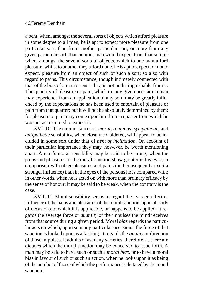a bent, when, amongst the several sorts of objects which afford pleasure in some degree to all men, he is apt to expect more pleasure from one particular sort, than from another particular sort, or more from any given particular sort, than another man would expect from that sort; or when, amongst the several sorts of objects, which to one man afford pleasure, whilst to another they afford none, he is apt to expect, or not to expect, pleasure from an object of such or such a sort: so also with regard to pains. This circumstance, though intimately connected with that of the bias of a man's sensibility, is not undistinguishable from it. The quantity of pleasure or pain, which on any given occasion a man may experience from an application of any sort, may be greatly influenced by the expectations he has been used to entertain of pleasure or pain from that quarter; but it will not be absolutely determined by them: for pleasure or pain may come upon him from a quarter from which he was not accustomed to expect it.

XVI. 10. The circumstances of *moral*, *religious*, *sympathetic*, and *antipathetic* sensibility, when closely considered, will appear to be included in some sort under that of *bent of inclination*. On account of their particular importance they may, however, be worth mentioning apart. A man's moral sensibility may be said to be strong, when the pains and pleasures of the moral sanction show greater in his eyes, in comparison with other pleasures and pains (and consequently exert a stronger influence) than in the eyes of the persons he is compared with; in other words, when he is acted on with more than ordinary efficacy by the sense of honour: it may be said to be weak, when the contrary is the case.

XVII. 11. Moral sensibility seems to regard the average effect or influence of the pains and pleasures of the moral sanction, upon all sorts of occasions to which it is applicable, or happens to be applied. It regards the average force or *quantity* of the impulses the mind receives from that source during a given period. Moral *bias* regards the particular acts on which, upon so many particular occasions, the force of that sanction is looked upon as attaching. It regards the *quality* or direction of those impulses. It admits of as many varieties, therefore, as there are dictates which the moral sanction may be conceived to issue forth. A man may be said to have such or such a *moral bias*, or to have a moral bias in favour of such or such an action, when he looks upon it as being of the number of those of which the performance is dictated by the moral sanction.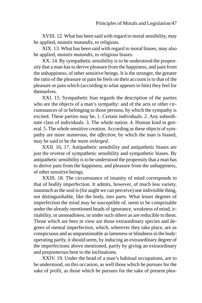XVIII. 12. What has been said with regard to moral sensibility, may be applied, *mutatis mutandis*, to religious.

XIX. 13. What has been said with regard to moral biases, may also be applied, *mutatis mutandis*, to religious biases.

XX. 14. By sympathetic sensibility is to be understood the propensity that a man has to derive pleasure from the happiness, and pain from the unhappiness, of other sensitive beings. It is the stronger, the greater the ratio of the pleasure or pain he feels on their account is to that of the pleasure or pain which (according to what appears to him) they feel for themselves.

XXI. 15. Sympathetic bias regards the description of the parties who are the objects of a man's sympathy: and of the acts or other circumstances of or belonging to those persons, by which the sympathy is excited. These parties may be, 1. Certain individuals. 2. Any subordinate class of individuals. 3. The whole nation. 4. Human kind in general. 5. The whole sensitive creation. According as these objects of sympathy are more numerous, the *affection*, by which the man is biased, may be said to be the more *enlarged*.

XXII. 16, 17. Antipathetic sensibility and antipathetic biases are just the reverse of sympathetic sensibility and sympathetic biases. By antipathetic sensibility is to be understood the propensity that a man has to derive pain from the happiness, and pleasure from the unhappiness, of other sensitive beings.

XXIII. 18. The circumstance of insanity of mind corresponds to that of bodily imperfection. It admits, however, of much less variety, inasmuch as the soul is (for aught we can perceive) one indivisible thing, not distinguishable, like the body, into parts. What lesser degrees of imperfection the mind may be susceptible of, seem to be comprisable under the already-mentioned heads of ignorance, weakness of mind, irritability, or unsteadiness; or under such others as are reducible to them. Those which are here in view are those extraordinary species and degrees of mental imperfection, which, wherever they take place, are as conspicuous and as unquestionable as lameness or blindness in the body: operating partly, it should seem, by inducing an extraordinary degree of the imperfections above mentioned, partly by giving an extraordinary and preposterous bent to the inclinations.

XXIV. 19. Under the head of a man's habitual occupations, are to be understood, on this occasion, as well those which he pursues for the sake of profit, as those which he pursues for the sake of present plea-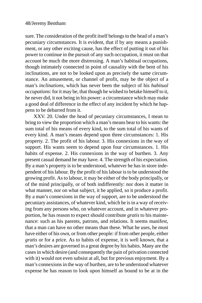sure. The consideration of the profit itself belongs to the head of a man's pecuniary circumstances. It is evident, that if by any means a punishment, or any other exciting cause, has the effect of putting it out of his power to continue in the pursuit of any such occupation, it must on that account be much the more distressing. A man's habitual occupations, though intimately connected in point of causality with the bent of his inclinations, are not to be looked upon as precisely the same circumstance. An amusement, or channel of profit, may be the object of a man's *inclinations*, which has never been the subject of his *habitual occupations*: for it may be, that though he wished to betake himself to it, he never did, it not being in his power: a circumstance which may make a good deal of difference in the effect of any incident by which he happens to be debarred from it.

XXV. 20. Under the head of pecuniary circumstances, I mean to bring to view the proportion which a man's means bear to his wants: the sum total of his means of every kind, to the sum total of his wants of every kind. A man's means depend upon three circumstances: 1. His property. 2. The profit of his labour. 3. His connexions in the way of support. His wants seem to depend upon four circumstances. 1. His habits of expense. 2. His connexions in the way of burthen. 3. Any present casual demand he may have. 4. The strength of his expectation. By a man's property is to be understood, whatever he has in store independent of his labour. By the profit of his labour is to be understood the growing profit. As to labour, it may be either of the body principally, or of the mind principally, or of both indifferently: nor does it matter in what manner, nor on what subject, it be applied, so it produce a profit. By a man's connexions in the way of support, are to be understood the pecuniary assistances, of whatever kind, which he is in a way of receiving from any persons who, on whatever account, and in whatever proportion, he has reason to expect should contribute *gratis* to his maintenance: such as his parents, patrons, and relations. It seems manifest, that a man can have no other means than these. What he uses, he must have either of his own, or from other people: if from other people, either *gratis* or for a price. As to habits of expense, it is well known, that a man's desires are governed in a great degree by his habits. Many are the cases in which desire (and consequently the pain of privation connected with it) would not even subsist at all, but for previous enjoyment. By a man's connexions in the way of burthen, are to be understood whatever expense he has reason to look upon himself as bound to be at in the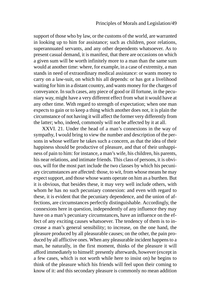support of those who by law, or the customs of the world, are warranted in looking up to him for assistance; such as children, poor relations, superannuated servants, and any other dependents whatsoever. As to present casual demand, it is manifest, that there are occasions on which a given sum will be worth infinitely more to a man than the same sum would at another time: where, for example, in a case of extremity, a man stands in need of extraordinary medical assistance: or wants money to carry on a law-suit, on which his all depends: or has got a livelihood waiting for him in a distant country, and wants money for the charges of conveyance. In such cases, any piece of good or ill fortune, in the pecuniary way, might have a very different effect from what it would have at any other time. With regard to strength of expectation; when one man expects to gain or to keep a thing which another does not, it is plain the circumstance of not having it will affect the former very differently from the latter; who, indeed, commonly will not be affected by it at all.

XXVI. 21. Under the head of a man's connexions in the way of sympathy, I would bring to view the number and description of the persons in whose welfare he takes such a concern, as that the idea of their happiness should be productive of pleasure, and that of their unhappiness of pain to him: for instance, a man's wife, his children, his parents, his near relations, and intimate friends. This class of persons, it is obvious, will for the most part include the two classes by which his pecuniary circumstances are affected: those, to wit, from whose means he may expect support, and those whose wants operate on him as a burthen. But it is obvious, that besides these, it may very well include others, with whom he has no such pecuniary connexion: and even with regard to these, it is evident that the pecuniary dependence, and the union of affections, are circumstances perfectly distinguishable. Accordingly, the connexions here in question, independently of any influence they may have on a man's pecuniary circumstances, have an influence on the effect of any exciting causes whatsoever. The tendency of them is to increase a man's general sensibility; to increase, on the one hand, the pleasure produced by all pleasurable causes; on the other, the pain produced by all afflictive ones. When any pleasurable incident happens to a man, he naturally, in the first moment, thinks of the pleasure it will afford immediately to himself: presently afterwards, however (except in a few cases, which is not worth while here to insist on) he begins to think of the pleasure which his friends will feel upon their coming to know of it: and this secondary pleasure is commonly no mean addition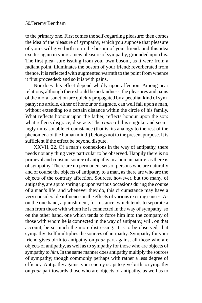to the primary one. First comes the self-regarding pleasure: then comes the idea of the pleasure of sympathy, which you suppose that pleasure of yours will give birth to in the bosom of your friend: and this idea excites again in yours a new pleasure of sympathy, grounded upon his. The first plea- sure issuing from your own bosom, as it were from a radiant point, illuminates the bosom of your friend: reverberated from thence, it is reflected with augmented warmth to the point from whence it first proceeded: and so it is with pains.

Nor does this effect depend wholly upon affection. Among near relations, although there should be no kindness, the pleasures and pains of the moral sanction are quickly propagated by a peculiar kind of sympathy: no article, either of honour or disgrace, can well fall upon a man, without extending to a certain distance within the circle of his family. What reflects honour upon the father, reflects honour upon the son: what reflects disgrace, disgrace. The *cause* of this singular and seemingly unreasonable circumstance (that is, its analogy to the rest of the phenomena of the human mind,) belongs not to the present purpose. It is sufficient if the effect be beyond dispute.

XXVII. 22. Of a man's connexions in the way of antipathy, there needs not any thing very particular to be observed. Happily there is no primeval and constant source of antipathy in a human nature, as there is of sympathy. There are no permanent sets of persons who are naturally and of course the objects of antipathy to a man, as there are who are the objects of the contrary affection. Sources, however, but too many, of antipathy, are apt to spring up upon various occasions during the course of a man's life: and whenever they do, this circumstance may have a very considerable influence on the effects of various exciting causes. As on the one hand, a punishment, for instance, which tends to separate a man from those with whom he is connected in the way of sympathy, so on the other hand, one which tends to force him into the company of those with whom he is connected in the way of antipathy, will, on that account, be so much the more distressing. It is to be observed, that sympathy itself multiplies the sources of antipathy. Sympathy for your friend gives birth to antipathy on *your* part against all those who are objects of antipathy, as well as to sympathy for those who are objects of sympathy to *him*. In the same manner does antipathy multiply the sources of sympathy; though commonly perhaps with rather a less degree of efficacy. Antipathy against your enemy is apt to give birth to sympathy on *your* part towards those who are objects of antipathy, as well as to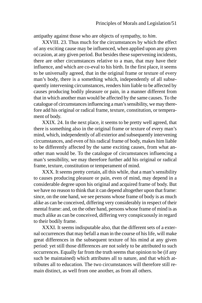antipathy against those who are objects of sympathy, to *him*.

XXVIII. 23. Thus much for the circumstances by which the effect of any exciting cause may be influenced, when applied upon any given occasion, at any given period. But besides these supervening incidents, there are other circumstances relative to a man, that may have their influence, and which are co-eval to his birth. In the first place, it seems to be universally agreed, that in the original frame or texture of every man's body, there is a something which, independently of all subsequently intervening circumstances, renders him liable to be affected by causes producing bodily pleasure or pain, in a manner different from that in which another man would be affected by the same causes. To the catalogue of circumstances influencing a man's sensibility, we may therefore add his original or radical frame, texture, constitution, or temperament of body.

XXIX. 24. In the next place, it seems to be pretty well agreed, that there is something also in the original frame or texture of every man's mind, which, independently of all exterior and subsequently intervening circumstances, and even of his radical frame of body, makes him liable to be differently affected by the same exciting causes, from what another man would be. To the catalogue of circumstances influencing a man's sensibility, we may therefore further add his original or radical frame, texture, constitution or temperament of mind.

XXX. It seems pretty certain, all this while, that a man's sensibility to causes producing pleasure or pain, even of mind, may depend in a considerable degree upon his original and acquired frame of body. But we have no reason to think that it can depend altogether upon that frame: since, on the one hand, we see persons whose frame of body is as much alike as can be conceived, differing very considerably in respect of their mental frame: and, on the other hand, persons whose frame of mind is as much alike as can be conceived, differing very conspicuously in regard to their bodily frame.

XXXI. It seems indisputable also, that the different sets of a external occurrences that may befall a man in the course of his life, will make great differences in the subsequent texture of his mind at any given period: yet still those differences are not solely to be attributed to such occurrences. Equally far from the truth seems that opinion to be (if any such be maintained) which attributes all to nature, and that which attributes all to education. The two circumstances will therefore still remain distinct, as well from one another, as from all others.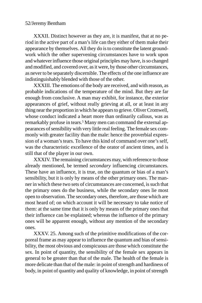XXXII. Distinct however as they are, it is manifest, that at no period in the active part of a man's life can they either of them make their appearance by themselves. All they do is to constitute the latent groundwork which the other supervening circumstances have to work upon and whatever influence those original principles may have, is so changed and modified, and covered over, as it were, by those other circumstances, as never to be separately discernible. The effects of the one influence are indistinguishably blended with those of the other.

XXXIII. The emotions of the body are received, and with reason, as probable indications of the temperature of the mind. But they are far enough from conclusive. A man may exhibit, for instance, the exterior appearances of grief, without really grieving at all, or at least in any thing near the proportion in which he appears to grieve. Oliver Cromwell, whose conduct indicated a heart more than ordinarily callous, was as remarkably profuse in tears.5 Many men can command the external appearances of sensibility with very little real feeling. The female sex commonly with greater facility than the male: hence the proverbial expression of a woman's tears. To have this kind of command over one's self, was the characteristic excellence of the orator of ancient times, and is still that of the player in our own.

XXXIV. The remaining circumstances may, with reference to those already mentioned, be termed *secondary* influencing circumstances. These have an influence, it is true, on the quantum or bias of a man's sensibility, but it is only by means of the other primary ones. The manner in which these two sets of circumstances are concerned, is such that the primary ones do the business, while the secondary ones lie most open to observation. The secondary ones, therefore, are those which are most heard of; on which account it will be necessary to take notice of them: at the same time that it is only by means of the primary ones that their influence can be explained; whereas the influence of the primary ones will be apparent enough, without any mention of the secondary ones.

XXXV. 25. Among such of the primitive modifications of the corporeal frame as may appear to influence the quantum and bias of sensibility, the most obvious and conspicuous are those which constitute the sex. In point of quantity, the sensibility of the female sex appears in general to be greater than that of the male. The health of the female is more delicate than that of the male: in point of strength and hardiness of body, in point of quantity and quality of knowledge, in point of strength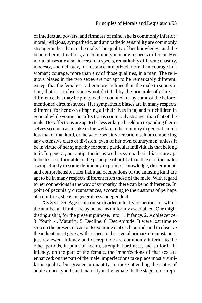of intellectual powers, and firmness of mind, she is commonly inferior: moral, religious, sympathetic, and antipathetic sensibility are commonly stronger in her than in the male. The quality of her knowledge, and the bent of her inclinations, are commonly in many respects different. Her moral biases are also, in certain respects, remarkably different: chastity, modesty, and delicacy, for instance, are prized more than courage in a woman: courage, more than any of those qualities, in a man. The religious biases in the two sexes are not apt to be remarkably different; except that the female is rather more inclined than the male to superstition; that is, to observances not dictated by the principle of utility; a difference that may be pretty well accounted for by some of the beforementioned circumstances. Her sympathetic biases are in many respects different; for her own offspring all their lives long, and for children in general while young, her affection is commonly stronger than that of the male. Her affections are apt to be less enlarged: seldom expanding themselves so much as to take in the welfare of her country in general, much less that of mankind, or the whole sensitive creation: seldom embracing any extensive class or division, even of her own countrymen, unless it be in virtue of her sympathy for some particular individuals that belong to it. In general, her antipathetic, as well as sympathetic biases are apt to be less conformable to the principle of utility than those of the male; owing chiefly to some deficiency in point of knowledge, discernment, and comprehension. Her habitual occupations of the amusing kind are apt to be in many respects different from those of the male. With regard to her connexions in the way of sympathy, there can be no difference. In point of pecuniary circumstances, according to the customs of perhaps all countries, she is in general less independent.

XXXVI. 26. Age is of course divided into divers periods, of which the number and limits are by no means uniformly ascertained. One might distinguish it, for the present purpose, into, 1. Infancy. 2. Adolescence. 3. Youth. 4. Maturity. 5. Decline. 6. Decrepitude. It were lost time to stop on the present occasion to examine it at each period, and to observe the indications it gives, with respect to the several primary circumstances just reviewed. Infancy and decrepitude are commonly inferior to the other periods, in point of health, strength, hardiness, and so forth. In infancy, on the part of the female, the imperfections of that sex are enhanced: on the part of the male, imperfections take place mostly similar in quality, but greater in quantity, to those attending the states of adolescence, youth, and maturity in the female. In the stage of decrepi-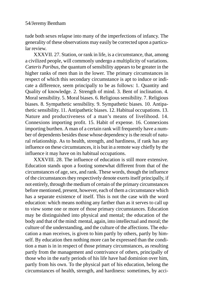tude both sexes relapse into many of the imperfections of infancy. The generality of these observations may easily be corrected upon a particular review.

XXXVII. 27. Station, or rank in life, is a circumstance, that, among a civilized people, will commonly undergo a multiplicity of variations. *Cæteris Paribus*, the quantum of sensibility appears to be greater in the higher ranks of men than in the lower. The primary circumstances in respect of which this secondary circumstance is apt to induce or indicate a difference, seem principally to be as follows: 1. Quantity and Quality of knowledge. 2. Strength of mind. 3. Bent of inclination. 4. Moral sensibility. 5. Moral biases. 6. Religious sensibility. 7. Religious biases. 8. Sympathetic sensibility. 9. Sympathetic biases. 10. Antipathetic sensibility. 11. Antipathetic biases. 12. Habitual occupations. 13. Nature and productiveness of a man's means of livelihood. 14. Connexions importing profit. 15. Habit of expense. 16. Connexions importing burthen. A man of a certain rank will frequently have a number of dependents besides those whose dependency is the result of natural relationship. As to health, strength, and hardiness, if rank has any influence on these circumstances, it is but in a remote way chiefly by the influence it may have on its habitual occupations.

XXXVIII. 28. The influence of education is still more extensive. Education stands upon a footing somewhat different from that of the circumstances of age, sex, and rank. These words, though the influence of the circumstances they respectively denote exerts itself principally, if not entirely, through the medium of certain of the primary circumstances before mentioned, present, however, each of them a circumstance which has a separate existence of itself. This is not the case with the word education: which means nothing any farther than as it serves to call up to view some one or more of those primary circumstances. Education may be distinguished into physical and mental; the education of the body and that of the mind: mental, again, into intellectual and moral; the culture of the understanding, and the culture of the affections. The education a man receives, is given to him partly by others, partly by himself. By education then nothing more can be expressed than the condition a man is in in respect of those primary circumstances, as resulting partly from the management and contrivance of others, principally of those who in the early periods of his life have had dominion over him, partly from his own. To the physical part of his education, belong the circumstances of health, strength, and hardiness: sometimes, by acci-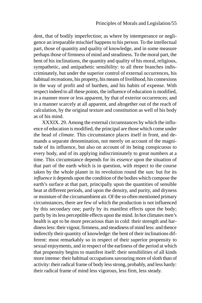dent, that of bodily imperfection; as where by intemperance or negligence an irreparable mischief happens to his person. To the intellectual part, those of quantity and quality of knowledge, and in some measure perhaps those of firmness of mind and steadiness. To the moral part, the bent of his inclinations, the quantity and quality of his moral, religious, sympathetic, and antipathetic sensibility: to all three branches indiscriminately, but under the superior control of external occurrences, his habitual recreations, his property, his means of livelihood, his connexions in the way of profit and of burthen, and his habits of expense. With respect indeed to all these points, the influence of education is modified, in a manner more or less apparent, by that of exterior occurrences; and in a manner scarcely at all apparent, and altogether out of the reach of calculation, by the original texture and constitution as well of his body as of his mind.

XXXIX. 29. Among the external circumstances by which the influence of education is modified, the principal are those which come under the head of *climate*. This circumstance places itself in front, and demands a separate denomination, not merely on account of the magnitude of its influence, but also on account of its being conspicuous to every body, and of its applying indiscriminately to great numbers at a time. This circumstance depends for its *essence* upon the situation of that part of the earth which is in question, with respect to the course taken by the whole planet in its revolution round the sun: but for its *influence* it depends upon the condition of the bodies which compose the earth's surface at that part, principally upon the quantities of sensible heat at different periods, and upon the density, and purity, and dryness or moisture of the circumambient air. Of the so often mentioned primary circumstances, there are few of which the production is not influenced by this secondary one; partly by its manifest effects upon the body; partly by its less perceptible effects upon the mind. In hot climates men's health is apt to be more precarious than in cold: their strength and hardiness less: their vigour, firmness, and steadiness of mind less: and thence indirectly their quantity of knowledge: the bent of their inclinations different: most remarkably so in respect of their superior propensity to sexual enjoyments, and in respect of the earliness of the period at which that propensity begins to manifest itself: their sensibilities of all kinds more intense: their habitual occupations savouring more of sloth than of activity: their radical frame of body less strong, probably, and less hardy: their radical frame of mind less vigorous, less firm, less steady.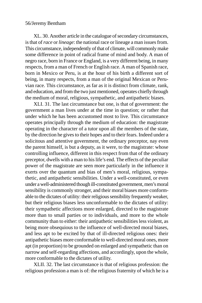XL. 30. Another article in the catalogue of secondary circumstances, is that of *race* or *lineage*: the national race or lineage a man issues from. This circumstance, independently of that of climate, will commonly make some difference in point of radical frame of mind and body. A man of negro race, born in France or England, is a very different being, in many respects, from a man of French or English race. A man of Spanish race, born in Mexico or Peru, is at the hour of his birth a different sort of being, in many respects, from a man of the original Mexican or Peruvian race. This circumstance, as far as it is distinct from climate, rank, and education, and from the two just mentioned, operates chiefly through the medium of moral, religious, sympathetic, and antipathetic biases.

XLI. 31. The last circumstance but one, is that of government: the government a man lives under at the time in question; or rather that under which he has been accustomed most to live. This circumstance operates principally through the medium of education: the magistrate operating in the character of a tutor upon all the members of the state, by the direction he gives to their hopes and to their fears. Indeed under a solicitous and attentive government, the ordinary preceptor, nay even the parent himself, is but a deputy, as it were, to the magistrate: whose controlling influence, different in this respect from that of the ordinary preceptor, dwells with a man to his life's end. The effects of the peculiar power of the magistrate are seen more particularly in the influence it exerts over the quantum and bias of men's moral, religious, sympathetic, and antipathetic sensibilities. Under a well-constituted, or even under a well-administered though ill-constituted government, men's moral sensibility is commonly stronger, and their moral biases more conformable to the dictates of utility: their religious sensibility frequently weaker, but their religious biases less unconformable to the dictates of utility: their sympathetic affections more enlarged, directed to the magistrate more than to small parties or to individuals, and more to the whole community than to either: their antipathetic sensibilities less violent, as being more obsequious to the influence of well-directed moral biases, and less apt to be excited by that of ill-directed religious ones: their antipathetic biases more conformable to well-directed moral ones, more apt (in proportion) to be grounded on enlarged and sympathetic than on narrow and self-regarding affections, and accordingly, upon the whole, more conformable to the dictates of utility.

XLII. 32. The last circumstance is that of religious profession: the religious profession a man is of: the religious fraternity of which he is a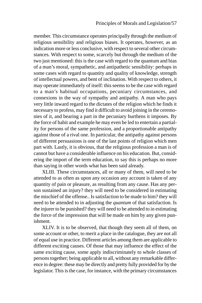member. This circumstance operates principally through the medium of religious sensibility and religious biases. It operates, however, as an indication more or less conclusive, with respect to several other circumstances. With respect to some, scarcely but through the medium of the two just mentioned: this is the case with regard to the quantum and bias of a man's moral, sympathetic, and antipathetic sensibility: perhaps in some cases with regard to quantity and quality of knowledge, strength of intellectual powers, and bent of inclination. With respect to others, it may operate immediately of itself: this seems to be the case with regard to a man's habitual occupations, pecuniary circumstances, and connexions in the way of sympathy and antipathy. A man who pays very little inward regard to the dictates of the religion which he finds it necessary to profess, may find it difficult to avoid joining in the ceremonies of it, and bearing a part in the pecuniary burthens it imposes. By the force of habit and example he may even be led to entertain a partiality for persons of the same profession, and a proportionable antipathy against those of a rival one. In particular, the antipathy against persons of different persuasions is one of the last points of religion which men part with. Lastly, it is obvious, that the religious profession a man is of cannot but have a considerable influence on his education. But, considering the import of the term education, to say this is perhaps no more than saying in other words what has been said already.

XLIII. These circumstances, all or many of them, will need to be attended to as often as upon any occasion any account is taken of any quantity of pain or pleasure, as resulting from any cause. Has any person sustained an injury? they will need to be considered in estimating the mischief of the offense.. Is satisfaction to be made to him? they will need to be attended to in adjusting the *quantum* of that satisfaction. Is the injurer to be punished? they will need to be attended to in estimating the force of the impression that will be made on him by any given punishment.

XLIV. It is to be observed, that though they seem all of them, on some account or other, to merit a place in the catalogue, they are not all of equal use in practice. Different articles among them are applicable to different exciting causes. Of those that may influence the effect of the same exciting cause, some apply indiscriminately to whole classes of persons together; being applicable to all, without any remarkable difference in degree: these may be directly and pretty fully provided for by the legislator. This is the case, for instance, with the primary circumstances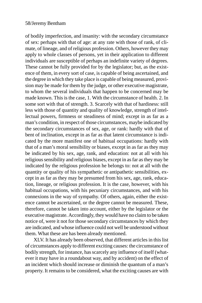of bodily imperfection, and insanity: with the secondary circumstance of sex: perhaps with that of age: at any rate with those of rank, of climate, of lineage, and of religious profession. Others, however they may apply to whole classes of persons, yet in their application to different individuals are susceptible of perhaps an indefinite variety of degrees. These cannot be fully provided for by the legislator; but, as the existence of them, in every sort of case, is capable of being ascertained, and the degree in which they take place is capable of being measured, provision may be made for them by the judge, or other executive magistrate, to whom the several individuals that happen to be concerned may be made known. This is the case, 1. With the circumstance of health. 2. In some sort with that of strength. 3. Scarcely with that of hardiness: still less with those of quantity and quality of knowledge, strength of intellectual powers, firmness or steadiness of mind; except in as far as a man's condition, in respect of those circumstances, maybe indicated by the secondary circumstances of sex, age, or rank: hardly with that of bent of inclination, except in as far as that latent circumstance is indicated by the more manifest one of habitual occupations: hardly with that of a man's moral sensibility or biases, except in as far as they may be indicated by his sex, age, rank, and education: not at all with his religious sensibility and religious biases, except in as far as they may be indicated by the religious profession he belongs to: not at all with the quantity or quality of his sympathetic or antipathetic sensibilities, except in as far as they may be presumed from his sex, age, rank, education, lineage, or religious profession. It is the case, however, with his habitual occupations, with his pecuniary circumstances, and with his connexions in the way of sympathy. Of others, again, either the existence cannot be ascertained, or the degree cannot be measured. These, therefore, cannot be taken into account, either by the legislator or the executive magistrate. Accordingly, they would have no claim to be taken notice of, were it not for those secondary circumstances by which they are indicated, and whose influence could not well be understood without them. What these are has been already mentioned.

XLV. It has already been observed, that different articles in this list of circumstances apply to different exciting causes: the circumstance of bodily strength, for instance, has scarcely any influence of itself (whatever it may have in a roundabout way, and by accident) on the effect of an incident which should increase or diminish the quantum of a man's property. It remains to be considered, what the exciting causes are with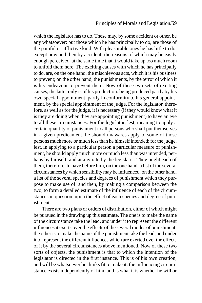which the legislator has to do. These may, by some accident or other, be any whatsoever: but those which he has principally to do, are those of the painful or afflictive kind. With pleasurable ones he has little to do, except now and then by accident: the reasons of which may be easily enough perceived, at the same time that it would take up too much room to unfold them here. The exciting causes with which he has principally to do, are, on the one hand, the mischievous acts, which it is his business to prevent; on the other hand, the punishments, by the terror of which it is his endeavour to prevent them. Now of these two sets of exciting causes, the latter only is of his production: being produced partly by his own special appointment, partly in conformity to his general appointment, by the special appointment of the judge. For the legislator, therefore, as well as for the judge, it is necessary (if they would know what it is they are doing when they are appointing punishment) to have an eye to all these circumstances. For the legislator, lest, meaning to apply a certain quantity of punishment to all persons who shall put themselves in a given predicament, he should unawares apply to some of those persons much more or much less than he himself intended; for the judge, lest, in applying to a particular person a particular measure of punishment, he should apply much more or much less than was intended, perhaps by himself, and at any rate by the legislator. They ought each of them, therefore, to have before him, on the one hand, a list of the several circumstances by which sensibility may be influenced; on the other hand, a list of the several species and degrees of punishment which they purpose to make use of: and then, by making a comparison between the two, to form a detailed estimate of the influence of each of the circumstances in question, upon the effect of each species and degree of punishment.

There are two plans or orders of distribution, either of which might be pursued in the drawing up this estimate. The one is to make the name of the circumstance take the lead, and under it to represent the different influences it exerts over the effects of the several modes of punishment: the other is to make the name of the punishment take the lead, and under it to represent the different influences which are exerted over the effects of it by the several circumstances above mentioned. Now of these two sorts of objects, the punishment is that to which the intention of the legislator is directed in the first instance. This is of his own creation, and will be whatsoever he thinks fit to make it: the influencing circumstance exists independently of him, and is what it is whether he will or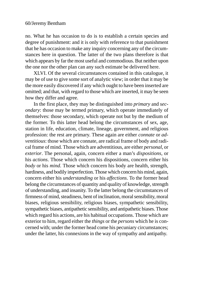no. What he has occasion to do is to establish a certain species and degree of punishment: and it is only with reference to that punishment that he has occasion to make any inquiry concerning any of the circumstances here in question. The latter of the two plans therefore is that which appears by far the most useful and commodious. But neither upon the one nor the other plan can any such estimate be delivered here.

XLVI. Of the several circumstances contained in this catalogue, it may be of use to give some sort of analytic view; in order that it may be the more easily discovered if any which ought to have been inserted are omitted; and that, with regard to those which are inserted, it may be seen how they differ and agree.

In the first place, they may be distinguished into *primary* and *secondary*: those may be termed primary, which operate immediately of themselves: those secondary, which operate not but by the medium of the former. To this latter head belong the circumstances of sex, age, station in life, education, climate, lineage, government, and religious profession: the rest are primary. These again are either *connate* or *adventitious*: those which are connate, are radical frame of body and radical frame of mind. Those which are adventitious, are either *personal*, or *exterior*. The personal, again, concern either a man's *dispositions*, or his *actions*. Those which concern his dispositions, concern either his *body* or his *mind*. Those which concern his body are health, strength, hardiness, and bodily imperfection. Those which concern his mind, again, concern either his *understanding* or his *affections*. To the former head belong the circumstances of quantity and quality of knowledge, strength of understanding, and insanity. To the latter belong the circumstances of firmness of mind, steadiness, bent of inclination, moral sensibility, moral biases, religious sensibility, religious biases, sympathetic sensibility, sympathetic biases, antipathetic sensibility, and antipathetic biases. Those which regard his actions, are his habitual occupations. Those which are exterior to him, regard either the *things* or the *persons* which he is concerned with; under the former head come his pecuniary circumstances; under the latter, his connexions in the way of sympathy and antipathy.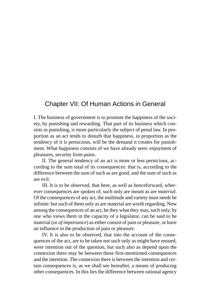## Chapter VII: Of Human Actions in General

I. The business of government is to promote the happiness of the society, by punishing and rewarding. That part of its business which consists in punishing, is more particularly the subject of penal law. In proportion as an act tends to disturb that happiness, in proportion as the tendency of it is pernicious, will be the demand it creates for punishment. What happiness consists of we have already seen: enjoyment of pleasures, security from pains.

II. The general tendency of an act is more or less pernicious, according to the sum total of its consequences: that is, according to the difference between the sum of such as are good, and the sum of such as are evil.

III. It is to be observed, that here, as well as henceforward, wherever consequences are spoken of, such only are meant as are *material*. Of the consequences of any act, the multitude and variety must needs be infinite: but such of them only as are material are worth regarding. Now among the consequences of an act, be they what they may, such only, by one who views them in the capacity of a legislator, can be said to be material (or *of importance*) as either consist of pain or pleasure, or have an influence in the production of pain or pleasure.

IV. It is also to be observed, that into the account of the consequences of the act, are to be taken not such only as might have ensued, were intention out of the question, but such also as depend upon the connexion there may be between these first-mentioned consequences and the intention. The connexion there is between the intention and certain consequences is, as we shall see hereafter, a means of producing other consequences. In this lies the difference between rational agency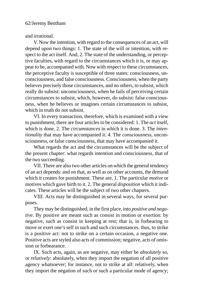and irrational.

V. Now the intention, with regard to the consequences of an act, will depend upon two things: 1. The state of the will or intention, with respect to the act itself. And, 2. The state of the understanding, or perceptive faculties, with regard to the circumstances which it is, or may appear to be, accompanied with. Now with respect to these circumstances, the perceptive faculty is susceptible of three states: consciousness, unconsciousness, and false consciousness. Consciousness, when the party believes precisely those circumstances, and no others, to subsist, which really do subsist: unconsciousness, when he fails of perceiving certain circumstances to subsist, which, however, do subsist: false consciousness, when he believes or imagines certain circumstances to subsist, which in truth do not subsist.

VI. In every transaction, therefore, which is examined with a view to punishment, there are four articles to be considered: 1. The *act* itself, which is done. 2. The *circumstances* in which it is done. 3. The *intentionality* that may have accompanied it. 4. The *consciousness*, unconsciousness, or false consciousness, that may have accompanied it.

What regards the act and the circumstances will be the subject of the present chapter: what regards intention and consciousness, that of the two succeeding.

VII. There are also two other articles on which the general tendency of an act depends: and on that, as well as on other accounts, the demand which it creates for punishment. These are, 1. The particular *motive* or motives which gave birth to it. 2. The general *disposition* which it indicates. These articles will be the subject of two other chapters.

VIII. Acts may be distinguished in several ways, for several purposes.

They may be distinguished, in the first place, into *positive and negative*. By positive are meant such as consist in motion or exertion: by negative, such as consist in keeping at rest; that is, in forbearing to move or exert one's self in such and such circumstances. thus, to strike is a positive act: not to strike on a certain occasion, a negative one. Positive acts are styled also acts of commission; negative, acts of omission or forbearance.

IX. Such acts, again, as are negative, may either be *absolutely* so, or *relatively*: absolutely, when they import the negation of all positive agency whatsoever; for instance, not to strike at all: relatively, when they import the negation of such or such a particular mode of agency;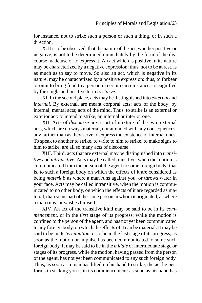for instance, not to strike such a person or such a thing, or in such a direction.

X. It is to be observed, that the nature of the act, whether positive or negative, is not to be determined immediately by the form of the discourse made use of to express it. An act which is positive in its nature may be characterized by a negative expression: thus, not to be at rest, is as much as to say to move. So also an act, which is negative in its nature, may be characterized by a positive expression: thus, to forbear or omit to bring food to a person in certain circumstances, is signified by the single and positive term *to starve*.

XI. In the second place, acts may be distinguished into *external* and *internal*. By external, are meant corporal acts; acts of the body: by internal, mental acts; acts of the mind. Thus, to strike is an external or exterior act: to intend to strike, an internal or interior one.

XII. Acts of *discourse* are a sort of mixture of the two: external acts, which are no ways material, nor attended with any consequences, any farther than as they serve to express the existence of internal ones. To speak to another to strike, to write to him to strike, to make signs to him to strike, are all so many acts of discourse.

XIII. Third, acts that are external may be distinguished into *transitive* and *intransitive*. Acts may be called transitive, when the motion is communicated from the person of the agent to some foreign body: that is, to such a foreign body on which the effects of it are considered as being *material*; as where a man runs against you, or throws water in your face. Acts may be called intransitive, when the motion is communicated to no other body, on which the effects of it are regarded as material, than some part of the same person in whom it originated, as where a man runs, or washes himself.

XIV. An act of the transitive kind may be said to be in its *commencement*, or in the *first* stage of its progress, while the motion is confined to the person of the agent, and has not yet been communicated to any foreign body, on which the effects of it can be material. It may be said to be in its *termination*, or to be in the last stage of its progress, as soon as the motion or impulse has been communicated to some such foreign body. It may be said to be in the *middle* or intermediate stage or stages of its progress, while the motion, having passed from the person of the agent, has not yet been communicated to any such foreign body. Thus, as soon as a man has lifted up his hand to strike, the act he performs in striking you is in its commencement: as soon as his hand has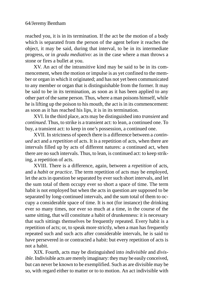reached you, it is in its termination. If the act be the motion of a body which is separated from the person of the agent before it reaches the object, it may be said, during that interval, to be in its intermediate progress, or in *gradu mediativo*: as in the case where a man throws a stone or fires a bullet at you.

XV. An act of the intransitive kind may be said to be in its commencement, when the motion or impulse is as yet confined to the member or organ in which it originated; and has not yet been communicated to any member or organ that is distinguishable from the former. It may be said to be in its termination, as soon as it has been applied to any other part of the same person. Thus, where a man poisons himself, while he is lifting up the poison to his mouth, the act is in its commencement: as soon as it has reached his lips, it is in its termination.

XVI. In the third place, acts may be distinguished into *transient* and *continued*. Thus, to strike is a transient act: to lean, a continued one. To buy, a transient act: to keep in one's possession, a continued one.

XVII. In strictness of speech there is a difference between a *continued* act and a *repetition* of acts. It is a repetition of acts, when there are intervals filled up by acts of different natures: a continued act, when there are no such intervals. Thus, to lean, is continued act: to keep striking, a repetition of acts.

XVIII. There is a difference, again, between a *repetition* of acts, and a *habit* or *practice*. The term repetition of acts may be employed, let the acts in question be separated by ever such short intervals, and let the sum total of them occupy ever so short a space of time. The term habit is not employed but when the acts in question are supposed to be separated by long-continued intervals, and the sum total of them to occupy a considerable space of time. It is not (for instance) the drinking ever so many times, nor ever so much at a time, in the course of the same sitting, that will constitute a habit of drunkenness: it is necessary that such sittings themselves be frequently repeated. Every habit is a repetition of acts; or, to speak more strictly, when a man has frequently repeated such and such acts after considerable intervals, he is said to have persevered in or contracted a habit: but every repetition of acts is not a habit.

XIX. Fourth, acts may be distinguished into *indivisible* and *divisible*. Indivisible acts are merely imaginary: they may be easily conceived, but can never be known to be exemplified. Such as are divisible may be so, with regard either to matter or to to motion. An act indivisible with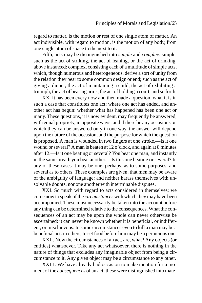regard to matter, is the motion or rest of one single atom of matter. An act indivisible, with regard to motion, is the motion of any body, from one single atom of space to the next to it.

Fifth, acts may be distinguished into *simple* and *complex*: simple, such as the act of striking, the act of leaning, or the act of drinking, above instanced: complex, consisting each of a multitude of simple acts, which, though numerous and heterogeneous, derive a sort of unity from the relation they bear to some common design or end; such as the act of giving a dinner, the act of maintaining a child, the act of exhibiting a triumph, the act of bearing arms, the act of holding a court, and so forth.

XX. It has been every now and then made a question, what it is in such a case that constitutes one act: where one act has ended, and another act has begun: whether what has happened has been one act or many. These questions, it is now evident, may frequently be answered, with equal propriety, in opposite ways: and if there be any occasions on which they can be answered only in one way, the answer will depend upon the nature of the occasion, and the purpose for which the question is proposed. A man is wounded in two fingers at one stroke,—Is it one wound or several? A man is beaten at 12 o'clock, and again at 8 minutes after 12.—Is it one beating or several? You beat one man, and instantly in the same breath you beat another.—Is this one beating or several? In any of these cases it may be one, perhaps, as to some purposes, and several as to others. These examples are given, that men may be aware of the ambiguity of language: and neither harass themselves with unsolvable doubts, nor one another with interminable disputes.

XXI. So much with regard to acts considered in themselves: we come now to speak of the *circumstances* with which they may have been accompanied. These must necessarily be taken into the account before any thing can be determined relative to the consequences. What the consequences of an act may be upon the whole can never otherwise be ascertained: it can never be known whether it is beneficial, or indifferent, or mischievous. In some circumstances even to kill a man may be a beneficial act: in others, to set food before him may be a pernicious one.

XXII. Now the circumstances of an act, are, what? Any objects (or entities) whatsoever. Take any act whatsoever, there is nothing in the nature of things that excludes any imaginable object from being a circumstance to it. Any given object may be a circumstance to any other.

XXIII. We have already had occasion to make mention for a moment of the *consequences* of an act: these were distinguished into mate-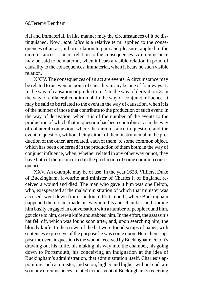rial and immaterial. In like manner may the circumstances of it be distinguished. Now *materiality* is a relative term: applied to the consequences of an act, it bore relation to pain and pleasure: applied to the circumstances, it bears relation to the consequences. A circumstance may be said to be material, when it bears a visible relation in point of causality to the consequences: immaterial, when it bears no such visible relation.

XXIV. The consequences of an act are events. A circumstance may be related to an event in point of causality in any be one of four ways: 1. In the way of causation or production. 2. In the way of derivation. 3. In the way of collateral condition. 4. In the way of conjunct influence. It may be said to be related to the event in the way of causation. when it is of the number of those that contribute to the production of such event: in the way of derivation, when it is of the number of the events to the production of which that in question has been contributory: in the way of collateral connexion, where the circumstance in question, and the event in question, without being either of them instrumental in the production of the other, are related, each of them, to some common object, which has been concerned in the production of them both: in the way of conjunct influence, when, whether related in any other way or not, they have both of them concurred in the production of some common consequence.

XXV. An example may be of use. In the year 1628, Villiers, Duke of Buckingham, favourite and minister of Charles I. of England, received a wound and died. The man who gave it him was one Felton, who, exasperated at the maladministration of which that minister was accused, went down from London to Portsmouth, where Buckingham happened then to be, made his way into his anti-chamber, and finding him busily engaged in conversation with a number of people round him, got close to him, drew a knife and stabbed him. In the effort, the assassin's hat fell off, which was found soon after, and, upon searching him, the bloody knife. In the crown of the hat were found scraps of paper, with sentences expressive of the purpose he was come upon. Here then, suppose the event in question is the wound received by Buckingham: Felton's drawing out his knife, his making his way into the chamber, his going down to Portsmouth, his conceiving an indignation at the idea of Buckingham's administration, that administration itself, Charles's appointing such a minister, and so on, higher and higher without end, are so many circumstances, related to the event of Buckingham's receiving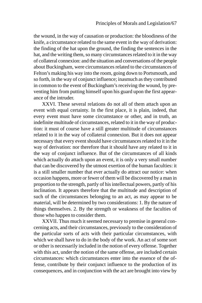the wound, in the way of causation or production: the bloodiness of the knife, a circumstance related to the same event in the way of derivation: the finding of the hat upon the ground, the finding the sentences in the hat, and the writing them, so many circumstances related to it in the way of collateral connexion: and the situation and conversations of the people about Buckingham, were circumstances related to the circumstances of Felton's making his way into the room, going down to Portsmouth, and so forth, in the way of conjunct influence; inasmuch as they contributed in common to the event of Buckingham's receiving the wound, by preventing him from putting himself upon his guard upon the first appearance of the intruder.

XXVI. These several relations do not all of them attach upon an event with equal certainty. In the first place, it is plain, indeed, that every event must have some circumstance or other, and in truth, an indefinite multitude of circumstances, related to it in the way of production: it must of course have a still greater multitude of circumstances related to it in the way of collateral connexion. But it does not appear necessary that every event should have circumstances related to it in the way of derivation: nor therefore that it should have any related to it in the way of conjunct influence. But of the circumstances of all kinds which actually do attach upon an event, it is only a very small number that can be discovered by the utmost exertion of the human faculties: it is a still smaller number that ever actually do attract our notice: when occasion happens, more or fewer of them will be discovered by a man in proportion to the strength, partly of his intellectual powers, partly of his inclination. It appears therefore that the multitude and description of such of the circumstances belonging to an act, as may appear to be material, will be determined by two considerations: 1. By the nature of things themselves. 2. By the strength or weakness of the faculties of those who happen to consider them.

XXVII. Thus much it seemed necessary to premise in general concerning acts, and their circumstances, previously to the consideration of the particular sorts of acts with their particular circumstances, with which we shall have to do in the body of the work. An act of some sort or other is necessarily included in the notion of every offense. Together with this act, under the notion of the same offense, are included certain circumstances: which circumstances enter into the essence of the offense, contribute by their conjunct influence to the production of its consequences, and in conjunction with the act are brought into view by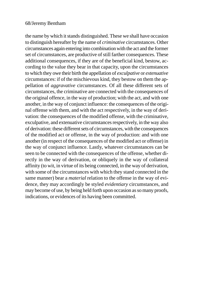the name by which it stands distinguished. These we shall have occasion to distinguish hereafter by the name of *criminative* circumstances. Other circumstances again entering into combination with the act and the former set of circumstances, are productive of still farther consequences. These additional consequences, if they are of the beneficial kind, bestow, according to the value they bear in that capacity, upon the circumstances to which they owe their birth the appellation of *exculpative* or *extenuative* circumstances: if of the mischievous kind, they bestow on them the appellation of *aggravative* circumstances. Of all these different sets of circumstances, the criminative are connected with the consequences of the original offence, in the way of production; with the act, and with one another, in the way of conjunct influence: the consequences of the original offense with them, and with the act respectively, in the way of derivation: the consequences of the modified offense, with the criminative, exculpative, and extenuative circumstances respectively, in the way also of derivation: these different sets of circumstances, with the consequences of the modified act or offense, in the way of production: and with one another (in respect of the consequences of the modified act or offense) in the way of conjunct influence. Lastly, whatever circumstances can be seen to be connected with the consequences of the offense, whether directly in the way of derivation, or obliquely in the way of collateral affinity (to wit, in virtue of its being connected, in the way of derivation, with some of the circumstances with which they stand connected in the same manner) bear a *material* relation to the offense in the way of evidence, they may accordingly be styled *evidentiary* circumstances, and may become of use, by being held forth upon occasion as so many proofs, indications, or evidences of its having been committed.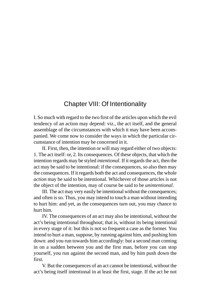## Chapter VIII: Of Intentionality

I. So much with regard to the two first of the articles upon which the evil tendency of an action may depend: viz., the act itself, and the general assemblage of the circumstances with which it may have been accompanied. We come now to consider the ways in which the particular circumstance of intention may be concerned in it.

II. First, then, the intention or will may regard either of two objects: 1. The act itself: or, 2. Its consequences. Of these objects, that which the intention regards may be styled *intentional*. If it regards the act, then the act may be said to be intentional: if the consequences, so also then may the consequences. If it regards both the act and consequences, the whole *action* may be said to be intentional. Whichever of those articles is not the object of the intention, may of course be said to be *unintentional*.

III. The act may very easily be intentional without the consequences; and often is so. Thus, you may intend to touch a man without intending to hurt him: and yet, as the consequences turn out, you may chance to hurt him.

IV. The consequences of an act may also be intentional, without the act's being intentional throughout; that is, without its being intentional in every stage of it: but this is not so frequent a case as the former. You intend to hurt a man, suppose, by running against him, and pushing him down: and you run towards him accordingly: but a second man coming in on a sudden between you and the first man, before you can stop yourself, you run against the second man, and by him push down the first.

V. But the consequences of an act cannot be intentional, without the act's being itself intentional in at least the first, stage. If the act be not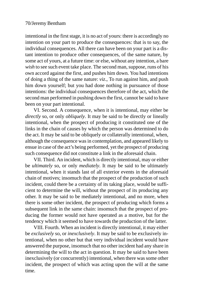intentional in the first stage, it is no act of yours: there is accordingly no intention on your part to produce the consequences: that is to say, the individual consequences. All there can have been on your part is a distant intention to produce other consequences, of the same nature, by some act of yours, at a future time: or else, without any intention, a bare *wish* to see such event take place. The second man, suppose, runs of his own accord against the first, and pushes him down. You had intentions of doing a thing of the same nature: *viz*., To run against him, and push him down yourself; but you had done nothing in pursuance of those intentions: the individual consequences therefore of the act, which the second man performed in pushing down the first, cannot be said to have been on your part intentional.

VI. Second. A consequence, when it is intentional, may either be *directly* so, or only *obliquely*. It may be said to be directly or lineally intentional, when the prospect of producing it constituted one of the links in the chain of causes by which the person was determined to do the act. It may be said to be obliquely or collaterally intentional, when, although the consequence was in contemplation, and appeared likely to ensue in case of the act's being performed, yet the prospect of producing such consequence did not constitute a link in the aforesaid chain.

VII. Third. An incident, which is directly intentional, may or either be *ultimately* so, or only *mediately*. It may be said to be ultimately intentional, when it stands last of all exterior events in the aforesaid chain of motives; insomuch that the prospect of the production of such incident, could there be a certainty of its taking place, would be sufficient to determine the will, without the prospect of its producing any other. It may be said to be mediately intentional, and no more, when there is some other incident, the prospect of producing which forms a subsequent link in the same chain: insomuch that the prospect of producing the former would not have operated as a motive, but for the tendency which it seemed to have towards the production of the latter.

VIII. Fourth. When an incident is directly intentional, it may either be *exclusively* so, or *inexclusively*. It may be said to be exclusively intentional, when no other but that very individual incident would have answered the purpose, insomuch that no other incident had any share in determining the will to the act in question. It may be said to have been inexclusively (or concurrently) intentional, when there was some other incident, the prospect of which was acting upon the will at the same time.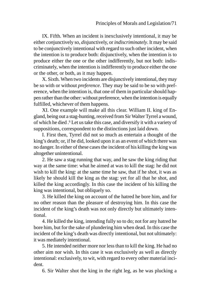IX. Fifth. When an incident is inexclusively intentional, it may be either *con*junctively so, *dis*junctively, or *indiscriminately*. It may be said to be conjunctively intentional with regard to such other incident, when the intention is to produce both: disjunctively, when the intention is to produce either the one or the other indifferently, but not both: indiscriminately, when the intention is indifferently to produce either the one or the other, or both, as it may happen.

X. Sixth. When two incidents are disjunctively intentional, they may be so with or without *preference*. They may be said to be so with preference, when the intention is, that one of them in particular should happen rather than the other: without preference, when the intention is equally fulfilled, whichever of them happens.

XI. One example will make all this clear. William II. king of England, being out a stag-hunting, received from Sir Walter Tyrrel a wound, of which he died .6 Let us take this case, and diversify it with a variety of suppositions, correspondent to the distinctions just laid down.

I. First then, Tyrrel did not so much as entertain a thought of the king's death; or, if he did, looked upon it as an event of which there was no danger. In either of these cases the incident of his killing the king was altogether unintentional.

2. He saw a stag running that way, and he saw the king riding that way at the same time: what he aimed at was to kill the stag: he did not wish to kill the king: at the same time he saw, that if he shot, it was as likely he should kill the king as the stag: yet for all that he shot, and killed the king accordingly. In this case the incident of his killing the king was intentional, but obliquely so.

3. He killed the king on account of the hatred he bore him, and for no other reason than the pleasure of destroying him. In this case the incident of the king's death was not only directly but ultimately intentional.

4. He killed the king, intending fully so to do; not for any hatred he bore him, but for the sake of plundering him when dead. In this case the incident of the king's death was directly intentional, but not ultimately: it was mediately intentional.

5. He intended neither more nor less than to kill the king. He had no other aim nor wish. In this case it was exclusively as well as directly intentional: exclusively, to wit, with regard to every other material incident.

6. Sir Walter shot the king in the right leg, as he was plucking a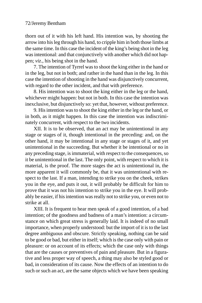thorn out of it with his left hand. His intention was, by shooting the arrow into his leg through his hand, to cripple him in both those limbs at the same time. In this case the incident of the king's being shot in the leg was intentional: and that conjunctively with another which did not happen; *viz*., his being shot in the hand.

7. The intention of Tyrrel was to shoot the king either in the hand or in the leg, but not in both; and rather in the hand than in the leg. In this case the intention of shooting in the hand was disjunctively concurrent, with regard to the other incident, and that with preference.

8. His intention was to shoot the king either in the leg or the hand, whichever might happen: but not in both. In this case the intention was inexclusive, but disjunctively so: yet that, however, without preference.

9. His intention was to shoot the king either in the leg or the hand, or in both, as it might happen. In this case the intention was indiscriminately concurrent, with respect to the two incidents.

XII. It is to be observed, that an act may be unintentional in any stage or stages of it, though intentional in the preceding: and, on the other hand, it may be intentional in any stage or stages of it, and yet unintentional in the succeeding. But whether it be intentional or no in any preceding stage, is immaterial, with respect to the consequences, so it be unintentional in the last. The only point, with respect to which it is material, is the proof. The more stages the act is unintentional in, the more apparent it will commonly be, that it was unintentional with respect to the last. If a man, intending to strike you on the cheek, strikes you in the eye, and puts it out, it will probably be difficult for him to prove that it was not his intention to strike you in the eye. It will probably be easier, if his intention was really not to strike you, or even not to strike at all.

XIII. It is frequent to hear men speak of a good intention, of a bad intention; of the goodness and badness of a man's intention: a circumstance on which great stress is generally laid. It is indeed of no small importance, when properly understood: but the import of it is to the last degree ambiguous and obscure. Strictly speaking, nothing can be said to be good or bad, but either in itself; which is the case only with pain or pleasure: or on account of its effects; which the case only with things that are the causes or preventives of pain and pleasure. But in a figurative and less proper way of speech, a thing may also be styled good or bad, in consideration of its cause. Now the effects of an intention to do such or such an act, are the same objects which we have been speaking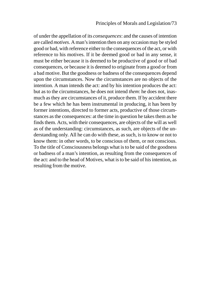of under the appellation of its *consequences*: and the causes of intention are called *motives*. A man's intention then on any occasion may be styled good or bad, with reference either to the consequences of the act, or with reference to his motives. If it be deemed good or bad in any sense, it must be either because it is deemed to be productive of good or of bad consequences, or because it is deemed to originate from a good or from a bad motive. But the goodness or badness of the consequences depend upon the circumstances. Now the circumstances are no objects of the intention. A man intends the act: and by his intention produces the act: but as to the circumstances, he does not intend *them*: he does not, inasmuch as they are circumstances of it, produce them. If by accident there be a few which he has been instrumental in producing, it has been by former intentions, directed to former acts, productive of those circumstances as the consequences: at the time in question he takes them as he finds them. Acts, with their consequences, are objects of the will as well as of the understanding: circumstances, as such, are objects of the understanding only. All he can do with these, as such, is to know or not to know them: in other words, to be conscious of them, or not conscious. To the title of Consciousness belongs what is to be said of the goodness or badness of a man's intention, as resulting from the consequences of the act: and to the head of Motives, what is to be said of his intention, as resulting from the motive.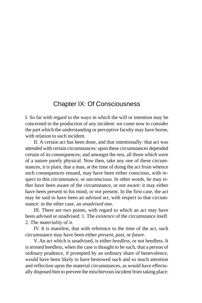# Chapter IX: Of Consciousness

I. So far with regard to the ways in which the will or intention may be concerned in the production of any incident: we come now to consider the part which the understanding or perceptive faculty may have borne, with relation to such incident.

II. A certain act has been done, and that intentionally: that act was attended with certain circumstances: upon these circumstances depended certain of its consequences; and amongst the rest, all those which were of a nature purely physical. Now then, take any one of these circumstances, it is plain, that a man, at the time of doing the act from whence such consequences ensued, may have been either conscious, with respect to this circumstance, or unconscious. In other words, he may either have been aware of the circumstance, or not aware: it may either have been present to his mind, or not present. In the first case, the act may be said to have been an *advised* act, with respect to that circumstance: in the other case, an *unadvised* one.

III. There are two points, with regard to which an act may have been advised or unadvised: 1. The *existence* of the circumstance itself. 2. The *materiality* of it.

IV. It is manifest, that with reference to the time of the act, such circumstance may have been either *present*, *past*, or *future*.

V. An act which is unadvised, is either *heedless*, or not heedless. It is termed heedless, when the case is thought to be such, that a person of ordinary prudence, if prompted by an ordinary share of benevolence, would have been likely to have bestowed such and so much attention and reflection upon the material circumstances, as would have effectually disposed him to prevent the mischievous incident from taking place: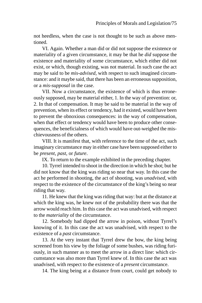not heedless, when the case is not thought to be such as above mentioned.

VI. Again. Whether a man did or did not suppose the existence or materiality of a given circumstance, it may be that he *did* suppose the existence and materiality of some circumstance, which either did not exist, or which, though existing, was not material. In such case the act may be said to be *mis-advised*, with respect to such imagined circumstance: and it maybe said, that there has been an erroneous supposition, or a *mis-supposal* in the case.

VII. Now a circumstance, the existence of which is thus erroneously supposed, may be material either, 1. In the way of prevention: or, 2. In that of compensation. It may be said to be material in the way of prevention, when its effect or tendency, had it existed, would have been to prevent the obnoxious consequences: in the way of compensation, when that effect or tendency would have been to produce other consequences, the beneficialness of which would have out-weighed the mischievousness of the others.

VIII. It is manifest that, with reference to the time of the act, such imaginary circumstance may in either case have been supposed either to be *present*, *past*, or *future*.

IX. To return to the example exhibited in the preceding chapter.

10. Tyrrel intended to shoot in the direction in which he shot; but he did not know that the king was riding so near that way. In this case the act he performed in shooting, the act of shooting, was *unadvised*, with respect to the existence of the circumstance of the king's being so near riding that way.

11. He knew that the king was riding that way: but at the distance at which the king was, he knew not of the probability there was that the arrow would reach him. In this case the act was unadvised, with respect to the *materiality* of the circumstance.

12. Somebody had dipped the arrow in poison, without Tyrrel's knowing of it. In this case the act was unadvised, with respect to the existence of a *past* circumstance.

13. At the very instant that Tyrrel drew the bow, the king being screened from his view by the foliage of some bushes, was riding furiously, in such manner as to meet the arrow in a direct line: which circumstance was also more than Tyrrel knew of. In this case the act was unadvised, with respect to the existence of a *present* circumstance.

14. The king being at a distance from court, could get nobody to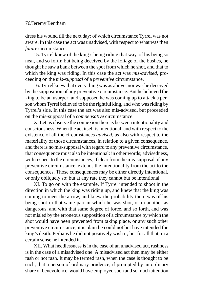dress his wound till the next day; of which circumstance Tyrrel was not aware. In this case the act was unadvised, with respect to what was then *future* circumstance.

15. Tyrrel knew of the king's being riding that way, of his being so near, and so forth; but being deceived by the foliage of the bushes, he thought he saw a bank between the spot from which he shot, and that to which the king was riding. In this case the act was *mis-advised*, proceeding on the *mis-supposal* of a *preventive* circumstance.

16. Tyrrel knew that every thing was as above, nor was he deceived by the supposition of any preventive circumstance. But he believed the king to be an usurper: and supposed he was coming up to attack a person whom Tyrrel believed to be the rightful king, and who was riding by Tyrrel's side. In this case the act was also mis-advised, but proceeded on the mis-supposal of a *compensative* circumstance.

X. Let us observe the connexion there is between intentionality and consciousness. When the act itself is intentional, and with respect to the existence of all the circumstances *advised*, as also with respect to the materiality of those circumstances, in relation to a given consequence, and there is no mis-supposal with regard to any preventive circumstance, that consequence must also be intentional: in other words; advisedness, with respect to the circumstances, if clear from the mis-supposal of any preventive circumstance, extends the intentionality from the act to the consequences. Those consequences may be either directly intentional, or only obliquely so: but at any rate they cannot but be intentional.

XI. To go on with the example. If Tyrrel intended to shoot in the direction in which the king was riding up, and knew that the king was coming to meet the arrow, and knew the probability there was of his being shot in that same part in which he was shot, or in another as dangerous, and with that same degree of force, and so forth, and was not misled by the erroneous supposition of a circumstance by which the shot would have been prevented from taking place, or any such other preventive circumstance, it is plain he could not but have intended the king's death. Perhaps he did not positively wish it; but for all that, in a certain sense he intended it.

XII. What heedlessness is in the case of an unadvised act, rashness is in the case of a misadvised one. A misadvised act then may be either rash or not rash. It may be termed rash, when the case is thought to be such, that a person of ordinary prudence, if prompted by an ordinary share of benevolence, would have employed such and so much attention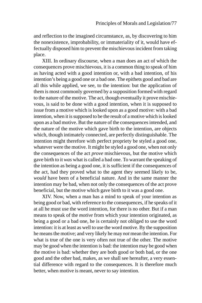and reflection to the imagined circumstance, as, by discovering to him the nonexistence, improbability, or immateriality of it, would have effectually disposed him to prevent the mischievous incident from taking place.

XIII. In ordinary discourse, when a man does an act of which the consequences prove mischievous, it is a common thing to speak of him as having acted with a good intention or, with a bad intention, of his intention's being a good one or a bad one. The epithets good and bad are all this while applied, we see, to the intention: but the application of them is most commonly governed by a supposition formed with regard to the nature of the motive. The act, though eventually it prove mischievous, is said to be done with a good intention, when it is supposed to issue from a motive which is looked upon as a good motive: with a bad intention, when it is supposed to be the result of a motive which is looked upon as a bad motive. But the nature of the consequences intended, and the nature of the motive which gave birth to the intention, are objects which, though intimately connected, are perfectly distinguishable. The intention might therefore with perfect propriety be styled a good one, whatever were the motive. It might be styled a good one, when not only the consequences of the act *prove* mischievous, but the motive which gave birth to it *was* what is called a bad one. To warrant the speaking of the intention as being a good one, it is sufficient if the consequences of the act, had they proved what to the agent they seemed likely to be, *would* have been of a beneficial nature. And in the same manner the intention may be bad, when not only the consequences of the act prove beneficial, but the motive which gave birth to it was a good one.

XIV. Now, when a man has a mind to speak of your intention as being good or bad, with reference to the consequences, if he speaks of it at all he must use the word intention, for there is no other. But if a man means to speak of the *motive* from which your intention originated, as being a good or a bad one, he is certainly not obliged to use the word intention: it is at least as well to use the word motive. By the supposition he means the motive; and very likely he may *not* mean the intention. For what is true of the one is very often not true of the other. The motive may be good when the intention is bad: the intention may be good when the motive is bad: whether they are both good or both bad, or the one good and the other bad, makes, as we shall see hereafter, a very essential difference with regard to the consequences. It is therefore much better, when motive is meant, never to say intention.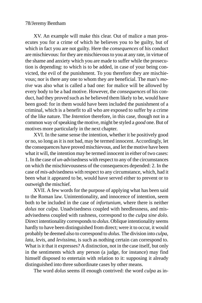XV. An example will make this clear. Out of malice a man prosecutes you for a crime of which he believes you to be guilty, but of which in fact you are not guilty. Here the *consequences* of his conduct are mischievous: for they are mischievous to you at any rate, in virtue of the shame and anxiety which you are made to suffer while the prosecution is depending: to which is to be added, in case of your being convicted, the evil of the punishment. To you therefore they are mischievous; nor is there any one to whom they are beneficial. The man's *motive* was also what is called a bad one: for malice will be allowed by every body to be a bad motive. However, the *consequences* of his conduct, had they proved such as he believed them likely to be, would have been good: for in them would have been included the punishment of a criminal, which is a benefit to all who are exposed to suffer by a crime of the like nature. The *Intention* therefore, in this case, though not in a common way of speaking the motive, might be styled a *good* one. But of motives more particularly in the next chapter.

XVI. In the same sense the intention, whether it be positively good or no, so long as it is not bad, may be termed innocent. Accordingly, let the consequences have proved mischievous, and let the motive have been what it will, the intention may be termed innocent in either of two cases: 1. In the case of *un*-advisedness with respect to any of the circumstances on which the mischievousness of the consequences depended: 2. In the case of *mis*-advisedness with respect to any circumstance, which, had it been what it appeared to be, would have served either to prevent or to outweigh the mischief.

XVII. A few words for the purpose of applying what has been said to the Roman law. Unintentionality, and innocence of intention, seem both to be included in the case of *infortunium*, where there is neither *dolus* nor *culpa*. Unadvisedness coupled with heedlessness, and misadvisedness coupled with rashness, correspond to the *culpa sine dolo*. Direct intentionality corresponds to *dolus*. Oblique intentionality seems hardly to have been distinguished from direct; were it to occur, it would probably be deemed also to correspond to *dolus*. The division into *culpa*, *lata*, *levis*, and *levissima*, is such as nothing certain can correspond to. What is it that it expresses? A distinction, not in the case itself, but only in the sentiments which any person (a judge, for instance) may find himself disposed to entertain with relation to it: supposing it already distinguished into three subordinate cases by other means.

The word *dolus* seems ill enough contrived: the word *culpa* as in-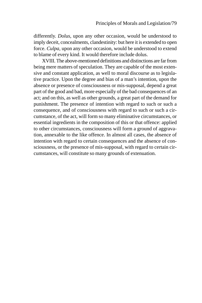differently. *Dolus*, upon any other occasion, would be understood to imply deceit, concealments, clandestinity: but here it is extended to open force. *Culpa*, upon any other occasion, would be understood to extend to blame of every kind. It would therefore include dolus.

XVIII. The above-mentioned definitions and distinctions are far from being mere matters of speculation. They are capable of the most extensive and constant application, as well to moral discourse as to legislative practice. Upon the degree and bias of a man's intention, upon the absence or presence of consciousness or mis-supposal, depend a great part of the good and bad, more especially of the bad consequences of an act; and on this, as well as other grounds, a great part of the demand for punishment. The presence of intention with regard to such or such a consequence, and of consciousness with regard to such or such a circumstance, of the act, will form so many eliminative circumstances, or essential ingredients in the composition of this or that offence: applied to other circumstances, consciousness will form a ground of aggravation, annexable to the like offence. In almost all cases, the absence of intention with regard to certain consequences and the absence of consciousness, or the presence of mis-supposal, with regard to certain circumstances, will constitute so many grounds of extenuation.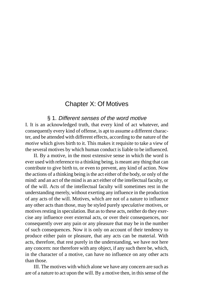# Chapter X: Of Motives

### § 1. Different senses of the word motive

I. It is an acknowledged truth, that every kind of act whatever, and consequently every kind of offense, is apt to assume a different character, and be attended with different effects, according to the nature of the *motive* which gives birth to it. This makes it requisite to take a view of the several motives by which human conduct is liable to be influenced.

II. By a motive, in the most extensive sense in which the word is ever used with reference to a thinking being, is meant any thing that can contribute to give birth to, or even to prevent, any kind of action. Now the actions of a thinking being is the act either of the body, or only of the mind: and an act of the mind is an act either of the intellectual faculty, or of the will. Acts of the intellectual faculty will sometimes rest in the understanding merely, without exerting any influence in the production of any acts of the will. Motives, which are not of a nature to influence any other acts than those, may be styled purely *speculative* motives, or motives resting in speculation. But as to these acts, neither do they exercise any influence over external acts, or over their consequences, nor consequently over any pain or any pleasure that may be in the number of such consequences. Now it is only on account of their tendency to produce either pain or pleasure, that any acts can be material. With acts, therefore, that rest purely in the understanding, we have not here any concern: nor therefore with any object, if any such there be, which, in the character of a motive, can have no influence on any other acts than those.

III. The motives with which alone we have any concern are such as are of a nature to act upon the will. By a motive then, in this sense of the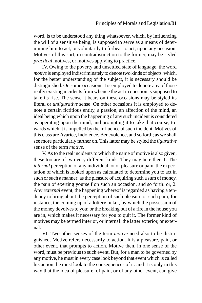word, ls to be understood any thing whatsoever, which, by influencing the will of a sensitive being, is supposed to serve as a means of determining him to act, or voluntarily to forbear to act, upon any occasion. Motives of this sort, in contradistinction to the former, may be styled *practical* motives, or motives applying to practice.

IV. Owing to the poverty and unsettled state of language, the word *motive* is employed indiscriminately to denote two kinds of objects, which, for the better understanding of the subject, it is necessary should be distinguished. On some occasions it is employed to denote any of those really existing incidents from whence the act in question is supposed to take its rise. The sense it bears on these occasions may be styled its literal or *unfigurative* sense. On other occasions it is employed to denote a certain fictitious entity, a passion, an affection of the mind, an ideal being which upon the happening of any such incident is considered as operating upon the mind, and prompting it to take that course, towards which it is impelled by the influence of such incident. Motives of this class are Avarice, Indolence, Benevolence, and so forth; as we shall see more particularly farther on. This latter may be styled the *figurative* sense of the term *motive*.

V. As to the real incidents to which the name of motive is also given, these too are of two very different kinds. They may be either, 1. The *internal* perception of any individual lot of pleasure or pain, the expectation of which is looked upon as calculated to determine you to act in such or such a manner; as the pleasure of acquiring such a sum of money, the pain of exerting yourself on such an occasion, and so forth: or, 2. Any *external* event, the happening whereof is regarded as having a tendency to bring about the perception of such pleasure or such pain; for instance, the coming up of a lottery ticket, by which the possession of the money devolves to you; or the breaking out of a fire in the house you are in, which makes it necessary for you to quit it. The former kind of motives may be termed interior, or internal: the latter exterior, or external.

VI. Two other senses of the term *motive* need also to be distinguished. Motive refers necessarily to action. It is a pleasure, pain, or other event, that prompts to action. Motive then, in one sense of the word, must be previous to such event. But, for a man to be governed by any motive, he must in every case look beyond that event which is called his action; he must look to the consequences of it: and it is only in this way that the idea of pleasure, of pain, or of any other event, can give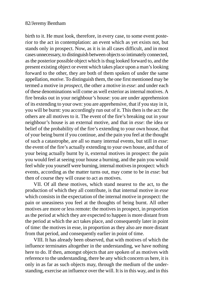birth to it. He must look, therefore, in every case, to some event posterior to the act in contemplation: an event which as yet exists not, but stands only in prospect. Now, as it is in all cases difficult, and in most cases unnecessary, to distinguish between objects so intimately connected, as the posterior possible object which is thug looked forward to, and the present existing object or event which takes place upon a man's looking forward to the other, they are both of them spoken of under the same appellation, *motive*. To distinguish them, the one first mentioned may be termed a motive in *prospect*, the other a motive in *esse*: and under each of these denominations will come as well exterior as internal motives. A fire breaks out in your neighbour's house: you are under apprehension of its extending to your own: you are apprehensive, that if you stay in it, you will be burnt: you accordingly run out of it. This then is the act: the others are all motives to it. The event of the fire's breaking out in your neighbour's house is an external motive, and that in *esse*: the idea or belief of the probability of the fire's extending to your own house, that of your being burnt if you continue, and the pain you feel at the thought of such a catastrophe, are all so many internal events, but still in *esse*: the event of the fire's actually extending to your own house, and that of your being actually burnt by it, external motives in prospect: the pain you would feel at seeing your house a burning, and the pain you would feel while you yourself were burning, internal motives in prospect: which events, according as the matter turns out, may come to be in *esse*: but then of course they will cease to act as motives.

VII. Of all these motives, which stand nearest to the act, to the production of which they all contribute, is that internal motive in *esse* which consists in the expectation of the internal motive in prospect: the pain or uneasiness you feel at the thoughts of being burnt. All other motives are more or less remote: the motives in prospect, in proportion as the period at which they are expected to happen is more distant from the period at which the act takes place, and consequently later in point of time: the motives in esse, in proportion as they also are more distant from that period, and consequently earlier in point of time.

VIII. It has already been observed, that with motives of which the influence terminates altogether in the understanding, we have nothing here to do. If then, amongst objects that are spoken of as motives with reference to the understanding, there be any which concern us here, it is only in as far as such objects may, through the medium of the understanding, exercise an influence over the will. It is in this way, and in this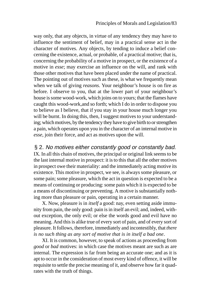way only, that any objects, in virtue of any tendency they may have to influence the sentiment of belief, may in a practical sense act in the character of motives. Any objects, by tending to induce a belief concerning the existence, actual, or probable, of a practical motive; that is, concerning the probability of a motive in prospect, or the existence of a motive in *esse*; may exercise an influence on the will, and rank with those other motives that have been placed under the name of practical. The pointing out of motives such as these, is what we frequently mean when we talk of giving *reasons*. Your neighbour's house is on fire as before. I observe to you, that at the lower part of your neighbour's house is some wood-work, which joins on to yours; that the flames have caught this wood-work,and so forth; which I do in order to dispose you to believe as I believe, that if you stay in your house much longer you will be burnt. In doing this, then, I suggest motives to your understanding; which motives, by the tendency they have to give birth to or strengthen a pain, which operates upon you in the character of an internal motive in *esse*, join their force, and act as motives upon the will.

### § 2. No motives either constantly good or constantly bad.

IX. In all this chain of motives, the principal or original link seems to be the last internal motive in prospect: it is to this that all the other motives in prospect owe their materiality: and the immediately acting motive its existence. This motive in prospect, we see, is always some pleasure, or some pain; some pleasure, which the act in question is expected to be a means of continuing or producing: some pain which it is expected to be a means of discontinuing or preventing. A motive is substantially nothing more than pleasure or pain, operating in a certain manner.

X. Now, pleasure is in *itself* a good: nay, even setting aside immunity from pain, the only good: pain is in itself an evil; and, indeed, without exception, the only evil; or else the words good and evil have no meaning. And this is alike true of every sort of pain, and of every sort of pleasure. It follows, therefore, immediately and incontestibly, that *there is no such thing as any sort of motive that is in itself a bad one*.

XI. It is common, however, to speak of actions as proceeding from *good* or *bad* motives: in which case the motives meant are such as are internal. The expression is far from being an accurate one; and as it is apt to occur in the consideration of most every kind of offence, it will be requisite to settle the precise meaning of it, and observe how far it quadrates with the truth of things.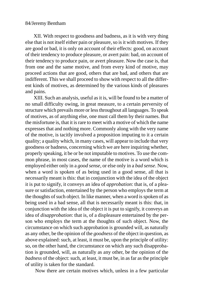XII. With respect to goodness and badness, as it is with very thing else that is not itself either pain or pleasure, so is it with motives. If they are good or bad, it is only on account of their effects: good, on account of their tendency to produce pleasure, or avert pain: bad, on account of their tendency to produce pain, or avert pleasure. Now the case is, that from one and the same motive, and from every kind of motive, may proceed actions that are good, others that are bad, and others that are indifferent. This we shall proceed to show with respect to all the different kinds of motives, as determined by the various kinds of pleasures and pains.

XIII. Such an analysis, useful as it is, will be found to be a matter of no small difficulty owing, in great measure, to a certain perversity of structure which prevails more or less throughout all languages. To speak of motives, as of anything else, one must call them by their names. But the misfortune is, that it is rare to meet with a motive of which the name expresses that and nothing more. Commonly along with the very name of the motive, is tacitly involved a proposition imputing to it a certain quality; a quality which, in many cases, will appear to include that very goodness or badness, concerning which we are here inquiring whether, properly speaking, it be or be not imputable to motives. To use the common phrase, in most cases, the name of the motive is a word which is employed either only in a *good sense*, or else only in a *bad sense*. Now, when a word is spoken of as being used in a good sense, all that is necessarily meant is this: that in conjunction with the idea of the object it is put to signify, it conveys an idea of *approbation*: that is, of a pleasure or satisfaction, entertained by the person who employs the term at the thoughts of such object. In like manner, when a word is spoken of as being used in a bad sense, all that is necessarily meant is this: that, in conjunction with the idea of the object it is put to signify, it conveys an idea of *disapprobation*: that is, of a displeasure entertained by the person who employs the term at the thoughts of such object. Now, the circumstance on which such approbation is grounded will, as naturally as any other, be the opinion of the *goodness* of the object in question, as above explained: such, at least, it must be, upon the principle of utility: so, on the other hand, the circumstance on which any such disapprobation is grounded, will, as naturally as any other, be the opinion of the *badness* of the object: such, at least, it must be, in as far as the principle of utility is taken for the standard.

Now there are certain motives which, unless in a few particular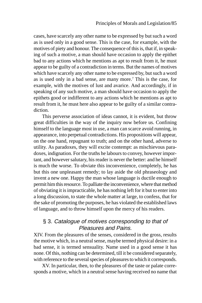cases, have scarcely any other name to be expressed by but such a word as is used only in a good sense. This is the case, for example, with the motives of piety and honour. The consequence of this is, that if, in speaking of such a motive, a man should have occasion to apply the epithet bad to any actions which he mentions as apt to result from it, he must appear to be guilty of a contradiction in terms. But the names of motives which have scarcely any other name to be expressed by, but such a word as is used only in a bad sense, are many more.7 This is the case, for example, with the motives of lust and avarice. And accordingly, if in speaking of any such motive, a man should have occasion to apply the epithets good or indifferent to any actions which he mentions as apt to result from it, he must here also appear to be guilty of a similar contradiction.

This perverse association of ideas cannot, it is evident, but throw great difficulties in the way of the inquiry now before us. Confining himself to the language most in use, a man can scarce avoid running, in appearance, into perpetual contradictions. His propositions will appear, on the one hand, repugnant to truth; and on the other hand, adverse to utility. As paradoxes, they will excite contempt: as mischievous paradoxes, indignation. For the truths he labours to convey, however important, and however salutary, his reader is never the better: and he himself is much the worse. To obviate this inconvenience, completely, he has but this one unpleasant remedy; to lay aside the old phraseology and invent a new one. Happy the man whose language is ductile enough to permit him this resource. To palliate the inconvenience, where that method of obviating it is impracticable, he has nothing left for it but to enter into a long discussion, to state the whole matter at large, to confess, that for the sake of promoting the purposes, he has violated the established laws of language, and to throw himself upon the mercy of his readers.

## § 3. Catalogue of motives corresponding to that of Pleasures and Pains.

XIV. From the pleasures of the senses, considered in the gross, results the motive which, in a neutral sense, maybe termed physical desire: in a bad sense, it is termed sensuality. Name used in a good sense it has none. Of this, nothing can be determined, till it be considered separately, with reference to the several species of pleasures to which it corresponds.

XV. In particular, then, to the pleasures of the taste or palate corresponds a motive, which in a neutral sense having received no name that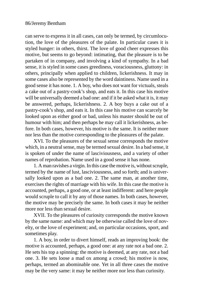can serve to express it in all cases, can only be termed, by circumlocution, the love of the pleasures of the palate. In particular cases it is styled hunger: in others, thirst. The love of good cheer expresses this motive, but seems to go beyond: intimating, that the pleasure is to be partaken of in company, and involving a kind of sympathy. In a bad sense, it is styled in some cases greediness, voraciousness, gluttony: in others, principally when applied to children, lickerishness. It may in some cases also be represented by the word daintiness. Name used in a good sense it has none. 1. A boy, who does not want for victuals, steals a cake out of a pastry-cook's shop, and eats it. In this case his motive will be universally deemed a bad one: and if it be asked what it is, it may be answered, perhaps, lickerishness. 2. A boy buys a cake out of a pastry-cook's shop, and eats it. In this case his motive can scarcely be looked upon as either good or bad, unless his master should be out of humour with him; and then perhaps he may call it lickerishness, as before. In both cases, however, his motive is the same. It is neither more nor less than the motive corresponding to the pleasures of the palate.

XVI. To the pleasures of the sexual sense corresponds the motive which, in a neutral sense, may be termed sexual desire. In a bad sense, it is spoken of under the name of lasciviousness, and a variety of other names of reprobation. Name used in a good sense it has none.

1. A man ravishes a virgin. In this case the motive is, without scruple, termed by the name of lust, lasciviousness, and so forth; and is universally looked upon as a bad one. 2. The same man, at another time, exercises the rights of marriage with his wife. In this case the motive is accounted, perhaps, a good one, or at least indifferent: and here people would scruple to call it by any of those names. In both cases, however, the motive may be precisely the same. In both cases it may be neither more nor less than sexual desire.

XVII. To the pleasures of curiosity corresponds the motive known by the same name: and which may be otherwise called the love of novelty, or the love of experiment; and, on particular occasions, sport, and sometimes play.

1. A boy, in order to divert himself, reads an improving book: the motive is accounted, perhaps, a good one: at any rate not a bad one. 2. He sets his top a spinning: the motive is deemed, at any rate, not a bad one. 3. He sets loose a mad ox among a crowd; his motive is now, perhaps, termed an abominable one. Yet in all three cases the motive may be the very same: it may be neither more nor less than curiosity.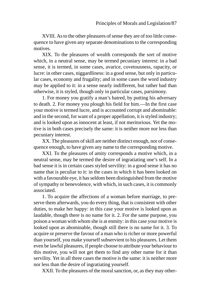XVIII. As to the other pleasures of sense they are of too little consequence to have given any separate denominations to the corresponding motives.

XIX. To the pleasures of wealth corresponds the sort of motive which, in a neutral sense, may be termed pecuniary interest: in a bad sense, it is termed, in some cases, avarice, covetousness, rapacity, or lucre: in other cases, niggardliness: in a good sense, but only in particular cases, economy and frugality; and in some cases the word industry may be applied to it: in a sense nearly indifferent, but rather bad than otherwise, it is styled, though only in particular cases, parsimony.

1. For money you gratify a man's hatred, by putting his adversary to death. 2. For money you plough his field for him.—In the first case your motive is termed lucre, and is accounted corrupt and abominable: and in the second, for want of a proper appellation, it is styled industry; and is looked upon as innocent at least, if not meritorious. Yet the motive is in both cases precisely the same: it is neither more nor less than pecuniary interest.

XX. The pleasures of skill are neither distinct enough, nor of consequence enough, to have given any name to the corresponding motive.

XXI. To the pleasures of amity corresponds a motive which, in a neutral sense, may be termed the desire of ingratiating one's self. In a bad sense it is in certain cases styled servility: in a good sense it has no name that is peculiar to it: in the cases in which it has been looked on with a favourable eye, it has seldom been distinguished from the motive of sympathy or benevolence, with which, in such cases, it is commonly associated.

1. To acquire the affections of a woman before marriage, to preserve them afterwards, you do every thing, that is consistent with other duties, to make her happy: in this case your motive is looked upon as laudable, though there is no name for it. 2. For the same purpose, you poison a woman with whom she is at enmity: in this case your motive is looked upon as abominable, though still there is no name for it. 3. To acquire or preserve the favour of a man who is richer or more powerful than yourself, you make yourself subservient to his pleasures. Let them even be lawful pleasures, if people choose to attribute your behaviour to this motive, you will not get them to find any other name for it than servility. Yet in all three cases the motive is the same: it is neither more nor less than the desire of ingratiating yourself.

XXII. To the pleasures of the moral sanction, or, as they may other-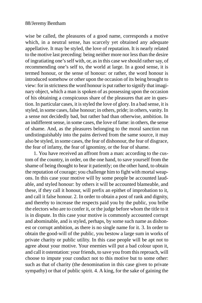wise be called, the pleasures of a good name, corresponds a motive which, in a neutral sense, has scarcely yet obtained any adequate appellative. It may be styled, the love of reputation. It is nearly related to the motive last preceding: being neither more nor less than the desire of ingratiating one's self with, or, as in this case we should rather say, of recommending one's self to, the world at large. In a good sense, it is termed honour, or the sense of honour: or rather, the word honour is introduced somehow or other upon the occasion of its being brought to view: for in strictness the word honour is put rather to signify that imaginary object, which a man is spoken of as possessing upon the occasion of his obtaining a conspicuous share of the pleasures that are in question. In particular cases, it is styled the love of glory. In a bad sense, it is styled, in some cases, false honour; in others, pride; in others, vanity. In a sense not decidedly bad, but rather bad than otherwise, ambition. In an indifferent sense, in some cases, the love of fame: in others, the sense of shame. And, as the pleasures belonging to the moral sanction run undistinguishably into the pains derived from the same source, it may also be styled, in some cases, the fear of dishonour, the fear of disgrace, the fear of infamy, the fear of ignominy, or the fear of shame.

1. You have received an affront from a man: according to the custom of the country, in order, on the one hand, to save yourself from the shame of being thought to bear it patiently; on the other hand, to obtain the reputation of courage; you challenge him to fight with mortal weapons. In this case your motive will by some people be accounted laudable, and styled honour: by others it will be accounted blameable, and these, if they call it honour, will prefix an epithet of improbation to it, and call it false honour. 2. In order to obtain a post of rank and dignity, and thereby to increase the respects paid you by the public, you bribe the electors who are to confer it, or the judge before whom the title to it is in dispute. In this case your motive is commonly accounted corrupt and abominable, and is styled, perhaps, by some such name as dishonest or corrupt ambition, as there is no single name for it. 3. In order to obtain the good-will of the public, you bestow a large sum in works of private charity or public utility. In this case people will be apt not to agree about your motive. Your enemies will put a bad colour upon it, and call it ostentation: your friends, to save you from this reproach, will choose to impute your conduct not to this motive but to some other: such as that of charity (the denomination in this case given to private sympathy) or that of public spirit. 4. A king, for the sake of gaining the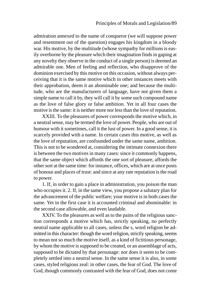admiration annexed to the name of conqueror (we will suppose power and resentment out of the question) engages his kingdom in a bloody war. His motive, by the multitude (whose sympathy for millions is easily overborne by the pleasure which their imagination finds in gaping at any novelty they observe in the conduct of a single person) is deemed an admirable one. Men of feeling and reflection, who disapprove of the dominion exercised by this motive on this occasion, without always perceiving that it is the same motive which in other instances meets with their approbation, deem it an abominable one; and because the multitude, who are the manufacturers of language, have not given them a simple name to call it by, they will call it by some such compound name as the love of false glory or false ambition. Yet in all four cases the motive is the same: it is neither more nor less than the love of reputation.

XXIII. To the pleasures of power corresponds the motive which, in a neutral sense, may be termed the love of power. People, who are out of humour with it sometimes, call it the lust of power. In a good sense, it is scarcely provided with a name. In certain cases this motive, as well as the love of reputation, are confounded under the same name, ambition. This is not to be wondered at, considering the intimate connexion there is between the two motives in many cases: since it commonly happens, that the same object which affords the one sort of pleasure, affords the other sort at the same time: for instance, offices, which are at once posts of honour and places of trust: and since at any rate reputation is the road to power.

1. If, in order to gain a place in administration, you poison the man who occupies it. 2. If, in the same view, you propose a salutary plan for the advancement of the public welfare; your motive is in both cases the same. Yet in the first case it is accounted criminal and abominable: in the second case allowable, and even laudable.

XXIV. To the pleasures as well as to the pains of the religious sanction corresponds a motive which has, strictly speaking, no perfectly neutral name applicable to all cases, unless the s, word religion be admitted in this character: though the word religion, strictly speaking, seems to mean not so much the motive itself, as a kind of fictitious personage, by whom the motive is supposed to be created, or an assemblage of acts, supposed to be dictated by that personage: nor does it seem to be completely settled into a neutral sense. In the same sense it is also, in some cases, styled religious zeal: in other cases, the fear of God. The love of God, though commonly contrasted with the fear of God, does not come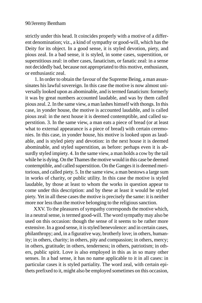strictly under this head. It coincides properly with a motive of a different denomination; viz., a kind of sympathy or good-will, which has the Deity for its object. In a good sense, it is styled devotion, piety, and pious zeal. In a bad sense, it is styled, in some cases, superstition, or superstitious zeal: in other cases, fanaticism, or fanatic zeal: in a sense not decidedly bad, because not appropriated to this motive, enthusiasm, or enthusiastic zeal.

 1. In order to obtain the favour of the Supreme Being, a man assassinates his lawful sovereign. In this case the motive is now almost universally looked upon as abominable, and is termed fanaticism: formerly it was by great numbers accounted laudable, and was by them called pious zeal. 2. In the same view, a man lashes himself with thongs. In this case, in yonder house, the motive is accounted laudable, and is called pious zeal: in the next house it is deemed contemptible, and called superstition. 3. In the same view, a man eats a piece of bread (or at least what to external appearance is a piece of bread) with certain ceremonies. In this case, in yonder house, his motive is looked upon as laudable, and is styled piety and devotion: in the next house it is deemed abominable, and styled superstition, as before: perhaps even it is absurdly styled impiety. 4. In the same view, a man holds a cow by the tail while he is dying. On the Thames the motive would in this case be deemed contemptible, and called superstition. On the Ganges it is deemed meritorious, and called piety. 5. In the same view, a man bestows a large sum in works of charity, or public utility. In this case the motive is styled laudable, by those at least to whom the works in question appear to come under this description: and by these at least it would be styled piety. Yet in all these cases the motive is precisely the same: it is neither more nor less than the motive belonging to the religious sanction.

XXV. To the pleasures of sympathy corresponds the motive which, in a neutral sense, is termed good-will. The word sympathy may also be used on this occasion: though the sense of it seems to be rather more extensive. In a good sense, it is styled benevolence: and in certain cases, philanthropy; and, in a figurative way, brotherly love; in others, humanity; in others, charity; in others, pity and compassion; in others, mercy; in others, gratitude; in others, tenderness; in others, patriotism; in others, public spirit. Love is also employed in this as in so many other senses. In a bad sense, it has no name applicable to it in all cases: in particular cases it is styled partiality. The word zeal, with certain epithets prefixed to it, might also be employed sometimes on this occasion,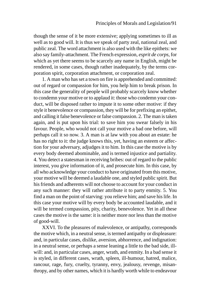though the sense of it be more extensive; applying sometimes to ill as well as to good will. It is thus we speak of party zeal, national zeal, and public zeal. The word attachment is also used with the like epithets: we also say family-attachment. The French expression, *esprit de corps*, for which as yet there seems to be scarcely any name in English, might be rendered, in some cases, though rather inadequately, by the terms corporation spirit, corporation attachment, or corporation zeal.

1. A man who has set a town on fire is apprehended and committed: out of regard or compassion for him, you help him to break prison. In this case the generality of people will probably scarcely know whether to condemn your motive or to applaud it: those who condemn your conduct, will be disposed rather to impute it to some other motive: if they style it benevolence or compassion, they will be for prefixing an epithet, and calling it false benevolence or false compassion. 2. The man is taken again, and is put upon his trial: to save him you swear falsely in his favour. People, who would not call your motive a bad one before, will perhaps call it so now. 3. A man is at law with you about an estate: he has no right to it: the judge knows this, yet, having an esteem or affection for your adversary, adjudges it to him. In this case the motive is by every body deemed abominable, and is termed injustice and partiality. 4. You detect a statesman in receiving bribes: out of regard to the public interest, you give information of it, and prosecute him. In this case, by all who acknowledge your conduct to have originated from this motive, your motive will be deemed a laudable one, and styled public spirit. But his friends and adherents will not choose to account for your conduct in any such manner: they will rather attribute it to party enmity. 5. You find a man on the point of starving: you relieve him; and save his life. In this case your motive will by every body be accounted laudable, and it will be termed compassion, pity, charity, benevolence. Yet in all these cases the motive is the same: it is neither more nor less than the motive of good-will.

XXVI. To the pleasures of malevolence, or antipathy, corresponds the motive which, in a neutral sense, is termed antipathy or displeasure: and, in particular cases, dislike, aversion, abhorrence, and indignation: in a neutral sense, or perhaps a sense leaning a little to the bad side, illwill: and, in particular cases, anger, wrath, and enmity. In a bad sense it is styled, in different cases, wrath, spleen, ill-humour, hatred, malice, rancour, rage, fury, cruelty, tyranny, envy, jealousy, revenge, misanthropy, and by other names, which it is hardly worth while to endeavour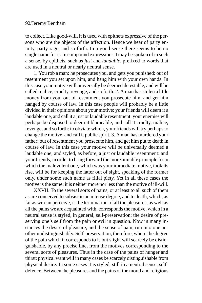to collect. Like good-will, it is used with epithets expressive of the persons who are the objects of the affection. Hence we hear of party enmity, party rage, and so forth. In a good sense there seems to be no single name for it. In compound expressions it may be spoken of in such a sense, by epithets, such as *just* and *laudable*, prefixed to words that are used in a neutral or nearly neutral sense.

1. You rob a man: he prosecutes you, and gets you punished: out of resentment you set upon him, and hang him with your own hands. In this case your motive will universally be deemed detestable, and will be called malice, cruelty, revenge, and so forth. 2. A man has stolen a little money from you: out of resentment you prosecute him, and get him hanged by course of law. In this case people will probably be a little divided in their opinions about your motive: your friends will deem it a laudable one, and call it a just or laudable resentment: your enemies will perhaps be disposed to deem it blameable, and call it cruelty, malice, revenge, and so forth: to obviate which, your friends will try perhaps to change the motive, and call it public spirit. 3. A man has murdered your father: out of resentment you prosecute him, and get him put to death in course of law. In this case your motive will be universally deemed a laudable one, and styled, as before, a just or laudable resentment: and your friends, in order to bring forward the more amiable principle from which the malevolent one, which was your immediate motive, took its rise, will be for keeping the latter out of sight, speaking of the former only, under some such name as filial piety. Yet in all these cases the motive is the same: it is neither more nor less than the motive of ill-will.

XXVII. To the several sorts of pains, or at least to all such of them as are conceived to subsist in an intense degree, and to death, which, as far as we can perceive, is the termination of all the pleasures, as well as all the pains we are acquainted with, corresponds the motive, which in a neutral sense is styled, in general, self-preservation: the desire of preserving one's self from the pain or evil in question. Now in many instances the desire of pleasure, and the sense of pain, run into one another undistinguishably. Self-preservation, therefore, where the degree of the pain which it corresponds to is but slight will scarcely be distinguishable, by any precise line, from the motives corresponding to the several sorts of pleasures. Thus in the case of the pains of hunger and thirst: physical want will in many cases be scarcely distinguishable from physical desire. In some cases it is styled, still in a neutral sense, selfdefence. Between the pleasures and the pains of the moral and religious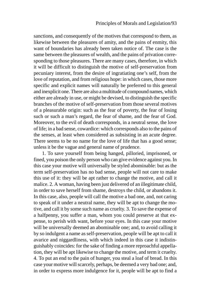sanctions, and consequently of the motives that correspond to them, as likewise between the pleasures of amity, and the pains of enmity, this want of boundaries has already been taken notice of. The case is the same between the pleasures of wealth, and the pains of privation corresponding to those pleasures. There are many cases, therefore, in which it will be difficult to distinguish the motive of self-preservation from pecuniary interest, from the desire of ingratiating one's self, from the love of reputation, and from religious hope: in which cases, those more specific and explicit names will naturally be preferred to this general and inexplicit one. There are also a multitude of compound names, which either are already in use, or might be devised, to distinguish the specific branches of the motive of self-preservation from those several motives of a pleasurable origin: such as the fear of poverty, the fear of losing such or such a man's regard, the fear of shame, and the fear of God. Moreover, to the evil of death corresponds, in a neutral sense, the love of life; in a bad sense, cowardice: which corresponds also to the pains of the senses, at least when considered as subsisting in an acute degree. There seems to be no name for the love of life that has a good sense; unless it be the vague and general name of prudence.

1. To save yourself from being hanged, pilloried, imprisoned, or fined, you poison the only person who can give evidence against you. In this case your motive will universally be styled abominable: but as the term self-preservation has no bad sense, people will not care to make this use of it: they will be apt rather to change the motive, and call it malice. 2. A woman, having been just delivered of an illegitimate child, in order to save herself from shame, destroys the child, or abandons it. In this case, also, people will call the motive a bad one, and, not caring to speak of it under a neutral name, they will be apt to change the motive, and call it by some such name as cruelty. 3. To save the expense of a halfpenny, you suffer a man, whom you could preserve at that expense, to perish with want, before your eyes. In this case your motive will be universally deemed an abominable one; and, to avoid calling it by so indulgent a name as self-preservation, people will be apt to call it avarice and niggardliness, with which indeed in this case it indistinguishably coincides: for the sake of finding a more reproachful appellation, they will be apt likewise to change the motive, and term it cruelty. 4. To put an end to the pain of hunger, you steal a loaf of bread. In this case your motive will scarcely, perhaps, be deemed a very bad one; and, in order to express more indulgence for it, people will be apt to find a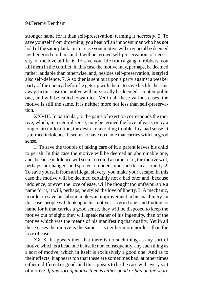stronger name for it than self-preservation, terming it *necessity*. 5. To save yourself from drowning, you beat off an innocent man who has got hold of the same plank. In this case your motive will in general be deemed neither good nor bad, and it will be termed self-preservation, or necessity, or the love of life. 6. To save your life from a gang of robbers, you kill them in the conflict. In this case the motive may, perhaps, be deemed rather laudable than otherwise, and, besides self-preservation, is styled also self-defence. 7. A soldier is sent out upon a party against a weaker party of the enemy: before he gets up with them, to save his life, he runs away. In this case the motive will universally be deemed a contemptible one, and will be called cowardice. Yet in all these various cases, the motive is still the same. It is neither more nor less than self-preservation.

XXVIII. In particular, to the pains of exertion corresponds the motive, which, in a neutral sense, may be termed the love of ease, or by a longer circumlocution, the desire of avoiding trouble. In a bad sense, it is termed indolence. It seems to have no name that carries with it a good sense.

1. To save the trouble of taking care of it, a parent leaves his child to perish. In this case the motive will be deemed an abominable one, and, because indolence will seem too mild a name for it, the motive will, perhaps, be changed, and spoken of under some such term as cruelty. 2. To save yourself from an illegal slavery, you make your escape. In this case the motive will be deemed certainly not a bad one: and, because indolence, or even the love of ease, will be thought too unfavourable a name for it, it will, perhaps, be styled the love of liberty. 3. A mechanic, in order to save his labour, makes an improvement in his machinery. In this case, people will look upon his motive as a good one; and finding no name for it that carries a good sense, they will be disposed to keep the motive out of sight: they will speak rather of his ingenuity, than of the motive which was the means of his manifesting that quality. Yet in all these cases the motive is the same: it is neither more nor less than the love of ease.

XXIX. It appears then that there is no such thing as any sort of motive which is a bead one in itself: nor, consequently, any such thing as a sort of motive, which in itself is exclusively a good one. And as to their effects, it appears too that these are sometimes bad, at other times either indifferent or good: and this appears to be the case with every sort of motive. *If any sort of motive then is either good or bad on the score*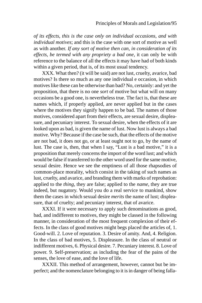*of its effects, this is the case only on individual occasions, and with individual motives*; and this is the case with one sort of motive as well as with another. *If any sort of motive then can, in consideration of its effects, be termed with any propriety a bad one*, it can only be with reference to the balance of all the effects it may have had of both kinds within a given period, that is, of its most usual tendency.

XXX. What then? (it will be said) are not lust, cruelty, avarice, bad motives? Is there so much as any one individual e occasion, in which motives like these can be otherwise than bad? No, certainly: and yet the proposition, that there is no one *sort* of motive but what will on many occasions be a good one, is nevertheless true. The fact is, that these are names which, if properly applied, are never applied but in the cases where the motives they signify happen to be bad. The names of those motives, considered apart from their effects, are sexual desire, displeasure, and pecuniary interest. To sexual desire, when the effects of it are looked upon as bad, is given the name of lust. Now lust is always a bad motive. Why? Because if the case be such, that the effects of the motive are not bad, it does not go, or at least ought not to go, by the name of lust. The case is, then, that when I say, "Lust is a bad motive," it is a proposition that merely concerns the import of the word lust; and which would be false if transferred to the other word used for the same motive, sexual desire. Hence we see the emptiness of all those rhapsodies of common-place morality, which consist in the taking of such names as lust, cruelty, and avarice, and branding them with marks of reprobation: applied to the *thing*, they are false; applied to the *name*, they are true indeed, but nugatory. Would you do a real service to mankind, show them the cases in which sexual desire *merits* the name of lust; displeasure, that of cruelty; and pecuniary interest, that of avarice.

XXXI. If it were necessary to apply such denominations as good, bad, and indifferent to motives, they might be classed in the following manner, in consideration of the most frequent complexion of their effects. In the class of good motives might begs placed the articles of, 1. Good-will. 2. Love of reputation. 3. Desire of amity. And, 4. Religion. In the class of bad motives, 5. Displeasure. In the class of neutral or indifferent motives, 6. Physical desire. 7. Pecuniary interest. 8. Love of power. 9. Self-preservation; as including the fear of the pains of the senses, the love of ease, and the love of life.

XXXII. This method of arrangement, however, cannot but be imperfect; and the nomenclature belonging to it is in danger of being falla-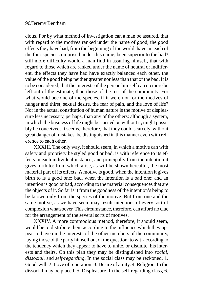cious. For by what method of investigation can a man be assured, that with regard to the motives ranked under the name of good, the good effects they have had, from the beginning of the world, have, in each of the four species comprised under this name, been superior to the bad? still more difficulty would a man find in assuring himself, that with regard to those which are ranked under the name of neutral or indifferent, the effects they have had have exactly balanced each other, the value of the good being neither greater nor less than that of the bad. It is to be considered, that the interests of the person himself can no more be left out of the estimate, than those of the rest of the community. For what would become of the species, if it were not for the motives of hunger and thirst, sexual desire, the fear of pain, and the love of life? Nor in the actual constitution of human nature is the motive of displeasure less necessary, perhaps, than any of the others: although a system, in which the business of life might be carried on without it, might possibly be conceived. It seems, therefore, that they could scarcely, without great danger of mistakes, be distinguished in this manner even with reference to each other.

XXXIII. The only way, it should seem, in which a motive can with safety and propriety be styled good or bad, is with reference to its effects in each individual instance; and principally from the intention it gives birth to: from which arise, as will be shown hereafter, the most material part of its effects. A motive is good, when the intention it gives birth to is a good one; bad, when the intention is a bad one: and an intention is good or bad, according to the material consequences that are the objects of it. So far is it from the goodness of the intention's being to be known only from the species of the motive. But from one and the same motive, as we have seen, may result intentions of every sort of complexion whatsoever. This circumstance, therefore, can afford no clue for the arrangement of the several sorts of motives.

XXXIV. A more commodious method, therefore, it should seem, would be to distribute them according to the influence which they appear to have on the interests of the other members of the community, laying those of the party himself out of the question: to wit, according to the tendency which they appear to have to unite, or disunite, his interests and theirs. On this plan they may be distinguished into *social*, *dissocial*, and *self-regarding*. In the social class may be reckoned, 1. Good-will. 2. Love of reputation. 3. Desire of amity. 4. Religion. In the dissocial may be placed, 5. Displeasure. In the self-regarding class, 6.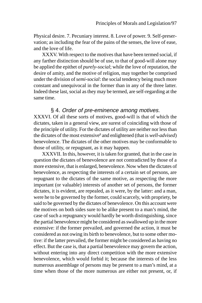Physical desire. 7. Pecuniary interest. 8. Love of power. 9. Self-preservation; as including the fear of the pains of the senses, the love of ease, and the love of life.

XXXV. With respect to the motives that have been termed social, if any farther distinction should be of use, to that of good-will alone may be applied the epithet of *purely-social*; while the love of reputation, the desire of amity, and the motive of religion, may together be comprised under the division of *semi-social*: the social tendency being much more constant and unequivocal in the former than in any of the three latter. Indeed these last, social as they may be termed, are self-regarding at the same time.

### § 4. Order of pre-eminence among motives.

XXXVI. Of all these sorts of motives, good-will is that of which the dictates, taken in a general view, are surest of coinciding with those of the principle of utility. For the dictates of utility are neither nor less than the dictates of the most extensive8 and enlightened (that is *well-advised*) benevolence. The dictates of the other motives may be conformable to those of utility, or repugnant, as it may happen.

XXXVII. In this, however, it is taken for granted, that in the case in question the dictates of benevolence are not contradicted by those of a more extensive, that is enlarged, benevolence. Now when the dictates of benevolence, as respecting the interests of a certain set of persons, are repugnant to the dictates of the same motive, as respecting the more important (or valuable) interests of another set of persons, the former dictates, it is evident, are repealed, as it were, by the latter: and a man, were he to be governed by the former, could scarcely, with propriety, be said to be governed by the dictates of benevolence. On this account were the motives on both sides sure to be alike present to a man's mind, the case of such a repugnancy would hardly be worth distinguishing, since the partial benevolence might be considered as swallowed up in the more extensive: if the former prevailed, and governed the action, it must be considered as not owing its birth to benevolence, but to some other motive: if the latter prevailed, the former might be considered as having no effect. But the case is, that a partial benevolence may govern the action, without entering into any direct competition with the more extensive benevolence, which would forbid it; because the interests of the less numerous assemblage of persons may be present to a man's mind, at a time when those of the more numerous are either not present, or, if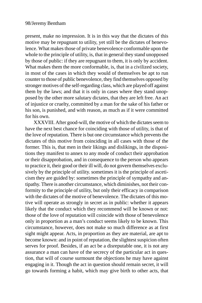present, make no impression. It is in this way that the dictates of this motive may be repugnant to utility, yet still be the dictates of benevolence. What makes those of private benevolence conformable upon the whole to the principle of utility, is, that in general they stand unopposed by those of public: if they are repugnant to them, it is only by accident. What makes them the more conformable, is, that in a civilized society, in most of the cases in which they would of themselves be apt to run counter to those of public benevolence, they find themselves opposed by stronger motives of the self-regarding class, which are played off against them by the laws; and that it is only in cases where they stand unopposed by the other more salutary dictates, that they are left free. An act of injustice or cruelty, committed by a man for the sake of his father or his son, is punished, and with reason, as much as if it were committed for his own.

XXXVIII. After good-will, the motive of which the dictates seem to have the next best chance for coinciding with those of utility, is that of the love of reputation. There is but one circumstance which prevents the dictates of this motive from coinciding in all cases with those of the former. This is, that men in their likings and dislikings, in the dispositions they manifest to annex to any mode of conduct their approbation or their disapprobation, and in consequence to the person who appears to practice it, their good or their ill will, do not govern themselves exclusively by the principle of utility. sometimes it is the principle of asceticism they are guided by: sometimes the principle of sympathy and antipathy. There is another circumstance, which diminishes, not their conformity to the principle of utility, but only their efficacy in comparison with the dictates of the motive of benevolence. The dictates of this motive will operate as strongly in secret as in public: whether it appears likely that the conduct which they recommend will be known or not: those of the love of reputation will coincide with those of benevolence only in proportion as a man's conduct seems likely to be known. This circumstance, however, does not make so much difference as at first sight might appear. Acts, in proportion as they are material, are apt to become known: and in point of reputation, the slightest suspicion often serves for proof. Besides, if an act be a disreputable one, it is not any assurance a man can have of the secrecy of the particular act in question, that will of course surmount the objections he may have against engaging in it. Though the act in question should remain secret, it will go towards forming a habit, which may give birth to other acts, that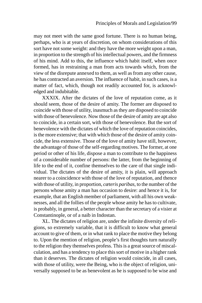may not meet with the same good fortune. There is no human being, perhaps, who is at years of discretion, on whom considerations of this sort have not some weight: and they have the more weight upon a man, in proportion to the strength of his intellectual powers, and the firmness of his mind. Add to this, the influence which habit itself, when once formed, has in restraining a man from acts towards which, from the view of the disrepute annexed to them, as well as from any other cause, he has contracted an aversion. The influence of habit, in such cases, is a matter of fact, which, though not readily accounted for, is acknowledged and indubitable.

XXXIX. After the dictates of the love of reputation come, as it should seem, those of the desire of amity. The former are disposed to coincide with those of utility, inasmuch as they are disposed to coincide with those of benevolence. Now those of the desire of amity are apt also to coincide, in a certain sort, with those of benevolence. But the sort of benevolence with the dictates of which the love of reputation coincides, is the more extensive; that with which those of the desire of amity coincide, the less extensive. Those of the love of amity have still, however, the advantage of those of the self-regarding motives. The former, at one period or other of his life, dispose a man to contribute to the happiness of a considerable number of persons: the latter, from the beginning of life to the end of it, confine themselves to the care of that single individual. The dictates of the desire of amity, it is plain, will approach nearer to a coincidence with those of the love of reputation, and thence with those of utility, in proportion, *cæteris paribas*, to the number of the persons whose amity a man has occasion to desire: and hence it is, for example, that an English member of parliament, with all his own weaknesses, and all the follies of the people whose amity he has to cultivate, is probably, in general, a better character than the secretary of a visier at Constantinople, or of a naib in Indostan.

XL. The dictates of religion are, under the infinite diversity of religions, so extremely variable, that it is difficult to know what general account to give of them, or in what rank to place the motive they belong to. Upon the mention of religion, people's first thoughts turn naturally to the religion they themselves profess. This is a great source of miscalculation, and has a tendency to place this sort of motive in a higher rank than it deserves. The dictates of religion would coincide, in all cases, with those of utility, were the Being, who is the object of religion, universally supposed to be as benevolent as he is supposed to be wise and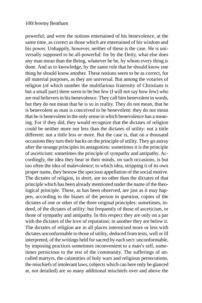powerful; and were the notions entertained of his benevolence, at the same time, as correct as those which are entertained of his wisdom and his power. Unhappily, however, neither of these is the case. He is universally supposed to be all-powerful: for by the Deity, what else does any man mean than the Being, whatever he be, by whom every thing is done. And as to knowledge, by the same rule that he should know one thing he should know another. These notions seem to be as correct, for all material purposes, as they are universal. But among the votaries of religion (of which number the multifarious fraternity of Christians is but a small part) there seem to be but few (I will not say how few) who are real believers in his benevolence. They call him benevolent in words, but they do not mean that he is so in reality. They do not mean, that he is benevolent as man is conceived to be benevolent: they do not mean that he is benevolent in the only sense in which benevolence has a meaning. For if they did, they would recognize that the dictates of religion could be neither more nor less than the dictates of utility: not a tittle different: not a tittle less or more. But the case is, that on a thousand occasions they turn their backs on the principle of utility. They go astray after the strange principles its antagonists: sometimes it is the principle of asceticism: sometimes the principle of sympathy and antipathy. Accordingly, the idea they bear in their minds, on such occasions, is but too often the idea of malevolence; to which idea, stripping it of its own proper name, they bestow the specious appellation of the social motive. The dictates of religion, in short, are no other than the dictates of that principle which has been already mentioned under the name of the theological principle. These, as has been observed, are just as it may happen, according to the biases of the person in question, copies of the dictates of one or other of the three original principles: sometimes, indeed, of the dictates of utility: but frequently of those of asceticism, or those of sympathy and antipathy. In this respect they are only on a par with the dictates of the love of reputation: in another they are below it. The dictates of religion are in all places intermixed more or less with dictates unconformable to those of utility, deduced from tests, well or ill interpreted, of the writings held for sacred by each sect: unconformable, by imposing practices sometimes inconvenient to a man's self, sometimes pernicious to the rest of the community. The sufferings of uncalled martyrs, the calamities of holy wars and religious persecutions, the mischiefs of intolerant laws, (objects which can here only be glanced at, not detailed) are so many additional mischiefs over and above the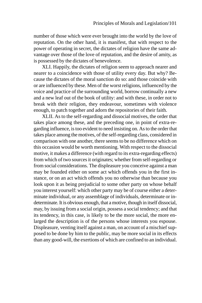number of those which were ever brought into the world by the love of reputation. On the other hand, it is manifest, that with respect to the power of operating in secret, the dictates of religion have the same advantage over those of the love of reputation, and the desire of amity, as is possessed by the dictates of benevolence.

XLI. Happily, the dictates of religion seem to approach nearer and nearer to a coincidence with those of utility every day. But why? Because the dictates of the moral sanction do so: and those coincide with or are influenced by these. Men of the worst religions, influenced by the voice and practice of the surrounding world, borrow continually a new and a new leaf out of the book of utility: and with these, in order not to break with their religion, they endeavour, sometimes with violence enough, to patch together and adorn the repositories of their faith.

XLII. As to the self-regarding and dissocial motives, the order that takes place among these, and the preceding one, in point of extra-regarding influence, is too evident to need insisting on. As to the order that takes place among the motives, of the self-regarding class, considered in comparison with one another, there seems to be no difference which on this occasion would be worth mentioning. With respect to the dissocial motive, it makes a difference (with regard to its extra-regarding effects) from which of two sources it originates; whether from self-regarding or from social considerations. The displeasure you conceive against a man may be founded either on some act which offends you in the first instance, or on an act which offends you no otherwise than because you look upon it as being prejudicial to some other party on whose behalf you interest yourself: which other party may be of course either a determinate individual, or any assemblage of individuals, determinate or indeterminate. It is obvious enough, that a motive, though in itself dissocial, may, by issuing from a social origin, possess a social tendency; and that its tendency, in this case, is likely to be the more social, the more enlarged the description is of the persons whose interests you espouse. Displeasure, venting itself against a man, on account of a mischief supposed to be done by him to the public, may be more social in its effects than any good-will, the exertions of which are confined to an individual.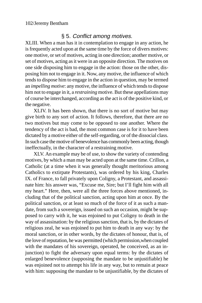# § 5. Conflict among motives.

XLIII. When a man has it in contemplation to engage in any action, he is frequently acted upon at the same time by the force of divers motives: one motive, or set of motives, acting in one direction; another motive, or set of motives, acting as it were in an opposite direction. The motives on one side disposing him to engage in the action: those on the other, disposing him not to engage in it. Now, any motive, the influence of which tends to dispose him to engage in the action in question, may be termed an *impelling motive*: any motive, the influence of which tends to dispose him not to engage in it, a *restraining* motive. But these appellations may of course be interchanged, according as the act is of the positive kind, or the negative.

XLIV. It has been shown, that there is no sort of motive but may give birth to any sort of action. It follows, therefore, that there are no two motives but may come to be opposed to one another. Where the tendency of the act is bad, the most common case is for it to have been dictated by a motive either of the self-regarding, or of the dissocial class. In such case the motive of benevolence has commonly been acting, though ineffectually, in the character of a restraining motive.

XLV. An example may be of use, to show the variety of contending motives, by which a man may be acted upon at the same time. Crillon, a Catholic (at a time when it was generally thought meritorious among Catholics to extirpate Protestants), was ordered by his king, Charles IX. of France, to fall privately upon Coligny, a Protestant, and assassinate him: his answer was, "Excuse me, Sire; but I'll fight him with all my heart." Here, then, were all the three forces above mentioned, including that of the political sanction, acting upon him at once. By the political sanction, or at least so much of the force of it as such a mandate, from such a sovereign, issued on such an occasion, might be supposed to carry with it, he was enjoined to put Coligny to death in the way of assassination: by the religious sanction, that is, by the dictates of religious zeal, he was enjoined to put him to death in any way: by the moral sanction, or in other words, by the dictates of honour, that is, of the love of reputation, he was permitted (which permission,when coupled with the mandates of his sovereign, operated, he conceived, as an injunction) to fight the adversary upon equal terms: by the dictates of enlarged benevolence (supposing the mandate to be unjustifiable) he was enjoined not to attempt his life in any way, but to remain at peace with him: supposing the mandate to be unjustifiable, by the dictates of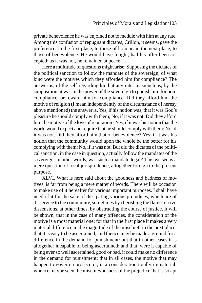private benevolence he was enjoined not to meddle with him at any rate. Among this confusion of repugnant dictates, Crillon, it seems, gave the preference, in the first place, to those of honour: in the next place, to those of benevolence. He would have fought, had his offer been accepted; as it was not, he remained at peace.

Here a multitude of questions might arise. Supposing the dictates of the political sanction to follow the mandate of the sovereign, of what kind were the motives which they afforded him for compliance? The answer is, of the self-regarding kind at any rate: inasmuch as, by the supposition, it was in the power of the sovereign to punish him for noncompliance, or reward him for compliance. Did they afford him the motive of religion (I mean independently of the circumstance of heresy above mentioned) the answer is, Yes, if his notion was, that it was God's pleasure he should comply with them; No, if it was not. Did they afford him the motive of the love of reputation? Yes, if it was his notion that the world would expect and require that he should comply with them: No, if it was not. Did they afford him that of benevolence? Yes, if it was his notion that the community would upon the whole be the better for his complying with them: No, if it was not. But did the dictates of the political sanction, in the case in question, actually follow the mandates of the sovereign: in other words, was such a mandate legal? This we see is a mere question of local jurisprudence, altogether foreign to the present purpose.

XLVI. What is here said about the goodness and badness of motives, is far from being a mere matter of words. There will be occasion to make use of it hereafter for various important purposes. I shall have need of it for the sake of dissipating various prejudices, which are of disservice to the community, sometimes by cherishing the flame of civil dissensions, at other times, by obstructing the course of justice. It will be shown, that in the case of many offences, the consideration of the motive is a most material one: for that in the first place it makes a very material difference in the magnitude of the mischief: in the next place, that it is easy to be ascertained; and thence may be made a ground for a difference in the demand for punishment: but that in other cases it is altogether incapable of being ascertained; and that, were it capable of being ever so well ascertained, good or bad, it could make no difference in the demand for punishment: that in all cases, the motive that may happen to govern a prosecutor, is a consideration totally immaterial: whence maybe seen the mischievousness of the prejudice that is so apt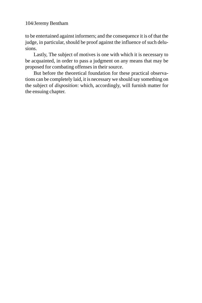to be entertained against informers; and the consequence it is of that the judge, in particular, should be proof against the influence of such delusions.

Lastly, The subject of motives is one with which it is necessary to be acquainted, in order to pass a judgment on any means that may be proposed for combating offenses in their source.

But before the theoretical foundation for these practical observations can be completely laid, it is necessary we should say something on the subject of *disposition*: which, accordingly, will furnish matter for the ensuing chapter.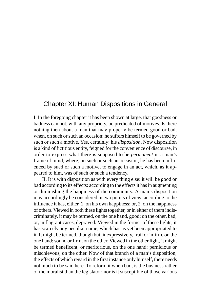## Chapter XI: Human Dispositions in General

I. In the foregoing chapter it has been shown at large. that goodness or badness can not, with any propriety, be predicated of motives. Is there nothing then about a man that may properly be termed good or bad, when, on such or such an occasion; he suffers himself to be governed by such or such a motive. Yes, certainly: his *disposition*. Now disposition is a kind of fictitious entity, feigned for the convenience of discourse, in order to express what there is supposed to be *permanent* in a man's frame of mind, where, on such or such an occasion, he has been influenced by sued or such a motive, to engage in an act, which, as it appeared to him, was of such or such a tendency.

II. It is with disposition as with every thing else: it will be good or bad according to its effects: according to the effects it has in augmenting or diminishing the happiness of the community. A man's disposition may accordingly be considered in two points of view: according to the influence it has, either, 1. on his own happiness: or, 2. on the happiness of others. Viewed in both these lights together, or in either of them indiscriminately, it may be termed, on the one hand, good; on the other, bad; or, in flagrant cases, depraved. Viewed in the former of these lights, it has scarcely any peculiar name, which has as yet been appropriated to it. It might be termed, though but, inexpressively, frail or infirm, on the one hand: sound or firm, on the other. Viewed in the other light, it might be termed beneficent, or meritorious, on the one hand: pernicious or mischievous, on the other. Now of that branch of a man's disposition, the effects of which regard in the first instance only himself, there needs not much to be said here. To reform it when bad, is the business rather of the moralist than the legislator: nor is it susceptible of those various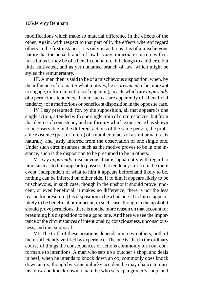modifications which make so material difference in the effects of the other. Again, with respect to that part of it, the effects whereof regard others in the first instance, it is only in as far as it is of a mischievous nature that the penal branch of law has any immediate concern with it: in as far as it may be of a beneficent nature, it belongs to a hitherto but little cultivated, and as yet unnamed branch of law, which might be styled the remuneratory.

III. A man then is said to be of a mischievous disposition, when, by the influence of no matter what motives, he is *presumed* to be more apt to engage, or form intentions of engaging, in acts which are *apparently* of a pernicious tendency, than in such as are apparently of a beneficial tendency: of a meritorious or beneficent disposition in the opposite case.

IV. I say presumed: for, by the supposition, all that appears is one single action, attended with one single train of circumstances: but from that degree of consistency and uniformity which experience has shown to be observable in the different actions of the same person, the probable existence (past or future) of a number of acts of a similar nature, is naturally and justly inferred from the observation of one single one. Under such circumstances, such as the motive proves to be in one instance, such is the disposition to be presumed to be in others.

V. I say *apparently* mischievous: that is, apparently with regard to him: such as to him appear to possess that tendency: for from the mere event, independent of what to him it appears beforehand likely to be, nothing can be inferred on either side. If to him it appears likely to be mischievous, in such case, though in the upshot it should prove innocent, or even beneficial, it makes no difference; there is not the less reason for presuming his disposition to be a bad one: if to him it appears likely to be beneficial or innocent, in such case, though in the upshot it should prove pernicious, there is not the more reason on that account for presuming his disposition to be a good one. And here we see the importance of the circumstances of intentionality, consciousness, unconsciousness, and mis-supposal.

VI. The truth of these positions depends upon two others, both of them sufficiently verified by experience: The one is, that in the ordinary course of things the consequences of actions commonly turn out conformable to intentions. A man who sets up a butcher's shop, and deals in beef, when he intends to knock down an ox, commonly does knock down an ox; though by some unlucky accident he may chance to miss his blow and knock down a man: he who sets up a grocer's shop, and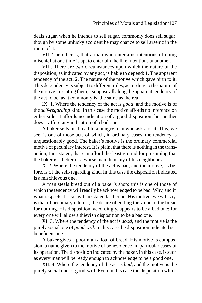deals sugar, when he intends to sell sugar, commonly does sell sugar: though by some unlucky accident he may chance to sell arsenic in the room of it.

VII. The other is, that a man who entertains intentions of doing mischief at one time is apt to entertain the like intentions at another.

VIII. There are two circumstances upon which the nature of the disposition, as indicated by any act, is liable to depend: 1. The apparent tendency of the act: 2. The nature of the motive which gave birth to it. This dependency is subject to different rules, according to the nature of the motive. In stating them, I suppose all along the apparent tendency of the act to be, as it commonly is, the same as the real.

IX. 1. Where the tendency of the act is *good*, and the motive is of the *self-regarding* kind. In this case the motive affords no inference on either side. It affords no indication of a good disposition: but neither does it afford any indication of a bad one.

A baker sells his bread to a hungry man who asks for it. This, we see, is one of those acts of which, in ordinary cases, the tendency is unquestionably good. The baker's motive is the ordinary commercial motive of pecuniary interest. It is plain, that there is nothing in the transaction, thus stated, that can afford the least ground for presuming that the baker is a better or a worse man than any of his neighbours.

X. 2. Where the tendency of the act is bad, and the motive, as before, is of the self-regarding kind. In this case the disposition indicated is a mischievous one.

A man steals bread out of a baker's shop: this is one of those of which the tendency will readily be acknowledged to be bad. Why, and in what respects it is so, will be stated farther on. His motive, we will say, is that of pecuniary interest; the desire of getting the value of the bread for nothing. His disposition, accordingly, appears to be a bad one: for every one will allow a thievish disposition to be a bad one.

XI. 3. Where the tendency of the act is *good*, and the motive is the purely social one of *good-will*. In this case the disposition indicated is a beneficent one.

A baker gives a poor man a loaf of bread. His motive is compassion; a name given to the motive of benevolence, in particular cases of its operation. The disposition indicated by the baker, in this case, is such as every man will be ready enough to acknowledge to be a good one.

XII. 4. Where the tendency of the act is *bad*, and the motive is the purely social one of good-will. Even in this case the disposition which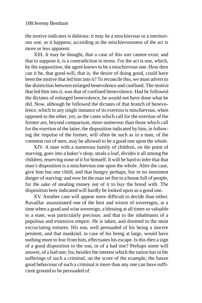the motive indicates is dubious: it may be a mischievous or a meritorious one, as it happens; according as the mischievousness of the act is more or less apparent.

XIII. It may be thought, that a case of this sort cannot exist; and that to suppose it, is a contradiction in terms. For the act is one, which, by the supposition, the agent knows to be a mischievous one. How then can it be, that good-will, that is, the desire of doing good, could have been the motive that led him into it? To reconcile this, we must advert to the distinction between enlarged benevolence and confined. The motive that led him into it, was that of confined benevolence. Had he followed the dictates of enlarged benevolence, he would not have done what he did. Now, although he followed the dictates of that branch of benevolence, which in any single instance of its exertion is mischievous, when opposed to the other, yet, as the cases which call for the exertion of the former are, beyond comparison, more numerous than those which call for the exertion of the latter, the disposition indicated by him, in following the impulse of the former, will often be such as in a man, of the common run of men, may be allowed to be a good one upon the whole.

XIV. A man with a numerous family of children, on the point of starving, goes into a baker's shop, steals a loaf, divides it all among the children, reserving none of it for himself. It will be hard to infer that that man's disposition is a mischievous one upon the whole. Alter the case, give him but one child, and that hungry perhaps, but in no imminent danger of starving: and now let the man set fire to a house full of people, for the sake of stealing money out of it to buy the bread with. The disposition here indicated will hardly be looked upon as a good one.

XV. Another case will appear more difficult to decide than either. Ravaillac assassinated one of the best and wisest of sovereigns, at a time when a good and wise sovereign, a blessing at all times so valuable to a state, was particularly precious: and that to the inhabitants of a populous and extensive empire. He is taken, and doomed to the most excruciating tortures. His son, well persuaded of his being a sincere penitent, and that mankind, in case of his being at large, would have nothing more to fear from him, effectuates his escape. Is this then a sign of a good disposition in the son, or of a bad one? Perhaps some will answer, of a bad one; for, besides the interest which the nation has in the sufferings of such a criminal, on the score of the example, the future good behaviour of such a criminal is more than any one can have sufficient ground to be persuaded of.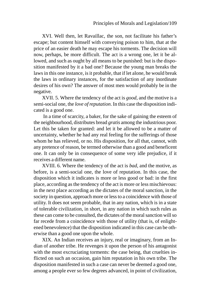XVI. Well then, let Ravaillac, the son, not facilitate his father's escape; but content himself with conveying poison to him, that at the price of an easier death he may escape his torments. The decision will now, perhaps, be more difficult. The act is a wrong one, let it be allowed, and such as ought by all means to be punished: but is the disposition manifested by it a bad one? Because the young man breaks the laws in this one instance, is it probable, that if let alone, he would break the laws in ordinary instances, for the satisfaction of any inordinate desires of his own? The answer of most men would probably be in the negative.

XVII. 5. Where the tendency of the act is *good*, and the motive is a semi-social one, the *love of reputation*. In this case the disposition indicated is a good one.

 In a time of scarcity, a baker, for the sake of gaining the esteem of the neighbourhood, distributes bread *gratis* among the industrious poor. Let this be taken for granted: and let it be allowed to be a matter of uncertainty, whether he had any real feeling for the sufferings of those whom he has relieved, or no. His disposition, for all that, cannot, with any pretence of reason, be termed otherwise than a good and beneficent one. It can only be in consequence of some very idle prejudice, if it receives a different name.

XVIII. 6. Where the tendency of the act is *bad*, and the motive, as before, is a semi-social one, the love of reputation. In this case, the disposition which it indicates is more or less good or bad: in the first place, according as the tendency of the act is more or less mischievous: in the next place according as the dictates of the moral sanction, in the society in question, approach more or less to a coincidence with those of utility. It does not seem probable, that in any nation, which is in a state of tolerable civilization, in short, in any nation in which such rules as these can come to be consulted, the dictates of the moral sanction will so far recede from a coincidence with those of utility (that is, of enlightened benevolence) that the disposition indicated in this case can be otherwise than a good one upon the whole.

XIX. An Indian receives an injury, real or imaginary, from an Indian of another tribe. He revenges it upon the person of his antagonist with the most excruciating torments: the case being, that cruelties inflicted on such an occasion, gain him reputation in his own tribe. The disposition manifested in such a case can never be deemed a good one, among a people ever so few degrees advanced, in point of civilization,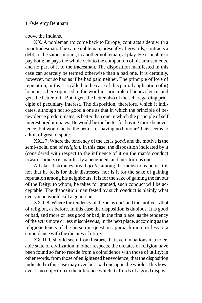### 110/Jeremy Bentham

above the Indians.

XX. A nobleman (to come back to Europe) contracts a debt with a poor tradesman. The same nobleman, presently afterwards, contracts a debt, to the same amount, to another nobleman, at play. He is unable to pay both: he pays the whole debt to the companion of his amusements, and no part of it to the tradesman. The disposition manifested in this case can scarcely be termed otherwise than a bad one. It is certainly, however, not so bad as if he had paid neither. The principle of love of reputation, or (as it is called in the case of this partial application of it) honour, is here opposed to the worthier principle of benevolence, and gets the better of it. But it gets the better also of the self-regarding principle of pecuniary interest. The disposition, therefore, which it indicates, although not so good a one as that in which the principle of benevolence predominates, is better than one in which the principle of self interest predominates. He would be the better for having more benevolence: but would he be the better for having no honour? This seems to admit of great dispute.

XXI. 7. Where the tendency of the act is *good*, and the motive is the semi-social one of *religion*. In this case, the disposition indicated by it (considered with respect to the influence of it on the man's conduct towards others) is manifestly a beneficent and meritorious one.

A baker distributes bread *gratis* among the industrious poor. It is not that he feels for their distresses: nor is it for the sake of gaining reputation among his neighbours. It is for the sake of gaining the favour of the Deity: to whom, he takes for granted, such conduct will be acceptable. The disposition manifested by such conduct is plainly what every man would call a good one.

XXII. 8. Where the tendency of the act is *bad*, and the motive is that of religion, as before. In this case the disposition is dubious. It is good or bad, and more or less good or bad, in the first place, as the tendency of the act is more or less mischievous; in the next place, according as the religious tenets of the person in question approach more or less to a coincidence with the dictates of utility.

XXIII. It should seem from history, that even in nations in a tolerable state of civilization in other respects, the dictates of religion have been found so far to recede from a coincidence with those of utility; in other words, from those of enlightened benevolence; that the disposition indicated in this case may even be a bad one upon the whole. This however is no objection to the inference which it affords of a good disposi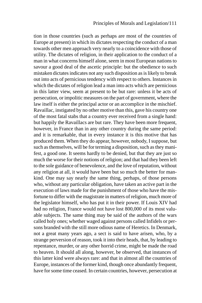tion in those countries (such as perhaps are most of the countries of Europe at present) in which its dictates respecting the conduct of a man towards other men approach very nearly to a coincidence with those of utility. The dictates of religion, in their application to the conduct of a man in what concerns himself alone, seem in most European nations to savour a good deal of the ascetic principle: but the obedience to such mistaken dictates indicates not any such disposition as is likely to break out into acts of pernicious tendency with respect to others. Instances in which the dictates of religion lead a man into acts which are pernicious in this latter view, seem at present to be but rare: unless it be acts of persecution, or impolitic measures on the part of government, where the law itself is either the principal actor or an accomplice in the mischief. Ravaillac, instigated by no other motive than this, gave his country one of the most fatal stabs that a country ever received from a single hand: but happily the Ravaillacs are but rare. They have been more frequent, however, in France than in any other country during the same period: and it is remarkable, that in every instance it is this motive that has produced them. When they do appear, however, nobody, I suppose, but such as themselves, will be for terming a disposition, such as they manifest, a good one. It seems hardly to be denied, but that they are just so much the worse for their notions of religion; and that had they been left to the sole guidance of benevolence, and the love of reputation, without any religion at all, it would have been but so much the better for mankind. One may say nearly the same thing, perhaps, of those persons who, without any particular obligation, have taken an active part in the execution of laws made for the punishment of those who have the misfortune to differ with the magistrate in matters of religion, much more of the legislator himself, who has put it in their power. If Louis XIV had had no religion, France would not have lost 800,000 of its most valuable subjects. The same thing may be said of the authors of the wars called holy ones; whether waged against persons called Infidels or persons branded with the still more odious name of Heretics. In Denmark, not a great many years ago, a sect is said to have arisen, who, by a strange perversion of reason, took it into their heads, that, by leading to repentance, murder, or any other horrid crime, might be made the road to heaven. It should all along, however, be observed, that instances of this latter kind were always rare: and that in almost all the countries of Europe, instances of the former kind, though once abundantly frequent, have for some time ceased. In certain countries, however, persecution at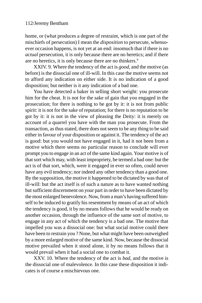### 112/Jeremy Bentham

home, or (what produces a degree of restraint, which is one part of the mischiefs of persecution) I mean the *disposition* to persecute, whensoever occasion happens, is not yet at an end: insomuch that if there is no *actual* persecution, it is only because there are no heretics; and if there are no heretics, it is only because there are no thinkers.9

XXIV. 9. Where the tendency of the act is *good*, and the motive (as before) is the dissocial one of ill-will. In this case the motive seems not to afford any indication on either side. It is no indication of a good disposition; but neither is it any indication of a bad one.

You have detected a baker in selling short weight: you prosecute him for the cheat. It is not for the sake of gain that you engaged in the prosecution; for there is nothing to be got by it: it is not from public spirit: it is not for the sake of reputation; for there is no reputation to be got by it: it is not in the view of pleasing the Deity: it is merely on account of a quarrel you have with the man you prosecute. From the transaction, as thus stated, there does not seem to be any thing to be said either in favour of your disposition or against it. The tendency of the act is good: but you would not have engaged in it, had it not been from a motive which there seems no particular reason to conclude will ever prompt you to engage in an act of the same kind again. Your motive is of that sort which may, with least impropriety, be termed a bad one: but the act is of that sort, which, were it engaged in ever so often, could never have any evil tendency; nor indeed any other tendency than a good one. By the supposition, the motive it happened to be dictated by was that of ill-will: but the act itself is of such a nature as to have wanted nothing but sufficient discernment on your part in order to have been dictated by the most enlarged benevolence. Now, from a man's having suffered himself to be induced to gratify his resentment by means of an act of which the tendency is good, it by no means follows that he would be ready on another occasion, through the influence of the same sort of motive, to engage in any act of which the tendency is a bad one. The motive that impelled you was a dissocial one: but what social motive could there have been to restrain you ? None, but what might have been outweighed by a more enlarged motive of the same kind. Now, because the dissocial motive prevailed when it stood alone, it by no means follows that it would prevail when it had a social one to combat it.

XXV. 10. Where the tendency of the act is *bad*, and the motive is the dissocial one of malevolence. In this case these disposition it indicates is of course a mischievous one.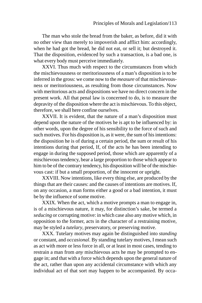The man who stole the bread from the baker, as before, did it with no other view than merely to impoverish and afflict him: accordingly, when he had got the bread, he did not eat, or sell it; but destroyed it. That the disposition, evidenced by such a transaction, is a bad one, is what every body must perceive immediately.

XXVI. Thus much with respect to the circumstances from which the mischievousness or meritoriousness of a man's disposition is to be inferred in the gross: we come now to the *measure* of that mischievousness or meritoriousness, as resulting from those circumstances. Now with meritorious acts and dispositions we have no direct concern in the present work. All that penal law is concerned to do, is to measure the depravity of the disposition where the act is mischievous. To this object, therefore, we shall here confine ourselves.

XXVII. It is evident, that the nature of a man's disposition must depend upon the nature of the motives he is apt to be influenced by: in other words, upon the degree of his sensibility to the force of such and such motives. For his disposition is, as it were, the sum of his intentions: the disposition he is of during a certain period, the sum or result of his intentions during that period, If, of the acts he has been intending to engage in during the supposed period, those which are apparently of a mischievous tendency, bear a large proportion to those which appear to him to be of the contrary tendency, his disposition will be of the mischievous cast: if but a small proportion, of the innocent or upright.

XXVIII. Now intentions, like every thing else, are produced by the things that are their causes: and the causes of intentions are motives. If, on any occasion, a man forms either a good or a bad intention, it must be by the influence of some motive.

XXIX. When the act, which a motive prompts a man to engage in, is of a mischievous nature, it may, for distinction's sake, be termed a *seducing* or corrupting motive: in which case also any motive which, in opposition to the former, acts in the character of a restraining motive, may be styled a *tutelary*, preservatory, or preserving motive.

XXX. Tutelary motives may again be distinguished into *standing* or constant, and *occasional*. By standing tutelary motives, I mean such as act with more or less force in all, or at least in most cases, tending to restrain a man from *any* mischievous acts he may be prompted to engage in; and that with a force which depends upon the general nature of the act, rather than upon any accidental circumstance with which any individual act of that sort may happen to be accompanied. By occa-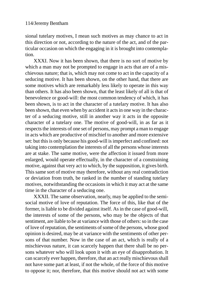sional tutelary motives, I mean such motives as may chance to act in this direction or not, according to the nature of the act, and of the particular occasion on which the engaging in it is brought into contemplation.

XXXI. Now it has been shown, that there is no sort of motive by which a man may not be prompted to engage in acts that are of a mischievous nature; that is, which may not come to act in the capacity of a seducing motive. It has been shown, on the other hand, that there are some motives which are remarkably less likely to operate in this way than others. It has also been shown, that the least likely of all is that of benevolence or good-will: the most common tendency of which, it has been shown, is to act in the character of a tutelary motive. It has also been shown, that even when by accident it acts in one way in the character of a seducing motive, still in another way it acts in the opposite character of a tutelary one. The motive of good-will, in as far as it respects the interests of one set of persons, may prompt a man to engage in acts which are productive of mischief to another and more extensive set: but this is only because his good-will is imperfect and confined: not taking into contemplation the interests of all the persons whose interests are at stake. The same motive, were the affection it issued from more enlarged, would operate effectually, in the character of a constraining motive, against that very act to which, by the supposition, it gives birth. This same sort of motive may therefore, without any real contradiction or deviation from truth, be ranked in the number of standing tutelary motives, notwithstanding the occasions in which it may act at the same time in the character of a seducing one.

XXXII. The same observation, nearly, may be applied to the semisocial motive of love of reputation. The force of this, like that of the former, is liable to be divided against itself. As in the case of good-will, the interests of some of the persons, who may be the objects of that sentiment, are liable to be at variance with those of others: so in the case of love of reputation, the sentiments of some of the persons, whose good opinion is desired, may be at variance with the sentiments of other persons of that number. Now in the case of an act, which is really of a mischievous nature, it can scarcely happen that there shall be no persons whatever who will look upon it with an eye of disapprobation. It can scarcely ever happen, therefore, that an act really mischievous shall not have some part at least, if not the whole, of the force of this motive to oppose it; nor, therefore, that this motive should not act with some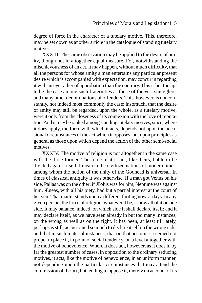degree of force in the character of a tutelary motive. This, therefore, may be set down as another article in the catalogue of standing tutelary motives.

XXXIII. The same observation may be applied to the desire of amity, though not in altogether equal measure. For, notwithstanding the mischievousness of an act, it may happen, without much difficulty, that all the persons for whose amity a man entertains any particular present desire which is accompanied with expectation, may concur in regarding it with an eye rather of approbation than the contrary. This is but too apt to be the case among such fraternities as those of thieves, smugglers, and many other denominations of offenders. This, however, is not constantly, nor indeed most commonly the case: insomuch, that the desire of amity may still be regarded, upon the whole, as a tutelary motive, were it only from the closeness of its connexion with the love of reputation. And it may be ranked among standing tutelary motives, since, where it does apply, the force with which it acts, depends not upon the occasional circumstances of the act which it opposes, but upon principles as general as those upon which depend the action of the other semi-social motives.

XXXIV. The motive of religion is not altogether in the same case with the three former. The force of it is not, like theirs, liable to be divided against itself. I mean in the civilized nations of modern times, among whom the notion of the unity of the Godhead is universal. In times of classical antiquity it was otherwise. If a man got Venus on his side, Pallas was on the other: if Æolus was for him, Neptune was against him. Æneas, with all his piety, had but a partial interest at the court of heaven. That matter stands upon a different footing now-a-days. In any given person, the force of religion, whatever it be, is now all of it on one side. It may balance, indeed, on which side it shall declare itself: and it may declare itself, as we have seen already in but too many instances, on the wrong as well as on the right. It has been, at least till lately, perhaps is still, accustomed so much to declare itself on the wrong side, and that in such material instances, that on that account it seemed not proper to place it, in point of social tendency, on a level altogether with the motive of benevolence. Where it does act, however, as it does in by far the greatest number of cases, in opposition to the ordinary seducing motives, it acts, like the motive of benevolence, in an uniform manner, not depending upon the particular circumstances that may attend the commission of the act; but tending to oppose it, merely on account of its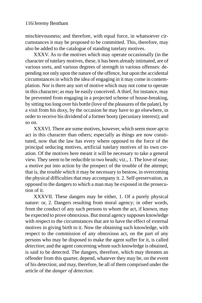mischievousness; and therefore, with equal force, in whatsoever circumstances it may be proposed to be committed. This, therefore, may also be added to the catalogue of standing tutelary motives.

XXXV. As to the motives which may operate occasionally (in the character of tutelary motives, these, it has been already intimated, are of various sorts, and various degrees of strength in various offenses: depending not only upon the nature of the offence, but upon the accidental circumstances in which the idea of engaging in it may come in contemplation. Nor is there any sort of motive which may not come to operate in this character; as may be easily conceived. A thief, for instance, may be prevented from engaging in a projected scheme of house-breaking, by sitting too long over his bottle (love of the pleasures of the palate), by a visit from his doxy, by the occasion he may have to go elsewhere, in order to receive his dividend of a former booty (pecuniary interest); and so on.

XXXVI. There are some motives, however, which seem more apt to act in this character than others; especially as things are now constituted, now that the law has every where opposed to the force of the principal seducing motives, artificial tutelary motives of its own creation. Of the motives here meant it will be necessary to take a general view. They seem to be reducible to two heads; viz., 1. The love of ease; a motive put into action by the prospect of the trouble of the attempt; that is, the trouble which it may be necessary to bestow, in overcoming the physical difficulties that may accompany it. 2. Self-preservation, as opposed to the dangers to which a man may be exposed in the prosecution of it.

XXXVII. These dangers may be either, 1. Of a purely physical nature: or, 2. Dangers resulting from moral agency; in other words, from the conduct of any such persons to whom the act, if known, may be expected to prove obnoxious. But moral agency supposes knowledge with respect to the circumstances that are to have the effect of external motives in giving birth to it. Now the obtaining such knowledge, with respect to the commission of any obnoxious act, on the part of any persons who may be disposed to make the agent suffer for it, is called *detection*; and the agent concerning whom such knowledge is obtained, is said to be detected. The dangers, therefore, which may threaten an offender from this quarter, depend, whatever they may be, on the event of his detection; and may, therefore, be all of them comprised under the article of the *danger of detection*.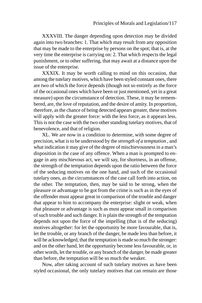XXXVIII. The danger depending upon detection may be divided again into two branches: 1. That which may result from any opposition that may be made to the enterprise by persons on the spot; that is, at the very time the enterprise is carrying on: 2. That which respects the legal punishment, or to other suffering, that may await at a distance upon the issue of the enterprise.

XXXIX. It may be worth calling to mind on this occasion, that among the tutelary motives, which have been styled constant ones, there are two of which the force depends (though not so entirely as the force of the occasional ones which have been or just mentioned, yet in a great measure) upon the circumstance of detection. These, it may be remembered, are, the love of reputation, and the desire of amity. In proportion, therefore, as the chance of being detected appears greater, these motives will apply with the greater force: with the less force, as it appears less. This is not the case with the two other standing tutelary motives, that of benevolence, and that of religion.

XL. We are now in a condition to determine, with some degree of precision, what is to be understood by the *strength of a temptation* , and what indication it may give of the degree of mischievousness in a man's disposition in the case of any offence. When a man is prompted to engage in any mischievous act, we will say, for shortness, in an offense, the strength of the temptation depends upon the ratio between the force of the seducing motives on the one hand, and such of the occasional tutelary ones, as the circumstances of the case call forth into action, on the other. The temptation, then, may be said to be strong, when the pleasure or advantage to be got from the crime is such as in the eyes of the offender must appear great in comparison of the trouble and danger that appear to him to accompany the enterprise: slight or weak, when that pleasure or advantage is such as must appear small in comparison of such trouble and such danger. It is plain the strength of the temptation depends not upon the force of the impelling (that is of the seducing) motives altogether: for let the opportunity be more favourable, that is, let the trouble, or any branch of the danger, be made less than before, it will be acknowledged, that the temptation is made so much the stronger: and on the other hand, let the opportunity become less favourable, or, in other words, let the trouble, or any branch of the danger, be made greater than before, the temptation will be so much the weaker.

Now, after taking account of such tutelary motives as have been styled occasional, the only tutelary motives that can remain are those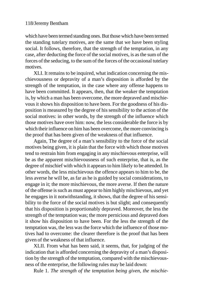which have been termed standing ones. But those which have been termed the standing tutelary motives, are the same that we have been styling social. It follows, therefore, that the strength of the temptation, in any case, after deducting the force of the social motives, is as the sum of the forces of the seducing, to the sum of the forces of the occasional tutelary motives.

XLI. It remains to be inquired, what indication concerning the mischievousness or depravity of a man's disposition is afforded by the strength of the temptation, in the case where any offense happens to have been committed. It appears, then, that the weaker the temptation is, by which a man has been overcome, the more depraved and mischievous it shows his disposition to have been. For the goodness of his disposition is measured by the degree of his sensibility to the action of the social motives: in other words, by the strength of the influence which those motives have over him: now, the less considerable the force is by which their influence on him has been overcome, the more convincing is the proof that has been given of the weakness of that influence.

Again, The degree of a man's sensibility to the force of the social motives being given, it is plain that the force with which those motives tend to restrain him from engaging in any mischievous enterprise, will be as the apparent mischievousness of such enterprise, that is, as the degree of mischief with which it appears to him likely to be attended. In other words, the less mischievous the offence appears to him to be, the less averse he will be, as far as he is guided by social considerations, to engage in it; the more mischievous, the more averse. If then the nature of the offense is such as must appear to him highly mischievous, and yet he engages in it notwithstanding, it shows, that the degree of his sensibility to the force of the social motives is but slight; and consequently that his disposition is proportionably depraved. Moreover, the less the strength of the temptation was; the more pernicious and depraved does it show his disposition to have been. For the less the strength of the temptation was, the less was the force which the influence of those motives had to overcome: the clearer therefore is the proof that has been given of the weakness of that influence.

XLII. From what has been said, it seems, that, for judging of the indication that is afforded concerning the depravity of a man's disposition by the strength of the temptation, compared with the mischievousness of the enterprise, the following rules may be laid down:

Rule 1. *The strength of the temptation being given, the mischie-*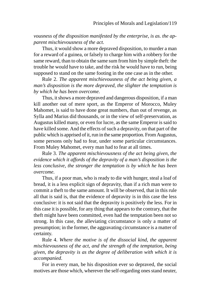*vousness of the disposition manifested by the enterprise, is as. the apparent mischievousness of the act.*

Thus, it would show a more depraved disposition, to murder a man for a reward of a guinea, or falsely to charge him with a robbery for the same reward, than to obtain the same sum from him by simple theft: the trouble he would have to take, and the risk he would have to run, being supposed to stand on the same footing in the one case as in the other.

Rule 2. *The apparent mischievousness of the act being given, a man's disposition is the more depraved, the slighter the temptation is by which he has been overcome*.

Thus, it shows a more depraved and dangerous disposition, if a man kill another out of mere sport, as the Emperor of Morocco, Muley Mahomet, is said to have done great numbers, than out of revenge, as Sylla and Marius did thousands, or in the view of self-preservation, as Augustus killed many, or even for lucre, as the same Emperor is said to have killed some. And the effects of such a depravity, on that part of the public which is apprised of it, run in the same proportion. From Augustus, some persons only had to fear, under some particular circumstances. From Muley Mahomet, every man had to fear at all times.

Rule 3. *The apparent mischievousness of the act being given, the evidence which it affords of the depravity of a man's disposition is the less conclusive, the stronger the temptation is by which he has been overcome*.

Thus, if a poor man, who is ready to die with hunger, steal a loaf of bread, it is a less explicit sign of depravity, than if a rich man were to commit a theft to the same amount. It will be observed, that in this rule all that is said is, that the evidence of depravity is in this case the less conclusive: it is not said that the depravity is positively the less. For in this case it is possible, for any thing that appears to the contrary, that the theft might have been committed, even had the temptation been not so strong. In this case, the alleviating circumstance is only a matter of presumption; in the former, the aggravating circumstance is a matter of certainty.

Rule 4. *Where the motive is of the dissocial kind, the apparent mischievousness of the act, and the strength of the temptation, being given, the depravity is as the degree of deliberation with which it is accompanied*.

For in every man, be his disposition ever so depraved, the social motives are those which, wherever the self-regarding ones stand neuter,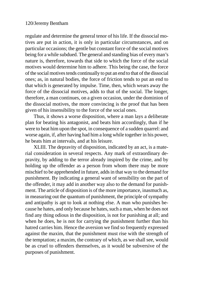### 120/Jeremy Bentham

regulate and determine the general tenor of his life. If the dissocial motives are put in action, it is only in particular circumstances, and on particular occasions; the gentle but constant force of the social motives being for a while subdued. The general and standing bias of every man's nature is, therefore, towards that side to which the force of the social motives would determine him to adhere. This being the case, the force of the social motives tends continually to put an end to that of the dissocial ones; as, in natural bodies, the force of friction tends to put an end to that which is generated by impulse. Time, then, which wears away the force of the dissocial motives, adds to that of the social. The longer, therefore, a man continues, on a given occasion, under the dominion of the dissocial motives, the more convincing is the proof that has been given of his insensibility to the force of the social ones.

Thus, it shows a worse disposition, where a man lays a deliberate plan for beating his antagonist, and beats him accordingly, than if he were to beat him upon the spot, in consequence of a sudden quarrel: and worse again, if, after having had him a long while together in his power, he beats him at intervals, and at his leisure.

XLIII. The depravity of disposition, indicated by an act, is a material consideration in several respects. Any mark of extraordinary depravity, by adding to the terror already inspired by the crime, and by holding up the offender as a person from whom there may be more mischief to be apprehended in future, adds in that way to the demand for punishment. By indicating a general want of sensibility on the part of the offender, it may add in another way also to the demand for punishment. The article of disposition is of the more importance, inasmuch as, in measuring out the quantum of punishment, the principle of sympathy and antipathy is apt to look at nothing else. A man who punishes because he hates, and only because he hates, such a man, when he does not find any thing odious in the disposition, is not for punishing at all; and when he does, he is not for carrying the punishment further than his hatred carries him. Hence the aversion we find so frequently expressed against the maxim, that the punishment must rise with the strength of the temptation; a maxim, the contrary of which, as we shall see, would be as cruel to offenders themselves, as it would be subversive of the purposes of punishment.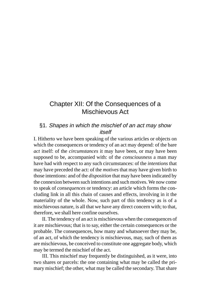# Chapter XII: Of the Consequences of a Mischievous Act

## §1. Shapes in which the mischief of an act may show itself

I. Hitherto we have been speaking of the various articles or objects on which the consequences or tendency of an act may depend: of the bare *act* itself: of the *circumstances* it may have been, or may have been supposed to be, accompanied with: of the *consciousness* a man may have had with respect to any such circumstances: of the *intentions* that may have preceded the act: of the *motives* that may have given birth to those intentions: and of the *disposition* that may have been indicated by the connexion between such intentions and such motives. We now come to speak of *consequences* or tendency: an article which forms the concluding link in all this chain of causes and effects, involving in it the materiality of the whole. Now, such part of this tendency as is of a mischievous nature, is all that we have any direct concern with; to that, therefore, we shall here confine ourselves.

II. The tendency of an act is mischievous when the consequences of it are mischievous; that is to say, either the certain consequences or the probable. The consequences, how many and whatsoever they may be, of an act, of which the tendency is mischievous, may, such of them as are mischievous, be conceived to constitute one aggregate body, which may be termed the mischief of the act.

III. This mischief may frequently be distinguished, as it were, into two shares or parcels: the one containing what may be called the primary mischief; the other, what may be called the secondary. That share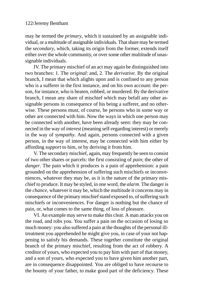may be termed the *primary*, which it sustained by an assignable individual, or a multitude of assignable individuals. That share may be termed the *secondary*, which, taking its origin from the former, extends itself either over the whole community, or over some other multitude of unassignable individuals.

IV. The primary mischief of an act may again be distinguished into two branches: 1. The *original*: and, 2. The *derivative*. By the original branch, I mean that which alights upon and is confined to any person who is a sufferer in the first instance, and on his own account: the person, for instance, who is beaten, robbed, or murdered. By the derivative branch, I mean any share of mischief which may befall any other assignable persons in consequence of his being a sufferer, and no otherwise. These persons must, of course, be persons who in some way or other are connected with him. Now the ways in which one person may be connected with another, have been already seen: they may be connected in the way of *interest* (meaning self-regarding interest) or merely in the way of *sympathy*. And again, persons connected with a given person, in the way of interest, may be connected with him either by affording *support* to him, or by deriving it from him.

V. The secondary mischief, again, may frequently be seen to consist of two other shares or parcels: the first consisting of *pain*; the other of *danger*. The pain which it produces is a pain of apprehension: a pain grounded on the apprehension of suffering such mischiefs or inconveniences, whatever they may be, as it is the nature of the primary mischief to produce. It may be styled, in one word, the *alarm*. The danger is the *chance*, whatever it may be, which the multitude it concerns may in consequence of the primary mischief stand exposed to, of suffering such mischiefs or inconveniences. For danger is nothing but the chance of pain, or, what comes to the same thing, of loss of pleasure.

VI. An example may serve to make this clear. A man attacks you on the road, and robs you. You suffer a pain on the occasion of losing so much money: you also suffered a pain at the thoughts of the personal illtreatment you apprehended he might give you, in case of your not happening to satisfy his demands. These together constitute the original branch of the primary mischief, resulting from the act of robbery. A creditor of yours, who expected you to pay him with part of that money, and a son of yours, who expected you to have given him another part, are in consequence disappointed. You are obliged to have recourse to the bounty of your father, to make good part of the deficiency. These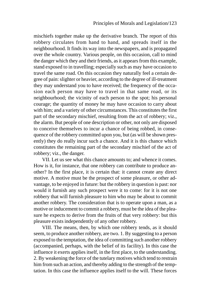mischiefs together make up the derivative branch. The report of this robbery circulates from hand to hand, and spreads itself in the neighbourhood. It finds its way into the newspapers, and is propagated over the whole country. Various people, on this occasion, call to mind the danger which they and their friends, as it appears from this example, stand exposed to in travelling; especially such as may have occasion to travel the same road. On this occasion they naturally feel a certain degree of pain: slighter or heavier, according to the degree of ill-treatment they may understand you to have received; the frequency of the occasion each person may have to travel in that same road, or its neighbourhood; the vicinity of each person to the spot; his personal courage; the quantity of money he may have occasion to carry about with him; and a variety of other circumstances. This constitutes the first part of the secondary mischief, resulting from the act of robbery; viz., the alarm. But people of one description or other, not only are disposed to conceive themselves to incur a chance of being robbed, in consequence of the robbery committed upon you, but (as will be shown presently) they do really incur such a chance. And it is this chance which constitutes the remaining part of the secondary mischief of the act of robbery; viz., the danger.

VII. Let us see what this chance amounts to; and whence it comes. How is it, for instance, that one robbery can contribute to produce another? In the first place, it is certain that: it cannot create any direct motive. A motive must be the prospect of some pleasure, or other advantage, to be enjoyed in future: but the robbery in question is past: nor would it furnish any such prospect were it to come: for it is not one robbery that will furnish pleasure to him who may be about to commit another robbery. The consideration that is to operate upon a man, as a motive or inducement to commit a robbery, must be the idea of the pleasure he expects to derive from the fruits of that very robbery: but this pleasure exists independently of any other robbery.

VIII. The means, then, by which one robbery tends, as it should seem, to produce another robbery, are two. 1. By suggesting to a person exposed to the temptation, the idea of committing such another robbery (accompanied, perhaps, with the belief of its facility). In this case the influence it exerts applies itself, in the first place, to the understanding. 2. By weakening the force of the tutelary motives which tend to restrain him from such an action, and thereby adding to the strength of the temptation. In this case the influence applies itself to the will. These forces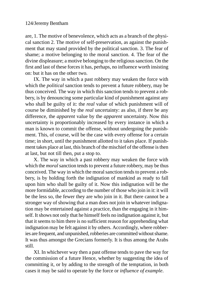are, 1. The motive of benevolence, which acts as a branch of the physical sanction 2. The motive of self-preservation, as against the punishment that may stand provided by the political sanction. 3. The fear of shame; a motive belonging to the moral sanction. 4. The fear of the divine displeasure; a motive belonging to the religious sanction. On the first and last of these forces it has, perhaps, no influence worth insisting on: but it has on the other two.

IX. The way in which a past robbery may weaken the force with which the *political* sanction tends to prevent a future robbery, may be thus conceived. The way in which this sanction tends to prevent a robbery, is by denouncing some particular kind of punishment against any who shall be guilty of it: the *real* value of which punishment will of course be diminished by the *real* uncertainty: as also, if there be any difference, the *apparent* value by the *apparent* uncertainty. Now this uncertainty is proportionably increased by every instance in which a man is known to commit the offense, without undergoing the punishment. This, of course, will be the case with every offense for a certain time; in short, until the punishment allotted to it takes place. If punishment takes place at last, this branch of the mischief of the offense is then at last, but not till then, put a stop to.

X. The way in which a past robbery may weaken the force with which the *moral* sanction tends to prevent a future robbery, may be thus conceived. The way in which the moral sanction tends to prevent a robbery, is by holding forth the indignation of mankind as ready to fall upon him who shall be guilty of it. Now this indignation will be the more formidable, according to the number of those who join in it: it will be the less so, the fewer they are who join in it. But there cannot be a stronger way of showing that a man does not join in whatever indignation may be entertained against a practice, than the engaging in it himself. It shows not only that he himself feels no indignation against it, but that it seems to him there is no sufficient reason for apprehending what indignation may be felt against it by others. Accordingly, where robberies are frequent, and unpunished, robberies are committed without shame. It was thus amongst the Grecians formerly. It is thus among the Arabs still.

XI. In whichever way then a past offense tends to pave the way for the commission of a future Hence, whether by suggesting the idea of committing it, or by adding to the strength of the temptation, in both cases it may be said to operate by the force or *influence of example*.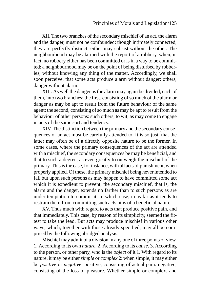XII. The two branches of the secondary mischief of an act, the alarm and the danger, must not be confounded: though intimately connected, they are perfectly distinct: either may subsist without the other. The neighbourhood may be alarmed with the report of a robbery, when, in fact, no robbery either has been committed or is in a way to be committed: a neighbourhood may be on the point of being disturbed by robberies, without knowing any thing of the matter. Accordingly, we shall soon perceive, that some acts produce alarm without danger: others, danger without alarm.

XIII. As well the danger as the alarm may again be divided, each of them, into two branches: the first, consisting of so much of the alarm or danger as may be apt to result from the future behaviour of the same agent: the second, consisting of so much as may be apt to result from the behaviour of other persons: such others, to wit, as may come to engage in acts of the same sort and tendency.

XIV. The distinction between the primary and the secondary consequences of an act must be carefully attended to. It is so just, that the latter may often be of a directly opposite nature to be the former. In some cases, where the primary consequences of the act are attended with a mischief, the secondary consequences be may be beneficial, and that to such a degree, as even greatly to outweigh the mischief of the primary. This is the case, for instance, with all acts of punishment, when properly applied. Of these, the primary mischief being never intended to fall but upon such persons as may happen to have committed some act which it is expedient to prevent, the secondary mischief, that is, the alarm and the danger, extends no farther than to such persons as are under temptation to commit it: in which case, in as far as it tends to restrain them from committing such acts, it is of a beneficial nature.

XV. Thus much with regard to acts that produce positive pain, and that immediately. This case, by reason of its simplicity, seemed the fittest to take the lead. But acts may produce mischief in various other ways; which, together with those already specified, may all be comprised by the following abridged analysis.

Mischief may admit of a division in any one of three points of view. 1. According to its own *nature*. 2. According to its *cause*. 3. According to the person, or other party, who is the *object* of it 1. With regard to its nature, it may be either *simple* or *complex* 2: when simple, it may either be *positive* or *negative*: positive, consisting of actual pain: negative, consisting of the loss of pleasure. Whether simple or complex, and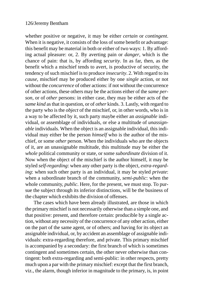### 126/Jeremy Bentham

whether positive or negative, it may be either *certain* or *contingent*. When it is negative, it consists of the loss of some benefit or advantage: this benefit may be material in both or either of two ways: 1. By affording actual pleasure: or, 2. By averting pain or *danger*, which is the chance of pain: that is, by affording *security*. In as far, then, as the benefit which a mischief tends to avert, is productive of security, the tendency of such mischief is to produce *insecurity*. 2. With regard to its *cause*, mischief may be produced either by one *single* action, or not without the *concurrence* of other actions: if not without the concurrence of other actions, these others may be the actions either of the *same person*, or of *other* persons: in either case, they may be either acts of the *same kind* as that in question, or of *other* kinds. 3. Lastly, with regard to the party who is the *object* of the mischief, or, in other words, who is in a way to be affected by it, such party maybe either an *assignable* individual, or assemblage of individuals, or else a multitude of *unassignable* individuals. When the object is an assignable individual, this individual may either be the person *himself* who is the author of the mischief, or some *other* person. When the individuals who are the objects of it, are an unassignable multitude, this multitude may be either the *whole* political community or state, or some *subordinate* division of it. Now when the object of the mischief is the author himself, it may be styled *self-regarding*: when any other party is the object, *extra-regarding*: when such other party is an individual, it may be styled *private*: when a subordinate branch of the community, *semi-public*: when the whole community, *public*. Here, for the present, we must stop. To pursue the subject through its inferior distinctions, will be the business of the chapter which exhibits the division of offenses.

The cases which have been already illustrated, are those in which the primary mischief is not necessarily otherwise than a simple one, and that positive: present, and therefore certain: producible by a single action, without any necessity of the concurrence of any other action, either on the part of the same agent, or of others; and having for its object an assignable individual, or, by accident an assemblage of assignable individuals: extra-regarding therefore, and private. This primary mischief is accompanied by a secondary: the first branch of which is sometimes contingent and sometimes certain, the other never otherwise than contingent: both extra-regarding and semi-public: in other respects, pretty much upon a par with the primary mischief: except that the first branch, viz., the alarm, though inferior in magnitude to the primary, is, in point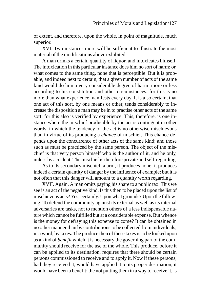of extent, and therefore, upon the whole, in point of magnitude, much superior.

XVI. Two instances more will be sufficient to illustrate the most material of the modifications above exhibited.

A man drinks a certain quantity of liquor, and intoxicates himself. The intoxication in this particular instance does him no sort of harm: or, what comes to the same thing, none that is perceptible. But it is probable, and indeed next to certain, that a given number of acts of the same kind would do him a very considerable degree of harm: more or less according to his constitution and other circumstances: for this is no more than what experience manifests every day. It is also certain, that one act of this sort, by one means or other, tends considerably to increase the disposition a man may be in to practise other acts of the same sort: for this also is verified by experience. This, therefore, is one instance where the mischief producible by the act is contingent in other words, in which the tendency of the act is no otherwise mischievous than in virtue of its producing a *chance* of mischief. This chance depends upon the concurrence of other acts of the same kind; and those such as must be practiced by the same person. The object of the mischief is that very person himself who is the author of it, and he only, unless by accident. The mischief is therefore private and self-regarding.

As to its secondary mischief, alarm, it produces none: it produces indeed a certain quantity of danger by the influence of example: but it is not often that this danger will amount to a quantity worth regarding.

XVII. Again. A man omits paying his share to a public tax. This we see is an act of the negative kind. Is this then to be placed upon the list of mischievous acts? Yes, certainly. Upon what grounds? Upon the following. To defend the community against its external as well as its internal adversaries are tasks, not to mention others of a less indispensable nature which cannot be fulfilled but at a considerable expense. But whence is the money for defraying this expense to come? It can be obtained in no other manner than by contributions to be collected from individuals; in a word, by taxes. The produce then of these taxes is to be looked upon as a kind of *benefit* which it is necessary the governing part of the community should receive for the use of the whole. This produce, before it can be applied to its destination, requires that there should be certain persons commissioned to receive and to apply it. Now if these persons, had they received it, would have applied it to its proper destination, it would have been a benefit: the not putting them in a way to receive it, is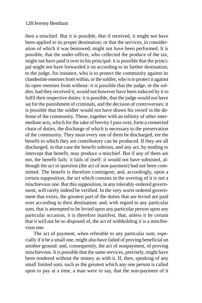### 128/Jeremy Bentham

then a mischief. But it is possible, that if received, it might not have been applied to its proper destination; or that the services, in consideration of which it was bestowed, might not have been performed. It is possible, that the under-officer, who collected the produce of the tax, might not have paid it over to his principal: it is possible that the principal might not have forwarded it on according to its farther destination; to the judge, for instance, who is to protect the community against its clandestine enemies from within, or the soldier, who is to protect it against its open enemies from without: it is possible that the judge, or the soldier, had they received it, would not however have been induced by it to fulfil their respective duties: it is possible, that the judge would not have sat for the punishment of criminals, and the decision of controversies: it is possible that the soldier would not have drawn his sword in the defense of the community. These, together with an infinity of other intermediate acts, which for the sake of brevity I pass over, form a connected chain of duties, the discharge of which is necessary to the preservation of the community. They must every one of them be discharged, ere the benefit to which they are contributory can be produced. If they are all discharged, in that case the benefit subsists, and any act, by tending to intercept that benefit, may produce a mischief. But if any of them are not, the benefit fails: it fails of itself: it would not have subsisted, although the act in question (the act of non-payment) had not been committed. The benefit is therefore contingent; and, accordingly, upon a certain supposition, the act which consists in the averting of it is not a mischievous one. But this supposition, in any tolerably-ordered government, will rarely indeed be verified. In the very worst ordered government that exists, the greatest part of the duties that are levied are paid over according to their destination: and, with regard to any particular sum, that is attempted to be levied upon any particular person upon any particular occasion, it is therefore manifest, that, unless it be certain that it will not be so disposed of, the act of withholding it is a mischievous one.

The act of payment, when referable to any particular sum, especially if it be a small one, might also have failed of proving beneficial on another ground: and, consequently, the act of nonpayment, of proving mischievous. It is possible that the same services, precisely, might have been rendered without the money as with it. If, then, speaking of any small limited sum, such as the greatest which any one person is called upon to pay at a time, a man were to say, that the non-payment of it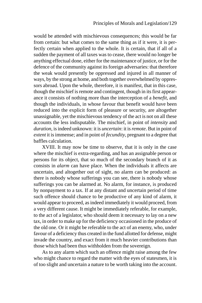would be attended with mischievous consequences; this would be far from certain: but what comes to the same thing as if it were, it is perfectly certain when applied to the whole. It is certain, that if all of a sudden the payment of all taxes was to cease, there would no longer be anything effectual done, either for the maintenance of justice, or for the defence of the community against its foreign adversaries: that therefore the weak would presently be oppressed and injured in all manner of ways, by the strong at home, and both together overwhelmed by oppressors abroad. Upon the whole, therefore, it is manifest, that in this case, though the mischief is remote and contingent, though in its first appearance it consists of nothing more than the interception of a *benefit*, and though the individuals, in whose favour that benefit would have been reduced into the explicit form of pleasure or security, are altogether unassignable, yet the mischievous tendency of the act is not on all these accounts the less indisputable. The mischief, in point of *intensity* and *duration*, is indeed unknown: it is *uncertain*: it is *remote*. But in point of *extent* it is immense; and in point of *fecundity*, pregnant to a degree that baffles calculation.

XVIII. It may now be time to observe, that it is only in the case where the mischief is extra-regarding, and has an assignable person or persons for its object, that so much of the secondary branch of it as consists in *alarm* can have place. When the individuals it affects are uncertain, and altogether out of sight, no alarm can be produced: as there is nobody whose sufferings you can see, there is nobody whose sufferings you can be alarmed at. No alarm, for instance, is produced by nonpayment to a tax. If at any distant and uncertain period of time such offence should chance to be productive of any kind of alarm, it would appear to proceed, as indeed immediately it would proceed, from a very different cause. It might be immediately referable, for example, to the act of a legislator, who should deem it necessary to lay on a new tax, in order to make up for the deficiency occasioned in the produce of the old one. Or it might be referable to the act of an enemy, who, under favour of a deficiency thus created in the fund allotted for defense, might invade the country, and exact from it much heavier contributions than those which had been thus withholden from the sovereign.

As to any alarm which such an offence might raise among the few who might chance to regard the matter with the eyes of statesmen, it is of too slight and uncertain a nature to be worth taking into the account.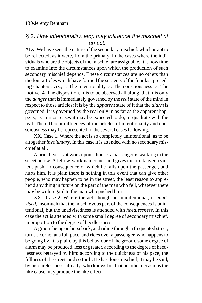## § 2. How intentionality, etc;. may influence the mischief of an act.

XIX. We have seen the nature of the secondary mischief, which is apt to be reflected, as it were, from the primary, in the cases where the individuals who are the objects of the mischief are assignable. It is now time to examine into the circumstances upon which the production of such secondary mischief depends. These circumstances are no others than the four articles which have formed the subjects of the four last preceding chapters: viz., 1. The intentionality, 2. The consciousness. 3. The motive. 4. The disposition. It is to be observed all along, that it is only the *danger* that is immediately governed by the *real* state of the mind in respect to those articles: it is by the *apparent* state of it that the *alarm* is governed. It is governed by the real only in as far as the apparent happens, as in most cases it may be expected to do, to quadrate with the real. The different influences of the articles of intentionality and consciousness may be represented in the several cases following.

XX. Case 1. Where the act is so completely unintentional, as to be altogether *involuntary*. In this case it is attended with no secondary mischief at all.

A bricklayer is at work upon a house: a passenger is walking in the street below. A fellow-workman comes and gives the bricklayer a violent push, in consequence of which he falls upon the passenger, and hurts him. It is plain there is nothing in this event that can give other people, who may happen to be in the street, the least reason to apprehend any thing in future on the part of the man who fell, whatever there may be with regard to the man who pushed him.

XXI. Case 2. Where the act, though not unintentional, is *unadvised*, insomuch that the mischievous part of the consequences is unintentional, but the unadvisedness is attended with *heedlessness*. In this case the act is attended with some small degree of secondary mischief, in proportion to the degree of heedlessness.

A groom being on horseback, and riding through a frequented street, turns a corner at a full pace, and rides over a passenger, who happens to be going by. It is plain, by this behaviour of the groom, some degree of alarm may be produced, less or greater, according to the degree of heedlessness betrayed by him: according to the quickness of his pace, the fullness of the street, and so forth. He has done mischief, it may be said, by his carelessness, already: who knows but that on other occasions the like cause may produce the like effect.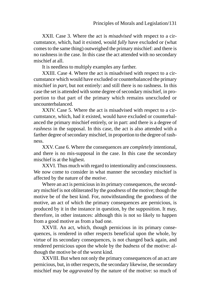XXII. Case 3. Where the act is *misadvised* with respect to a circumstance, which, had it existed, would *fully* have excluded or (what comes to the same thing) outweighed the primary mischief: and there is no rashness in the case. In this case the act attended with no secondary mischief at all.

It is needless to multiply examples any farther.

XXIII. Case 4. Where the act is misadvised with respect to a circumstance which would have excluded or counterbalanced the primary mischief in *part*, but not entirely: and still there is no rashness. In this case the set is attended with some degree of secondary mischief, in proportion to that part of the primary which remains unexcluded or uncounterbalanced.

XXIV. Case 5. Where the act is misadvised with respect to a circumstance, which, had it existed, would have excluded or counterbalanced the primary mischief entirely, or in part: and there is a degree of *rashness* in the supposal. In this case, the act is also attended with a farther degree of secondary mischief, in proportion to the degree of rashness.

XXV. Case 6. Where the consequences are *completely* intentional, and there is no mis-supposal in the case. In this case the secondary mischief is at the highest.

XXVI. Thus much with regard to intentionality and consciousness. We now come to consider in what manner the secondary mischief is affected by the nature of the *motive*.

Where an act is pernicious in its primary consequences, the secondary mischief is not obliterated by the *goodness* of the motive; though the motive be of the best kind. For, notwithstanding the goodness of the motive, an act of which the primary consequences are pernicious, is produced by it in the instance in question, by the supposition. It may, therefore, in other instances: although this is not so likely to happen from a good motive as from a bad one.

XXVII. An act, which, though pernicious in its primary consequences, is rendered in other respects beneficial upon the whole, by virtue of its secondary consequences, is not changed back again, and rendered pernicious upon the whole by the *badness* of the motive: although the motive be of the worst kind.

XXVIII. But when not only the primary consequences of an act are pernicious, but, in other respects, the secondary likewise, the secondary mischief may be *aggravated* by the nature of the motive: so much of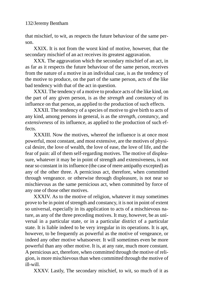that mischief, to wit, as respects the future behaviour of the same person.

XXIX. It is not from the worst kind of motive, however, that the secondary mischief of an act receives its greatest aggravation.

XXX. The aggravation which the secondary mischief of an act, in as far as it respects the future behaviour of the same person, receives from the nature of a motive in an individual case, is as the tendency of the motive to produce, on the part of the same person, acts of the like bad tendency with that of the act in question.

XXXI. The tendency of a motive to produce acts of the like kind, on the part of any given person, is as the *strength* and *constancy* of its influence on that person, as applied to the production of such effects.

XXXII. The tendency of a species of motive to give birth to acts of any kind, among persons in general, is as the *strength*, *constancy*, and *extensiveness* of its influence, as applied to the production of such effects.

XXXIII. Now the motives, whereof the influence is at once most powerful, most constant, and most extensive, are the motives of physical desire, the love of wealth, the love of ease, the love of life, and the fear of pain: all of them self-regarding motives. The motive of displeasure, whatever it may be in point of strength and extensiveness, is not near so constant in its influence (the case of mere antipathy excepted) as any of the other three. A pernicious act, therefore, when committed through vengeance. or otherwise through displeasure, is not near so mischievous as the same pernicious act, when committed by force of any one of those other motives.

XXXIV. As to the motive of religion, whatever it may sometimes prove to be in point of strength and constancy, it is not in point of extent so universal, especially in its application to acts of a mischievous nature, as any of the three preceding motives. It may, however, be as universal in a particular state, or in a particular district of a particular state. It is liable indeed to be very irregular in its operations. It is apt, however, to be frequently as powerful as the motive of vengeance, or indeed any other motive whatsoever. It will sometimes even be more powerful than any other motive. It is, at any rate, much more constant. A pernicious act, therefore, when committed through the motive of religion, is more mischievous than when committed through the motive of ill-will.

XXXV. Lastly, The secondary mischief, to wit, so much of it as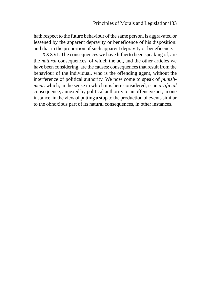hath respect to the future behaviour of the same person, is aggravated or lessened by the apparent depravity or beneficence of his disposition: and that in the proportion of such apparent depravity or beneficence.

XXXVI. The consequences we have hitherto been speaking of, are the *natural* consequences, of which the act, and the other articles we have been considering, are the causes: consequences that result from the behaviour of the individual, who is the offending agent, without the interference of political authority. We now come to speak of *punishment*: which, in the sense in which it is here considered, is an *artificial* consequence, annexed by political authority to an offensive act, in one instance, in the view of putting a stop to the production of events similar to the obnoxious part of its natural consequences, in other instances.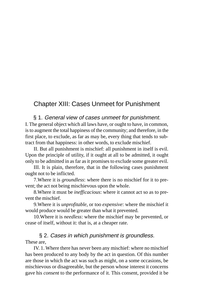## Chapter XIII: Cases Unmeet for Punishment

§ 1. General view of cases unmeet for punishment.

I. The general object which all laws have, or ought to have, in common, is to augment the total happiness of the community; and therefore, in the first place, to exclude, as far as may be, every thing that tends to subtract from that happiness: in other words, to exclude mischief.

II. But all punishment is mischief: all punishment in itself is evil. Upon the principle of utility, if it ought at all to be admitted, it ought only to be admitted in as far as it promises to exclude some greater evil.

III. It is plain, therefore, that in the following cases punishment ought not to be inflicted.

7.Where it is *groundless*: where there is no mischief for it to prevent; the act not being mischievous upon the whole.

8.Where it must be *inefficacious*: where it cannot act so as to prevent the mischief.

9.Where it is *unprofitable*, or too *expensive*: where the mischief it would produce would be greater than what it prevented.

10.Where it is *needless*: where the mischief may be prevented, or cease of itself, without it: that is, at a cheaper rate.

# § 2. Cases in which punishment is groundless.

### These are,

IV. 1. Where there has never been any mischief: where no mischief has been produced to any body by the act in question. Of this number are those in which the act was such as might, on a some occasions, be mischievous or disagreeable, but the person whose interest it concerns gave his *consent* to the performance of it. This consent, provided it be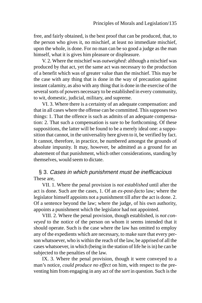free, and fairly obtained, is the best proof that can be produced, that, to the person who gives it, no mischief, at least no immediate mischief, upon the whole, is done. For no man can be so good a judge as the man himself, what it is gives him pleasure or displeasure.

V. 2. Where the mischief was *outweighed*: although a mischief was produced by that act, yet the same act was necessary to the production of a benefit which was of greater value than the mischief. This may be the case with any thing that is done in the way of precaution against instant calamity, as also with any thing that is done in the exercise of the several sorts of powers necessary to be established in every community, to wit, domestic, judicial, military, and supreme.

VI. 3. Where there is a certainty of an adequate compensation: and that in all cases where the offense can be committed. This supposes two things: 1. That the offence is such as admits of an adequate compensation: 2. That such a compensation is sure to be forthcoming. Of these suppositions, the latter will be found to be a merely ideal one: a supposition that cannot, in the universality here given to it, be verified by fact. It cannot, therefore, in practice, be numbered amongst the grounds of absolute impunity. It may, however, be admitted as a ground for an abatement of that punishment, which other considerations, standing by themselves, would seem to dictate.

## § 3. Cases in which punishment must be inefficacious These are,

VII. 1. Where the penal provision is *not established* until after the act is done. Such are the cases, 1. Of an *ex-post-facto* law; where the legislator himself appoints not a punishment till after the act is done. 2. Of a sentence beyond the law; where the judge, of his own authority, appoints a punishment which the legislator had not appointed.

VIII. 2. Where the penal provision, though established, is *not conveyed* to the notice of the person on whom it seems intended that it should operate. Such is the case where the law has omitted to employ any of the expedients which are necessary, to make sure that every person whatsoever, who is within the reach of the law, be apprised of all the cases whatsoever, in which (being in the station of life he is in) he can be subjected to the penalties of the law.

IX. 3. Where the penal provision, though it were conveyed to a man's notice, *could produce no effect* on him, with respect to the preventing him from engaging in any act of the *sort* in question. Such is the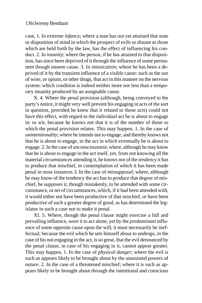### 136/Jeremy Bentham

case, 1. In extreme *infancy*; where a man has not yet attained that state or disposition of mind in which the prospect of evils so distant as those which are held forth by the law, has the effect of influencing his conduct. 2. In *insanity*; where the person, if he has attained to that disposition, has since been deprived of it through the influence of some permanent though unseen cause. 3. In *intoxication*; where he has been a deprived of it by the transient influence of a visible cause: such as the use of wine, or opium, or other drugs, that act in this manner on the nervous system: which condition is indeed neither more nor less than a temporary insanity produced by an assignable cause.

X. 4. Where the penal provision (although, being conveyed to the party's notice, it might very well prevent his engaging in acts of the sort in question, provided he knew that it related to those acts) could not have this effect, with regard to the *individual* act he is about to engage in: to wit, because he knows not that it is of the number of those to which the penal provision relates. This may happen, 1. In the case of *unintentionality*; where he intends not to engage, and thereby knows not that he is about to engage, in the *act* in which eventually he is about to engage. 2. In the case of *unconsciousness*; where, although he may know that he is about to engage in the *act* itself, yet, from not knowing all the material *circumstances* attending it, he knows not of the *tendency* it has to produce that mischief, in contemplation of which it has been made penal in most instances 3. In the case of *missupposal*; where, although he may know of the tendency the act has to produce that degree of mischief, he supposes it, though mistakenly, to be attended with some circumstance, or set of circumstances, which, if it had been attended with, it would either not have been productive of that mischief, or have been productive of such a greater degree of good, as has determined the legislator in such a case not to make it penal.

XI. 5. Where, though the penal clause might exercise a full and prevailing influence, were it to act alone, yet by the *predominant* influence of some opposite cause upon the will, it must necessarily be ineffectual; because the evil which he sets himself about to undergo, in the case of his not engaging in the act, is so great, that the evil denounced by the penal clause, in case of his engaging in it, cannot appear greater. This may happen, 1. In the case of *physical danger*; where the evil is such as appears likely to be brought about by the unassisted powers of *nature*. 2. In the case of a threatened mischief; where it is such as appears likely to be brought about through the intentional and conscious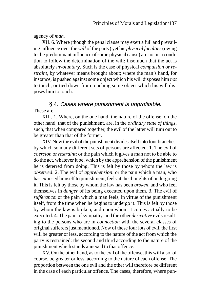agency of *man*.

XII. 6. Where (though the penal clause may exert a full and prevailing influence over the *will* of the party) yet his *physical faculties* (owing to the predominant influence of some physical cause) are not in a condition to follow the determination of the will: insomuch that the act is absolutely *involuntary*. Such is the case of physical *compulsion* or *restraint*, by whatever means brought about; where the man's hand, for instance, is pushed against some object which his will disposes him *not* to touch; or tied down from touching some object which his will disposes him to touch.

### § 4. Cases where punishment is unprofitable. These are,

XIII. 1. Where, on the one hand, the nature of the offense, on the other hand, that of the punishment, are, in the *ordinary state of things*, such, that when compared together, the evil of the latter will turn out to be greater than that of the former.

XIV. Now the evil of the punishment divides itself into four branches, by which so many different sets of persons are affected. 1. The evil of *coercion* or *restraint*: or the pain which it gives a man not to be able to do the act, whatever it be, which by the apprehension of the punishment he is deterred from doing. This is felt by those by whom the law is *observed*. 2. The evil of *apprehension*: or the pain which a man, who has exposed himself to punishment, feels at the thoughts of undergoing it. This is felt by those by whom the law has been *broken*, and who feel themselves in *danger* of its being executed upon them. 3. The evil of *sufferance*: or the pain which a man feels, in virtue of the punishment itself, from the time when he begins to undergo it. This is felt by those by whom the law is broken, and upon whom it comes actually to be executed. 4. The pain of sympathy, and the other *derivative* evils resulting to the persons who are in *connection* with the several classes of original sufferers just mentioned. Now of these four lots of evil, the first will be greater or less, according to the nature of the act from which the party is restrained: the second and third according to the nature of the punishment which stands annexed to that offence.

XV. On the other hand, as to the evil of the offense, this will also, of course, be greater or less, according to the nature of each offense. The proportion between the one evil and the other will therefore be different in the case of each particular offence. The cases, therefore, where pun-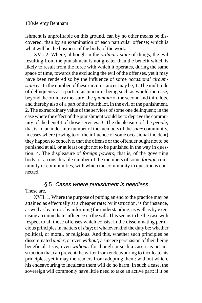ishment is unprofitable on this ground, can by no other means be discovered, than by an examination of each particular offense; which is what will be the business of the body of the work.

XVI. 2. Where, although in the *ordinary state* of things, the evil resulting from the punishment is not greater than the benefit which is likely to result from the force with which it operates, during the same space of time, towards the excluding the evil of the offenses, yet it may have been rendered so by the influence of some *occasional circumstances*. In the number of these circumstances may be, 1. The multitude of delinquents at a particular juncture; being such as would increase, beyond the ordinary measure, the *quantum* of the second and third lots, and thereby also of a part of the fourth lot, in the evil of the punishment. 2. The extraordinary value of the services of some one delinquent; in the case where the effect of the punishment would be to deprive the community of the benefit of those services. 3. The displeasure of the *people*; that is, of an indefinite number of the members of the *same* community, in cases where (owing to of the influence of some occasional incident) they happen to conceive, that the offense or the offender ought not to be punished at all, or at least ought not to be punished in the way in question. 4. The displeasure of *foreign powers*; that is, of the governing body, or a considerable number of the members of some *foreign* community or communities, with which the community in question is connected.

# § 5. Cases where punishment is needless.

These are,

XVII. 1. Where the purpose of putting an end to the practice may be attained as effectually at a cheaper rate: by instruction, is for instance, as well as by terror: by informing the understanding, as well as by exercising an immediate influence on the will. This seems to be the case with respect to all those offenses which consist in the disseminating pernicious principles in matters of *duty*; of whatever kind the duty be; whether political, or moral, or religious. And this, whether such principles be disseminated *under*, or even *without*; a sincere persuasion of their being beneficial. I say, even *without:* for though in such a case it is not instruction that can prevent the writer from endeavouring to inculcate his principles, yet it may the readers from adopting them: without which, his endeavouring to inculcate them will do no harm. In such a case, the sovereign will commonly have little need to take an active part: if it be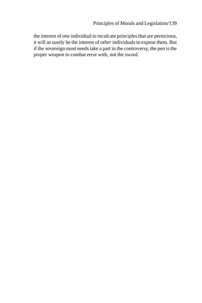the interest of *one* individual to inculcate principles that are pernicious, it will as surely be the interest of *other* individuals to expose them. But if the sovereign must needs take a part in the controversy, the pen is the proper weapon to combat error with, not the sword.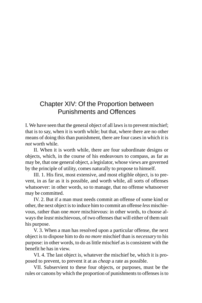# Chapter XIV: Of the Proportion between Punishments and Offences

I. We have seen that the general object of all laws is to prevent mischief; that is to say, when it is worth while; but that, where there are no other means of doing this than punishment, there are four cases in which it is *not* worth while.

II. When it is worth while, there are four subordinate designs or objects, which, in the course of his endeavours to compass, as far as may be, that one general object, a legislator, whose views are governed by the principle of utility, comes naturally to propose to himself.

III. 1. His first, most extensive, and most eligible object, is to prevent, in as far as it is possible, and worth while, all sorts of offenses whatsoever: in other words, so to manage, that no offense whatsoever may be committed.

IV. 2. But if a man must needs commit an offense of some kind or other, the next object is to induce him to commit an offense *less* mischievous, rather than one *more* mischievous: in other words, to choose always the *least* mischievous, of two offenses that will either of them suit his purpose.

V. 3. When a man has resolved upon a particular offense, the next object is to dispose him to do *no more* mischief than is *necessary* to his purpose: in other words, to do as little mischief as is consistent with the benefit he has in view.

VI. 4. The last object is, whatever the mischief be, which it is proposed to prevent, to prevent it at as *cheap* a rate as possible.

VII. Subservient to these four objects, or purposes, must be the rules or canons by which the proportion of punishments to offenses is to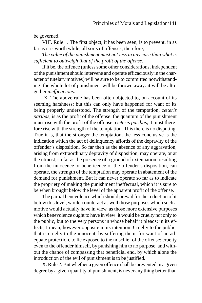be governed.

VIII. Rule 1. The first object, it has been seen, is to prevent, in as far as it is worth while, all sorts of offenses; therefore,

*The value of the punishment must not less in any case than what is sufficient to outweigh that of the profit of the offense*.

If it be, the offence (unless some other considerations, independent of the punishment should intervene and operate efficaciously in the character of tutelary motives) will be sure to be to committed notwithstanding: the whole lot of punishment will be thrown away: it will be altogether *inefficacious*.

IX. The above rule has been often objected to, on account of its seeming harshness: but this can only have happened for want of its being properly understood. The strength of the temptation, *cæteris paribas*, is as the profit of the offense: the quantum of the punishment must rise with the profit of the offense: *cæteris paribas*, it must therefore rise with the strength of the temptation. This there is no disputing. True it is, that the stronger the temptation, the less conclusive is the indication which the act of delinquency affords of the depravity of the offender's disposition. So far then as the absence of any aggravation, arising from extraordinary depravity of disposition, may operate, or at the utmost, so far as the presence of a ground of extenuation, resulting from the innocence or beneficence of the offender's disposition, can operate, the strength of the temptation may operate in abatement of the demand for punishment. But it can never operate so far as to indicate the propriety of making the punishment ineffectual, which it is sure to be when brought below the level of the apparent profit of the offense.

The partial benevolence which should prevail for the reduction of it below this level, would counteract as well those purposes which such a motive would actually have in view, as those more extensive purposes which benevolence ought to have in view: it would be cruelty not only to the public, but to the very persons in whose behalf it pleads: in its effects, I mean, however opposite in its intention. Cruelty to the public, that is cruelty to the innocent, by suffering them, for want of an adequate protection, to lie exposed to the mischief of the offense: cruelty even to the offender himself, by punishing him to no purpose, and without the chance of compassing that beneficial end, by which alone the introduction of the evil of punishment is to be justified.

X. Rule 2. But whether a given offence shall be prevented in a given degree by a given quantity of punishment, is never any thing better than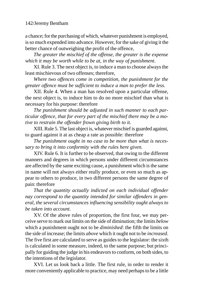### 142/Jeremy Bentham

a chance; for the purchasing of which, whatever punishment is employed, is so much expended into advance. However, for the sake of giving it the better chance of outweighing the profit of the offence,

*The greater the mischief of the offense, the greater is the expense which it may be worth while to be at, in the way of punishment*.

XI. Rule 3. The next object is, to induce a man to choose always the least mischievous of two offenses; therefore,

*Where two offences come in competition, the punishment for the greater offence must be sufficient to induce a man to prefer the less.*

XII. Rule 4. When a man has resolved upon a particular offense, the next object is, to induce him to do no more mischief than what is necessary for his purpose: therefore

*The punishment should be adjusted in such manner to each particular offence, that for every part of the mischief there may be a motive to restrain the offender frown giving birth to it.*

XIII. Rule 5. The last object is, whatever mischief is guarded against, to guard against it at as cheap a rate as possible: therefore

*The punishment ought in no case to be more than what is necessary to bring it into conformity with the rules here given.*

XIV. Rule 6. It is further to be observed, that owing to the different manners and degrees in which persons under different circumstances are affected by the same exciting cause, a punishment which is the same in name will not always either really produce, or even so much as appear to others to produce, in two different persons the same degree of pain: therefore

*That the quantity actually indicted on each individual offender nay correspond to the quantity intended for similar offenders in general, the several circumstances influencing sensibility ought always to be taken into account.*

XV. Of the above rules of proportion, the first four, we may perceive serve to mark out limits on the side of diminution; the limits *below* which a punishment ought not to be *diminished*: the fifth the limits on the side of increase; the limits *above* which it ought not to be *increased*. The five first are calculated to serve as guides to the legislator: the sixth is calculated in some measure, indeed, to the same purpose; but principally for guiding the judge in his endeavors to conform, on both sides, to the intentions of the legislator.

XVI. Let us look back a little. The first rule, in order to render it more conveniently applicable to practice, may need perhaps to be a little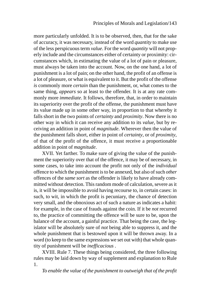more particularly unfolded. It is to be observed, then, that for the sake of accuracy, it was necessary, instead of the word *quantity* to make use of the less perspicuous term *value*. For the word *quantity* will not properly include and the circumstances either of certainty or proximity: circumstances which, in estimating the value of a lot of pain or pleasure, must always be taken into the account. Now, on the one hand, a lot of punishment is a lot of pain; on the other hand, the profit of an offense is a lot of pleasure, or what is equivalent to it. But the profit of the offense *is* commonly more *certain* than the punishment, or, what comes to the same thing, *appears* so at least to the offender. It is at any rate commonly more *immediate*. It follows, therefore, that, in order to maintain its superiority over the profit of the offense, the punishment must have its value made up in some other way, in proportion to that whereby it falls short in the two points of *certainty* and *proximity*. Now there is no other way in which it can receive any addition to its *value*, but by receiving an addition in point of *magnitude*. Wherever then the value of the punishment falls short, either in point of *certainty*, or of *proximity*, of that of the profit of the offence, it must receive a proportionable addition in point of *magnitude*.

XVII. Yet farther. To make sure of giving the value of the punishment the superiority over that of the offence, it may be of necessary, in some cases, to take into account the profit not only of the *individual* offence to which the punishment is to be annexed, but also of such *other* offences of the *same sort* as the offender is likely to have already committed without detection. This random mode of calculation, severe as it is, it will be impossible to avoid having recourse to, in certain cases: in such, to wit, in which the profit is pecuniary, the chance of detection very small, and the obnoxious act of such a nature as indicates a habit: for example, in the case of frauds against the coin. If it be *not* recurred to, the practice of committing the offence will be sure to be, upon the balance of the account, a gainful practice. That being the case, the legislator will be absolutely sure of *not* being able to suppress it, and the whole punishment that is bestowed upon it will be thrown away. In a word (to keep to the same expressions we set out with) that whole quantity of punishment will be *inefficacious* .

XVIII. Rule 7. These things being considered, the three following rules may be laid down by way of supplement and explanation to Rule 1.

*To enable the value of the punishment to outweigh that of the profit*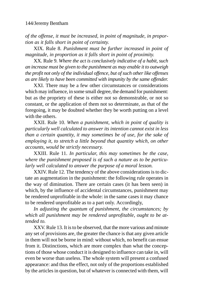*of the offense, it must be increased, in point of magnitude, in proportion as it falls short in point of certainty.*

XIX. Rule 8. *Punishment must be further increased in point of magnitude, in proportion as it falls short in point of proximity.*

XX. Rule 9. *Where the act is conclusively indicative of a habit, such an increase must be given to the punishment as may enable it to outweigh the profit not only of the individual offence, but of such other like offenses as are likely to have been committed with impunity by the same offender.*

XXI. There may be a few other circumstances or considerations which may influence, in some small degree, the demand for punishment: but as the propriety of these is either not so demonstrable, or not so constant, or the application of them not so determinate, as that of the foregoing, it may be doubted whether they be worth putting on a level with the others.

XXII. Rule 10. *When a punishment, which in point of quality is particularly well calculated to answer its intention cannot exist in less than a certain quantity, it may sometimes be of use, for the sake of employing it, to stretch a little beyond that quantity which, on other accounts, would be strictly necessary.*

XXIII. Rule 11. *In particular, this may sometimes be the case, where the punishment proposed is of such a nature as to be particularly well calculated to answer the purpose of a moral lesson.*

XXIV. Rule 12. The tendency of the above considerations is to dictate an augmentation in the punishment: the following rule operates in the way of diminution. There are certain cases (it has been seen) in which, by the influence of accidental circumstances, punishment may be rendered unprofitable in the whole: in the same cases it may chance to be rendered unprofitable as to a part only. Accordingly,

*In adjusting the quantum of punishment, the circumstances; by which all punishment may be rendered unprofitable, ought to be attended to.*

XXV. Rule 13. It is to be observed, that the more various and minute any set of provisions are, the greater the chance is that any given article in them will not be borne in mind: without which, no benefit can ensue from it. Distinctions, which are more complex than what the conceptions of those whose conduct it is designed to influence can take in, will even be worse than useless. The whole system will present a confused appearance: and thus the effect, not only of the proportions established by the articles in question, but of whatever is connected with them, will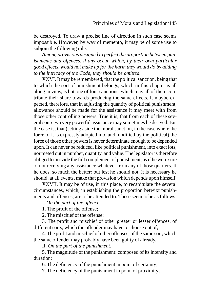be destroyed. To draw a precise line of direction in such case seems impossible. However, by way of memento, it may be of some use to subjoin the following rule.

*Among provisions designed to perfect the proportion between punishments and offences, if any occur, which, by their own particular good effects, would not make up for the harm they would do by adding to the intricacy of the Code, they should be omitted.*

XXVI. It may be remembered, that the political sanction, being that to which the sort of punishment belongs, which in this chapter is all along in view, is but one of four sanctions, which may all of them contribute their share towards producing the same effects. It maybe expected, therefore, that in adjusting the quantity of political punishment, allowance should be made for the assistance it may meet with from those other controlling powers. True it is, that from each of these several sources a very powerful assistance may sometimes be derived. But the case is, that (setting aside the moral sanction, in the case where the force of it is expressly adopted into and modified by the political) the force of those other powers is never determinate enough to be depended upon. It can never be reduced, like political punishment, into exact lots, nor meted out in number, quantity, and value. The legislator is therefore obliged to provide the full complement of punishment, as if he were sure of not receiving any assistance whatever from any of those quarters. If he does, so much the better: but lest he should not, it is necessary he should, at all events, make that provision which depends upon himself.

XXVII. It may be of use, in this place, to recapitulate the several circumstances, which, in establishing the proportion betwixt punishments and offenses, are to be attended to. These seem to be as follows:

I. *On the part of the offence*:

1. The profit of the offense;

2. The mischief of the offense;

3. The profit and mischief of other greater or lesser offences, of different sorts, which the offender may have to choose out of;

4. The profit and mischief of other offenses, of the same sort, which the same offender may probably have been guilty of already.

II. *On the part of the punishment:*

5. The magnitude of the punishment: composed of its intensity and duration;

6. The deficiency of the punishment in point of certainty;

7. The deficiency of the punishment in point of proximity;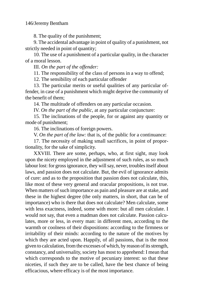8. The quality of the punishment;

9. The accidental advantage in point of quality of a punishment, not strictly needed in point of quantity;

10. The use of a punishment of a particular quality, in the character of a moral lesson.

III. *On the part of the offender:*

11. The responsibility of the class of persons in a way to offend;

12. The sensibility of each particular offender

13. The particular merits or useful qualities of any particular offender, in case of a punishment which might deprive the community of the benefit of them;

14. The multitude of offenders on any particular occasion.

IV. *On the part of the public*, at any particular conjuncture:

15. The inclinations of the people, for or against any quantity or mode of punishment;

16. The inclinations of foreign powers.

V. *On the part of the law:* that is, of the public for a continuance:

17. The necessity of making small sacrifices, in point of proportionality, for the sake of simplicity.

XXVIII. There are some, perhaps, who, at first sight, may look upon the nicety employed in the adjustment of such rules, as so much labour lost: for gross ignorance, they will say, never, troubles itself about laws, and passion does not calculate. But, the evil of ignorance admits of cure: and as to the proposition that passion does not calculate, this, like most of these very general and oracular propositions, is not true. When matters of such importance as pain and pleasure are at stake, and these in the highest degree (the only matters, in short, that can be of importance) who is there that does not calculate? Men calculate, some with less exactness, indeed, some with more: but all men calculate. I would not say, that even a madman does not calculate. Passion calculates, more or less, in every man: in different men, according to the warmth or coolness of their dispositions: according to the firmness or irritability of their minds: according to the nature of the motives by which they are acted upon. Happily, of all passions, that is the most given to calculation, from the excesses of which, by reason of its strength, constancy, and universality, society has most to apprehend: I mean that which corresponds to the motive of pecuniary interest: so that these niceties, if such they are to be called, have the best chance of being efficacious, where efficacy is of the most importance.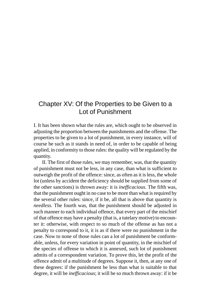# Chapter XV: Of the Properties to be Given to a Lot of Punishment

I. It has been shown what the rules are, which ought to be observed in adjusting the proportion between the punishments and the offense. The properties to be given to a lot of punishment, in every instance, will of course be such as it stands in need of, in order to be capable of being applied, in conformity to those rules: the quality will be regulated by the quantity.

II. The first of those rules, we may remember, was, that the quantity of punishment must not be less, in any case, than what is sufficient to outweigh the profit of the offence: since, as often as it is less, the whole lot (unless by accident the deficiency should be supplied from some of the other sanctions) is thrown away: it is *inefficacious*. The fifth was, that the punishment ought in no case to be more than what is required by the several other rules: since, if it be, all that is above that quantity is *needless*. The fourth was, that the punishment should be adjusted in such manner to each individual offence, that every part of the mischief of that offence may have a penalty (that is, a tutelary motive) to encounter it: otherwise, with respect to so much of the offense as has not a penalty to correspond to it, it is as if there were no punishment in the case. Now to none of those rules can a lot of punishment be conformable, unless, for every variation in point of quantity, in the mischief of the species of offense to which it is annexed, such lot of punishment admits of a correspondent variation. To prove this, let the profit of the offence admit of a multitude of degrees. Suppose it, then, at any one of these degrees: if the punishment be less than what is suitable to that degree, it will be *inefficacious*; it will be so much thrown away: if it be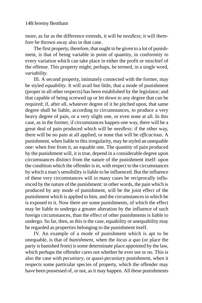more, as far as the difference extends, it will be *needless*; it will therefore be thrown away also in that case.

The first property, therefore, that ought to be given to a lot of punishment, is that of being variable in point of quantity, in conformity to every variation which can take place in either the profit or mischief of the offense. This property might, perhaps, be termed, in a single word, *variability*.

III. A second property, intimately connected with the former, may be styled *equability*. It will avail but little, that a mode of punishment (proper in all other respects) has been established by the legislator; and that capable of being screwed up or let down to any degree that can be required; if, after all, whatever degree of it be pitched upon, that same degree shall be liable, according to circumstances, to produce a very heavy degree of pain, or a very slight one, or even none at all. In this case, as in the former, if circumstances happen one way, there will be a great deal of pain produced which will be *needless*: if the other way, there will be no pain at all applied, or none that will be *efficacious*. A punishment, when liable to this irregularity, may be styled an unequable one: when free from it, an equable one. The quantity of pain produced by the punishment will, it is true, depend in a considerable degree upon circumstances distinct from the nature of the punishment itself: upon the condition which the offender is in, with respect to the circumstances by which a man's sensibility is liable to be influenced. But the influence of these very circumstances will in many cases be reciprocally influenced by the nature of the punishment: in other words, the pain which is produced by any mode of punishment, will be the joint effect of the punishment which is applied to him, and the circumstances in which he is exposed to it. Now there are some punishments, of which the effect may be liable to undergo a greater alteration by the influence of such foreign circumstances, than the effect of other punishments is liable to undergo. So far, then, as this is the case, equability or unequability may be regarded as properties belonging to the punishment itself.

IV. An example of a mode of punishment which is apt to be unequable, is that of *banishment*, when the *locus a quo* (or place the party is banished from) is some determinate place appointed by the law, which perhaps the offender cares not whether he ever see or no. This is also the case with *pecuniary*, or *quasi-pecuniary* punishment, when it respects some particular species of property, which the offender may have been possessed of, or not, as it may happen. All these punishments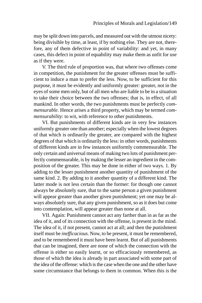may be split down into parcels, and measured out with the utmost nicety: being divisible by time, at least, if by nothing else. They are not, therefore, any of them defective in point of variability: and yet, in many cases, this defect in point of equability may make them as unfit for use as if they were.

V. The third rule of proportion was, that where two offenses come in competition, the punishment for the greater offenses must be sufficient to induce a man to prefer the less. Now, to be sufficient for this purpose, it must be evidently and uniformly greater: greater, not in the eyes of some men only, but of all men who are liable to be in a situation to take their choice between the two offenses; that is, in effect, of all mankind. In other words, the two punishments must be perfectly *commensurable*. Hence arises a third property, which may be termed *commensurability*: to wit, with reference to other punishments.

VI. But punishments of different kinds are in very few instances uniformly greater one than another; especially when the lowest degrees of that which is ordinarily the greater, are compared with the highest degrees of that which is ordinarily the less: in other words, punishments of different kinds are in few instances uniformly commensurable. The only certain and universal means of making two lots of punishment perfectly commensurable, is by making the lesser an ingredient in the composition of the greater. This may be done in either of two ways. 1. By adding to the lesser punishment another quantity of punishment of the same kind. 2. By adding to it another quantity of a different kind. The latter mode is not less certain than the former: for though one cannot always be absolutely sure, that to the same person a given punishment will appear greater than another given punishment; yet one may be always absolutely sure, that any given punishment, so as it does but come into contemplation, will appear greater than none at all.

VII. Again: Punishment cannot act any farther than in as far as the idea of it, and of its connection with the offense, is present in the mind. The idea of it, if not present, cannot act at all; and then the punishment itself must be *inefficacious*. Now, to be present, it must be remembered, and to be remembered it must have been learnt. But of all punishments that can be imagined, there are none of which the connection with the offense is either so easily learnt, or so efficaciously remembered, as those of which the idea is already in part associated with some part of the idea of the offense: which is the case when the one and the other have some circumstance that belongs to them in common. When this is the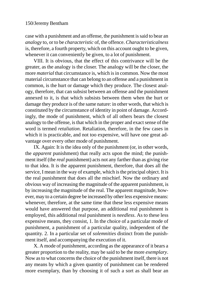case with a punishment and an offense, the punishment is said to bear an *analogy* to, or to be *characteristic* of, the offence. *Characteristicalness* is, therefore, a fourth property, which on this account ought to be given, whenever it can conveniently be given, to a lot of punishment.

VIII. It is obvious, that the effect of this contrivance will be the greater, as the analogy is the closer. The analogy will be the closer, the more *material* that circumstance is, which is in common. Now the most material circumstance that can belong to an offense and a punishment in common, is the hurt or damage which they produce. The closest analogy, therefore, that can subsist between an offense and the punishment annexed to it, is that which subsists between them when the hurt or damage they produce is of the same nature: in other words, that which is constituted by the circumstance of identity in point of damage. Accordingly, the mode of punishment, which of all others bears the closest analogy to the offense, is that which in the proper and exact sense of the word is termed *retaliation*. Retaliation, therefore, in the few cases in which it is practicable, and not too expensive, will have one great advantage over every other mode of punishment.

IX. Again: It is the idea only of the punishment (or, in other words, the *apparent* punishment) that really acts upon the mind; the punishment itself (the *real* punishment) acts not any farther than as giving rise to that idea. It is the apparent punishment, therefore, that does all the service, I mean in the way of example, which is the principal object. It is the real punishment that does all the mischief. Now the ordinary and obvious way of increasing the magnitude of the apparent punishment, is by increasing the magnitude of the real. The apparent magnitude, however, may to a certain degree be increased by other less expensive means: whenever, therefore, at the same time that these less expensive means would have answered that purpose, an additional real punishment is employed, this additional real punishment is *needless*. As to these less expensive means, they consist, 1. In the choice of a particular mode of punishment, a punishment of a particular quality, independent of the quantity. 2. In a particular set of *solemnities* distinct from the punishment itself, and accompanying the execution of it.

X. A mode of punishment, according as the appearance of it bears a greater proportion to the reality, may be said to be the more *exemplary*. Now as to what concerns the choice of the punishment itself, there is not any means by which a given quantity of punishment can be rendered more exemplary, than by choosing it of such a sort as shall bear an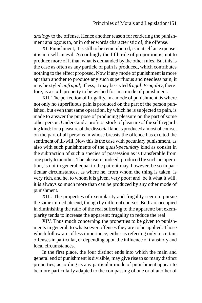*analogy* to the offense. Hence another reason for rendering the punishment analogous to, or in other words characteristic of, the offense.

XI. Punishment, it is still to be remembered, is in itself an expense: it is in itself an evil. Accordingly the fifth rule of proportion is, not to produce more of it than what is demanded by the other rules. But this is the case as often as any particle of pain is produced, which contributes nothing to the effect proposed. Now if any mode of punishment is more apt than another to produce any such superfluous and needless pain, it may be styled *unfrugal*; if less, it may be styled *frugal*. *Frugality*, therefore, is a sixth property to be wished for in a mode of punishment.

XII. The perfection of frugality, in a mode of punishment, is where not only no superfluous pain is produced on the part of the person punished, but even that same operation, by which he is subjected to pain, is made to answer the purpose of producing pleasure on the part of some other person. Understand a profit or stock of pleasure of the self-regarding kind: for a pleasure of the dissocial kind is produced almost of course, on the part of all persons in whose breasts the offence has excited the sentiment of ill-will. Now this is the case with pecuniary punishment, as also with such punishments of the *quasi-pecuniary* kind as consist in the subtraction of such a species of possession as is transferable from one party to another. The pleasure, indeed, produced by such an operation, is not in general equal to the pain: it may, however, be so in particular circumstances, as where he, from whom the thing is taken, is very rich, and he, to whom it is given, very poor: and, be it what it will, it is always so much more than can be produced by any other mode of punishment.

XIII. The properties of exemplarity and frugality seem to pursue the same immediate end, though by different courses. Both are occupied in diminishing the ratio of the real suffering to the apparent: but exemplarity tends to increase the apparent; frugality to reduce the real.

XIV. Thus much concerning the properties to be given to punishments in general, to whatsoever offenses they are to be applied. Those which follow are of less importance, either as referring only to certain offenses in particular, or depending upon the influence of transitory and local circumstances.

In the first place, the four distinct ends into which the main and general end of punishment is divisible, may give rise to so many distinct properties, according as any particular mode of punishment appear to be more particularly adapted to the compassing of one or of another of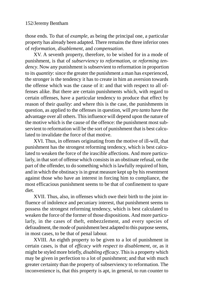those ends. To that of *example*, as being the principal one, a particular property has already been adapted. There remains the three inferior ones of *reformation*, *disablement*, and *compensation*.

XV. A seventh property, therefore, to be wished for in a mode of punishment, is that of *subserviency to reformation*, or *reforming tendency*. Now any punishment is subservient to reformation in proportion to its *quantity*: since the greater the punishment a man has experienced, the stronger is the tendency it has to create in him an aversion towards the offense which was the cause of it: and that with respect to all offenses alike. But there are certain punishments which, with regard to certain offenses, have a particular tendency to produce that effect by reason of their *quality*: and where this is the case, the punishments in question, as applied to the offenses in question, will *pro tanto* have the advantage over all others. This influence will depend upon the nature of the motive which is the cause of the offence: the punishment most subservient to reformation will be the sort of punishment that is best calculated to invalidate the force of that motive.

XVI. Thus, in offenses originating from the motive of ill-will, that punishment has the strongest reforming tendency, which is best calculated to weaken the force of the irascible affections. And more particularly, in that sort of offense which consists in an obstinate refusal, on the part of the offender, to do something which is lawfully required of him, and in which the obstinacy is in great measure kept up by his resentment against those who have an interest in forcing him to compliance, the most efficacious punishment seems to be that of confinement to spare diet.

XVII. Thus, also, in offenses which owe their birth to the joint influence of indolence and pecuniary interest, that punishment seems to possess the strongest reforming tendency, which is best calculated to weaken the force of the former of those dispositions. And more particularly, in the cases of theft, embezzlement, and every species of defraudment, the mode of punishment best adapted to this purpose seems, in most cases, to be that of penal labour.

XVIII. An eighth property to be given to a lot of punishment in certain cases, is that of *efficacy with respect to disablement*, or, as it might be styled more briefly, *disabling efficacy*. This is a property which may be given in perfection to a lot of punishment; and that with much greater certainty than the property of subserviency to reformation. The inconvenience is, that this property is apt, in general, to run counter to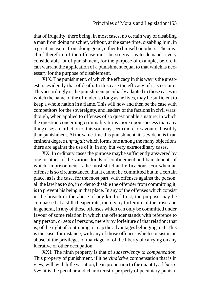that of frugality: there being, in most cases, no certain way of disabling a man from doing mischief, without, at the same time, disabling him, in a great measure, from doing good, either to himself or others. The mischief therefore of the offense must be so great as to demand a very considerable lot of punishment, for the purpose of example, before it can warrant the application of a punishment equal to that which is necessary for the purpose of disablement.

XIX. The punishment, of which the efficacy in this way is the greatest, is evidently that of death. In this case the efficacy of it is certain . This accordingly is the punishment peculiarly adapted to those cases in which the name of the offender, so long as he lives, may be sufficient to keep a whole nation in a flame. This will now and then be the case with competitors for the sovereignty, and leaders of the factions in civil wars: though, when applied to offenses of so questionable a nature, in which the question concerning criminality turns more upon success than any thing else; an infliction of this sort may seem more to savour of hostility than punishment. At the same time this punishment, it is evident, is in an eminent degree *unfrugal*; which forms one among the many objections there are against the use of it, in any but very extraordinary cases.

XX. In ordinary cases the purpose maybe sufficiently answered by one or other of the various kinds of confinement and banishment: of which, imprisonment is the most strict and efficacious. For when an offense is so circumstanced that it cannot be committed but in a certain place, as is the case, for the most part, with offenses against the person, all the law has to do, in order to disable the offender from committing it, is to prevent his being in that place. In any of the offenses which consist in the breach or the abuse of any kind of trust, the purpose may be compassed at a still cheaper rate, merely by forfeiture of the trust: and in general, in any of those offenses which can only be committed under favour of some relation in which the offender stands with reference to any person, or sets of persons, merely by forfeiture of that relation: that is, of the right of continuing to reap the advantages belonging to it. This is the case, for instance, with any of those offences which consist in an abuse of the privileges of marriage, or of the liberty of carrying on any lucrative or other occupation.

XXI. The ninth property is that of *subserviency to compensation*. This property of punishment, if it be *vindictive* compensation that is in view, will, with little variation, be in proportion to the quantity: if *lucrative*, it is the peculiar and characteristic property of pecuniary punish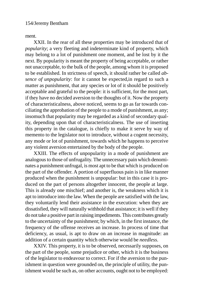ment.

XXII. In the rear of all these properties may be introduced that of *popularity*; a very fleeting and indeterminate kind of property, which may belong to a lot of punishment one moment, and be lost by it the next. By popularity is meant the property of being acceptable, or rather not unacceptable, to the bulk of the people, among whom it is proposed to be established. In strictness of speech, it should rather be called *absence of unpopularity*: for it cannot be expected,in regard to such a matter as punishment, that any species or lot of it should be positively acceptable and grateful to the people: it is sufficient, for the most part, if they have no decided aversion to the thoughts of it. Now the property of characteristicalness, above noticed, seems to go as far towards conciliating the approbation of the people to a mode of punishment, as any; insomuch that popularity may be regarded as a kind of secondary quality, depending upon that of characteristicalness. The use of inserting this property in the catalogue, is chiefly to make it serve by way of memento to the legislator not to introduce, without a cogent necessity, any mode or lot of punishment, towards which he happens to perceive any violent aversion entertained by the body of the people.

XXIII. The effects of unpopularity in a mode of punishment are analogous to those of unfrugality. The unnecessary pain which denominates a punishment unfrugal, is most apt to be that which is produced on the part of the offender. A portion of superfluous pain is in like manner produced when the punishment is unpopular: but in this case it is produced on the part of persons altogether innocent, the people at large. This is already one mischief; and another is, the weakness which it is apt to introduce into the law. When the people are satisfied with the law, they voluntarily lend their assistance in the execution: when they are dissatisfied, they will naturally withhold that assistance; it is well if they do not take a positive part in raising impediments. This contributes greatly to the uncertainty of the punishment; by which, in the first instance, the frequency of the offense receives an increase. In process of time that deficiency, as usual, is apt to draw on an increase in magnitude: an addition of a certain quantity which otherwise would be *needless*.

XXIV. This property, it is to be observed, necessarily supposes, on the part of the people, some prejudice or other, which it is the business of the legislator to endeavour to correct. For if the aversion to the punishment in question were grounded on, the principle of utility, the punishment would be such as, on other accounts, ought not to be employed: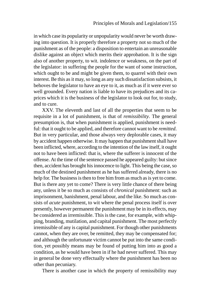in which case its popularity or unpopularity would never be worth drawing into question. It is properly therefore a property not so much of the punishment as of the people: a disposition to entertain an unreasonable dislike against an object which merits their approbation. It is the sign also of another property, to wit. indolence or weakness, on the part of the legislator: in suffering the people for the want of some instruction, which ought to be and might be given them, to quarrel with their own interest. Be this as it may, so long as any such dissatisfaction subsists, it behoves the legislator to have an eye to it, as much as if it were ever so well grounded. Every nation is liable to have its prejudices and its caprices which it is the business of the legislator to look out for, to study, and to cure.

XXV. The eleventh and last of all the properties that seem to be requisite in a lot of punishment, is that of *remissibility*. The general presumption is, that when punishment is applied, punishment is needful: that it ought to be applied, and therefore cannot want to be *remitted*. But in very particular, and those always very deplorable cases, it may by accident happen otherwise. It may happen that punishment shall have been inflicted, where, according to the intention of the law itself, it ought not to have been inflicted: that is, where the sufferer is innocent of the offense. At the time of the sentence passed he appeared guilty: but since then, accident has brought his innocence to light. This being the case, so much of the destined punishment as he has suffered already, there is no help for. The business is then to free him from as much as is yet to come. But is there any yet to come? There is very little chance of there being any, unless it be so much as consists of *chronical* punishment: such as imprisonment, banishment, penal labour, and the like. So much as consists of *acute* punishment, to wit where the penal process itself is over presently, however permanent the punishment may be in its effects, may be considered as irremissible. This is the case, for example, with whipping, branding, mutilation, and capital punishment. The most perfectly irremissible of any is capital punishment. For though other punishments cannot, when they are over, be remitted, they may be compensated for; and although the unfortunate victim cannot be put into the same condition, yet possibly means may be found of putting him into as good a condition, as he would have been in if he had never suffered. This may in general be done very effectually where the punishment has been no other than pecuniary.

There is another case in which the property of remissibility may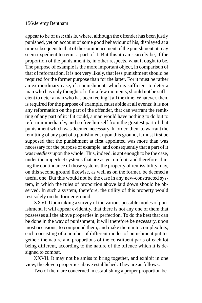appear to be of use: this is, where, although the offender has been justly punished, yet on account of some good behaviour of his, displayed at a time subsequent to that of the commencement of the punishment, it may seem expedient to remit a part of it. But this it can scarcely be, if the proportion of the punishment is, in other respects, what it ought to be. The purpose of example is the more important object, in comparison of that of reformation. It is not very likely, that less punishment should be required for the former purpose than for the latter. For it must be rather an extraordinary case, if a punishment, which is sufficient to deter a man who has only thought of it for a few moments, should not be sufficient to deter a man who has been feeling it all the time. Whatever, then, is required for the purpose of example, must abide at all events: it is not any reformation on the part of the offender, that can warrant the remitting of any part of it: if it could, a man would have nothing to do but to reform immediately, and so free himself from the greatest part of that punishment which was deemed necessary. In order, then, to warrant the remitting of any part of a punishment upon this ground, it must first be supposed that the punishment at first appointed was more than was necessary for the purpose of example, and consequently that a part of it was *needless* upon the whole. This, indeed, is apt enough to be the case, under the imperfect systems that are as yet on foot: and therefore, during the continuance of those systems,the property of remissibility may, on this second ground likewise, as well as on the former, be deemed a useful one. But this would not be the case in any new-constructed system, in which the rules of proportion above laid down should be observed. In such a system, therefore, the utility of this property would rest solely on the former ground.

XXVI. Upon taking a survey of the various possible modes of punishment, it will appear evidently, that there is not any one of them that possesses all the above properties in perfection. To do the best that can be done in the way of punishment, it will therefore be necessary, upon most occasions, to compound them, and make them into complex lots, each consisting of a number of different modes of punishment put together: the nature and proportions of the constituent parts of each lot being different, according to the nature of the offence which it is designed to combat.

XXVII. It may not be amiss to bring together, and exhibit in one view, the eleven properties above established. They are as follows:

Two of them are concerned in establishing a proper proportion be-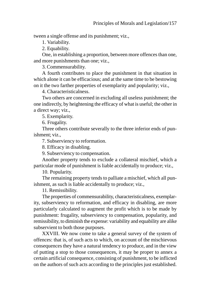tween a single offense and its punishment; viz.,

1. Variability.

2. Equability.

One, in establishing a proportion, between more offences than one, and more punishments than one; viz.,

3. Commensurability.

A fourth contributes to place the punishment in that situation in which alone it can be efficacious; and at the same time to be bestowing on it the two farther properties of exemplarity and popularity; viz.,

4. Characteristicalness.

Two others are concerned in excluding all useless punishment; the one indirectly, by heightening the efficacy of what is useful; the other in a direct way; viz.,

5. Exemplarity.

6. Frugality.

Three others contribute severally to the three inferior ends of punishment; viz.,

7. Subserviency to reformation.

8. Efficacy in disabling.

9. Subserviency to compensation.

Another property tends to exclude a collateral mischief, which a particular mode of punishment is liable accidentally to produce; viz.,

10. Popularity.

The remaining property tends to palliate a mischief, which all punishment, as such is liable accidentally to produce; viz.,

11. Remissibility.

The properties of commensurability, characteristicalness, exemplarity, subserviency to reformation, and efficacy in disabling, are more particularly calculated to augment the profit which is to be made by punishment: frugality, subserviency to compensation, popularity, and remissibility, to diminish the expense: variability and equability are alike subservient to both those purposes.

XXVIII. We now come to take a general survey of the system of offences: that is, of such acts to which, on account of the mischievous consequences they have a natural tendency to produce, and in the view of putting a stop to those consequences, it may be proper to annex a certain artificial consequence, consisting of punishment, to be inflicted on the authors of such acts according to the principles just established.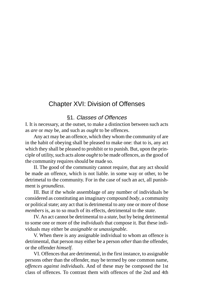# Chapter XVI: Division of Offenses

### §1. Classes of Offences

I. It is necessary, at the outset, to make a distinction between such acts as *are* or *may* be, and such as *ought* to be offences.

Any act may be an offence, which they whom the community of are in the habit of obeying shall be pleased to make one: that to is, any act which they shall be pleased to prohibit or to punish. But, upon the principle of utility, such acts alone *ought* to be made offences, as the good of the community requires should be made so.

II. The good of the community cannot require, that any act should be made an offence, which is not liable. in some way or other, to be detrimetal to the community. For in the case of such an act, all punishment is *groundless*.

III. But if the whole assemblage of any number of individuals be considered as constituting an imaginary compound *body*, a community or political state; any act that is detrimental to any one or more of those *members* is, as to so much of its effects, detrimental to the *state*.

IV. An act cannot be detrimental to a *state*, but by being detrimental to some one or more of the *individuals* that compose it. But these individuals may either be *assignable* or *unassignable*.

V. When there is any assignable individual to whom an offence is detrimental, that person may either be a person *other* than the offender, or the offender *himself*.

VI. Offences that are detrimental, in the first instance, to assignable persons other than the offender, may be termed by one common name, *offences against individuals*. And of these may be composed the 1st class of offences. To contrast them with offences of the 2nd and 4th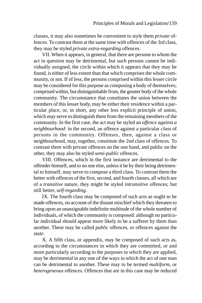classes, it may also sometimes be convenient to style them *private* offences. To contrast them at the same time with offences of the 3rd class, they may be styled *private extra-regarding* offences.

VII. When it appears, in general, that there are persons to whom the act in question may be detrimental, but such persons cannot be individually assigned, the circle within which it appears that they may be found, is either of less extent than that which comprises the whole community, or not. If of less, the persons comprised within this lesser circle may be considered for this purpose as composing a body of themselves; comprised within, but distinguishable from, the greater body of the whole community. The circumstance that constitutes the union between the members of this lesser body, may be either their residence within a particular place, or, in short, any other less explicit principle of union, which may serve to distinguish them from the remaining members of the community. In the first case, the act may be styled an *offence against a neighbourhood*: in the second, an offence against a particular *class* of persons in the community. Offenses, then, against a class or neighbourhood, may, together, constitute the 2nd class of offences. To contrast them with private offences on the one hand, and public on the other, they may also be styled *semi-public* offences.

VIII. Offences, which in the first instance are detrimental to the offender himself, and to no one else, unless it be by their being detrimental to himself, may serve to compose a third class. To contrast them the better with offences of the first, second, and fourth classes, all which are of a *transitive* nature, they might be styled *intransitive* offences; but still better, *self-regarding*.

IX. The fourth class may be composed of such acts as ought to be made offences, on account of the distant mischief which they threaten to bring upon an unassignable indefinite multitude of the whole number of individuals, of which the community is composed: although no particular individual should appear more likely to be a sufferer by them than another. These may be called *public* offences, or offences against the *state*.

X. A fifth class, or appendix, may be composed of such acts as, according to the circumstances in which they are committed, or and more particularly according to the purposes to which they are applied, may be detrimental in any one of the ways in which the act of one man can be detrimental to another. These may to be termed *multiform*, or *heterogeneous* offences. Offences that are in this case may be reduced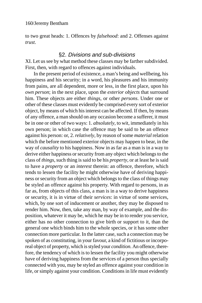to two great heads: 1. Offences by *falsehood*: and 2. Offenses against *trust*.

## §2. Divisions and sub-divisions

XI. Let us see by what method these classes may be farther subdivided. First, then, with regard to offences against individuals.

In the present period of existence, a man's being and wellbeing, his happiness and his security; in a word, his pleasures and his immunity from pains, are all dependent, more or less, in the first place, upon his *own person*; in the next place, upon the *exterior objects* that surround him. These objects are either *things*, or other *persons*. Under one or other of these classes must evidently be comprised every sort of exterior object, by means of which his interest can be affected. If then, by means of any offence, a man should on any occasion become a sufferer, it must be in one or other of two ways: 1. *absolutely*, to wit, immediately in his own person; in which case the offence may be said to be an offence against his person: or, 2. *relatively*, by reason of some *material* relation which the before mentioned exterior objects may happen to bear, in the way of *causality* to his happiness. Now in as far as a man is in a way to derive either happiness or security from any object which belongs to the class of *things*, such thing is said to be his *property*, or at least he is said to have a *property* or an *interest* therein: an offence, therefore, which tends to lessen the facility he might otherwise have of deriving happiness or security from an object which belongs to the class of things may be styled an offence against his property. With regard to persons, in as far as, from objects of this class, a man is in a way to derive happiness or security, it is in virtue of their *services*: in virtue of some services, which, by one sort of inducement or another, they may be disposed to render him. Now, then, take any man, by way of example, and the disposition, whatever it may be, which he may be in to render you service, either has no other connection to give birth or support to it, than the general one which binds him to the whole species, or it has some other connection more particular. In the latter case, such a connection may be spoken of as constituting, in your favour, a kind of fictitious or incorporeal object of property, which is styled your *condition*. An offence, therefore, the tendency of which is to lessen the facility you might otherwise have of deriving happiness from the services of a person thus specially connected with you, may be styled an offence against your condition in life, or simply against your condition. Conditions in life must evidently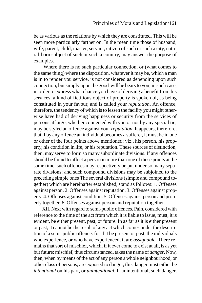be as various as the relations by which they are constituted. This will be seen more particularly farther on. In the mean time those of husband, wife, parent, child, master, servant, citizen of such or such a city, natural-born subject of such or such a country, may answer the purpose of examples.

 Where there is no such particular connection, or (what comes to the same thing) where the disposition, whatever it may be, which a man is in to render you service, is not considered as depending upon such connection, but simply upon the good-will he bears to you; in such case, in order to express what chance you have of deriving a benefit from his services, a kind of fictitious object of property is spoken of, as being constituted in your favour, and is called your *reputation*. An offence, therefore, the tendency of which is to lessen the facility you might otherwise have had of deriving happiness or security from the services of persons at large, whether connected with you or not by any special tie, may be styled an offence against your *reputation*. It appears, therefore, that if by any offence an individual becomes a sufferer, it must be in one or other of the four points above mentioned; viz., his person, his property, his condition in life, or his reputation. These sources of distinction, then, may serve to form so many subordinate divisions. If any offences should be found to affect a person in more than one of these points at the same time, such offences may respectively be put under so many separate divisions; and such compound divisions may be subjoined to the preceding simple ones The several divisions (simple and compound together) which are hereinafter established, stand as follows: 1. Offenses against person. 2. Offenses against reputation. 3. Offenses against property. 4. Offenses against condition. 5. Offenses against person and property together. 6. Offenses against person and reputation together.

XII. Next with regard to semi-public offences. Pain, considered with reference to the time of the act from which it is liable to issue, must, it is evident, be either present, past, or future. In as far as it is either present or past, it cannot be the result of any act which comes under the description of a semi-public offence: for if it be present or past, the individuals who experience, or who have experienced, it are *assignable*. There remains that sort of mischief, which, if it ever come to exist at all, is as yet but future: mischief, thus circumstanced, takes the name of *danger*. Now, then, when by means of the act of any person a whole neighbourhood, or other class of persons, are exposed to danger, this danger must either be *intentional* on his part, or *unintentional*. If unintentional, such danger,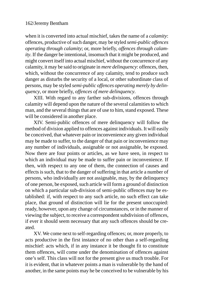when it is converted into actual mischief, takes the name of a *calamity*: offences, productive of such danger, may be styled *semi-public offences operating through calamity*; or, more briefly, *offences through calamity*. If the danger be intentional, insomuch that it might be produced, and might convert itself into actual mischief, without the concurrence of any calamity, it may be said to originate in *mere delinquency*: offences, then, which, without the concurrence of any calamity, tend to produce such danger as disturbs the security of a local, or other subordinate class of persons, may be styled *semi-public offences operating merely by delinquency*, or more briefly, *offences of mere delinquency*.

XIII. With regard to any farther sub-divisions, offences through calamity will depend upon the nature of the several calamities to which man, and the several things that are of use to him, stand exposed. These will be considered in another place.

XIV. Semi-public offences of mere delinquency will follow the method of division applied to offences against individuals. It will easily be conceived, that whatever pain or inconvenience any given individual may be made to suffer, to the danger of that pain or inconvenience may any number of individuals, assignable or not assignable, be exposed. Now there are four points or articles, as we have seen, in respect to which an individual may be made to suffer pain or inconvenience. If then, with respect to any one of them, the connection of causes and effects is such, that to the danger of suffering in that article a number of persons, who individually are not assignable, may, by the delinquency of one person, be exposed, such article will form a ground of distinction on which a particular sub-division of semi-public offences may be established: if, with respect to any such article, no such effect can take place, that ground of distinction will lie for the present unoccupied: ready, however, upon any change of circumstances, or in the manner of viewing the subject, to receive a correspondent subdivision of offences, if ever it should seem necessary that any such offences should be created.

XV. We come next to self-regarding offences; or, more properly, to acts productive in the first instance of no other than a self-regarding mischief: acts which, if in any instance it be thought fit to constitute them offences, will come under the denomination of offences against one's self. This class will not for the present give us much trouble. For it is evident, that in whatever points a man is vulnerable by the hand of another, in the same points may he be conceived to be vulnerable by his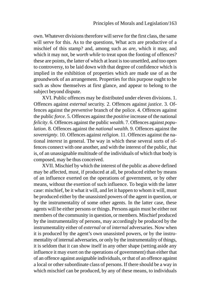own. Whatever divisions therefore will serve for the first class, the same will serve for this. As to the questions, What acts are productive of a mischief of this stamp? and, among such as *are*, which it may, and which it may not, be *worth while* to treat upon the footing of offences? these are points, the latter of which at least is too unsettled, and too open to controversy, to be laid down with that degree of confidence which is implied in the exhibition of properties which are made use of as the groundwork of an arrangement. Properties for this purpose ought to be such as show themselves at first glance, and appear to belong to the subject beyond dispute.

XVI. Public offences may be distributed under eleven divisions. 1. Offences against *external* security. 2. Offences against *justice*. 3. Offences against the *preventive* branch of the police. 4. Offences against the public *force*. 5. Offences against the *positive* increase of the national *felicity*. 6. Offences against the public *wealth*. 7. Offences against *population*. 8. Offences against the *national wealth*. 9. Offences against the *sovereignty*. 10. Offences against *religion*. 11. Offences against the national *interest* in general. The way in which these several sorts of offences connect with one another, and with the interest of the public, that is, of an unassignable multitude of the individuals of which that body is composed, may be thus conceived.

XVII. Mischief by which the interest of the public as above defined may be affected, must, if produced at all, be produced either by means of an influence exerted on the operations of government, or by other means, without the exertion of such influence. To begin with the latter case: mischief, be it what it will, and let it happen to whom it will, must be produced either by the unassisted powers of the agent in question, or by the instrumentality of some other agents. In the latter case, these agents will be either persons or things. Persons again must be either not members of the community in question, or members. Mischief produced by the instrumentality of persons, may accordingly be produced by the instrumentality either of *external* or of *internal* adversaries. Now when it is produced by the agent's own unassisted powers, or by the instrumentality of internal adversaries, or only by the instrumentality of things, it is seldom that it can show itself in any other shape (setting aside any influence it may exert on the operations of government) than either that of an offence against assignable individuals, or that of an offence against a local or other subordinate class of persons. If there should be a way in which mischief can be produced, by any of these means, to individuals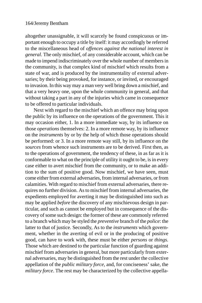altogether unassignable, it will scarcely be found conspicuous or important enough to occupy a title by itself: it may accordingly be referred to the miscellaneous head of *offences against the national interest in general*. The only mischief, of any considerable account, which can be made to impend indiscriminately over the whole number of members in the community, is that complex kind of mischief which results from a state of war, and is produced by the instrumentality of external adversaries; by their being provoked, for instance, or invited, or encouraged to invasion. In this way may a man very well bring down a mischief, and that a very heavy one, upon the whole community in general, and that without taking a part in any of the injuries which came in consequence to be offered to particular individuals.

Next with regard to the mischief which an offence may bring upon the public by its influence on the operations of the government. This it may occasion either, 1. In a more immediate way, by its influence on those *operations* themselves: 2. In a more remote way, by its influence on the *instruments* by or by the help of which those operations should be performed: or 3. In a more remote way still, by its influence on the *sources* from whence such instruments are to be derived. First then, as to the operations of government, the tendency of these, in as far as it is conformable to what on the principle of utility it ought to be, is in every case either to avert mischief from the community, or to make an addition to the sum of positive good. Now mischief, we have seen, must come either from external adversaries, from internal adversaries, or from calamities. With regard to mischief from external adversaries, there requires no further division. As to mischief from internal adversaries, the expedients employed for averting it may be distinguished into such as may be applied *before* the discovery of any mischievous design in particular, and such as cannot be employed but in consequence of the discovery of some such design: the former of these are commonly referred to a branch which may be styled the *preventive* branch of the *police*: the latter to that of justice. Secondly, As to the *instruments* which government, whether in the averting of evil or in the producing of positive good, can have to work with, these must be either *persons* or *things*. Those which are destined to the particular function of guarding against mischief from adversaries in general, but more particularly from external adversaries, may be distinguished from the rest under the collective appellation of the *public military force*, and, for conciseness' sake, the *military force*. The rest may be characterized by the collective appella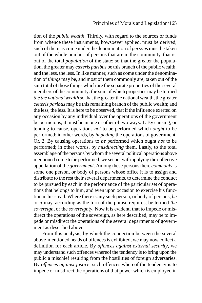tion of the *public wealth*. Thirdly, with regard to the sources or funds from whence these instruments, howsoever applied, must be derived, such of them as come under the denomination of *persons* must be taken out of the whole number of persons that are in the community, that is, out of the total *population* of the state: so that the greater the population, the greater may *cæteris paribus* be this branch of the public wealth; and the less, the less. In like manner, such as come under the denomination of *things* may be, and most of them commonly are, taken out of the sum total of those things which are the separate properties of the several members of the community: the sum of which properties may be termed *the the national wealth* so that the greater the national wealth, the greater *cæteris paribus* may be this remaining branch of the public wealth; and the less, the less. It is here to be observed, that if the influence exerted on any occasion by any individual over the operations of the government be pernicious, it must be in one or other of two ways: 1. By causing, or tending to cause, operations *not* to be performed which *ought* to be performed; in other words, by *impeding* the operations of government. Or, 2. By causing operations to *be* performed which ought *not* to be performed; in other words, by *misdirecting* them. Lastly, to the total assemblage of the persons by whom the several political operations above mentioned come to be performed, we set out with applying the collective appellation of the *government*. Among these persons there *commonly* is some one person, or body of persons whose office it is to assign and distribute to the rest their several departments, to determine the conduct to be pursued by each in the performance of the particular set of operations that belongs to him, and even upon occasion to exercise his function in his stead. Where there is any such person, or body of persons, *he* or *it* may, according as the turn of the phrase requires, be termed *the sovereign*, or the *sovereignty*. Now it is evident, that to impede or misdirect the operations of the sovereign, as here described, may be to impede or misdirect the operations of the several departments of government as described above.

From this analysis, by which the connection between the several above-mentioned heads of offences is exhibited, we may now collect a definition for each article. By *offences against external security*, we may understand such offences whereof the tendency is to bring upon the public a mischief resulting from the hostilities of foreign adversaries. By *offences against justice*, such offences whereof the tendency is to impede or misdirect the operations of that power which is employed in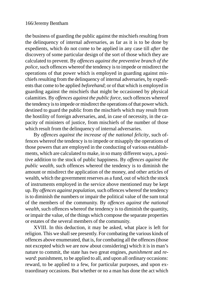the business of guarding the public against the mischiefs resulting from the delinquency of internal adversaries, as far as it is to be done by expedients, which do not come to be applied in any case till *after* the discovery of some particular design of the sort of those which they are calculated to prevent. By *offences against the preventive branch of the police*, such offences whereof the tendency is to impede or misdirect the operations of that power which is employed in guarding against mischiefs resulting from the delinquency of internal adversaries, by expedients that come to be applied *beforehand*; or of that which is employed in guarding against the mischiefs that might be occasioned by physical calamities. By *offences against the public force*, such offences whereof the tendency is to impede or misdirect the operations of that power which. destined to guard the public from the mischiefs which may result from the hostility of foreign adversaries, and, in case of necessity, in the capacity of ministers of justice, from mischiefs of the number of those which result from the delinquency of internal adversaries.

By *offences against the increase of the national felicity*, such offences whereof the tendency is to impede or misapply the operations of those powers that are employed in the conducting of various establishments, which are calculated to make, in so many different ways, a positive addition to the stock of public happiness. By *offences against the public wealth*, such offences whereof the tendency is to diminish the amount or misdirect the application of the money, and other articles of wealth, which the government reserves as a fund, out of which the stock of instruments employed in the service above mentioned may be kept up. By *offences against population*, such offences whereof the tendency is to diminish the numbers or impair the political value of the sum total of the members of the community. By *offences against the national wealth*, such offences whereof the tendency is to diminish the quantity, or impair the value, of the things which compose the separate properties or estates of the several members of the community.

XVIII. In this deduction, it may be asked, what place is left for religion. This we shall see presently. For combating the various kinds of offences above enumerated, that is, for combating all the offences (those not excepted which we are now about considering) which it is in man's nature to commit, the state has two great engines, *punishment* and *reward*: punishment, to be applied to all, and upon all ordinary occasions: reward, to be applied to a few, for particular purposes, and upon extraordinary occasions. But whether or no a man has done the act which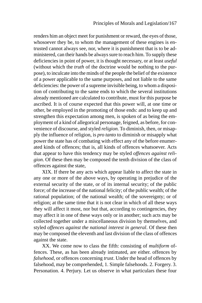renders him an object meet for punishment or reward, the eyes of those, whosoever they be, to whom the management of these engines is entrusted cannot always see, nor, where it is punishment that is to be administered, can their hands be always sure to reach him. To supply these deficiencies in point of power, it is thought necessary, or at least *useful* (without which the *truth* of the doctrine would be nothing to the purpose), to inculcate into the minds of the people the belief of the existence of a power applicable to the same purposes, and not liable to the same deficiencies: the power of a supreme invisible being, to whom a disposition of contributing to the same ends to which the several institutions already mentioned are calculated to contribute, must for this purpose be ascribed. It is of course expected that this power will, at one time or other, be employed in the promoting of those ends: and to keep up and strengthen this expectation among men, is spoken of as being the employment of a kind of allegorical personage, feigned, as before, for convenience of discourse, and styled *religion*. To diminish, then, or misapply the influence of religion, is *pro tanto* to diminish or misapply what power the state has of combating with effect any of the before enumerated kinds of offences; that is, all kinds of offences whatsoever. Acts that appear to have this tendency may be styled *offences against religion*. Of these then may be composed the tenth division of the class of offences against the state,

XIX. If there be any acts which appear liable to affect the state in any one or more of the above ways, by operating in prejudice of the external security of the state, or of its internal security; of the public force; of the increase of the national felicity; of the public wealth; of the rational population; of the national wealth; of the sovereignty; or of religion; at the same time that it is not clear in which of all these ways they will affect it most, nor but that, according to contingencies, they may affect it in one of these ways only or in another; such acts may be collected together under a miscellaneous division by themselves, and styled *offences against the national interest in general*. Of these then may be composed the eleventh and last division of the class of offences against the state.

XX. We come now to class the fifth: consisting of *multiform* offences. These, as has been already intimated, are either. offences by *falsehood*, or offences concerning *trust*. Under the head of offences by falsehood, may be comprehended, 1. Simple falsehoods. 2. Forgery. 3. Personation. 4. Perjury. Let us observe in what particulars these four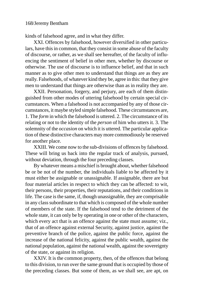kinds of falsehood agree, and in what they differ.

XXI. Offences by falsehood, however diversified in other particulars, have this in common, that they consist in some abuse of the faculty of discourse, or rather, as we shall see hereafter, of the faculty of influencing the sentiment of belief in other men, whether by discourse or otherwise. The use of discourse is to influence belief, and that in such manner as to give other men to understand that things are as they are really. Falsehoods, of whatever kind they be, agree in this: that they give men to understand that things are otherwise than as in reality they are.

XXII. Personation, forgery, and perjury, are each of them distinguished from other modes of uttering falsehood by certain special circumstances. When a falsehood is not accompanied by any of those circumstances, it maybe styled simple falsehood. These circumstances are, 1. The *form* in which the falsehood is uttered. 2. The circumstance of its relating or not to the identity of the *person* of him who utters it. 3. The solemnity of the *occasion* on which it is uttered. The particular application of these distinctive characters may more commodiously be reserved for another place.

XXIII. We come now to the sub-divisions of offences by falsehood. These will bring us back into the regular track of analysis, pursued, without deviation, through the four preceding classes.

By whatever means a mischief is brought about, whether falsehood be or be not of the number, the individuals liable to be affected by it must either be assignable or unassignable. If assignable, there are but four material articles in respect to which they can be affected: to wit, their persons, their properties, their reputations, and their conditions in life. The case is the same, if, though unassignable, they are comprisable in any class subordinate to that which is composed of the whole number of members of the state. If the falsehood tend to the detriment of the whole state, it can only be by operating in one or other of the characters, which every act that is an offence against the state must assume; viz., that of an offence against external Security, against justice, against the preventive branch of the police, against the public force, against the increase of the national felicity, against the public wealth, against the national population, against the national wealth, against the sovereignty of the state, or against its religion.

XXIV. It is the common property, then, of the offences that belong to this division, to run over the same ground that is occupied by those of the preceding classes. But some of them, as we shall see, are apt, on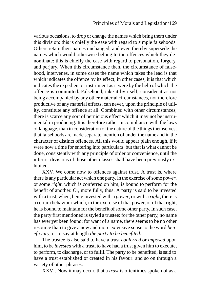various occasions, to drop or change the names which bring them under this division: this is chiefly the ease with regard to simple falsehoods. Others retain their names unchanged; and even thereby supersede the names which would otherwise belong to the offences which they denominate: this is chiefly the case with regard to personation, forgery, and perjury. When this circumstance then, the circumstance of falsehood, intervenes, in some cases the name which takes the lead is that which indicates the offence by its effect; in other cases, it is that which indicates the expedient or instrument as it were by the help of which the offence is committed. Falsehood, take it by itself, consider it as not being accompanied by any other material circumstances, nor therefore productive of any material effects, can never, upon the principle of utility, constitute any offence at all. Combined with other circumstances, there is scarce any sort of pernicious effect which it may not be instrumental in producing. It is therefore rather in compliance with the laws of language, than in consideration of the nature of the things themselves, that falsehoods are made separate mention of under the name and in the character of distinct offences. All this would appear plain enough, if it were now a time for entering into particulars: but that is what cannot be done, consistently with any principle of order or convenience, until the inferior divisions of those other classes shall have been previously exhibited.

XXV. We come now to offences against trust. A trust is, where there is any particular act which one party, in the exercise of some *power*, or some *right*, which is conferred on him, is bound to perform for the benefit of another. Or, more fully, thus: A party is said to be invested with a trust, when, being invested with a *power*, or with a *right*, there is a certain behaviour which, in the exercise of that power, or of that right, he is bound to maintain for the benefit of some other party. In such case, the party first mentioned is styled a trustee: for the other party, no name has ever yet been found: for want of a name, there seems to be no other resource than to give a new and more extensive sense to the word *beneficiary*, or to say at length *the party to be benefited*.

The trustee is also said to have a trust *conferred* or *imposed* upon him, to be *invested* with a trust, to have had a trust given him to execute, to perform, to discharge, or to fulfil. The party to be benefited, is said to have a trust established or created in his favour: and so on through a variety of other phrases.

XXVI. Now it may occur, that a *trust* is oftentimes spoken of as a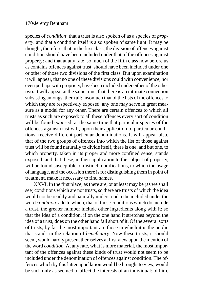species of *condition*: that a trust is also spoken of as a species of *property*: and that a condition itself is also spoken of same light. It may be thought, therefore, that in the first class, the division of offences against condition should have been included under that of the offences against property: and that at any rate, so much of the fifth class now before us as contains offences against trust, should have been included under one or other of those two divisions of the first class. But upon examination it will appear, that no one of these divisions could with convenience, nor even perhaps with propriety, have been included under either of the other two. It will appear at the same time, that there is an intimate connection subsisting amongst them all: insomuch that of the lists of the offences to which they are respectively exposed, any one may serve in great measure as a model for any other. There are certain offences to which all trusts as such are exposed: to all these offences every sort of condition will be found exposed: at the same time that particular species of the offences against trust will, upon their application to particular conditions, receive different particular denominations. It will appear also, that of the two groups of offences into which the list of those against trust will be found naturally to divide itself, there is one, and but one, to which property, taken in its proper and more confined sense, stands exposed: and that these, in their application to the subject of property, will be found susceptible of distinct modifications, to which the usage of language, and the occasion there is for distinguishing them in point of treatment, make it necessary to find names.

XXVI. In the first place, as there are, or at least may be (as we shall see) conditions which are not trusts, so there are trusts of which the idea would not be readily and naturally understood to be included under the word *condition*: add to which, that of those conditions which do include a trust, the greater number include other ingredients along with it: so that the idea of a condition, if on the one hand it stretches beyond the idea of a trust, does on the other hand fall short of it. Of the several sorts of trusts, by far the most important are those in which it is the public that stands in the relation of *beneficiary*. Now these trusts, it should seem, would hardly present themselves at first view upon the mention of the word *condition*. At any rate, what is more material, the most important of the offences against these kinds of trust would not seem to be included under the denomination of offences against condition. The offences which by this latter appellation would be brought to view, would be such only as seemed to affect the interests of an individual: of him,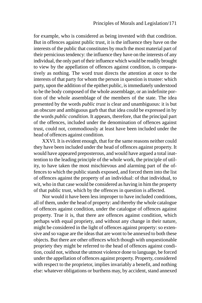for example, who is considered as being invested with that condition. But in offences against public trust, it is the influence they have on the interests of the public that constitutes by much the most material part of their pernicious tendency: the influence they have on the interests of any individual, the only part of their influence which would be readily brought to view by the appellation of offences against condition, is comparatively as nothing. The word trust directs the attention at once to the interests of that party for whom the person in question is trustee: which party, upon the addition of the epithet public, is immediately understood to be the body composed of the whole assemblage, or an indefinite portion of the whole assemblage of the members of the state. The idea presented by the words *public trust* is clear and unambiguous: it is but an obscure and ambiguous garb that that idea could be expressed in by the words *public condition*. It appears, therefore, that the principal part of the offences, included under the denomination of offences against trust, could not, commodiously at least have been included under the head of offences against condition.

XXVI. It is evident enough, that for the same reasons neither could they have been included under the head of offences against property. It would have appeared preposterous, and would have argued a total inattention to the leading principle of the whole work, the principle of utility, to have taken the most mischievous and alarming part of the offences to which the public stands exposed, and forced them into the list of offences against the property of an individual: of that individual, to wit, who in that case would be considered as having in him the property of that public trust, which by the offences in question is affected.

Nor would it have been less improper to have included conditions, all of them, under the head of property: and thereby the whole catalogue of offences against condition, under the catalogue of offences against property. True it is, that there are offences against condition, which perhaps with equal propriety, and without any change in their nature, might be considered in the light of offences against property: so extensive and so vague are the ideas that are wont to be annexed to both these objects. But there are other offences which though with unquestionable propriety they might be referred to the head of offences against condition, could not, without the utmost violence done to language, be forced under the appellation of offences against property. Property, considered with respect to the proprietor, implies invariably a benefit, and nothing else: whatever obligations or burthens may, by accident, stand annexed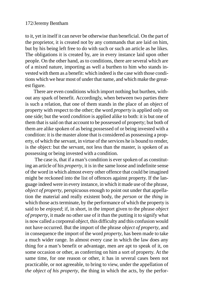to it, yet in itself it can never be otherwise than beneficial. On the part of the proprietor, it is created not by any commands that are laid on him, but by his being left free to do with such or such an article as he likes. The obligations it is created by, are in every instance laid upon other people. On the other hand, as to conditions, there are several which are of a mixed nature, importing as well a burthen to him who stands invested with them as a benefit: which indeed is the case with those conditions which we hear most of under that name, and which make the greatest figure.

There are even conditions which import nothing but burthen, without any spark of benefit. Accordingly, when between two parties there is such a relation, that one of them stands in the place of an object of property with respect to the other; the word *property* is applied only on one side; but the word *condition* is applied alike to both: it is but one of them that is said on that account to be possessed of property; but both of them are alike spoken of as being possessed of or being invested with a condition: it is the master alone that is considered as possessing a property, of which the servant, in virtue of the services he is bound to render, is the object: but the servant, not less than the master, is spoken of as possessing or being invested with a condition.

 The case is, that if a man's condition is ever spoken of as constituting an article of his *property*, it is in the same loose and indefinite sense of the word in which almost every other offence that could be imagined might be reckoned into the list of offences against property. If the language indeed were in every instance, in which it made use of the phrase, *object of property*, perspicuous enough to point out under that appellation the material and really existent body, the *person* or the *thing* in which those acts terminate, by the performance of which the property is said to be *enjoyed*; if, in short, in the import given to the phrase *object of property*, it made no other use of it than the putting it to signify what is now called a corporeal *object*, this difficulty and this confusion would not have occurred. But the import of the phrase *object of property*, and in consequence the import of the word *property*, has been made to take a much wider range. In almost every case in which the law does any thing for a man's benefit or advantage, men are apt to speak of it, on some occasion or other, as conferring on him a sort of property. At the same time, for one reason or other, it has in several cases been not practicable, or not agreeable, to bring to view, under the appellation of *the object of his property*, the thing in which the acts, by the perfor-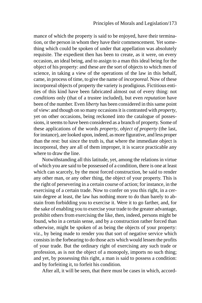mance of which the property is said to be enjoyed, have their termination, or the person in whom they have their commencement. Yet something which could be spoken of under that appellation was absolutely requisite. The expedient then has been to create, as it were, on every occasion, an ideal being, and to assign to a man this ideal being for the object of his property: and these are the sort of objects to which men of science, in taking a view of the operations of the law in this behalf, came, in process of time, to give the name of *incorporeal*. Now of these incorporeal objects of property the variety is prodigious. Fictitious entities of this kind have been fabricated almost out of every thing: not *conditions* only (that of a trustee included), but even *reputation* have been of the number. Even *liberty* has been considered in this same point of view: and though on so many occasions it is contrasted with *property*, yet on other occasions, being reckoned into the catalogue of possessions, it seems to have been considered as a branch of property. Some of these applications of the words *property*, *object of property* (the last, for instance), are looked upon, indeed, as more figurative, and less proper than the rest: but since the truth is, that where the immediate object is incorporeal, they are all of them improper, it is scarce practicable any where to draw the line.

Notwithstanding all this latitude, yet, among the relations in virtue of which you are said to be possessed of a condition, there is one at least which can scarcely, by the most forced construction, be said to render any other man, or any other thing, the object of your property. This is the right of persevering in a certain course of action; for instance, in the exercising of a certain trade. Now to confer on you this right, in a certain degree at least, the law has nothing more to do than barely to abstain from forbidding you to exercise it. Were it to go farther, and, for the sake of enabling you to exercise your trade to the greater advantage, prohibit others from exercising the like, then, indeed, persons might be found, who in a certain sense, and by a construction rather forced than otherwise, might be spoken of as being the objects of your property: viz., by being made to render you that sort of negative service which consists in the forbearing to do those acts which would lessen the profits of your trade. But the ordinary right of exercising any such trade or profession, as is not the object of a monopoly, imports no such thing; and yet, by possessing this right, a man is said to possess a condition: and by forfeiting it, to forfeit his condition.

After all, it will be seen, that there must be cases in which, accord-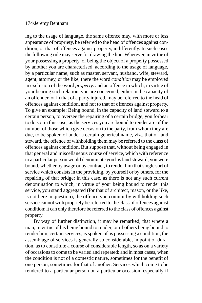ing to the usage of language, the same offence may, with more or less appearance of propriety, be referred to the head of offences against condition, or that of offences against property, indifferently. In such cases the following rule may serve for drawing the line. Wherever, in virtue of your possessing a property, or being the object of a property possessed by another you are characterised, according to the usage of language, by a particular name, such as master, servant, husband, wife, steward, agent, attorney, or the like, there the word *condition* may be employed in exclusion of the word *property*: and an offence in which, in virtue of your bearing such relation, you are concerned, either in the capacity of an offender, or in that of a party injured, may be referred to the head of offences against condition, and not to that of offences against property. To give an example: Being bound, in the capacity of land steward to a certain person, to oversee the repairing of a certain bridge, you forbear to do so: in this case, as the services you are bound to render are of the number of those which give occasion to the party, from whom they are due, to be spoken of under a certain generical name, viz., that of land steward, the offence of withholding them may be referred to the class of offences against condition. But suppose that, without being engaged in that general and miscellaneous course of service, which with reference to a particular person would denominate you his land steward, you were bound, whether by usage or by contract, to render him that single sort of service which consists in the providing, by yourself or by others, for the repairing of that bridge: in this case, as there is not any such current denomination to which, in virtue of your being bound to render this service, you stand aggregated (for that of architect, mason, or the like, is not here in question), the offence you commit by withholding such service cannot with propriety be referred to the class of offences against condition: it can only therefore be referred to the class of offences against property.

By way of further distinction, it may be remarked, that where a man, in virtue of his being bound to render, or of others being bound to render him, certain services, is spoken of as possessing a condition, the assemblage of services is generally so considerable, in point of duration, as to constitute a course of considerable length, so as on a variety of occasions to come to be varied and repeated: and in most cases, when the condition is not of a domestic nature, sometimes for the benefit of one person, sometimes for that of another. Services which come to be rendered to a particular person on a particular occasion, especially if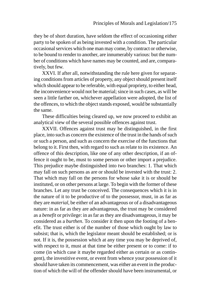they be of short duration, have seldom the effect of occasioning either party to be spoken of as being invested with a condition. The particular occasional services which one man may come, by contract or otherwise, to be bound to render to another, are innumerably various: but the number of conditions which have names may be counted, and are, comparatively, but few.

XXVI. If after all, notwithstanding the rule here given for separating conditions from articles of property, any object should present itself which should appear to be referable, with equal propriety, to either head, the inconvenience would not be material; since in such cases, as will be seen a little farther on, whichever appellation were adopted, the list of the offences, to which the object stands exposed, would be substantially the same.

These difficulties being cleared up, we now proceed to exhibit an analytical view of the several possible offences against trust.

XXVII. Offences against trust may be distinguished, in the first place, into such as concern the existence of the trust in the hands of such or such a person, and such as concern the exercise of the functions that belong to it. First then, with regard to such as relate to its existence. An offence of this description, like one of any other description, if an offence it ought to be, must to some person or other import a prejudice. This prejudice maybe distinguished into two branches: 1. That which may fall on such persons as are or should be invested with the trust: 2. That which may fall on the persons for whose sake it is or should be instituted, or on other persons at large. To begin with the former of these branches. Let any trust be conceived. The consequences which it is in the nature of it to be productive of to the possessor, must, in as far as they are *material*, be either of an advantageous or of a disadvantageous nature: in as far as they are advantageous, the trust may be considered as a *benefit* or privilege: in as far as they are disadvantageous, it may be considered as a *burthen*. To consider it then upon the footing of a benefit. The trust either is of the number of those which ought by law to subsist; that is, which the legislator meant should be established; or is not. If it is, the possession which at any time you may be deprived of, with respect to it, must at that time be either present or to come: if to come (in which case it maybe regarded either as certain or as contingent), the investitive event, or event from whence your possession of it should have taken its commencement, was either an event in the production of which the will of the offender should have been instrumental, or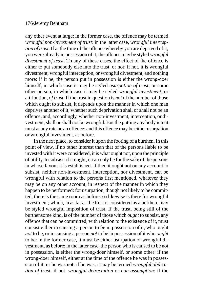any other event at large: in the former case, the offence may be termed *wrongful non-investment of trust*: in the latter case, *wrongful interception of trust*. If at the time of the offence whereby you are deprived of it, you were already in possession of it, the offence may be styled *wrongful divestment of trust*. Tn any of these cases, the effect of the offence is either to put somebody else into the trust, or not: if not, it is wrongful divestment, wrongful interception, or wrongful divestment, and nothing more: if it be, the person put in possession is either the wrong-doer himself, in which case it may be styled *usurpation of trust*; or some other person, in which case it may be styled *wrongful investment*, or attribution, *of trust*. If the trust in question is *not* of the number of those which ought to subsist, it depends upon the manner in which one man deprives another of it, whether such deprivation shall or shall not be an offence, and, accordingly, whether non-investment, interception, or divestment, shall or shall not be wrongful. But the putting any body into it must at any rate be an offence: and this offence may be either usurpation or wrongful investment, as before.

In the next place, to consider it upon the footing of a burthen. In this point of view, if no other interest than that of the persons liable to be invested with it were considered, it is what ought not, upon the principle of utility, to subsist: if it ought, it can only be for the sake of the persons in whose favour it is established. If then it ought not on any account to subsist, neither non-investment, interception, nor divestment, can be wrongful with relation to the persons first mentioned, whatever they may be on any other account, in respect of the manner in which they happen to be performed: for usurpation, though not likely to be committed, there is the same room as before: so likewise is there for wrongful investment; which, in as far as the trust is considered as a burthen, may be styled wrongful imposition of trust. If the trust, being still of the burthensome kind, is of the number of those which *ought* to subsist, any offence that can be committed, with relation to the existence of it, must consist either in causing a person to *be* in possession of it, who ought *not* to be, or in causing a person *not* to be in possession of it who *ought* to be: in the former case, it must be either usurpation or wrongful divestment, as before: in the latter case, the person who is caused to be not in possession, is either the wrong-doer himself, or some other: if the wrong-doer himself, either at the time of the offence he was in possession of it, or he was not: if he was, it may be termed *wrongful abdication of trust*; if not, *wrongful detrectation* or *non-assumption*: if the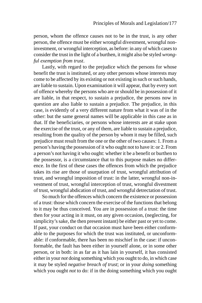person, whom the offence causes not to be in the trust, is any other person, the offence must be either wrongful divestment, wrongful noninvestment, or wrongful interception, as before: in any of which cases to consider the trust in the light of a burthen, it might also be styled *wrongful exemption from trust*.

Lastly, with regard to the prejudice which the persons for whose benefit the trust is instituted, or any other persons whose interests may come to be affected by its existing or not existing in such or such hands, are liable to sustain. Upon examination it will appear, that by every sort of offence whereby the persons who are or should be in possession of it are liable, in that respect, to sustain a prejudice, the persons now in question are also liable to sustain a prejudice. The prejudice, in this case, is evidently of a very different nature from what it was of in the other: but the same general names will be applicable in this case as in that. If the beneficiaries, or persons whose interests are at stake upon the exercise of the trust, or any of them, are liable to sustain a prejudice, resulting from the quality of the person by whom it may be filled, such prejudice must result from the one or the other of two causes: 1. From a person's having the possession of it who ought not to have it: or 2. From a person's not having it who ought: whether it be a benefit or burthen to the possessor, is a circumstance that to this purpose makes no difference. In the first of these cases the offences from which the prejudice takes its rise are those of usurpation of trust, wrongful attribution of trust, and wrongful imposition of trust: in the latter, wrongful non-investment of trust, wrongful interception of trust, wrongful divestment of trust, wrongful abdication of trust, and wrongful detrectation of trust.

So much for the offences which concern the existence or possession of a trust: those which concern the exercise of the functions that belong to it may be thus conceived. You are in possession of a trust: the time then for your acting in it must, on any given occasion, (neglecting, for simplicity's sake, the then present instant) be either past or yet to come. If past, your conduct on that occasion must have been either conformable to the purposes for which the trust was instituted, or unconformable: if conformable, there has been no mischief in the case: if unconformable, the fault has been either in yourself alone, or in some other person, or in both: in as far as it has lain in yourself, it has consisted either in your *not* doing something which you ought to do, in which case it may be styled *negative breach of trust*; or in your *doing* something which you ought *not* to do: if in the doing something which you ought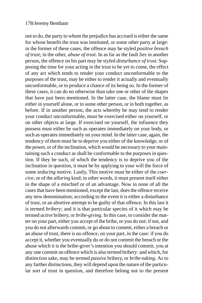not to do, the party to whom the prejudice has accrued is either the same for whose benefit the trust was instituted, or some other party at large: in the former of these cases, the offence may be styled *positive breach of trust*; in the other, *abuse of trust*. In as far as the fault lies in another person, the offence on his part may be styled *disturbance of trust*. Supposing the time for your acting in the trust to be yet to come, the effect of any act which tends to render your conduct unconformable to the purposes of the trust, may be either to render it actually and eventually unconformable, or to produce a chance of its being so. In the former of these cases, it can do no otherwise than take one or other of the shapes that have just been mentioned. In the latter case, the blame must lie either in yourself alone, or in some other person, or in both together, as before. If in another person, the acts whereby he may tend to render your conduct unconformable, must be exercised either on yourself, or on other objects at large. If exercised on yourself, the infiuence they possess must either be such as operates immediately on your body, or such as operates immediately on your mind. In the latter case, again, the tendency of them must be to deprive you either of the knowledge, or of the power, or of the inclination, which would be necessary to your maintaining such a conduct as shall be conformable to the purposes in question. If they be such, of which the tendency is to deprive you of the inclination in question, it must be by applying to your will the force of some *seducing* motive. Lastly, This motive must be either of the *coercive*, or of the *alluring* kind; in other words, it must present itself either in the shape of a mischief or of an advantage. Now in none of all the cases that have been mentioned, except the last, does the offence receive any new denomination; according to the event it is either a disturbance of trust, or an abortive attempt to be guilty of that offence. In this last it is termed *bribery*; and it is that particular species of it which may be termed *active* bribery, or *bribe-giving*. In this case, to consider the matter on your part, either you accept of the bribe, or you do not: if not, and you do not afterwards commit, or go about to commit, either a breach or an abuse of trust, there is no offence, on your part, in the case: if you do accept it, whether you eventually do or do not commit the breach or the abuse which it is the bribe-giver's intention you should commit, you at any rate commit an offence which is also termed bribery: and which, for distinction sake, may be termed *passive* bribery, or *bribe-taking*. As to any farther distinctions, they will depend upon the nature of the particular sort of trust in question, and therefore belong not to the present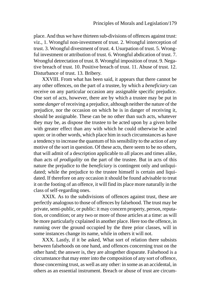place. And thus we have thirteen sub-divisions of offences against trust: viz., 1. Wrongful non-investment of trust. 2. Wrongful interception of trust. 3. Wrongful divestment of trust. 4. Usurpation of trust. 5. Wrongful investment or attribution of trust. 6. Wrongful abdication of trust. 7. Wrongful detrectation of trust. 8. Wrongful imposition of trust. 9. Negative breach of trust. 10. Positive breach of trust. 11. Abuse of trust. 12. Disturbance of trust. 13. Bribery.

XXVIII. From what has been said, it appears that there cannot be any other offences, on the part of a trustee, by which a *beneficiary* can receive on any particular occasion any assignable specific prejudice. One sort of acts, however, there are by which a trustee may be put in some *danger* of receiving a prejudice, although neither the nature of the prejudice, nor the occasion on which he is in danger of receiving it, should be assignable. These can be no other than such acts, whatever they may be, as dispose the trustee to be acted upon by a given bribe with greater effect than any with which he could otherwise be acted upon: or in other words, which place him in such circumstances as have a tendency to increase the quantum of his sensibility to the action of any motive of the sort in question. Of these acts, there seem to be no others, that will admit of a description applicable to all places and times alike, than acts of *prodigality* on the part of the trustee. But in acts of this nature the prejudice to the *beneficiary* is contingent only and unliquidated; while the prejudice to the trustee himself is certain and liquidated. If therefore on any occasion it should be found advisable to treat it on the footing of an offence, it will find its place more naturally in the class of self-regarding ones.

XXIX. As to the subdivisions of offences against trust, these are perfectly analogous to those of offences by falsehood. The trust may be private, semi-public, or public: it may concern property, person, reputation, or condition; or any two or more of those articles at a time: as will be more particularly cxplained in another place. Here too the offence, in running over the ground occupied by the three prior classes, will in some instances change its name, while in others it will not.

XXX. Lastly, if it be asked, What sort of relation there subsists between falsehoods on one hand, and offences concerning trust on the other hand; the answer is, they are altogether disparate. Falsehood is a circumstance that may enter into the composition of any sort of offence, those concerning trust, as well as any other: in some as an accidental, in others as an essential instrument. Breach or abuse of trust are circum-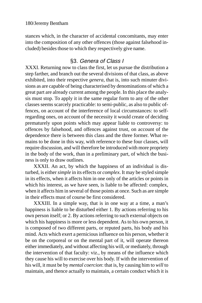stances which, in the character of accidental concomitants, may enter into the composition of any other offences (those against falsehood included) besides those to which they respectively give name.

## §3. Genera of Class I

XXXI. Returning now to class the first, let us pursue the distribution a step farther, and branch out the several divisions of that class, as above exhibited, into their respective *genera*, that is, into such minuter divisions as are capable of being characterised by denominations of which a great part are already current among the people. In this place the analysis must stop. To apply it in the same regular form to any of the other classes seems scarcely practicable: to semi-public, as also to public offences, on account of the interference of local circumstances: to selfregarding ones, on account of the necessity it would create of deciding prematurely upon points which may appear liable to controversy: to offences by falsehood, and offences against trust, on account of the dependence there is between this class and the three former. What remains to be done in this way, with reference to these four classes, will require discussion, and will therefore be introduced with more propriety in the body of the work, than in a preliminary part, of which the business is only to draw outlines.

XXXII. An act, by which the happiness of an individual is disturbed, is either *simple* in its effects or *complex*. It may be styled simple in its effects, when it affects him in one only of the articles or points in which his interest, as we have seen, is liable to be affected: complex, when it affects him in several of those points at once. Such as are simple in their effects must of course be first considered.

XXXIII. In a simple way, that is in one way at a time, a man's happiness is liable to be disturbed either 1. By actions referring to his own person itself; or 2. By actions referring to such external objects on which his happiness is more or less dependent. As to his own person, it is composed of two different parts, or reputed parts, his body and his mind. Acts which exert a pernicious influence on his person, whether it be on the corporeal or on the mental part of it, will operate thereon either immediately, and without affecting his will, or mediately, through the intervention of that faculty: viz., by means of the influence which they cause his will to exercise over his body. If with the intervention of his will, it must be by *mental coercion*: that is, by causing him to *will* to maintain, and thence actually to maintain, a certain conduct which it is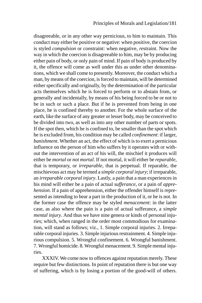disagreeable, or in any other way pernicious, to him to maintain. This conduct may either be positive or negative: when positive, the coercion is styled *compulsion* or *con*straint: when negative, *re*straint. Now the way in which the coercion is disagreeable to him, may be by producing either pain of body, or only pain of mind. If pain of body is produced by it, the offence will come as well under this as under other denominations, which we shall come to presently. Moreover, the conduct which a man, by means of the coercion, is forced to maintain, will be determined either specifically and originally, by the determination of the particular acts themselves which he is forced to perform or to abstain from, or generally and incidentally, by means of his being forced to be or not to be in such or such a place. But if he is prevented from being in one place, he is confined thereby to another. For the whole surface of the earth, like the surface of any greater or lesser body, may be conceived to be divided into two, as well as into any other number of parts or spots. If the spot then, which he is confined to, be smaller than the spot which he is excluded from, his condition may be called *confinement*: if larger, *banishment*. Whether an act, the effect of which is to exert a pernicious influence on the person of him who suffers by it operates with or without the intervention of an act of his will, the mischief it produces will either be *mortal* or *not mortal*. If not mortal, it will either be *reparable*, that is temporary, or *irreparable*, that is perpetual. If reparable, the mischievous act may be termed a *simple corporal injury*; if irreparable, an *irreparable corporal injury*. Lastly, a pain that a man experiences in his mind will either be a pain of actual *sufferance*, or a pain of *apprehension*. If a pain of apprehension, either the offender himself is represented as intending to bear a part in the production of it, or he is not. In the former case the offence may be styled *menacement*: in the latter case, as also where the pain is a pain of actual sufferance, a *simple mental injury*. And thus we have nine genera or kinds of personal injuries; which, when ranged in the order most commodious for examination, will stand as follows; viz., 1. Simple corporal injuries. 2. Irreparable corporal injuries. 3. Simple injurious restrainment. 4. Simple injurious compulsion. 5. Wrongful confinement. 6. Wrongful banishment. 7. Wrongful homicide. 8. Wrongful menacement. 9. Simple mental injuries.

XXXIV. We come now to offences against reputation merely. These require but few distinctions. In point of reputation there is but one way of suffering, which is by losing a portion of the good-will of others.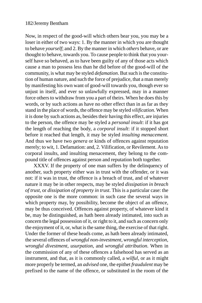Now, in respect of the good-will which others bear you, you may be a loser in either of two ways: 1. By the manner in which you are thought to behave *yourself*; and 2. By the manner in which *others* behave, or are thought to behave, towards you. To cause people to think that you yourself have so behaved, as to have been guilty of any of those acts which cause a man to possess less than he did before of the good-will of the community, is what may be styled *defamation*. But such is the constitution of human nature, and such the force of prejudice, that a man merely by manifesting his own want of good-will towards you, though ever so unjust in itself, and ever so unlawfully expressed, may in a manner force others to withdraw from you a part of theirs. When he does this by words, or by such actions as have no other effect than in as far as they stand in the place of words, the offence may be styled *vilification*. When it is done by such actions as, besides their having this effect, are injuries to the person, the offence may be styled a *personal insult*: if it has got the length of reaching the body, a *corporal insult*: if it stopped short before it reached that length, it may be styled *insulting menacement*. And thus we have two *genera* or kinds of offences against reputation merely; to wit, 1. Defamation: and, 2. Vilification, or Revilement. As to corporal insults, and insulting menacement, they belong to the compound title of offences against person and reputation both together.

XXXV. If the property of one man suffers by the delinguency of another, such property either was in trust with the offender, or it was not: if it was in trust, the offence is a breach of trust, and of whatever nature it may be in other respects, may be styled *dissipation in breach of trust*, or *dissipation of property in trust*. This is a particular case: the opposite one is the more common: in such case the several ways in which property may, by possibility, become the object of an offence, may be thus conceived. Offences against property, of whatever kind it be, may be distinguished, as hath been already intimated, into such as concern the legal possession of it, or right to it, and such as concern only the enjoyment of it, or, what is the same thing, the exercise of that right. Under the former of these heads come, as hath been already intimated, the several offences of *wrongful non-investment*, *wrongful interception*, *wrongful divestment*, *usurpation*, and *wrongful attribution*. When in the commission of any of these offences a falsehood has served as an instrument, and that, as it is commonly called, a *wilful*, or as it might more properly be termed, an *advised* one, the epithet *fraudulent* may be prefixed to the name of the offence, or substituted in the room of the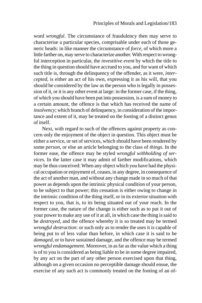word *wrongful*. The circumstance of fraudulency then may serve to characterise a particular species, comprisable under each of those generic heads: in like manner the circumstance of *force*, of which more a little farther on, may serve to characterize another. With respect to wrongful interception in particular, the *investitive event* by which the title to the thing in question should have accrued to you, and for want of which such title is, through the delinquency of the offender, as it were, *intercepted*, is either an act of his own, expressing it as his will, that you should be considered by the law as the person who is legally in possession of it, or it is any other event at large: in the former case, if the thing, of which you should have been put into possession, is a sum of money to a certain amount, the offence is that which has received the name of *insolvency*; which branch of delinquency, in consideration of the importance and extent of it, may be treated on the footing of a distinct genus of itself.

Next, with regard to such of the offences against property as concern only the enjoyment of the object in question. This object must be either a service, or set of services, which should have been rendered by some *person*, or else an article belonging to the class of *things*. In the former ease, the offence may be styled *wrongful withholding of services*. In the latter case it may admit of farther modifications, which may be thus conceived: When any object which you have had the physical occupation or enjoyment of, ceases, in any degree, in consequence of the act of another man, and without any change made in so much of that power as depends upon the intrinsic physical condition of your person, to be subject to that power; this cessation is either owing to change in the intrinsic condition of the thing itself, or in its exterior situation with respect to you, that is, to its being situated out of your reach. In the former case, the nature of the change is either such as to put it out of your power to make any use of it at all, in which case the thing is said to be *destroyed*, and the offence whereby it is so treated may be termed *wrongful destruction*: or such only as to render the uses it is capable of being put to of less value than before, in which case it is said to be *damaged*, or to have sustained damage, and the offence may be termed *wrongful endamagement*. Moreover, in as far as the value which a thing is of to you is considered as being liable to be in some degree impaired, by any act on the part of any other person exercised upon that thing, although on a given occasion no perceptible damage should ensue, the exercise of any such act is commonly treated on the footing of an of-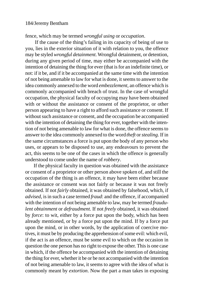fence, which may be termed *wrongful using* or *occupation*.

 If the cause of the thing's failing in its capacity of being of use to you, lies in the exterior situation of it with relation to you, the offence may be styled *wrongful detainment*. Wrongful detainment, or detention, during any given period of time, may either be accompanied with the intention of detaining the thing for ever (that is for an indefinite time), or not: if it be, and if it be accompanied at the same time with the intention of not being amenable to law for what is done, it seems to answer to the idea commonly annexed to the word *embezzlement*, an offence which is commonly accompanied with breach of trust. In the case of wrongful occupation, the physical faculty of occupying may have been obtained with or without the assistance or consent of the proprietor, or other person appearing to have a right to afford such assistance or consent. If without such assistance or consent, and the occupation be accompanied with the intention of detaining the thing for ever, together with the intention of not being amenable to law for what is done, the offence seems to answer to the idea commonly annexed to the word *theft* or *stealing*. If in the same circumstances a force is put upon the body of any person who uses, or appears to be disposed to use, any endeavours to prevent the act, this seems to be one of the cases in which the offence is generally understood to come under the name of *robbery*.

If the physical faculty in question was obtained with the assistance or consent of a proprietor or other person above spoken of, and still the occupation of the thing is an offence, it may have been either because the assistance or consent was not fairly or because it was not freely obtained. If not *fairly* obtained, it was obtained by falsehood, which, if *advised*, is in such a case termed *fraud*: and the offence, if accompanied with the intention of not being amenable to law, may be termed *fraudulent obtainment* or *defraudment*. If not *freely* obtained, it was obtained by *force*: to wit, either by a force put upon the body, which has been already mentioned, or by a force put upon the mind. If by a force put upon the mind, or in other words, by the application of coercive motives, it must be by producing the apprehension of some evil: which evil, if the act is an offence, must be some evil to which on the occasion in question the one person has no right to expose the other. This is one case in which, if the offence be accompanied with the intention of detaining the thing for ever, whether it be or be not accompanied with the intention of not being amenable to law, it seems to agree with the idea of what is commonly meant by *extortion*. Now the part a man takes in exposing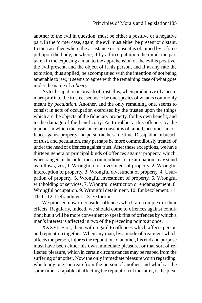another to the evil in question, must be either a positive or a negative part. In the former case, again, the evil must either be present or distant. In the case then where the assistance or consent is obtained by a force put upon the body, or where, if by a force put upon the mind, the part taken in the exposing a man to the apprehension of the evil is positive, the evil present, and the object of it his person, and if at any rate the extortion, thus applied, be accompanied with the intention of not being amenable to law, it seems to agree with the remaining case of what goes under the name of *robbery*.

As to dissipation in breach of trust, this, when productive of a pecuniary profit to the trustee, seems to be one species of what is commonly meant by *peculation*. Another, and the only remaining one, seems to consist in acts of occupation exercised by the trustee upon the things which are the objects of the fiduciary property, for his own benefit, and to the damage of the beneficiary. As to robbery, this offence, by the manner in which the assistance or consent is obtained, becomes an offence against property and person at the same time. Dissipation in breach of trust, and peculation, may perhaps be more commodiously treated of under the head of offences against trust. After these exceptions, we have thirteen genera or principal kinds of offences against property, which, when ranged in the order most commodious for examination, may stand as follows, viz., I. Wrongful non-investment of property. 2. Wrongful interception of property. 3. Wrongful divestment of property. 4. Usurpation of property. 5. Wrongful investment of property. 6. Wrongful withholding of services. 7. Wrongful destruction or endamagement. 8. Wrongful occupation. 9. Wrongful detainment. 10. Embezzlement. 11. Theft. 12. Defraudment. 13. Extortion.

We proceed now to consider offences which are complex in their effects. Regularly, indeed, we should come to offences against condition; but it will be more convenient to speak first of offences by which a man's interest is affected in two of the preceding points at once.

XXXVI. First, then, with regard to offences which affects person and reputation together. When any man, by a mode of treatment which affects the person, injures the reputation of another, his end and purpose must have been either his own immediate pleasure, or that sort of reflected pleasure, which in certain circumstances may be reaped from the suffering of another. Now the only immediate pleasure worth regarding, which any one can reap from the person of another, and which at the same time is capable of affecting the reputation of the latter, is the plea-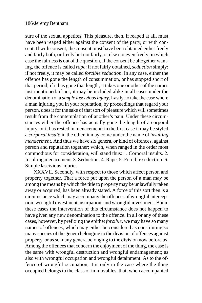sure of the sexual appetites. This pleasure, then, if reaped at all, must have been reaped either against the consent of the party, or with consent. If with consent, the consent must have been obtained either freely and fairly both, or freely but not fairly, or else not even freely; in which case the fairness is out of the question. If the consent be altogether wanting, the offence is called *rape*: if not fairly obtained, *seduction* simply: if not freely, it may be called *forcible seduction*. In any case, either the offence has gone the length of consummation, or has stopped short of that period; if it has gone that length, it takes one or other of the names just mentioned: if not, it may be included alike in all cases under the denomination of a *simple lascivious injury*. Lastly, to take the case where a man injuring you in your reputation, by proceedings that regard your person, does it for the sake of that sort of pleasure which will sometimes result from the contemplation of another's pain. Under these circumstances either the offence has actually gone the length of a corporal injury, or it has rested in menacement: in the first case it may be styled a *corporal insult*; in the other, it may come under the name of *insulting menacement*. And thus we have six genera, or kind of offences, against person and reputation together; which, when ranged in the order most commodious for consideration, will stand thus: 1. Corporal insults. 2. Insulting menacement. 3. Seduction. 4. Rape. 5. Forcible seduction. 6. Simple lascivious injuries.

XXXVII. Secondly, with respect to those which affect person and property together. That a force put upon the person of a man may be among the means by which the title to property may be unlawfully taken away or acquired, has been already stated. A force of this sort then is a circumstance which may accompany the offences of wrongful interception, wrongful divestment, usurpation, and wrongful investment. But in these cases the intervention of this circumstance does not happen to have given any new denomination to the offence. In all or any of these cases, however, by prefixing the epithet *forcible*, we may have so many names of offences, which may either be considered as constituting so many species of the genera belonging to the division of offences against property, or as so many genera belonging to the division now before us. Among the offences that concern the enjoyment of the thing, the case is the same with wrongful destruction and wrongful endamagement; as also with wrongful occupation and wrongful detainment. As to the offence of wrongful occupation, it is only in the case where the thing occupied belongs to the class of immovables, that, when accompanied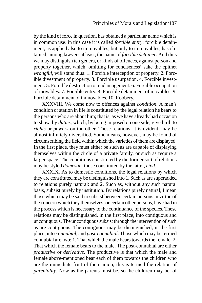by the kind of force in question, has obtained a particular name which is in common use: in this case it is called *forcible entry*: forcible detainment, as applied also to immovables, but only to immovables, has obtained, among lawyers at least, the name of *forcible detainer*. And thus we may distinguish ten genera, or kinds of offences, against person and property together, which, omitting for conciseness' sake the epithet *wrongful*, will stand thus: 1. Forcible interception of property. 2. Forcible divestment of property. 3. Forcible usurpation. 4. Forcible investment. 5. Forcible destruction or endamagement. 6. Forcible occupation of movables. 7. Forcible entry. 8. Forcible detainment of movables. 9. Forcible detainment of immovables. 10. Robbery.

XXXVIII. We come now to offences against *condition*. A man's condition or station in life is constituted by the legal relation he bears to the persons who are about him; that is, as we have already had occasion to show, by *duties*, which, by being imposed on one side, give birth to *rights* or *powers* on the other. These relations, it is evident, may be almost infinitely diversified. Some means, however, may be found of circumscribing the field within which the varieties of them are displayed. In the first place, they must either be such as are capable of displaying themselves within the circle of a private family, or such as require a larger space. The conditions constituted by the former sort of relations may be styled *domestic*: those constituted by the latter, *civil*.

XXXIX. As to domestic conditions, the legal relations by which they are constituted may be distinguished into 1. Such as are superadded to relations purely natural: and 2. Such as, without any such natural basis, subsist purely by institution. By relations purely natural, I mean those which may be said to subsist between certain persons in virtue of the concern which they themselves, or certain other persons, have had in the process which is necessary to the continuance of the species. These relations may be distinguished, in the first place, into contiguous and uncontiguous. The uncontiguous subsist through the intervention of such as are contiguous. The contiguous may be distinguished, in the first place, into *connubial*, and *post-connubial*. Those which may be termed connubial are two: 1. That which the male bears towards the female: 2. That which the female bears to the male. The post-connubial are either *productive* or *derivative*. The productive is that which the male and female above-mentioned bear each of them towards the children who are the immediate fruit of their union; this is termed the relation of *parentality*. Now as the parents must be, so the children may be, of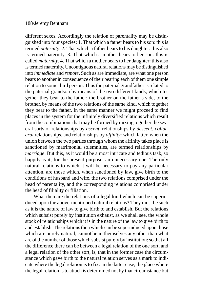different sexes. Accordingly the relation of parentality may be distinguished into four species: 1. That which a father bears to his son: this is termed *paternity*. 2. That which a father bears to his daughter: this also is termed paternity. 3. That which a mother bears to her son: this is called *maternity*. 4. That which a mother bears to her daughter: this also is termed maternity. Uncontiguous natural relations may be distinguished into *immediate* and *remote*. Such as are immediate, are what one person bears to another in consequence of their bearing each of them one simple relation to some third person. Thus the paternal grandfather is related to the paternal grandson by means of the two different kinds, which together they bear to the father: the brother on the father's side, to the brother, by means of the two relations of the same kind, which together they bear to the father. In the same manner we might proceed to find places in the system for the infinitely diversified relations which result from the combinations that may be formed by mixing together the several sorts of relationships by *ascent*, relationships by *descent*, *collateral* relationships, and relationships by *affinity*: which latter, when the union between the two parties through whom the affinity takes place is sanctioned by matrimonial solemnities, are termed relationships by *marriage*. But this, as it would be a most intricate and tedious task, so happily is it, for the present purpose, an unnecessary one. The only natural relations to which it will be necessary to pay any particular attention, are those which, when sanctioned by law, give birth to the conditions of husband and wife, the two relations comprised under the head of parentality, and the corresponding relations comprised under the head of filiality or filiation.

What then are the relations of a legal kind which can be superinduced upon the above-mentioned natural relations? They must be such as it is the nature of law to give birth to and establish. But the relations which subsist purely by institution exhaust, as we shall see, the whole stock of relationships which it is in the nature of the law to give birth to and establish. The relations then which can be superinduced upon those which are purely natural, cannot be in themselves any other than what are of the number of those which subsist purely by institution: so that all the difference there can be between a legal relation of the one sort, and a legal relation of the other sort, is, that in the former case the circumstance which gave birth to the natural relation serves as a mark to indicate where the legal relation is to fix: in the latter case, the place where the legal relation is to attach is determined not by that circumstance but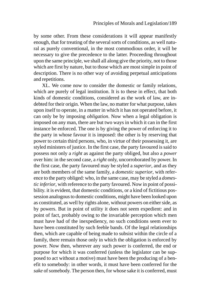by some other. From these considerations it will appear manifestly enough, that for treating of the several sorts of conditions, as well natural as purely conventional, in the most commodious order, it will be necessary to give the precedence to the latter. Proceeding throughout upon the same principle, we shall all along give the priority, not to those which are first by nature, but to those which are most simple in point of description. There is no other way of avoiding perpetual anticipations and repetitions.

XL. We come now to consider the domestic or family relations, which are purely of legal institution. It is to these in effect, that both kinds of domestic conditions, considered as the work of law, are indebted for their origin. When the law, no matter for what purpose, takes upon itself to operate, in a matter in which it has not operated before, it can only be by imposing *obligation*. Now when a legal obligation is imposed on any man, there are but two ways in which it can in the first instance be enforced. The one is by giving the power of enforcing it to the party in whose favour it is imposed: the other is by reserving that power to certain third persons, who, in virtue of their possessing it, are styled ministers of justice. In the first case, the party favoured is said to possess not only a *right* as against the party obliged, but also a *power* over him: in the second case, a *right* only, uncorroborated by power. In the first case, the party favoured may be styled a *superior*, and as they are both members of the same family, a *domestic superior*, with reference to the party obliged: who, in the same case, may be styled a *domestic inferior*, with reference to the party favoured. Now in point of possibility. it is evident, that domestic conditions, or a kind of fictitious possession analogous to domestic conditions, might have been looked upon as constituted, as well by rights alone, without powers on either side, as by powers. But in point of utility it does not seem expedient: and in point of fact, probably owing to the invariable perception which men must have had of the inexpediency, no such conditions seem ever to have been constituted by such feeble bands. Of the legal relationships then, which are capable of being made to subsist within the circle of a family, there remain those only in which the obligation is enforced by power. Now then, wherever any such power is conferred, the end or purpose for which it was conferred (unless the legislator can be supposed to act without a motive) must have been the producing of a benefit to somebody: in other words, it must have been conferred for the *sake* of somebody. The person then, for whose sake it is conferred, must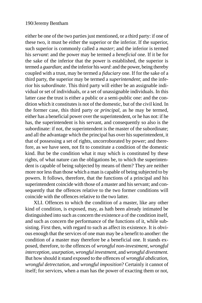either be one of the two parties just mentioned, or a third party: if one of these two, it must be either the superior or the inferior. If the superior, such superior is commonly called a *master*; and the inferior is termed his *servant*: and the power may be termed a *beneficial* one. If it be for the sake of the inferior that the power is established, the superior is termed a *guardian*; and the inferior his *ward*: and the power, being thereby coupled with a trust, may be termed a *fiduciary* one. If for the sake of a third party, the superior may be termed a *superintendent*; and the inferior his *subordinate*. This third party will either be an assignable individual or set of individuals, or a set of unassignable individuals. In this latter case the trust is either a public or a semi-public one: and the condition which it constitutes is not of the domestic, but of the civil kind. In the former case, this third party or *principal*, as he may be termed, either has a beneficial power over the superintendent, or he has not: if he has, the superintendent is his servant, and consequently so also is the subordinate: if not, the superintendent is the master of the subordinate; and all the advantage which the principal has over his superintendent, it that of possessing a set of rights, uncorroborated by power; and therefore, as we have seen, not fit to constitute a condition of the domestic kind. But be the condition what it may which is constituted by these rights, of what nature can the obligations be, to which the superintendent is capable of being subjected by means of them? They are neither more nor less than those which a man is capable of being subjected to by powers. It follows, therefore, that the functions of a principal and his superintendent coincide with those of a master and his servant; and consequently that the offences relative to the two former conditions will coincide with the offences relative to the two latter.

XLI. Offences to which the condition of a master, like any other kind of condition, is exposed, may, as hath been already intimated be distinguished into such as concern the existence a of the condition itself, and such as concern the performance of the functions of it, while subsisting. First then, with regard to such as affect its existence. It is obvious enough that the services of one man may be a benefit to another: the condition of a master may therefore be a beneficial one. It stands exposed, therefore, to the offences of *wrongful non-investment*, *wrongful interception*, *usurpation*, *wrongful investment*, and *wrongful divestment*. But how should it stand exposed to the offences of *wrongful abdication*, *wrongful detrectation*, and *wrongful imposition*? Certainly it cannot of itself; for services, when a man has the power of exacting them or not,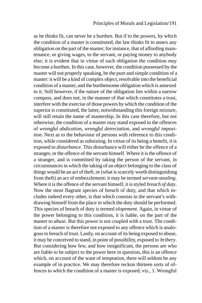as he thinks fit, can never be a burthen. But if to the powers, by which the condition of a master is constituted, the law thinks fit to annex any obligation on the part of the master; for instance, that of affording maintenance, or giving wages, to the servant, or paying money to anybody else; it is evident that in virtue of such obligation the condition *may* become a burthen. In this case, however, the condition possessed by the master will not properly speaking, be the pure and simple condition of a master: it will be a kind of complex object, resolvable into the beneficial condition of a master, and the burthensome obligation which is annexed to it. Still however, if the nature of the obligation lies within a narrow compass, and does not, in the manner of that which constitutes a trust, interfere with the exercise of those powers by which the condition of the superior is constituted, the latter, notwithstanding this foreign mixture, will still retain the name of mastership. In this case therefore, but not otherwise, the condition of a master may stand exposed to the offences of *wrongful abdication*, *wrongful detrectation*, and *wrongful imposition*. Next as to the behaviour of persons with reference to this condition, while considered as subsisting. In virtue of its being a benefit, it is exposed to *disturbance*. This disturbance will either be the offence of a stranger, or the offence of the servant himself. Where it is the offence of a stranger, and is committed by taking the person of the servant, in circumstances in which the taking of an object belonging to the class of things would be an act of theft, or (what is scarcely worth distinguishing from theft) an act of embezzlement: it may be termed *servant-stealing*. Where it is the offence of the servant himself, it is styled *breach of duty*. Now the most flagrant species of breach of duty, and that which includes indeed every other, is that which consists in the servant's withdrawing himself from the place in which the duty should be performed. This species of breach of duty is termed *elopement*. Again, in virtue of the power belonging to this condition, it is liable, on the part of the master to *abuse*. But this power is not coupled with a trust. The condition of a master is therefore not exposed to any offence which is analogous to breach of trust. Lastly, on account of its being exposed to abuse, it may be conceived to stand, in point of possibility, exposed to *bribery*. But considering how few, and how insignificant, the persons are who are liable to be subject to the power here in question, this is an offence which, on account of the want of temptation, there will seldom be any example of in practice. We may therefore reckon thirteen sorts of offences to which the condition of a master is exposed; viz., 1. Wrongful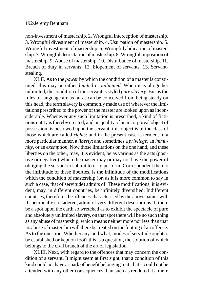non-investment of mastership. 2. Wrongful interception of mastership. 3. Wrongful divestment of mastership. 4. Usurpation of mastership. 5. Wrongful investment of mastership. 6. Wrongful abdication of mastership. 7. Wrongful detrectation of mastership. 8. Wrongful imposition of mastership. 9. Abuse of mastership. 10. Disturbance of mastership. 11. Breach of duty in servants. 12. Elopement of servants. 13. Servantstealing.

XLII. As to the *power* by which the condition of a master is constituted, this may be either *limited* or *unlimited*. When it is altogether unlimited, the condition of the servant is styled *pure slavery*. But as the rules of language are as far as can be conceived from being steady on this head, the term slavery is commonly made use of wherever the limitations prescribed to the power of the master are looked upon as inconsiderable. Whenever any such limitation is prescribed, a kind of fictitious entity is thereby created, and, in quality of an incorporeal object of possession, is bestowed upon the servant: this object is of the class of those which are called *rights*: and in the present case is termed, in a more particular manner, a *liberty*; and sometimes a *privilege*, an *immunity*, or an *exemption*. Now those limitations on the one hand, and these liberties on the other, may, it is evident, be as various as the acts (positive or negative) which the master may or may not have the power of obliging the servant to submit to or to perform. Correspondent then to the infinitude of these liberties, is the infinitude of the modifications which the condition of mastership (or, as it is more common to say in such a case, that of servitude) admits of. These modifications, it is evident, may, in different countries, be infinitely diversified. Indifferent countries, therefore, the offences characterised by the above names will, if specifically considered, admit of very different descriptions. If there be a spot upon the earth so wretched as to exhibit the spectacle of pure and absolutely unlimited slavery, on that spot there will be no such thing as any abuse of mastership; which means neither more nor less than that no abuse of mastership will there be treated on the footing of an offence. As to the question, Whether any, and what, modes of servitude ought to be established or kept on foot? this is a question, the solution of which belongs to the civil branch of the art of legislation.

XLIII. Next, with regard to the offences that may concern the condition of a servant. It might seem at first sight, that a condition of this kind could not have a spark of benefit belonging to it: that it could not be attended with any other consequences than such as rendered it a mere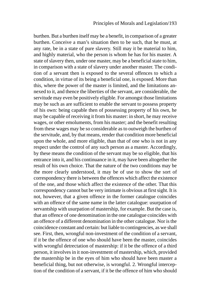burthen. But a burthen itself may be a benefit, in comparison of a greater burthen. Conceive a man's situation then to be such, that he must, at any rate, be in a state of pure slavery. Still may it be material to him, and highly material, who the person is whom he has for his master. A state of slavery then, under one master, may be a beneficial state to him, in comparison with a state of slavery under another master. The condition of a servant then is exposed to the several offences to which a condition, in virtue of its being a beneficial one, is exposed. More than this, where the power of the master is limited, and the limitations annexed to it, and thence the liberties of the servant, are considerable, the servitude may even be positively eligible. For amongst those limitations may be such as are sufficient to enable the servant to possess property of his own: being capable then of possessing property of his own, he may be capable of receiving it from his master: in short, he may receive wages, or other emoluments, from his master; and the benefit resulting from these wages may be so considerable as to outweigh the burthen of the servitude, and, by that means, render that condition more beneficial upon the whole, and more eligible, than that of one who is not in any respect under the control of any such person as a master. Accordingly, by these means the condition of the servant may be so eligible, that his entrance into it, and his continuance in it, may have been altogether the result of his own choice. That the nature of the two conditions may be the more clearly understood, it may be of use to show the sort of correspondency there is between the offences which affect the existence of the one, and those which affect the existence of the other. That this correspondency cannot but be very intimate is obvious at first sight. It is not, however, that a given offence in the former catalogue coincides with an offence of the same name in the latter catalogue: usurpation of servantship with usurpation of mastership, for example. But the case is, that an offence of one denomination in the one catalogue coincides with an offence of a different denomination in the other catalogue. Nor is the coincidence constant and certain: but liable to contingencies, as we shall see. First, then, wrongful non-investment of the condition of a servant, if it be the offence of one who should have been the master, coincides with wrongful detrectation of mastership: if it be the offence of a third person, it involves in it non-investment of mastership, which, provided the mastership be in the eyes of him who should have been master a beneficial thing, but not otherwise, is wrongful. 2. Wrongful interception of the condition of a servant, if it be the offence of him who should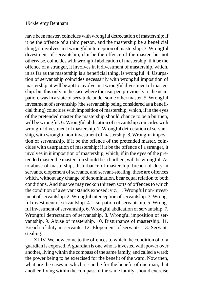have been master, coincides with wrongful detrectation of mastership: if it be the offence of a third person, and the mastership be a beneficial thing, it involves in it wrongful interception of mastership. 3. Wrongful divestment of servantship, if it be the offence of the master, but not otherwise, coincides with wrongful abdication of mastership: if it be the offence of a stranger, it involves in it divestment of mastership, which, in as far as the mastership is a beneficial thing, is wrongful. 4. Usurpation of servantship coincides necessarily with wrongful imposition of mastership: it will be apt to involve in it wrongful divestment of mastership: but this only in the case where the usurper, previously to the usurpation, was in a state of servitude under some other master. 5. Wrongful investment of servantship (the servantship being considered as a beneficial thing) coincides with imposition of mastership; which, if in the eyes of the pretended master the mastership should chance to be a burthen, will be wrongful. 6. Wrongful abdication of servantship coincides with wrongful divestment of mastership. 7. Wrongful detrectation of servantship, with wrongful non-investment of mastership. 8. Wrongful imposition of servantship, if it be the offence of the pretended master, coincides with usurpation of mastership: if it be the offence of a stranger, it involves in it imposition of mastership, which, if in the eyes of the pretended master the mastership should be a burthen, will be wrongful. As to abuse of mastership, disturbance of mastership, breach of duty in servants, elopement of servants, and servant-stealing, these are offences which, without any change of denomination, bear equal relation to both conditions. And thus we may reckon thirteen sorts of offences to which the condition of a servant stands exposed: viz., 1. Wrongful non-investment of servantship. 2. Wrongful interception of servantship. 3. Wrongful divestment of servantship. 4. Usurpation of servantship. 5. Wrongful investment of servantship. 6. Wrongful abdication of servantship. 7. Wrongful detrectation of servantship. 8. Wrongful imposition of servantship. 9. Abuse of mastership. 10. Disturbance of mastership. 11. Breach of duty in servants. 12. Elopement of servants. 13. Servantstealing.

XLIV. We now come to the offences to which the condition of of a guardian is exposed. A guardian is one who is invested with power over another, living within the compass of the same family, and called a ward; the power being to be exercised for the benefit of the ward. Now then, what are the cases in which it can be for the benefit of one man, that another, living within the compass of the same family, should exercise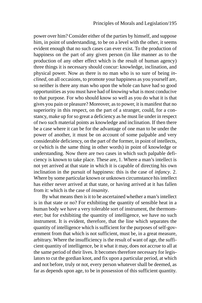power over him? Consider either of the parties by himself, and suppose him, in point of understanding, to be on a level with the other, it seems evident enough that no such cases can ever exist. To the production of happiness on the part of any given person (in like manner as to the production of any other effect which is the result of human agency) three things it is necessary should concur: knowledge, inclination, and physical power. Now as there is no man who is so sure of being *inclined*, on all occasions, to promote your happiness as you yourself are, so neither is there any man who upon the whole can have had so good opportunities as you must have had of *knowing* what is most conducive to that purpose. For who should know so well as you do what it is that gives you pain or pleasure? Moreover, as to power, it is manifest that no superiority in this respect, on the part of a stranger, could, for a constancy, make up for so great a deficiency as he must lie under in respect of two such material points as knowledge and inclination. If then there be a case where it can be for the advantage of one man to be under the power of another, it must be on account of some palpable and very considerable deficiency, on the part of the former, in point of intellects, or (which is the same thing in other words) in point of knowledge or understanding. Now there are two cases in which such palpable deficiency is known to take place. These are, 1. Where a man's intellect is not yet arrived at that state in which it is capable of directing his own inclination in the pursuit of happiness: this is the case of *infancy*. 2. Where by some particular known or unknown circumstance his intellect has either never arrived at that state, or having arrived at it has fallen from it: which is the case of *insanity*.

By what means then is it to be ascertained whether a man's intellect is in that state or no? For exhibiting the quantity of sensible heat in a human body we have a very tolerable sort of instrument, the thermometer; but for exhibiting the quantity of intelligence, we have no such instrument. It is evident, therefore, that the line which separates the quantity of intelligence which is sufficient for the purposes of self-government from that which is not sufficient, must be, in a great measure, arbitrary. Where the insufficiency is the result of want of age, the sufficient quantity of intelligence, be it what it may, does not accrue to all at the same period of their lives. It becomes therefore necessary for legislators to cut the gordian knot, and fix upon a particular period, at which and not before, truly or not, every person whatever shall be deemed, as far as depends upon age, to be in possession of this sufficient quantity.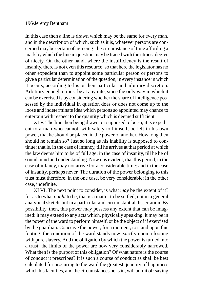In this case then a line is drawn which may be the same for every man, and in the description of which, such as it is, whatever persons are concerned may be certain of agreeing: the circumstance of time affording a mark by which the line in question may be traced with the utmost degree of nicety. On the other hand, where the insufficiency is the result of insanity, there is not even this resource: so that here the legislator has no other expedient than to appoint some particular person or persons to give a particular determination of the question, in every instance in which it occurs, according to his or their particular and arbitrary discretion. Arbitrary enough it must be at any rate, since the only way in which it can be exercised is by considering whether the share of intelligence possessed by the individual in question does or does not come up to the loose and indeterminate idea which persons so appointed may chance to entertain with respect to the quantity which is deemed sufficient.

XLV. The line then being drawn, or supposed to be so, it is expedient to a man who cannot, with safety to himself, be left in his own power, that he should be placed in the power of another. How long then should he remain so? Just so long as his inability is supposed to continue: that is, in the case of infancy, till he arrives at that period at which the law deems him to be of full age: in the case of insanity, till he be of sound mind and understanding. Now it is evident, that this period, in the case of infancy, may not arrive for a considerable time: and in the case of insanity, perhaps never. The duration of the power belonging to this trust must therefore, in the one case, be very considerable; in the other case, indefinite.

XLVI. The next point to consider, is what *may* be the extent of it? for as to what *ought* to be, that is a matter to be settled, not in a general analytical sketch, but in a particular and circumstantial dissertation. By possibility, then, this power may possess any extent that can be imagined: it may extend to any acts which, physically speaking, it may be in the power of the ward to perform himself, or be the object of if exercised by the guardian. Conceive the power, for a moment, to stand upon this footing: the condition of the ward stands now exactly upon a footing with pure slavery. Add the obligation by which the power is turned into a trust: the limits of the power are now very considerably narrowed. What then is the purport of this obligation? Of what nature is the course of conduct it prescribes? It is such a course of conduct as shall be best calculated for procuring to the ward the greatest quantity of happiness which his faculties, and the circumstances he is in, will admit of: saving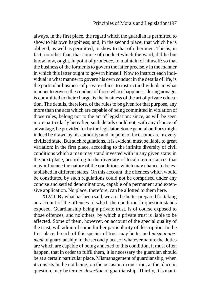always, in the first place, the regard which the guardian is permitted to show to his own happiness; and, in the second place, that which he is obliged, as well as permitted, to show to that of other men. This is, in fact, no other than that course of conduct which the ward, did he but know how, ought, in point of *prudence*, to maintain of himself: so that the business of the former is to govern the latter precisely in the manner in which this latter ought to govern himself. Now to instruct each individual in what manner to govern his own conduct in the details of life, is the particular business of private ethics: to instruct individuals in what manner to govern the conduct of those whose happiness, during nonage, is committed to their charge, is the business of the art of private education. The details, therefore, of the rules to be given for that purpose, any more than the acts which are capable of being committed in violation of those rules, belong not to the art of legislation: since, as will be seen more particularly hereafter, such details could not, with any chance of advantage, be provided for by the legislator. Some general outlines might indeed be drawn by his authority: and, in point of fact, some are in every civilized state. But such regulations, it is evident, must be liable to great variation: in the first place, according to the infinite diversity of civil conditions which a man may stand invested with in any given state: in the next place, according to the diversity of local circumstances that may influence the nature of the conditions which may chance to be established in different states. On this account, the offences which would be constituted by such regulations could not be comprised under any concise and settled denominations, capable of a permanent and extensive application. No place, therefore, can be allotted to them here.

XLVII. By what has been said, we are the better prepared for taking an account of the offences to which the condition in question stands exposed. Guardianship being a private trust, is of course exposed to those offences, and no others, by which a private trust is liable to be affected. Some of them, however, on account of the special quality of the trust, will admit of some further particularity of description. In the first place, breach of this species of trust may be termed *mismanagement* of guardianship: in the second place, of whatever nature the duties are which are capable of being annexed to this condition, it must often happen, that in order to fulfil them, it is necessary the guardian should be at a certain particular place. Mismanagement of guardianship, when it consists in the not being, on the occasion in question, at the place in question, may be termed *desertion* of guardianship. Thirdly, It is mani-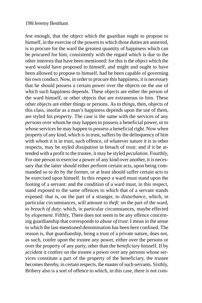fest enough, that the object which the guardian ought to propose to himself, in the exercise of the powers to which those duties are annexed, is to procure for the ward the greatest quantity of happiness which can be procured for him, consistently with the regard which is due to the other interests that have been mentioned: for this is the object which the ward would have proposed to himself, and might and ought to have been allowed to propose to himself, had he been capable of governing his own conduct. Now, in order to procure this happiness, it is necessary that he should possess a certain power over the objects on the use of which such happiness depends. These objects are either the person of the ward himself, or other objects that are extraneous to him. These other objects are either things or persons. As to *things*, then, objects of this class, insofar as a man's happiness depends upon the use of them, are styled his *property*. The case is the same with the services of any *persons* over whom he may happen to possess a beneficial power, or to whose services he may happen to possess a beneficial right. Now when property of any kind, which is in trust, suffers by the delinquency of him with whom it is in trust, such offence, of whatever nature it is in other respects, may be styled *dissipation* in breach of trust: and if it be attended with a profit to the trustee, it may be styled *peculation*. Fourthly, For one person to exercise a power of any kind over another, it is necessary that the latter should either perform certain acts, upon being commanded so to do by the former, or at least should suffer certain acts to be exercised upon himself. In this respect a ward must stand upon the footing of a servant: and the condition of a ward must, in this respect, stand exposed to the same offences to which that of a servant stands exposed: that is, on the part of a stranger, to *disturbance*, which, in particular circumstances, will amount to *theft*: on the part of the ward, to *breach of duty*: which, in particular circumstances, maybe effected by *elopement*. Fifthly, There does not seem to be any offence concerning guardianship that corresponds to *abuse of trust*: I mean in the sense to which the last-mentioned denomination has been here confined. The reason is, that guardianship, being a trust of a private nature, does not, as such, confer upon the trustee any power, either over the persons or over the property of any party, other than the *beneficiary* himself. If by accident it confers on the trustee a power over any persons whose services constitute a part of the property of the beneficiary, the trustee becomes thereby, in certain respects, the master of such servants. Sixthly, Bribery also is a sort of offence to which, in this case, there is not com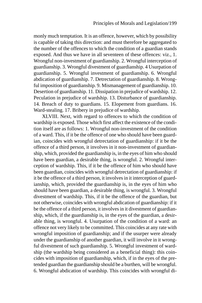monly much temptation. It is an offence, however, which by possibility is capable of taking this direction: and must therefore be aggregated to the number of the offences to which the condition of a guardian stands exposed. And thus we have in all seventeen of these offences: viz., 1. Wrongful non-investment of guardianship. 2. Wrongful interception of guardianship. 3. Wrongful divestment of guardianship. 4 Usurpation of guardianship. 5. Wrongful investment of guardianship. 6. Wrongful abdication of guardianship. 7. Detrectation of guardianship. 8. Wrongful imposition of guardianship. 9. Mismanagement of guardianship. 10. Desertion of guardianship. 11. Dissipation in prejudice of wardship. 12. Peculation in prejudice of wardship. 13. Disturbance of guardianship. 14. Breach of duty to guardians. 15. Elopement from guardians. 16. Ward-stealing. 17. Bribery in prejudice of wardship.

XLVIII. Next, with regard to offences to which the condition of wardship is exposed. Those which first affect the existence of the condition itself are as follows: 1. Wrongful non-investment of the condition of a ward. This, if it be the offence of one who should have been guardian, coincides with wrongful detrectation of guardianship: if it be the offence of a third person, it involves in it non-investment of guardianship, which, provided the guardianship is, in the eyes of him who should have been guardian, a desirable thing, is wrongful. 2. Wrongful interception of wardship. This, if it be the offence of him who should have been guardian, coincides with wrongful detrectation of guardianship: if it be the offence of a third person, it involves in it interception of guardianship, which, provided the guardianship is, in the eyes of him who should have been guardian, a desirable thing, is wrongful. 3. Wrongful divestment of wardship. This, if it be the offence of the guardian, but not otherwise, coincides with wrongful abdication of guardianship: if it be the offence of a third person, it involves in it divestment of guardianship, which, if the guardianship is, in the eyes of the guardian, a desirable thing, is wrongful. 4. Usurpation of the condition of a ward: an offence not very likely to be committed. This coincides at any rate with wrongful imposition of guardianship; and if the usurper were already under the guardianship of another guardian, it will involve in it wrongful divestment of such guardianship. 5. Wrongful investment of wardship (the wardship being considered as a beneficial thing): this coincides with imposition of guardianship, which, if in the eyes of the pretended guardian the guardianship should be a burthen, will be wrongful. 6. Wrongful abdication of wardship. This coincides with wrongful di-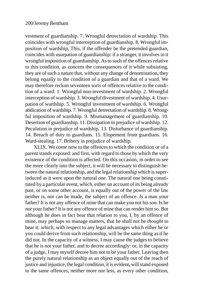vestment of guardianship. 7. Wrongful detrectation of wardship. This coincides with wrongful interception of guardianship. 8. Wrongful imposition of wardship, This, if the offender be the pretended guardian, coincides with usurpation of guardianship: if a stranger, it involves in it wrongful imposition of guardianship. As to such of the offences relative to this condition, as concern the consequences of it while subsisting, they are of such a nature that, without any change of denomination, they belong equally to the condition of a guardian and that of a ward. We may therefore reckon seventeen sorts of offences relative to the condition of a ward: 1. Wrongful non-investment of wardship. 2. Wrongful interception of wardship. 3. Wrongful divestment of wardship. 4. Usurpation of wardship. 5. Wrongful investment of wardship. 6. Wrongful abdication of wardship. 7. Wrongful detrectation of wardship. 8. Wrongful imposition of wardship. 9. Mismanagement of guardianship. 10. Desertion of guardianship. 11. Dissipation in prejudice of wardship. 12. Peculation in prejudice of wardship. 13. Disturbance of guardianship. 14. Breach of duty to guardians. 15. Elopement from guardians. 16. Ward-stealing. 17. Bribery in prejudice of wardship.

XLIX. We come now to the offences to which the condition or of a parent stands exposed: and first, with regard to those by which the very existence of the condition is affected. On this occasion, in order to see the more clearly into the subject, it will be necessary to distinguish between the natural relationship, and the legal relationship which is superinduced as it were upon the natural one. The natural one being constituted by a particular event, which, either on account of its being already past, or on some other account, is equally out of the power of the law neither is, nor can be made, the subject of an offence. *Is* a man your father? It is not any offence of mine that can make you not his son. Is he *not* your father? It is not any offence of mine that can render him so. But although he does in fact bear that relation to you, I, by an offence of mine, may perhaps so manage matters, that he shall not be *thought* to bear it: which, with respect to any legal advantages which either he or you could derive from such relationship, will be the same thing as if he did not. In the capacity of a witness, I may cause the judges to believe that he is not your father, and to decree accordingly: or, in the capacity of a judge, I may myself decree him not to be your father. Leaving then the purely natural relationship as an object equally out of the reach of justice and injustice, the legal condition, it is evident, will stand exposed to the same offences, neither more nor less, as every other condition,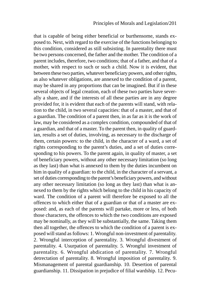that is capable of being either beneficial or burthensome, stands exposed to. Next, with regard to the exercise of the functions belonging to this condition, considered as still subsisting. In parentality there must be two persons concerned, the father and the mother. The condition of a parent includes, therefore, two conditions; that of a father, and that of a mother, with respect to such or such a child. Now it is evident, that between these two parties, whatever beneficiary powers, and other rights, as also whatever obligations, are annexed to the condition of a parent, may be shared in any proportions that can be imagined. But if in these several objects of legal creation, each of these two parties have severally a share, and if the interests of all these parties are in any degree provided for, it is evident that each of the parents will stand, with relation to the child, in two several capacities: that of a master, and that of a guardian. The condition of a parent then, in as far as it is the work of law, may be considered as a complex condition, compounded of that of a guardian, and that of a master. To the parent then, in quality of guardian, results a set of duties, involving, as necessary to the discharge of them, certain powers: to the child, in the character of a ward, a set of rights corresponding to the parent's duties, and a set of duties corresponding to his powers. To the parent again, in quality of master, a set of beneficiary powers, without any other necessary limitation (so long as they last) than what is annexed to them by the duties incumbent on him in quality of a guardian: to the child, in the character of a servant, a set of duties corresponding to the parent's beneficiary powers, and without any other necessary limitation (so long as they last) than what is annexed to them by the rights which belong to the child in his capacity of ward. The condition of a parent will therefore be exposed to all the offences to which either that of a guardian or that of a master are exposed: and, as each of the parents will partake, more or less, of both those characters, the offences to which the two conditions are exposed may be nominally, as they will be substantially, the same. Taking them then all together, the offences to which the condition of a parent is exposed will stand as follows: 1. Wrongful non-investment of parentality. 2. Wrongful interception of parentality. 3. Wrongful divestment of parentality. 4. Usurpation of parentality. 5. Wrongful investment of parentality. 6. Wrongful abdication of parentality. 7. Wrongful detrectation of parentality. 8. Wrongful imposition of parentality. 9. Mismanagement of parental guardianship. 10. Desertion of parental guardianship. 11. Dissipation in prejudice of filial wardship. 12. Pecu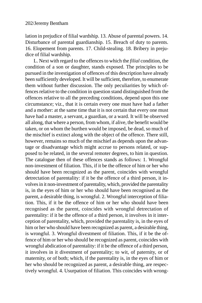lation in prejudice of filial wardship. 13. Abuse of parental powers. 14. Disturbance of parental guardianship. 15. Breach of duty to parents. 16. Elopement from parents. 17. Child-stealing. 18. Bribery in prejudice of filial wardship.

L. Next with regard to the offences to which the *filial* condition, the condition of a son or daughter, stands exposed. The principles to be pursued in the investigation of offences of this description have already been sufficiently developed. It will be sufficient, therefore, to enumerate them without further discussion. The only peculiarities by which offences relative to the condition in question stand distinguished from the offences relative to all the preceding conditions, depend upon this one circumstance; viz., that it is certain every one must have had a father and a mother: at the same time that it is not certain that every one must have had a master, a servant, a guardian, or a ward. It will be observed all along, that where a person, from whom, if alive, the benefit would be taken, or on whom the burthen would be imposed, be dead, so much of the mischief is extinct along with the object of the offence. There still, however, remains so much of the mischief as depends upon the advantage or disadvantage which might accrue to persons related, or supposed to be related, in the several remoter degrees, to him in question. The catalogue then of these offences stands as follows: 1. Wrongful non-investment of filiation. This, if it be the offence of him or her who should have been recognized as the parent, coincides with wrongful detrectation of parentality: if it be the offence of a third person, it involves in it non-investment of parentality, which, provided the parentality is, in the eyes of him or her who should have been recognised as the parent, a desirable thing, is wrongful. 2. Wrongful interception of filiation. This, if it be the offence of him or her who should have been recognised as the parent, coincides with wrongful detrectation of parentality: if it be the offence of a third person, it involves in it interception of parentality, which, provided the parentality is, in the eyes of him or her who should have been recognized as parent, a desirable thing, is wrongful. 3. Wrongful divestment of filiation. This, if it be the offence of him or her who should be recognized as parent, coincides with wrongful abdication of parentality: if it be the offence of a third person, it involves in it divestment of parentality; to wit, of paternity, or of maternity, or of both; which, if the parentality is, in the eyes of him or her who should be recognized as parent, a desirable thing, are respectively wrongful. 4. Usurpation of filiation. This coincides with wrong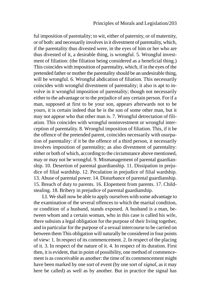ful imposition of parentality; to wit, either of paternity, or of maternity, or of both: and necessarily involves in it divestment of parentality, which, if the parentality thus divested were, in the eyes of him or her who are thus divested of it, a desirable thing, is wrongful. 5. Wrongful investment of filiation: (the filiation being considered as a beneficial thing.) This coincides with imposition of parentality, which, if in the eyes of the pretended father or mother the parentality should be an undesirable thing, will be wrongful. 6. Wrongful abdication of filiation. This necessarily coincides with wrongful divestment of parentality; it also is apt to involve in it wrongful imposition of parentality; though not necessarily either to the advantage or to the prejudice of any certain person. For if a man, supposed at first to be your son, appears afterwards not to be yours, it is certain indeed that he is the son of some other man, but it may not appear who that other man is. 7. Wrongful detrectation of filiation. This coincides with wrongful noninvestment or wrongful interception of parentality. 8. Wrongful imposition of filiation. This, if it be the offence of the pretended parent, coincides necessarily with usurpation of parentality: if it be the offence of a third person, it necessarily involves imposition of parentality; as also divestment of parentality: either or both of which, according to the circumstance above mentioned, may or may not be wrongful. 9. Mismanagement of parental guardianship. 10. Desertion of parental guardianship. 11. Dissipation in prejudice of filial wardship. 12. Peculation in prejudice of filial wardship. 13. Abuse of parental power. 14. Disturbance of parental guardianship. 15. Breach of duty to parents. 16. Elopement from parents. 17. Childstealing. 18. Bribery in prejudice of parental guardianship.

LI. We shall now be able to apply ourselves with some advantage to the examination of the several offences to which the marital condition, or condition of a husband, stands exposed. A husband is a man, between whom and a certain woman, who in this case is called his wife, there subsists a legal obligation for the purpose of their living together, and in particular for the purpose of a sexual intercourse to be carried on between them This obligation will naturally be considered in four points of view: 1. In respect of its commencement. 2. In respect of the placing of it. 3. In respect of the nature of it. 4. In respect of its duration. First then, it is evident, that in point of possibility, one method of commencement is as conceivable as another: the time of its commencement might have been marked by one sort of event (by one sort of *signal*, as it may here be called) as well as by another. But in practice the signal has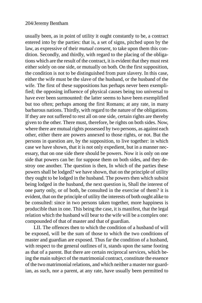usually been, as in point of utility it ought constantly to be, a contract entered into by the parties: that is, a set of signs, pitched upon by the law, as expressive of their *mutual consent*, to take upon them this condition. Secondly, and thirdly, with regard to the placing of the obligations which are the result of the contract, it is evident that they must rest either solely on one side, or mutually on both. On the first supposition, the condition is not to be distinguished from pure slavery. In this case, either the wife must be the slave of the husband, or the husband of the wife. The first of these suppositions has perhaps never been exemplified; the opposing influence of physical causes being too universal to have ever been surmounted: the latter seems to have been exemplified but too often; perhaps among the first Romans; at any rate, in many barbarous nations. Thirdly, with regard to the nature of the obligations. If they are not suffered to rest all on one side, certain rights are thereby given to the other. There must, therefore, be rights on both sides. Now, where there are mutual rights possessed by two persons, as against each other, either there are powers annexed to those rights, or not. But the persons in question are, by the supposition, to live together: in which case we have shown, that it is not only expedient, but in a manner necessary, that on one side there should be powers. Now it is only on one side that powers can be: for suppose them on both sides, and they destroy one another. The question is then, In which of the parties these powers shall be lodged? we have shown, that on the principle of utility they ought to be lodged in the husband. The powers then which subsist being lodged in the husband, the next question is, Shall the interest of one party only, or of both, be consulted in the exercise of them? it is evident, that on the principle of utility the interests of both ought alike to be consulted: since in two persons taken together, more happiness is producible than in one. This being the case, it is manifest, that the legal relation which the husband will bear to the wife will be a complex one: compounded of that of master and that of guardian.

LII. The offences then to which the condition of a husband of will be exposed, will be the sum of those to which the two conditions of master and guardian are exposed. Thus far the condition of a husband, with respect to the general outlines of it, stands upon the same footing as that of a parent. But there are certain reciprocal services, which being the main subject of the matrimonial contract, constitute the essence of the two matrimonial relations, and which neither a master nor guardian, as such, nor a parent, at any rate, have usually been permitted to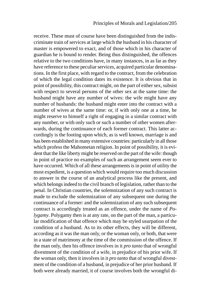receive. These must of course have been distinguished from the indiscriminate train of services at large which the husband in his character of master is empowered to exact, and of those which in his character of guardian he is bound to render. Being thus distinguished, the offences relative to the two conditions have, in many instances, in as far as they have reference to these peculiar services, acquired particular denominations. In the first place, with regard to the contract, from the celebration of which the legal condition dates its existence. It is obvious that in point of possibility, this contract might, on the part of either sex, subsist with respect to several persons of the other sex at the same time: the husband might have any number of wives: the wife might have any number of husbands: the husband might enter into the contract with a number of wives at the same time: or, if with only one at a time, he might reserve to himself a right of engaging in a similar contract with any number, or with only such or such a number of other women afterwards, during the continuance of each former contract. This latter accordingly is the footing upon which, as is well known, marriage is and has been established in many extensive countries: particularly in all those which profess the Mahometan religion. In point of possibility, it is evident that the like liberty might be reserved on the part of the wife: though in point of practice no examples of such an arrangement seem ever to have occurred. Which of all these arrangements is in point of utility the most expedient, is a question which would require too much discussion to answer in the course of an analytical process like the present, and which belongs indeed to the civil branch of legislation, rather than to the penal. In Christian countries, the solemnization of any such contract is made to exclude the solemnization of any subsequent one during the continuance of a former: and the solemnization of any such subsequent contract is accordingly treated as an offence, under the name of *Polygamy*. Polygamy then is at any rate, on the part of the man, a particular modification of that offence which may be styled usurpation of the condition of a husband. As to its other effects, they will be different, according as it was the man only, or the woman only, or both, that were in a state of matrimony at the time of the commission of the offence. If the man only, then his offence involves in it *pro tanto* that of wrongful divestment of the condition of a wife, in prejudice of his prior wife. If the woman only, then it involves in it *pro tanto* that of wrongful divestment of the condition of a husband, in prejudice of her prior husband. If both were already married, it of course involves both the wrongful di-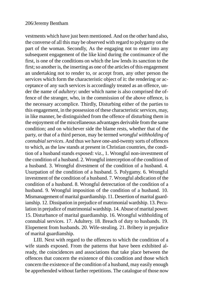vestments which have just been mentioned. And on the other hand also, the converse of all this may be observed with regard to polygamy on the part of the woman. Secondly, As the engaging not to enter into any subsequent engagement of the like kind during the continuance of the first, is one of the conditions on which the law lends its sanction to the first; so another is, the inserting as one of the articles of this engagement an undertaking not to render to, or accept from, any other person the services which form the characteristic object of it: the rendering or acceptance of any such services is accordingly treated as an offence, under the name of *adultery*: under which name is also comprised the offence of the stranger, who, in the commission of the above offence, is the necessary accomplice. Thirdly, Disturbing either of the parties to this engagement, in the possession of these characteristic services, may, in like manner, be distinguished from the offence of disturbing them in the enjoyment of the miscellaneous advantages derivable from the same condition; and on whichever side the blame rests, whether that of the party, or that of a third person, may be termed *wrongful withholding of connubial services*. And thus we have one-and-twenty sorts of offences to which, as the law stands at present in Christian countries, the condition of a husband stands exposed: viz., 1. Wrongful non-investment of the condition of a husband. 2. Wrongful interception of the condition of a husband. 3. Wrongful divestment of the condition of a husband. 4. Usurpation of the condition of a husband. 5. Polygamy. 6. Wrongful investment of the condition of a husband. 7. Wrongful abdication of the condition of a husband. 8. Wrongful detrectation of the condition of a husband. 9. Wrongful imposition of the condition of a husband. 10. Mismanagement of marital guardianship. 11. Desertion of marital guardianship. 12. Dissipation in prejudice of matrimonial wardship. 13. Peculation in prejudice of matrimonial wardship. 14. Abuse of marital power. 15. Disturbance of marital guardianship. 16. Wrongful withholding of connubial services. 17. Adultery. 18. Breach of duty to husbands. 19. Elopement from husbands. 20. Wife-stealing. 21. Bribery in prejudice of marital guardianship.

LIII. Next with regard to the offences to which the condition of a wife stands exposed. From the patterns that have been exhibited already, the coincidences and associations that take place between the offences that concern the existence of this condition and those which concern the existence of the condition of a husband, may easily enough be apprehended without farther repetitions. The catalogue of those now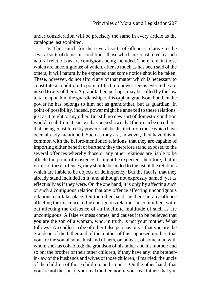under consideration will be precisely the same in every article as the catalogue last exhibited.

LIV. Thus much for the several sorts of offences relative to the several sorts of domestic conditions: those which are constituted by such natural relations as are contiguous being included. There remain those which are uncontiguous: of which, after so much as has been said of the others, it will naturally be expected that some notice should be taken. These, however, do not afford any of that matter which is necessary to constitute a condition. In point of fact, no power seems ever to be annexed to any of them. A grandfather, perhaps, may be called by the law to take upon him the guardianship of his orphan grandson: but then the power he has belongs to him not as grandfather, but as guardian. In point of possibility, indeed, power might be annexed to these relations, just as it might to any other. But still no new sort of domestic condition would result from it: since it has been shown that there can be no others, that, being constituted by power, shall be distinct from those which have been already mentioned. Such as they are, however, they have this in common with the before-mentioned relations, that they are capable of importing either benefit or burthen: they therefore stand exposed to the several offences whereby those or any other relations are liable to be affected in point of existence. It might be expected, therefore, that in virtue of these offences, they should be added to the list of the relations which are liable to be objects of delinquency. But the fact is, that they already stand included in it: and although not expressly named, yet as effectually as if they were. On the one hand, it is only by affecting such or such a contiguous relation that any offence affecting uncontiguous relations can take place. On the other hand, neither can any offence affecting the existence of the contiguous relations be committed, without affecting the existence of an indefinite multitude of such as are uncontiguous. A false witness comes, and causes it to be believed that you are the son of a woman, who, in truth, is not your mother. What follows? An endless tribe of other false persuasions—that you are the grandson of the father and of the mother of this supposed mother: that you are the son of some husband of hers, or, at least, of some man with whom she has cohabited: the grandson of his father and his mother; and so on: the brother of their other children, if they have any: the brotherin-law of the husbands and wives of those children, if married: the uncle of the children of those children: and so on.—On the other hand, that you are not the son of your real mother, nor of your real father: that you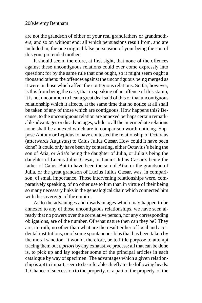are not the grandson of either of your real grandfathers or grandmothers; and so on without end: all which persuasions result from, and are included in, the one original false persuasion of your being the son of this your pretended mother.

It should seem, therefore, at first sight, that none of the offences against these uncontiguous relations could ever come expressly into question: for by the same rule that one ought, so it might seem ought a thousand others: the offences against the uncontiguous being merged as it were in those which affect the contiguous relations. So far, however, is this from being the case, that in speaking of an offence of this stamp, it is not uncommon to hear a great deal said of this or that uncontiguous relationship which it affects, at the same time that no notice at all shall be taken of any of those which are contiguous. How happens this? Because, to the uncontiguous relation are annexed perhaps certain remarkable advantages or disadvantages, while to all the intermediate relations none shall be annexed which are in comparison worth noticing. Suppose Antony or Lepidus to have contested the relationship of Octavius (afterwards Augustus) to Caius Julius Cæsar. How could it have been done? It could only have been by contesting, either Octavius's being the son of Atia, or Atia's being the daughter of Julia, or Julia's being the daughter of Lucius Julius Cæsar, or Lucius Julius Cæsar's being the father of Caius. But to have been the son of Atia, or the grandson of Julia, or the great grandson of Lucius Julius Cæsar, was, in comparison, of small importance. Those intervening relationships were, comparatively speaking, of no other use to him than in virtue of their being so many necessary links in the genealogical chain which connected him with the sovereign of the empire.

As to the advantages and disadvantages which may happen to be annexed to any of those uncontiguous relationships, we have seen already that no powers over the correlative person, nor any corresponding obligations, are of the number. Of what nature then can they be? They are, in truth, no other than what are the result either of local and accidental institutions, or of some spontaneous bias that has been taken by the moral sanction. It would, therefore, be to little purpose to attempt tracing them out *a priori* by any exhaustive process: all that can be done is, to pick up and lay together some of the principal articles in each catalogue by way of specimen. The advantages which a given relationship is apt to impart, seem to be referable chiefly to the following heads: 1. Chance of succession to the property, or a part of the property, of the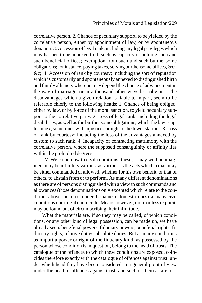correlative person. 2. Chance of pecuniary support, to be yielded by the correlative person, either by appointment of law, or by spontaneous donation. 3. Accession of legal rank; including any legal privileges which may happen to be annexed to it: such as capacity of holding such and such beneficial offices; exemption from such and such burthensome obligations; for instance, paying taxes, serving burthensome offices, &c;. &c;. 4. Accession of rank by courtesy; including the sort of reputation which is customarily and spontaneously annexed to distinguished birth and family alliance: whereon may depend the chance of advancement in the way of marriage, or in a thousand other ways less obvious. The disadvantages which a given relation is liable to impart, seem to be referable chiefly to the following heads: 1. Chance of being obliged, either by law, or by force of the moral sanction, to yield pecuniary support to the correlative party. 2. Loss of legal rank: including the legal disabilities, as well as the burthensome obligations, which the law is apt to annex, sometimes with injustice enough, to the lower stations. 3. Loss of rank by courtesy: including the loss of the advantages annexed by custom to such rank. 4. Incapacity of contracting matrimony with the correlative person, where the supposed consanguinity or affinity lies within the prohibited degrees.

LV. We come now to civil conditions: these, it may well be imagined, may be infinitely various: as various as the acts which a man may be either commanded or allowed, whether for his own benefit, or that of others, to abstain from or to perform. As many different denominations as there are of persons distinguished with a view to such commands and allowances (those denominations only excepted which relate to the conditions above spoken of under the name of domestic ones) so many civil conditions one might enumerate. Means however, more or less explicit, may be found out of circumscribing their infinitude.

What the materials are, if so they may be called, of which conditions, or any other kind of legal possession, can be made up, we have already seen: beneficial powers, fiduciary powers, beneficial rights, fiduciary rights, relative duties, absolute duties. But as many conditions as import a power or right of the fiduciary kind, as possessed by the person whose condition is in question, belong to the head of trusts. The catalogue of the offences to which these conditions are exposed, coincides therefore exactly with the catalogue of offences against trust: under which head they have been considered in a general point of view under the head of offences against trust: and such of them as are of a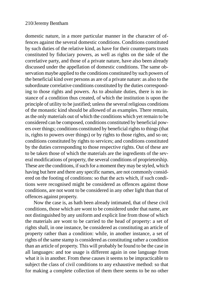domestic nature, in a more particular manner in the character of offences against the several domestic conditions. Conditions constituted by such duties of the relative kind, as have for their counterparts trusts constituted by fiduciary powers, as well as rights on the side of the correlative party, and those of a private nature, have also been already discussed under the appellation of domestic conditions. The same observation maybe applied to the conditions constituted by such powers of the beneficial kind over persons as are of a private nature: as also to the subordinate correlative conditions constituted by the duties corresponding to those rights and powers. As to absolute duties, there is no instance of a condition thus created, of which the institution is upon the principle of utility to be justified; unless the several religious conditions of the monastic kind should be allowed of as examples. There remain, as the only materials out of which the conditions which yet remain to be considered can be composed, conditions constituted by beneficial powers over things; conditions constituted by beneficial rights to things (that is, rights to powers over things) or by rights to those rights, and so on; conditions constituted by rights to services; and conditions constituted by the duties corresponding to those respective rights. Out of these are to be taken those of which the materials are the ingredients of the several modifications of property, the several conditions of proprietorship. These are the conditions, if such for a moment they may be styled, which having but here and there any specific names, are not commonly considered on the footing of conditions: so that the acts which, if such conditions were recognised might be considered as offences against those conditions, are not wont to be considered in any other light than that of offences against property.

Now the case is, as hath been already intimated, that of these civil conditions, those which are wont to be considered under that name, are not distinguished by any uniform and explicit line from those of which the materials are wont to be carried to the head of property: a set of rights shall, in one instance, be considered as constituting an article of property rather than a condition: while, in another instance, a set of rights of the same stamp is considered as constituting rather a condition than an article of property. This will probably be found to be the case in all languages: and toe usage is different again in one language from what it is in another. From these causes it seems to be impracticable to subject the class of civil conditions to any exhaustive method: so that for making a complete collection of them there seems to be no other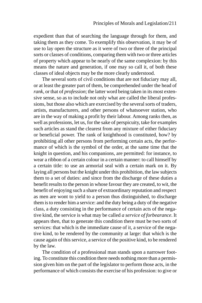expedient than that of searching the language through for them, and taking them as they come. To exemplify this observation, it may be of use to lay open the structure as it were of two or three of the principal sorts or classes of conditions, comparing them with two or three articles of property which appear to be nearly of the same complexion: by this means the nature and generation, if one may so call it, of both these classes of ideal objects may be the more clearly understood.

The several sorts of civil conditions that are not fiduciary may all, or at least the greater part of them, be comprehended under the head of *rank*, or that of *profession*; the latter word being taken in its most extensive sense, so as to include not only what are called the liberal professions, but those also which are exercised by the several sorts of traders, artists, manufacturers, and other persons of whatsoever station, who are in the way of making a profit by their labour. Among ranks then, as well as professions, let us, for the sake of perspicuity, take for examples such articles as stand the clearest from any mixture of either fiduciary or beneficial power. The rank of knighthood is constituted, how? by prohibiting all other persons from performing certain acts, the performance of which is the symbol of the order, at the same time that the knight in question, and his companions, are permitted: for instance, to wear a ribbon of a certain colour in a certain manner: to call himself by a certain title: to use an armorial seal with a certain mark on it. By laying all persons but the knight under this prohibition, the law subjects them to a set of duties: and since from the discharge of these duties a benefit results to the person in whose favour they are created, to wit, the benefit of enjoying such a share of extraordinary reputation and respect as men are wont to yield to a person thus distinguished, to discharge them is to render him a service: and the duty being a duty of the negative class, a duty consisting in the performance of certain acts of the negative kind, the service is what may be called *a service of forbearance*. It appears then, that to generate this condition there must be two sorts of services: that which is the immediate cause of it, a service of the negative kind, to be rendered by the community at large: that which is the cause again of this service, a service of the positive kind, to be rendered by the law.

The condition of a professional man stands upon a narrower footing. To constitute this condition there needs nothing more than a permission given him on the part of the legislator to perform those acts, in the performance of which consists the exercise of his profession: to give or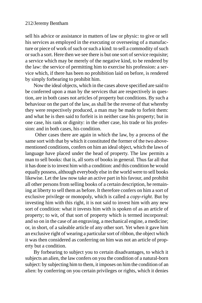sell his advice or assistance in matters of law or physic: to give or sell his services as employed in the executing or overseeing of a manufacture or piece of work of such or such a kind: to sell a commodity of such or such a sort. Here then we see there is but one sort of service requisite; a service which may be merely of the negative kind, to be rendered by the law: the service of permitting him to exercise his profession: a service which, if there has been no prohibition laid on before, is rendered by simply forbearing to prohibit him.

Now the ideal objects, which in the cases above specified are said to be conferred upon a man by the services that are respectively in question, are in both cases not articles of property but conditions. By such a behaviour on the part of the law, as shall be the reverse of that whereby they were respectively produced, a man may be made to forfeit them: and what he is then said to forfeit is in neither case his property; but in one case, his rank or dignity: in the other case, his trade or his profession: and in both cases, his condition.

 Other cases there are again in which the law, by a process of the same sort with that by which it constituted the former of the two abovementioned conditions, confers on him an ideal object, which the laws of language have placed under the head of property. The law permits a man to sell books: that is, all sorts of books in general. Thus far all that it has done is to invest him with a condition: and this condition he would equally possess, although everybody else in the world were to sell books likewise. Let the law now take an active part in his favour, and prohibit all other persons from selling books of a certain description, he remaining at liberty to sell them as before. It therefore confers on him a sort of exclusive privilege or monopoly, which is called a *copy-right*. But by investing him with this right, it is not said to invest him with any new sort of condition: what it invests him with is spoken of as an article of property; to wit, of that sort of property which is termed incorporeal: and so on in the case of an engraving, a mechanical engine, a medicine; or, in short, of a saleable article of any other sort. Yet when it gave him an exclusive right of wearing a particular sort of ribbon, the object which it was then considered as conferring on him was not an article of property but a condition.

By forbearing to subject you to certain disadvantages, to which it subjects an alien, the law confers on you the condition of a natural-born subject: by subjecting him to them, it imposes on him the condition of an alien: by conferring on you certain privileges or rights, which it denies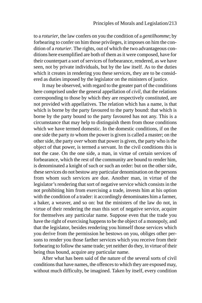to a *roturier*, the law confers on you the condition of a *gentilhomme*; by forbearing to confer on him those privileges, it imposes on him the condition of a *roturier*. The rights, out of which the two advantageous conditions here exemplified are both of them as it were composed, have for their counterpart a sort of services of forbearance, rendered, as we have seen, not by private individuals, but by the law itself. As to the duties which it creates in rendering you these services, they are to be considered as duties imposed by the legislator on the ministers of justice.

It may be observed, with regard to the greater part of the conditions here comprised under the general appellation of *civil*, that the relations corresponding to those by which they are respectively constituted, are not provided with appellatives. The relation which has a name, is that which is borne by the party favoured to the party bound: that which is borne by the party bound to the party favoured has not any. This is a circumstance that may help to distinguish them from those conditions which we have termed domestic. In the domestic conditions, if on the one side the party *to* whom the power is given is called a master; on the other side, the party *over* whom that power is given, the party who is the object of that power, is termed a servant. In the civil conditions this is not the case. On the one side, a man, in virtue of certain services of forbearance, which the rest of the community are bound to render him, is denominated a knight of such or such an order: but on the other side, these services do not bestow any particular denomination on the persons from whom such services are due. Another man, in virtue of the legislator's rendering that sort of negative service which consists in the not prohibiting him from exercising a trade, invests him at his option with the condition of a trader: it accordingly denominates him a farmer, a baker, a weaver, and so on: but the ministers of the law do not, in virtue of their rendering the man this sort of negative service, acquire for themselves any particular name. Suppose even that the trade you have the right of exercising happens to be the object of a monopoly, and that the legislator, besides rendering you himself those services which you derive from the permission he bestows on you, obliges other persons to render you those farther services which you receive from their forbearing to follow the same trade; yet neither do they, in virtue of their being thus bound, acquire any particular name.

After what has been said of the nature of the several sorts of civil conditions that have names, the offences to which they are exposed may, without much difficulty, be imagined. Taken by itself, every condition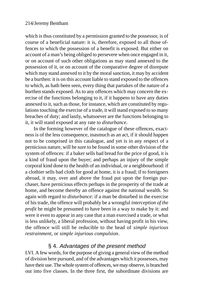which is thus constituted by a permission granted to the possessor, is of course of a beneficial nature: it is, therefore, exposed to all those offences to which the possession of a benefit is exposed. But either on account of a man's being obliged to persevere when once engaged in it, or on account of such other obligations as may stand annexed to the possession of it, or on account of the comparative degree of disrepute which may stand annexed to it by the moral sanction, it may by accident be a burthen: it is on this account liable to stand exposed to the offences to which, as hath been seen, every thing that partakes of the nature of a burthen stands exposed. As to any offences which may concern the exercise of the functions belonging to it, if it happens to have any duties annexed to it, such as those, for instance, which are constituted by regulations touching the exercise of a trade, it will stand exposed to so many breaches of duty; and lastly, whatsoever are the functions belonging to it, it will stand exposed at any rate to *disturbance*.

In the forming however of the catalogue of these offences, exactness is of the less consequence, inasmuch as an act, if it should happen not to be comprised in this catalogue, and yet is in any respect of a pernicious nature, will be sure to be found in some other division of the system of offences: if a baker sells bad bread for the price of good, it is a kind of fraud upon the buyer; and perhaps an injury of the simple corporal kind done to the health of an individual, or a neighbourhood: if a clothier sells bad cloth for good at home, it is a fraud; if to foreigners abroad, it may, over and above the fraud put upon the foreign purchaser, have pernicious effects perhaps in the prosperity of the trade at home, and become thereby an offence against the national wealth. So again with regard to *disturbance*: if a man be disturbed in the exercise of his trade, the offence will probably be a wrongful *interception of the profit* he might be presumed to have been in a way to make by it: and were it even to appear in any case that a man exercised a trade, or what is less unlikely, a liberal profession, without having profit in his view, the offence will still be reducible to the head of *simple injurious restrainment*, or *simple injurious compulsion*.

# § 4. Advantages of the present method

LVI. A few words, for the purpose of giving a general view of the method of division here pursued, and of the advantages which it possesses, may have their use. The whole system of offences, we may observe, is branched out into five classes. In the three first, the subordinate divisions are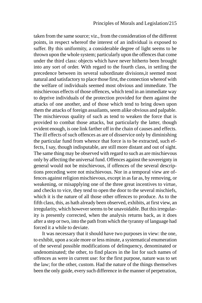taken from the same source; viz., from the consideration of the different points, in respect whereof the interest of an individual is exposed to suffer. By this uniformity, a considerable degree of light seems to be thrown upon the whole system; particularly upon the offences that come under the third class: objects which have never hitherto been brought into any sort of order. With regard to the fourth class, in settling the precedence between its several subordinate divisions,it seemed most natural and satisfactory to place those first, the connection whereof with the welfare of individuals seemed most obvious and immediate. The mischievous effects of those offences, which tend in an immediate way to deprive individuals of the protection provided for them against the attacks of one another, and of those which tend to bring down upon them the attacks of foreign assailants, seem alike obvious and palpable. The mischievous quality of such as tend to weaken the force that is provided to combat those attacks, but particularly the latter, though evident enough, is one link farther off in the chain of causes and effects. The ill effects of such offences as are of disservice only by diminishing the particular fund from whence that force is to be extracted, such effects, I say, though indisputable, are still more distant and out of sight. The same thing may be observed with regard to such as are mischievous only by affecting the universal fund. Offences against the sovereignty in general would not be mischievous, if offences of the several descriptions preceding were not mischievous. Nor in a temporal view are offences against religion mischievous, except in as far as, by removing, or weakening, or misapplying one of the three great incentives to virtue, and checks to vice, they tend to open the door to the several mischiefs, which it is the nature of all those other offences to produce. As to the fifth class, this, as hath already been observed, exhibits, at first view, an irregularity, which however seems to be unavoidable. But this irregularity is presently corrected, when the analysis returns back, as it does after a step or two, into the path from which the tyranny of language had forced it a while to deviate.

It was necessary that it should have two purposes in view: the one, to exhibit, upon a scale more or less minute, a systematical enumeration of the several possible modifications of delinquency, denominated or undenominated; the other, to find places in the list for such names of offences as were in current use: for the first purpose, nature was to set the law; for the other, custom. Had the nature of the things themselves been the only guide, every such difference in the manner of perpetration,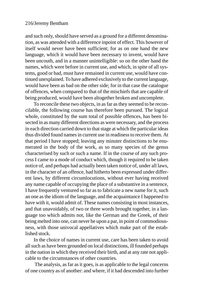and such only, should have served as a ground for a different denomination, as was attended with a difference inpoint of effect. This however of itself would never have been sufficient; for as on one hand the new language, which it would have been necessary to invent, would have been uncouth, and in a manner unintelligible: so on the other hand the names, which were before in current use, and which, in spite of all systems, good or bad, must have remained in current use, would have continued unexplained. To have adhered exclusively to the current language, would have been as bad on the other side; for in that case the catalogue of offences, when compared to that of the mischiefs that are capable of being produced, would have been altogether broken and uncomplete.

To reconcile these two objects, in as far as they seemed to be reconcilable, the following course has therefore been pursued. The logical whole, constituted by the sum total of possible offences, has been bisected in as many different directions as were necessary, and the process in each direction carried down to that stage at which the particular ideas thus divided found names in current use in readiness to receive them. At that period I have stopped; leaving any minuter distinctions to be enumerated in the body of the work, as so many species of the genus characterised by such or such a name. If in the course of any such process I came to a mode of conduct which, though it required to be taken notice of, and perhaps had actually been taken notice of, under all laws, in the character of an offence, had hitherto been expressed under different laws, by different circumlocutions, without ever having received any name capable of occupying the place of a substantive in a sentence, I have frequently ventured so far as to fabricate a new name for it, such an one as the idiom of the language, and the acquaintance I happened to have with it, would admit of. These names consisting in most instances, and that unavoidably, of two or three words brought together, in a language too which admits not, like the German and the Greek, of their being melted into one, can never be upon a par, in point of commodiousness, with those univocal appellatives which make part of the established stock.

In the choice of names in current use, care has been taken to avoid all such as have been grounded on local distinctions, ill founded perhaps in the nation in which they received their birth, and at any rate not applicable to the circumstances of other countries.

 The analysis, as far as it goes, is as applicable to the legal concerns of one country as of another: and where, if it had descended into further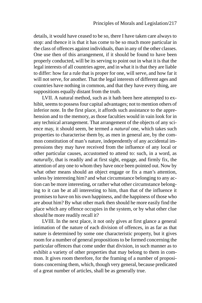details, it would have ceased to be so, there I have taken care always to stop: and thence it is that it has come to be so much more particular in the class of offences against individuals, than in any of the other classes. One use then of this arrangement, if it should be found to have been properly conducted, will be its serving to point out in what it is that the legal interests of all countries agree, and in what it is that they are liable to differ: how far a rule that is proper for one, will serve, and how far it will not serve, for another. That the legal interests of different ages and countries have nothing in common, and that they have every thing, are suppositions equally distant from the truth.

LVII. A natural method, such as it hath been here attempted to exhibit, seems to possess four capital advantages; not to mention others of inferior note. In the first place, it affords such assistance to the apprehension and to the memory, as those faculties would in vain look for in any technical arrangement. That arrangement of the objects of any science may, it should seem, be termed a *natural* one, which takes such properties to characterise them by, as men in general are, by the common constitution of man's nature, independently of any accidental impressions they may have received from the influence of any local or other particular causes, accustomed to attend to: such, in a word, as *naturally*, that is readily and at first sight, engage, and firmly fix, the attention of any one to whom they have once been pointed out. Now by what other means should an object engage or fix a man's attention, unless by interesting him? and what circumstance belonging to any action can be more interesting, or rather what other circumstance belonging to it can be at all interesting to him, than that of the influence it promises to have on his own happiness, and the happiness of those who are about him? By what other mark then should he more easily find the place which any offence occupies in the system, or by what other clue should he more readily recall it?

LVIII. In the next place, it not only gives at first glance a general intimation of the nature of each division of offences, in as far as that nature is determined by some one characteristic property, but it gives room for a number of general propositions to be formed concerning the particular offences that come under that division, in such manner as to exhibit a variety of other properties that may belong to them in common. It gives room therefore, for the framing of a number of propositions concerning them, which, though very general, because predicated of a great number of articles, shall be as generally true.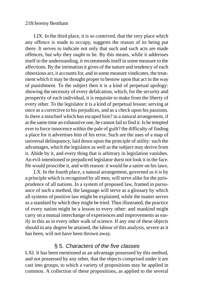LIX. In the third place, it is so contrived, that the very place which any offence is made to occupy, suggests the reason of its being put there. It serves to indicate not only that such and such acts are made offences, but *why* they *ought* to be. By this means, while it addresses itself to the understanding, it recommends itself in some measure to the affections. By the intimation it gives of the nature and tendency of each obnoxious act, it accounts for, and in some measure vindicates, the treatment which it may be thought proper to bestow upon that act in the way of punishment. To the subject then it is a kind of perpetual apology: showing the necessity of every defalcation, which, for the security and prosperity of each individual, it is requisite to make from the liberty of every other. To the legislator it is a kind of perpetual lesson: serving at once as a corrective to his prejudices, and as a check upon his passions. Is there a mischief which has escaped him? in a natural arrangement, if at the same time an exhaustive one, he cannot fail to find it. Is he tempted ever to force innocence within the pale of guilt? the difficulty of finding a place for it advertises him of his error. Such are the uses of a map of universal delinquency, laid down upon the principle of utility: such the advantages, which the legislator as well as the subject may derive from it. Abide by it, and every thing that is arbitrary in legislation vanishes. An evil-intentioned or prejudiced legislator durst not look it in the face. He would proscribe it, and with reason: it would be a satire on his laws.

LX. In the fourth place, a natural arrangement, governed as it is by a principle which is recognised by all men, will serve alike for the jurisprudence of all nations. In a system of proposed law, framed in pursuance of such a method, the language will serve as a glossary by which all systems of positive law might be explained, while the matter serves as a standard by which they might be tried. Thus illustrated, the practice of every nation might be a lesson to every other: and mankind might carry on a mutual interchange of experiences and improvements as easily in this as in every other walk of science. If any one of these objects should in any degree be attained, the labour of this analysis, severe as it has been, will not have been thrown away.

### § 5. Characters of the five classes

LXI. It has been mentioned as an advantage possessed by this method, and not possessed by any other, that the objects comprised under it are cast into groups, to which a variety of propositions may be applied in common. A collection of these propositions, as applied to the several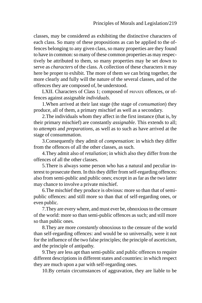classes, may be considered as exhibiting the distinctive characters of each class. So many of these propositions as can be applied to the offences belonging to any given class, so many properties are they found to have in common: so many of these common properties as may respectively be attributed to them, so many properties may be set down to serve as *characters* of the class. A collection of these characters it may here be proper to exhibit. The more of them we can bring together, the more clearly and fully will the nature of the several classes, and of the offences they are composed of, be understood.

LXII. Characters of Class 1; composed of PRIVATE offences, or offences against assignable *individuals*.

1.When arrived at their last stage (the stage of *consumation*) they produce, all of them, a primary mischief as well as a secondary.

2.The individuals whom they affect in the first instance (that is, by their primary mischief) are constantly *assignable*. This extends to all; to *attempts* and *preparations*, as well as to such as have arrived at the stage of consummation.

3.Consequently they admit of *compensation*: in which they differ from the offences of all the other classes, as such.

4.They admit also of *retaliation*; in which also they differ from the offences of all the other classes.

5.There is always some person who has a natural and peculiar interest to prosecute them. In this they differ from self-regarding offences: also from semi-public and public ones; except in as far as the two latter may chance to involve a private mischief.

6.The mischief they produce is obvious: more so than that of semipublic offences: and still more so than that of self-regarding ones, or even public.

7.They are every where, and must ever be, obnoxious to the censure of the world: more so than semi-public offences as such; and still more so than public ones.

8.They are more *constantly* obnoxious to the censure of the world than self-regarding offences: and would be so universally, were it not for the influence of the two false principles; the principle of asceticism, and the principle of antipathy.

9.They are less apt than semi-public and public offences to require different descriptions in different states and countries: in which respect they are much upon a par with self-regarding ones.

10.By certain circumstances of aggravation, they are liable to be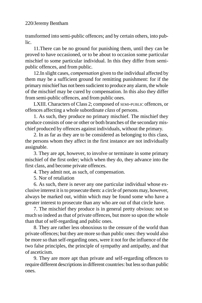transformed into semi-public offences; and by certain others, into public.

11.There can be no ground for punishing them, until they can be proved to have occasioned, or to be about to occasion some particular mischief to some particular individual. In this they differ from semipublic offences, and from public.

12.In slight cases, *compensation* given to the individual affected by them may be a sufficient ground for remitting punishment: for if the primary mischief has not been sudicient to produce any alarm, the whole of the mischief may be cured by compensation. In this also they differ from semi-public offences, and from public ones.

LXIII. Characters of Class 2; composed of SEMI-PUBLIC offences, or offences affecting a whole subordinate *class* of persons.

1. As such, they produce no primary mischief. The mischief they produce consists of one or other or both branches of the secondary mischief produced by offences against individuals, without the primary.

2. In as far as they are to be considered as belonging to this class, the persons whom they affect in the first instance are not individually assignable.

3. They are apt, however, to involve or terminate in some primary mischief of the first order; which when they do, they advance into the first class, and become private offences.

4. They admit not, as such, of compensation.

5. Nor of retaliation

6. As such, there is never any one particular individual whose exclusive interest it is to prosecute them: a circle of persons may, however, always be marked out, within which may be found some who have a greater interest to prosecute than any who are out of that circle have.

7. The mischief they produce is in general pretty obvious: not so much so indeed as that of private offences, but more so upon the whole than that of self-regarding and public ones.

8. They are rather less obnoxious to the censure of the world than private offences; but they are more so than public ones: they would also be more so than self-regarding ones, were it not for the influence of the two false principles, the principle of sympathy and antipathy, and that of asceticism.

9. They are more apt than private and self-regarding offences to require different descriptions in different countries: but less so than public ones.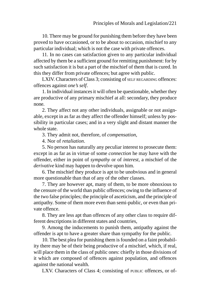10. There may be ground for punishing them before they have been proved to have occasioned, or to be about to occasion, mischief to any particular individual; which is not the case with private offences.

11. In no cases can satisfaction given to any particular individual affected by them be a sufficient ground for remitting punishment: for by such satisfaction it is but a part of the mischief of them that is cured. In this they differ from private offences; but agree with public.

LXIV. Characters of Class 3; consisting of SELF REGARDING offences: offences against *one's self*.

1. In individual instances it will often be questionable, whether they are productive of any primary mischief at all: secondary, they produce none.

2. They affect not any other individuals, assignable or not assignable, except in as far as they affect the offender himself; unless by possibility in particular cases; and in a very slight and distant manner the whole state.

3. They admit not, therefore, of *compensation*,

4. Nor of *retaliation*.

5. No person has naturally any peculiar interest to prosecute them: except in as far as in virtue of some *connection* he may have with the offender, either in point of *sympathy* or of *interest*, a mischief of the *derivative* kind may happen to devolve upon him.

6. The mischief they produce is apt to be unobvious and in general more questionable than that of any of the other classes.

7. They are however apt, many of them, to be more obnoxious to the censure of the world than public offences; owing to the influence of the two false principles; the principle of asceticism, and the principle of antipathy. Some of them more even than semi-public, or even than private offence.

8. They are less apt than offences of any other class to require different descriptions in different states and countries,

9. Among the inducements to punish them, antipathy against the offender is apt to have a greater share than sympathy for the public.

10. The best plea for punishing them is founded on a faint probability there may be of their being productive of a mischief, which, if real, will place them in the class of public ones: chiefly in those divisions of it which are composed of offences against population, and offences against the national wealth.

LXV. Characters of Class 4; consisting of PUBLIC offences, or of-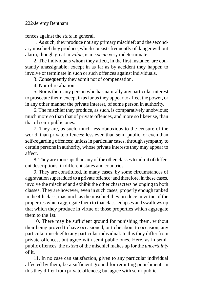fences against the *state* in general.

1. As such, they produce not any primary mischief; and the secondary mischief they produce, which consists frequently of danger without alarm, though great in *value*, is in *specie* very indeterminate.

2. The individuals whom they affect, in the first instance, are constantly unassignable; except in as far as by accident they happen to involve or terminate in such or such offences against individuals.

3. Consequently they admit not of compensation.

4. Nor of retaliation.

5. Nor is there any person who has naturally any particular interest to prosecute them; except in as far as they appear to affect the power, or in any other manner the private interest, of some person in authority.

6. The mischief they produce, as such, is comparatively unobvious; much more so than that of private offences, and more so likewise, than that of semi-public ones.

7. They are, as such, much less obnoxious to the censure of the world, than private offences; less even than semi-public, or even than self-regarding offences; unless in particular cases, through sympathy to certain persons in authority, whose private interests they may appear to affect.

8. They are more apt than any of the other classes to admit of different descriptions, in different states and countries.

9. They are constituted, in many cases, by some circumstances of aggravation superadded to a private offence: and therefore, in these cases, involve the mischief and exhibit the other characters belonging to both classes. They are however, even in such cases, properly enough ranked in the 4th class, inasmuch as the mischief they produce in virtue of the properties which aggregate them to that class, eclipses and swallows up that which they produce in virtue of those properties which aggregate them to the 1st.

10. There may be sufficient ground for punishing them, without their being proved to have occasioned, or to be about to occasion, any particular mischief to any particular individual. In this they differ from private offences, but agree with semi-public ones. Here, as in semipublic offences, the *extent* of the mischief makes up for the *uncertainty* of it.

11. In no case can satisfaction, given to any particular individual affected by them, be a sufficient ground for remitting punishment. In this they differ from private offences; but agree with semi-public.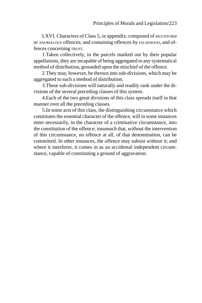LXVI. Characters of Class 5, or appendix: composed of MULTIFORM or ANOMALOUS offences; and containing offences by FALSEHOOD, and offences concerning TRUST.

1.Taken collectively, in the parcels marked out by their popular appellations, they are incapable of being aggregated to any systematical method of distribution, grounded upon the mischief of the offence.

2.They may, however, be thrown into sub-divisions, which may be aggregated to such a method of distribution.

3.These sub-divisions will naturally and readily rank under the divisions of the several preceding classes of this system.

4.Each of the two great divisions of this class spreads itself in that manner over all the preceding classes.

5.In some acts of this class, the distinguishing circumstance which constitutes the essential character of the offence, will in some instances enter necessarily, in the character of a criminative circumstance, into the constitution of the offence; insomuch that, without the intervention of this circumstance, no offence at all, of that denomination, can be committed. In other instances, the offence may subsist without it; and where it interferes, it comes in as an accidental independent circumstance, capable of constituting a ground of aggravation.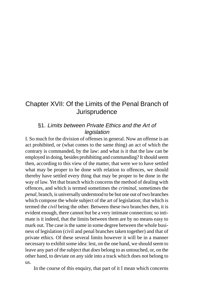# Chapter XVII: Of the Limits of the Penal Branch of **Jurisprudence**

# §1. Limits between Private Ethics and the Art of legislation

I. So much for the division of offenses in general. Now an offense is an act prohibited, or (what comes to the same thing) an act of which the contrary is commanded, by the law: and what is it that the law can be employed in doing, besides prohibiting and commanding? It should seem then, according to this view of the matter, that were we to have settled what may be proper to be done with relation to offences, we should thereby have settled every thing that may be proper to be done in the way of law. Yet that branch which concerns the method of dealing with offences, and which is termed sometimes the *criminal*, sometimes the *penal*, branch, is universally understood to be but one out of two branches which compose the whole subject of the art of legislation; that which is termed the *civil* being the other. Between these two branches then, it is evident enough, there cannot but be a very intimate connection; so intimate is it indeed, that the limits between them are by no means easy to mark out. The case is the same in some degree between the whole business of legislation (civil and penal branches taken together) and that of private ethics. Of these several limits however it will be in a manner necessary to exhibit some idea: lest, on the one hand, we should seem to leave any part of the subject that *does* belong to as untouched, or, on the other hand, to deviate on any side into a track which does not belong to us.

In the course of this enquiry, that part of it I mean which concerns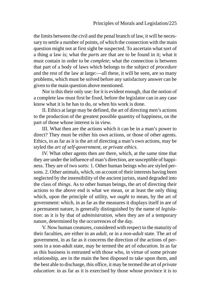the limits between the civil and the penal branch of law, it will be necessary to settle a number of points, of which the connection with the main question might not at first sight be suspected. To ascertain what sort of a thing *a* law is; what the *parts* are that are to be found in it; what it must contain in order to be *complete*; what the connection is between that part of a body of laws which belongs to the subject of *procedure* and the rest of the law at large:—all these, it will be seen, are so many problems, which must be solved before any satisfactory answer can be given to the main question above mentioned.

Nor is this their only use: for it is evident enough, that the notion of a complete law must first be fixed, before the legislator can in any case know what it is he has to do, or when his work is done.

II. Ethics at large may be defined, the art of directing men's actions to the production of the greatest possible quantity of happiness, on the part of those whose interest is in view.

III. What then are the actions which it can be in a man's power to direct? They must be either his own actions, or those of other agents. Ethics, in as far as it is the art of directing a man's own actions, may be styled the *art of self-government*, or *private ethics*.

IV. What other agents then are there, which, at the same time that they are under the influence of man's direction, are susceptible of happiness. They are of two sorts: 1. Other human beings who are styled persons. 2. Other animals, which, on account of their interests having been neglected by the insensibility of the ancient jurists, stand degraded into the class of *things*. As to other human beings, the art of directing their actions to the above end is what we mean, or at least the only thing which, upon the principle of utility, we *ought* to mean, by the art of government: which, in as far as the measures it displays itself in are of a permanent nature, is generally distinguished by the name of *legislation*: as it is by that of *administration*, when they are of a temporary nature, determined by the occurrences of the day.

V. Now human creatures, considered with respect to the maturity of their faculties, are either in an *adult*, or in a *non-adult* state. The art of government, in as far as it concerns the direction of the actions of persons in a non-adult state, may be termed the art of *education*. In as far as this business is entrusted with those who, in virtue of some private relationship, are in the main the best disposed to take upon them, and the best able to discharge, this office, it may be termed the art of *private education*: in as far as it is exercised by those whose province it is to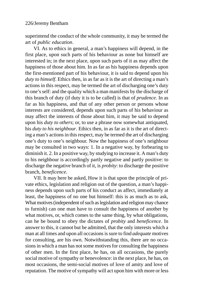superintend the conduct of the whole community, it may be termed the art of *public education*.

VI. As to ethics in general, a man's happiness will depend, in the first place, upon such parts of his behaviour as none but himself are interested in; in the next place, upon such parts of it as may affect the happiness of those about him. In as far as his happiness depends upon the first-mentioned part of his behaviour, it is said to depend upon his *duty to himself*. Ethics then, in as far as it is the art of directing a man's actions in this respect, may be termed the art of discharging one's duty to one's self: and the quality which a man manifests by the discharge of this branch of duty (if duty it is to be called) is that of *prudence*. In as far as his happiness, and that of any other person or persons whose interests are considered, depends upon such parts of his behaviour as may affect the interests of those about him, it may be said to depend upon his *duty to others*; or, to use a phrase now somewhat antiquated, his *duty to his neighbour*. Ethics then, in as far as it is the art of directing a man's actions in this respect, may be termed the art of discharging one's duty to one's neighbour. Now the happiness of one's neighbour may be consulted in two ways: 1. In a negative way, by forbearing to diminish it. 2. In a positive way, by studying to increase it. A man's duty to his neighbour is accordingly partly negative and partly positive: to discharge the negative branch of it, is *probity*: to discharge the positive branch, *beneficence*.

VII. It may here be asked, How it is that upon the principle of private ethics, legislation and religion out of the question, a man's happiness depends upon such parts of his conduct as affect, immediately at least, the happiness of no one but himself: this is as much as to ask, What motives (independent of such as legislation and religion may chance to furnish) can one man have to consult the happiness of another by what motives, or, which comes to the same thing, by what obligations, can he be bound to obey the dictates of *probity* and *beneficence*. In answer to this, it cannot but be admitted, that the only interests which a man at all times and upon all occasions is sure to find *adequate* motives for consulting, are his own. Notwithstanding this, there are no occasions in which a man has not some motives for consulting the happiness of other men. In the first place, he has, on all occasions, the purely social motive of sympathy or benevolence: in the next place, he has, on most occasions, the semi-social motives of love of amity and love of reputation. The motive of sympathy will act upon him with more or less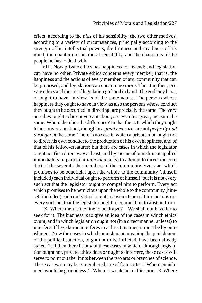effect, according to the *bias* of his sensibility: the two other motives, according to a variety of circumstances, principally according to the strength of his intellectual powers, the firmness and steadiness of his mind, the quantum of his moral sensibility, and the characters of the people he has to deal with.

VIII. Now private ethics has happiness for its end: and legislation can have no other. Private ethics concerns every member, that is, the happiness and the actions of every member, of any community that can be proposed; and legislation can concern no more. Thus far, then, private ethics and the art of legislation go hand in hand. The end they have, or ought to have, in view, is of the same nature. The persons whose happiness they ought to have in view, as also the persons whose conduct they ought to be occupied in directing, are precisely the same. The very acts they ought to be conversant about, are even in a great, measure the same. Where then lies the difference? In that the acts which they ought to be conversant about, though in a *great measure*, are not *perfectly and throughout* the same. There is no case in which a private man ought not to direct his own conduct to the production of his own happiness, and of that of his fellow-creatures: but there are cases in which the legislator ought not (in a direct way at least, and by means of punishment applied immediately to particular *individual* acts) to attempt to direct the conduct of the several other members of the community. Every act which promises to be beneficial upon the whole to the community (himself included) each individual ought to perform of himself: but it is not every such act that the legislator ought to compel him to perform. Every act which promises to be pernicious upon the whole to the community (himself included) each individual ought to abstain from of him: but it is not every such act that the legislator ought to compel him to abstain from.

IX. Where then is the line to be drawn?—We shall not have far to seek for it. The business is to give an idea of the cases in which ethics ought, and in which legislation ought not (in a direct manner at least) to interfere. If legislation interferes in a direct manner, it must be by punishment. Now the cases in which punishment, meaning the punishment of the political sanction, ought not to be inflicted, have been already stated. 2. If then there be any of these cases in which, although legislation ought not, private ethics does or ought to interfere, these cases will serve to point out the limits between the two arts or branches of science. These cases. it may be remembered, are of four sorts: 1. Where punishment would be groundless. 2. Where it would be inefficacious. 3. Where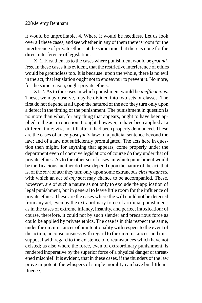it would be unprofitable. 4. Where it would be needless. Let us look over all these cases, and see whether in any of them there is room for the interference of private ethics, at the same time that there is none for the direct interference of legislation.

X. 1. First then, as to the cases where punishment would be *groundless*. In these cases it is evident, that the restrictive interference of ethics would be groundless too. It is because, upon the whole, there is no evil in the act, that legislation ought not to endeavour to prevent it. No more, for the same reason, ought private ethics.

XI. 2. As to the cases in which punishment would be *inefficacious*. These, we may observe, may be divided into two sets or classes. The first do not depend at all upon the natured of the act: they turn only upon a defect in the timing of the punishment. The punishment in question is no more than what, for any thing that appears, ought to have been applied to the act in question. It ought, however, to have been applied at a different time; viz., not till after it had been properly denounced. These are the cases of an *ex-post-facto* law; of a judicial sentence beyond the law; and of a law not sufficiently promulgated. The acts here in question then might, for anything that appears, come properly under the department even of coercive legislation: of course do they under that of private ethics. As to the other set of cases, in which punishment would be inefficacious; neither do these depend upon the nature of the act, that is, of the *sort* of act: they turn only upon some extraneous *circumstances*, with which an act of *any* sort may chance to be accompanied. These, however, are of such a nature as not only to exclude the application of legal punishment, but in general to leave little room for the influence of private ethics. These are the cases where the will could not be deterred from any act, even by the extraordinary force of artificial punishment: as in the cases of extreme infancy, insanity, and perfect intoxication: of course, therefore, it could not by such slender and precarious force as could be applied by private ethics. The case is in this respect the same, under the circumstances of unintentionality with respect to the event of the action, unconsciousness with regard to the circumstances, and missupposal with regard to the existence of circumstances which have not existed; as also where the force, even of extraordinary punishment, is rendered inoperative by the superior force of a physical danger or threatened mischief. It is evident, that in these cases, if the thunders of the law prove impotent, the whispers of simple morality can have but little influence.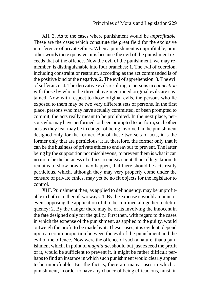XII. 3. As to the cases where punishment would be *unprofitable*. These are the cases which constitute the great field for the exclusive interference of private ethics. When a punishment is unprofitable, or in other words too expensive, it is because the evil of the punishment exceeds that of the offence. Now the evil of the punishment, we may remember, is distinguishable into four branches: 1. The evil of coercion, including constraint or restraint, according as the act commanded is of the positive kind or the negative. 2. The evil of apprehension. 3. The evil of sufferance. 4. The derivative evils resulting to persons in *connection* with those by whom the three above-mentioned original evils are sustained. Now with respect to those original evils, the persons who lie exposed to them may be two very different sets of persons. In the first place, persons who may have actually committed, or been prompted to commit, the acts really meant to be prohibited. In the next place, persons who may have performed, or been prompted to perform, such other acts as they fear may be in danger of being involved in the punishment designed only for the former. But of these two sets of acts, it is the former only that are pernicious: it is, therefore, the former only that it can be the business of private ethics to endeavour to prevent. The latter being by the supposition not mischievous, to prevent them is what it can no more be the business of ethics to endeavour at, than of legislation. It remains to show how it may happen, that there should be acts really pernicious, which, although they may very properly come under the censure of private ethics, may yet be no fit objects for the legislator to control.

XIII. Punishment then, as applied to delinquency, may be unprofitable in both or either of two ways: 1. By the expense it would amount to, even supposing the application of it to be confined altogether to delinquency: 2. By the danger there may be of its involving the innocent in the fate designed only for the guilty. First then, with regard to the cases in which the expense of the punishment, as applied to the guilty, would outweigh the profit to be made by it. These cases, it is evident, depend upon a certain proportion between the evil of the punishment and the evil of the offence. Now were the offence of such a nature, that a punishment which, in point of *magnitude*, should but just exceed the profit of it, would be sufficient to prevent it, it might be rather difficult perhaps to find an instance in which such punishment would clearly appear to be unprofitable. But the fact is, there are many cases in which a punishment, in order to have any chance of being efficacious, must, in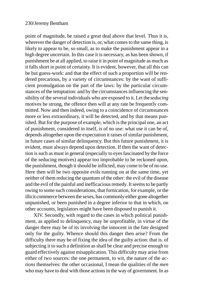point of magnitude, be raised a great deal above that level. Thus it is, wherever the danger of detection is, or, what comes to the same thing, is likely to appear to be, so small, as to make the punishment appear in a high degree uncertain. In this case it is necessary, as has been shown, if punishment be at all applied, to raise it in point of magnitude as much as it falls short in point of certainty. It is evident, however, that all this can be but guess-work: and that the effect of such a proportion will be rendered precarious, by a variety of circumstances: by the want of sufficient promulgation on the part of the laws: by the particular circumstances of the temptation: and by the circumstances influencing the sensibility of the several individuals who are exposed to it. Let the *seducing* motives be strong, the offence then will at any rate be frequently committed. Now and then indeed, owing to a coincidence of circumstances more or less extraordinary, it will be detected, and by that means punished. But for the purpose of example, which is the principal one, an act of punishment, considered in itself, is of no use: what use it can be of, depends altogether upon the expectation it raises of similar punishment, in future cases of similar delinquency. But this future punishment, it is evident, must always depend upon detection. If then the want of detection is such as must in general (especially to eyes fascinated by the force of the seducing motives) appear too improbable to be reckoned upon, the punishment, though it should be inflicted, may come to be of no use. Here then will be two opposite evils running on at the same time, yet neither of them reducing the quantum of the other: the evil of the disease and the evil of the painful and inefficacious remedy. It seems to be partly owing to some such considerations, that fornication, for example, or the illicit commerce between the sexes, has commonly either gone altogether unpunished, or been punished in a degree inferior to that in which, on other accounts, legislators might have been disposed to punish it.

XIV. Secondly, with regard to the cases in which political punishment, as applied to delinquency, may be unprofitable, in virtue of the danger there may be of its involving the innocent in the fate designed only for the guilty. Whence should this danger then arise? From the difficulty there may be of fixing the idea of the guilty action: that is. of subjecting it to such a definition as shall be clear and precise enough to guard effectively against misapplication. This difficulty may arise from either of two sources: the one permanent, to wit, the nature of the *actions* themselves: the other occasional, I mean the qualities of the *men* who may have to deal with those actions in the way of government. In as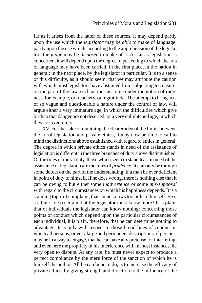far as it arises from the latter of these sources, it may depend partly upon the use which the *legislator* may be *able* to make of language; partly upon the use which, according to the apprehension of the legislators the *judge* may be *disposed* to make of it. As far as legislation is concerned, it will depend upon the degree of perfecting to which the arts of language may have been carried, in the first place, in the nation in general; in the next place. by the legislator in particular. It is to a sense of this difficulty, as it should seem, that we may attribute the caution with which most legislators have abstained from subjecting to censure, on the part of the law, such actions as come under the notion of rudeness, for example, or treachery, or ingratitude. The attempt to bring acts of so vague and questionable a nature under the control of law, will argue either a very immature age, in which the difficulties which give birth to that danger are not descried; or a very enlightened age, in which they are overcome.

XV. For the sake of obtaining the clearer idea of the limits between the art of legislation and private ethics, it may now be time to call to mind the distinctions above established with regard to ethics in general. The degree in which private ethics stands in need of the assistance of legislation is different in the three branches of duty above distinguished. Of the rules of moral duty, those which seem to stand least in need of the assistance of legislation are the rules of *prudence*. It can only be through some defect on the part of the understanding, if a man be ever deficient in point of duty to himself. If he does wrong, there is nothing else that it can be owing to but either some *inadvertence* or some *mis-supposal* with regard to the circumstances on which his happiness depends. It is a standing topic of complaint, that a man knows too little of himself. Be it so: but is it so certain that the legislator must know more? It is plain, that of individuals the legislator can know nothing: concerning those points of conduct which depend upon the particular circumstances of each individual, it is plain, therefore, that he can determine nothing to advantage. It is only with respect to those broad lines of conduct in which all persons, or very large and permanent descriptions of persons, may be in a way to engage, that he can have any pretense for interfering; and even here the propriety of his interference will, in most instances, lie very open to dispute. At any rate, he must never expect to produce a perfect compliance by the mere force of the sanction of which he is himself the author. All he can hope to do, is to increase the efficacy of private ethics, by giving strength and direction to the influence of the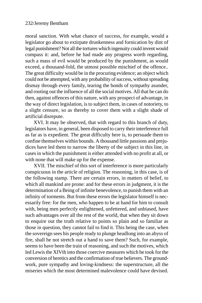moral sanction. With what chance of success, for example, would a legislator go about to extirpate drunkenness and fornication by dint of legal punishment? Not all the tortures which ingenuity could invent would compass it: and, before he had made any progress worth regarding, such a mass of evil would be produced by the punishment, as would exceed, a thousand-fold, the utmost possible mischief of the offence.. The great difficulty would be in the procuring evidence; an object which could not be attempted, with any probability of success, without spreading dismay through every family, tearing the bonds of sympathy asunder, and rooting out the influence of all the social motives. All that he can do then, against offences of this nature, with any prospect of advantage, in the way of direct legislation, is to subject them, in cases of notoriety, to a slight censure, so as thereby to cover them with a slight shade of artificial disrepute.

XVI. It may be observed, that with regard to this branch of duty, legislators have, in general, been disposed to carry their interference full as far as is expedient. The great difficulty here is, to persuade them to confine themselves within bounds. A thousand little passions and prejudices have led them to narrow the liberty of the subject in this line, in cases in which the punishment is either attended with no profit at all, or with none that will make up for the expense.

XVII. The mischief of this sort of interference is more particularly conspicuous in the article of religion. The reasoning, in this case, is of the following stamp. There are certain errors, in matters of belief, to which all mankind are prone: and for these errors in judgment, it is the determination of a Being of infinite benevolence, to punish them with an infinity of torments. But from these errors the legislator himself is necessarily free: for the men, who happen to be at hand for him to consult with, being men perfectly enlightened, unfettered, and unbiased, have such advantages over all the rest of the world, that when they sit down to enquire out the truth relative to points so plain and so familiar as those in question, they cannot fail to find it. This being the case, when the sovereign sees his people ready to plunge headlong into an abyss of fire, shall he not stretch out a hand to save them? Such, for example, seems to have been the train of reasoning, and such the motives, which led Lewis the XIVth into those coercive measures which he took for the conversion of heretics and the confirmation of true believers. The groundwork, pure sympathy and loving-kindness: the superstructure, all the miseries which the most determined malevolence could have devised.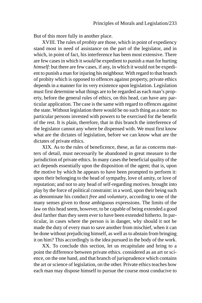But of this more fully in another place.

XVIII. The rules of *probity* are those, which in point of expediency stand most in need of assistance on the part of the legislator, and in which, in point of fact, his interference has been most extensive. There are few cases in which it *would* be expedient to punish a man for hurting *himself*: but there are few cases, if any, in which it would not be expedient to punish a man for injuring his neighbour. With regard to that branch of probity which is opposed to offences against property, private ethics depends in a manner for its very existence upon legislation. Legislation must first determine what things are to be regarded as each man's property, before the general rules of ethics, on this head, can have any particular application. The case is the same with regard to offences against the state. Without legislation there would be no such thing as a *state*: no particular persons invested with powers to be exercised for the benefit of the rest. It is plain, therefore, that in this branch the interference of the legislator cannot any where be dispensed with. We must first know what are the dictates of legislation, before we can know what are the dictates of private ethics.

XIX. As to the rules of beneficence, these, as far as concerns matters of detail, must necessarily be abandoned in great measure to the jurisdiction of private ethics. In many cases the beneficial quality of the act depends essentially upon the disposition of the agent; that is, upon the motive by which he appears to have been prompted to perform it: upon their belonging to the head of sympathy, love of amity, or love of reputation; and not to any head of self-regarding motives. brought into play by the force of political constraint: in a word, upon their being such as denominate his conduct *free* and *voluntary*, according to one of the many senses given to those ambiguous expressions. The limits of the law on this head seem, however, to be capable of being extended a good deal farther than they seem ever to have been extended hitherto. In particular, in cases where the person is in danger, why should it not be made the duty of every man to save another from mischief, when it can be done without prejudicing himself, as well as to abstain from bringing it on him? This accordingly is the idea pursued in the body of the work.

XX. To conclude this section, let us recapitulate and bring to a point the difference between private ethics. considered as an art or science, on the one hand, and that branch of jurisprudence which contains the art or science of legislation, on the other. Private ethics teaches how each man may dispose himself to pursue the course most conducive to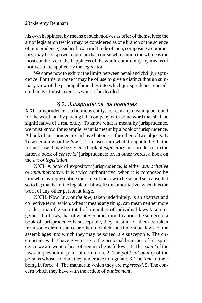his own happiness, by means of such motives as offer of themselves: the art of legislation (which may be considered as one branch of the science of jurisprudence) teaches how a multitude of men, composing a community, may be disposed to pursue that course which upon the whole is the most conducive to the happiness of the whole community, by means of motives to be applied by the legislator.

We come now to exhibit the limits between penal and civil jurisprudence. For this purpose it may be of use to give a distinct though summary view of the principal branches into which jurisprudence, considered in its utmost extent, is wont to be divided.

# § 2. Jurisprudence, its branches

XXI. Jurisprudence is a fictitious entity: nor can any meaning be found for the word, but by placing it in company with some word that shall be significative of a real entity. To know what is meant by jurisprudence, we must know, for example, what is meant by a book of jurisprudence. A book of jurisprudence can have but one or the other of two objects: 1. To ascertain what the *law* is: 2. to ascertain what it ought to be. In the former case it may be styled a book of *expository* jurisprudence; in the latter, a book of *censorial* jurisprudence: or, in other words, a book on the *art of legislation*.

XXII. A book of expository jurisprudence, is either *authoritative* or *unauthoritative*. It is styled authoritative, when it is composed by him who, by representing the state of the law to be so and so, causeth it so to be; that is, of the legislator himself: unauthoritative, when it is the work of any other person at large.

XXIII. Now *law*, or *the law*, taken indefinitely, is an abstract and collective term; which, when it means any thing, can mean neither more nor less than the sum total of a number of individual laws taken together. It follows, that of whatever other modifications the subject of a book of jurisprudence is susceptible, they must all of them be taken from some circumstance or other of which such individual laws, or the assemblages into which they may be sorted, are susceptible. The circumstances that have given rise to the principal branches of jurisprudence we are wont to hear of, seem to be as follows: 1. The *extent* of the laws in question in point of dominion. 2. The *political quality* of the persons whose conduct they undertake to regulate. 3. The *time* of their being in force. 4. The manner in which they are *expressed*. 5. The concern which they have with the article of *punishment*.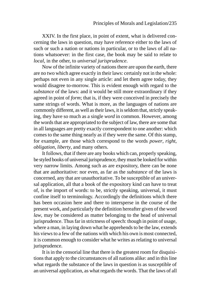XXIV. In the first place, in point of extent, what is delivered concerning the laws in question, may have reference either to the laws of such or such a nation or nations in particular, or to the laws of all nations whatsoever: in the first case, the book may be said to relate to *local*, in the other, to *universal jurisprudence*.

Now of the infinite variety of nations there are upon the earth, there are no two which agree exactly in their laws: certainly not in the whole: perhaps not even in any single article: and let them agree today, they would disagree to-morrow. This is evident enough with regard to the *substance* of the laws: and it would be still more extraordinary if they agreed in point of *form*; that is, if they were conceived in precisely the same strings of words. What is more, as the languages of nations are commonly different, as well as their laws, it is seldom that, strictly speaking, they have so much as a single *word* in common. However, among the words that are appropriated to the subject of law, there are some that in all languages are pretty exactly correspondent to one another: which comes to the same thing nearly as if they were the same. Of this stamp, for example, are those which correspond to the words *power*, *right*, *obligation*, *liberty*, and many others.

It follows, that if there are any books which can, properly speaking, be styled books of universal jurisprudence, they must be looked for within very narrow limits. Among such as are expository, there can be none that are authoritative: nor even, as far as the *substance* of the laws is concerned, any that are unauthoritative. To be susceptible of an universal application, all that a book of the expository kind can have to treat of, is the import of words: to be, strictly speaking, universal, it must confine itself to terminology. Accordingly the definitions which there has been occasion here and there to intersperse in the course of the present work, and particularly the definition hereafter given of the word *law*, may be considered as matter belonging to the head of universal jurisprudence. Thus far in strictness of speech: though in point of usage, where a man, in laying down what he apprehends to be the law, extends his views to a few of the nations with which his own is most connected, it is common enough to consider what he writes as relating to universal jurisprudence.

It is in the censorial line that there is the greatest room for disquisitions that apply to the circumstances of all nations alike: and in this line what regards the substance of the laws in question is as susceptible of an universal application, as what regards the words. That the laws of all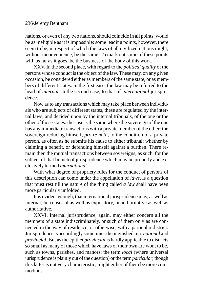nations, or even of any two nations, should coincide in all points, would be as ineligible as it is impossible: some leading points, however, there seem to be, in respect of which the laws of all civilized nations might, without inconvenience, be the same. To mark out some of these points will, as far as it goes, be the business of the body of this work.

XXV. In the second place, with regard to the *political quality* of the persons whose conduct is the object of the law. These may, on any given occasion, be considered either as members of the same state, or as members of different states: in the first ease, the law may be referred to the head of *internal*, in the second case, to that of *international* jurisprudence.

Now as to any transactions which may take place between individuals who are subjects of different states, these are regulated by the internal laws, and decided upon by the internal tribunals, of the one or the other of those states: the case is the same where the sovereign of the one has any immediate transactions with a private member of the other: the sovereign reducing himself, *pro re natâ*, to the condition of a private person, as often as he submits his cause to either tribunal; whether by claiming a benefit, or defending himself against a burthen. There remain then the mutual transactions between sovereigns, as such, for the subject of that branch of jurisprudence which may be properly and exclusively termed *international*.

With what degree of propriety rules for the conduct of persons of this description can come under the appellation of *laws*, is a question that must rest till the nature of the thing called *a law* shall have been more particularly unfolded.

It is evident enough, that international jurisprudence may, as well as internal, be censorial as well as expository, unauthoritative as well as authoritative.

XXVI. Internal jurisprudence, again, may either concern all the members of a state indiscriminately, or such of them only as are connected in the way of residence, or otherwise, with a particular district. Jurisprudence is accordingly sometimes distinguished into *national* and *provincial*. But as the epithet *provincial* is hardly applicable to districts so small as many of those which have laws of their own are wont to be, such as towns, parishes, and manors; the term *local* (where universal jurisprudence is plainly out of the question) or the term *particular*, though this latter is not very characteristic, might either of them be more commodious.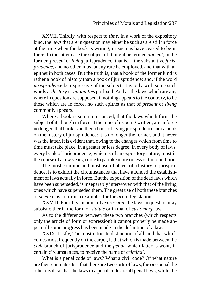XXVII. Thirdly, with respect to *time*. In a work of the expository kind, the laws that are in question may either be such as are still in force at the time when the book is writing, or such as have ceased to be in force. In the latter case the subject of it might be termed *ancient*; in the former, *present* or *living* jurisprudence: that is, if the substantive *jurisprudence*, and no other, must at any rate be employed, and that with an epithet in both cases. But the truth is, that a book of the former kind is rather a book of history than a book of jurisprudence; and, if the word *jurisprudence* be expressive of the subject, it is only with some such words as *history* or *antiquities* prefixed. And as the laws which are any where in question are supposed, if nothing appears to the contrary, to be those which are in force, no such epithet as that of *present* or *living* commonly appears.

Where a book is so circumstanced, that the laws which form the subject of it, though in force at the time of its being written, are in force no longer, that book is neither a book of living jurisprudence, nor a book on the history of jurisprudence: it is no longer the former, and it never was the latter. It is evident that, owing to the changes which from time to time must take place, in a greater or less degree, in every body of laws, every book of jurisprudence, which is of an expository nature, must in the course of a few years, come to partake more or less of this condition.

The most common and most useful object of a history of jurisprudence, is to exhibit the circumstances that have attended the establishment of laws actually in force. But the exposition of the dead laws which have been superseded, is inseparably interwoven with that of the living ones which have superseded them. The great use of both these branches of *science*, is to furnish examples for the *art* of legislation.

XXVIII. Fourthly, in point of *expression*, the laws in question may subsist either in the form of *statute* or in that of *customary* law.

As to the difference between these two branches (which respects only the article of form or expression) it cannot properly be made appear till some progress has been made in the definition of a law.

XXIX. Lastly, The most intricate distinction of all, and that which comes most frequently on the carpet, is that which is made between the *civil* branch of jurisprudence and the *penal*, which latter is wont, in certain circumstances, to receive the name of *criminal*.

What is a penal code of laws? What a civil code? Of what nature are their contents? Is it that there are two sorts of laws, the one penal the other civil, so that the laws in a penal code are all penal laws, while the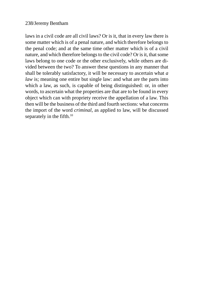laws in a civil code are all civil laws? Or is it, that in every law there is some matter which is of a penal nature, and which therefore belongs to the penal code; and at the same time other matter which is of a civil nature, and which therefore belongs to the civil code? Or is it, that some laws belong to one code or the other exclusively, while others are divided between the two? To answer these questions in any manner that shall be tolerably satisfactory, it will be necessary to ascertain what *a law* is; meaning one entire but single law: and what are the parts into which a law, as such, is capable of being distinguished: or, in other words, to ascertain what the properties are that are to be found in every object which can with propriety receive the appellation of a law. This then will be the business of the third and fourth sections: what concerns the import of the word *criminal*, as applied to law, will be discussed separately in the fifth.<sup>10</sup>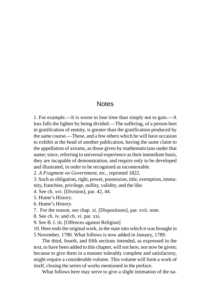# **Notes**

1. For example.—It is worse to lose time than simply not to gain.—A loss falls the lighter by being divided.—The suffering, of a person hurt in gratification of enmity, is greater than the gratification produced by the same course.—These, and a few others which he will have occasion to exhibit at the head of another publication, having the same claim to the appellation of axioms, as those given by mathematicians under that name; since, referring to universal experience as their immediate basis, they are incapable of demonstration, and require only to be developed and illustrated, in order to be recognised as incontestable.

2. *A Fragment on Government*, etc., reprinted 1822.

3. Such as obligation, right, power, possession, title, exemption, immunity, franchise, privilege, nullity, validity, and the like.

4. See ch. xvi. [Division], par. 42, 44.

5. Hume's *History*.

6. Hume's *History*.

7. For the reason, see chap. xi. [Dispositions], par. xvii. note.

8. See ch. iv. and ch. vi. par. xxi.

9. See B. I. tit. [Offences against Religion]

10. Here ends the original work, in the state into which it was brought in 5 November, 1780. What follows is now added in January, 1789.

The third, fourth, and fifth sections intended, as expressed in the text, to have been added to this chapter, will not here, nor now be given; because to give them in a manner tolerably complete and satisfactory, might require a considerable volume. This volume will form a work of itself, closing the series of works mentioned in the preface.

What follows here may serve to give a slight intimation of the na-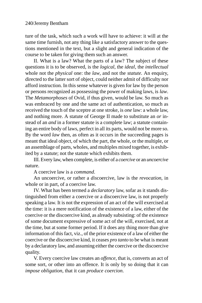ture of the task, which such a work will have to achieve: it will at the same time furnish, not any thing like a satisfactory answer to the questions mentioned in the text, but a slight and general indication of the course to be taken for giving them such an answer.

II. What is a law? What the parts of a law? The subject of these questions it is to be observed, is the *logical*, the *ideal*, the *intellectual* whole not the *physical* one: the *law*, and not the *statute*. An enquiry, directed to the latter sort of object, could neither admit of difficulty nor afford instruction. In this sense whatever is given for law by the person or persons recognized as possessing the power of making laws, is *law*. The *Metamorphoses* of Ovid, if thus given, would be law. So much as was embraced by one and the same act of authentication, so much as received the touch of the sceptre at one stroke, is *one* law: a whole law, and nothing more. A statute of George II made to substitute an *or* instead of an *and* in a former statute is a complete law; a statute containing an entire body of laws, perfect in all its parts, would not be more so. By the word *law* then, as often as it occurs in the succeeding pages is meant that ideal object, of which the part, the whole, or the multiple, or an assemblage of parts, wholes, and multiples mixed together, is exhibited by a statute; not the statute which exhibits them.

III. Every law, when complete, is either of a *coercive* or an *uncoercive* nature.

A coercive law is a *command*.

An uncoercive, or rather a *dis*coercive, law is the *revocation*, in whole or in part, of a coercive law.

IV. What has been termed a *declaratory* law, sofar as it stands distinguished from either a coercive or a discoercive law, is not properly speaking a law. It is not the expression of an act of the will exercised at the time: it is a mere notification of the existence of a law, either of the coercive or the discoercive kind, as already subsisting: of the existence of some document expressive of some act of the will, exercised, not at the time, but at some former period. If it does any thing more than give information of this fact, viz., of the prior existence of a law of either the coercive or the discoercive kind, it ceases *pro tanto* to be what is meant by a declaratory law, and assuming either the coercive or the discoercive quality.

V. Every coercive law creates an *offence*, that is, converts an act of some sort, or other into an offence. It is only by so doing that it can *impose obligation*, that it can *produce coercion*.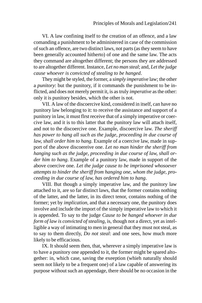VI. A law confining itself to the creation of an offence, and a law comanding a punishment to be administered in case of the commission of such an offence, are two distinct laws, not parts (as they seem to have been generally accounted hitherto) of one and the same law. The acts they command are altogether different; the persons they are addressed to are altogether different. Instance, *Let no man steal*; and, *Let the judge cause whoever is convicted of stealing to be hanged*.

They might be styled, the former, a *simply imperative* law; the other a *punitory*: but the punitory, if it commands the punishment to be inflicted, and does not merely permit it, is as truly *imperative* as the other: only it is punitory besides, which the other is not.

VII. A law of the discoercive kind, considered in itself, can have no punitory law belonging to it: to receive the assistance and support of a punitory in law, it must flrst receive that of a simply imperative or coercive law, and it is to this latter that the punitory law will attach itself, and not to the discoercive one. Example, discoercive law. *The sheriff has power to hang all such as the judge, proceeding in due course of law, shall order him to hang*. Example of a coercive law, made in support of the above discoereive one. *Let no man hinder the sheriff from hanging such as the judge, proceeding in due course of law, shall order him to hang*. Example of a punitory law, made in support of the above coercive one. *Let the judge cause to be imprisoned whosoever attempts to hinder the sheriff from hanging one, whom the judge, proceeding in due course of law, has ordered him to hang*.

VIII. But though a simply imperative law, and the punitory law attached to it, are so far distinct laws, that the former contains nothing of the latter, and the latter, in its direct tenor, contains nothing of the former; yet by *implication*, and that a necessary one, the punitory does involve and include the import of the simply imperative law to which it is appended. To say to the judge *Cause to be hanged whoever in due form of law is convicted of stealing*, is, though not a direct, yet as intelligible a way of intimating to men in general that they must not steal, as to say to them directly, *Do not steal*: and one sees, how much more likely to be efficacious.

IX. It should seem then, that, wherever a simply imperative law is to have a punitory one appended to it, the former might be spared altogether: in, which case, saving the exeeption (whieh naturally should seem not likely to be a frequent one) of a law capable of answering its purpose without such an appendage, there should be no occasion in the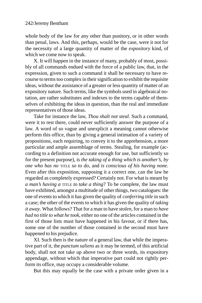whole body of the law for any other than punitory, or in other words than penal, laws. And this, perhaps, would be the case, were it not for the necessity of a large quantity of matter of the *expository* kind, of which we come now to speak.

X. It will happen in the instance of many, probably of most, possibly of all commands endued with the force of a public law, that, in the expression, given to such a command it shall be necessary to have recourse to terms too complex in their signification to exhibit the requisite ideas, without the assistance of a greater or less quantity of matter of an expository nature. Such terms, like the symbols used in algebraical notation, are rather substitutes and indexes to the terms capable of themselves of exhibiting the ideas in question, than the real and immediate representatives of those ideas.

Take for instance the law, *Thou shalt not steal*. Such a command, were it to rest there, could never sufficiently answer the purpose of a law. A word of so vague and unexplicit a meaning cannot otherwise perform this office, than by giving a general intimation of a variety of propositions, each requiring, to convey it to the apprehension, a more particular and ample assemblage of terms. Stealing, for example (according to a definition not accurate enough for use, but sufficiently so for the present purpose), is *the taking of a thing which is another's, by one who has no* TITLE *so to do*, and *is conscious of his having none*. Even after this exposition, supposing it a correct one, can the law be regarded as completely expressed? Certainly not. For what is meant by *a man's having a* TITLE *to take a thing*? To be complete, the law must have exhibited, amongst a multitude of other things, two catalogues: the one of events to which it has given the quality of *conferring title* in such a case; the other of the events to which it has given the quality of *taking it away*. What follows? That for a man to have *stolen*, for a man to *have had no title to what he took*, either no one of the articles contained in the first of those lists must have happened in his favour, or if there has, some one of the number of those contained in the second must have happened to his prejudice.

XI. Such then is the nature of a general law, that while the imperative part of it, the *punctum saliens* as it may be termed, of this artificial body, shall not not take up above two or three words, its expository appendage, without which that imperative part could not rightly perform its office, may occupy a considerable volume.

But this may equally be the case with a private order given in a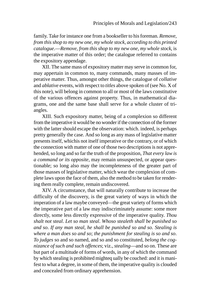family. Take for instance one from a bookseller to his foreman. *Remove, from this shop to my new one, my whole stock, according to this printed catalogue*.—*Remove, from this shop to my new one, my whole stock*, is the imperative matter of this order; the catalogue referred to contains the expository appendage.

XII. The same mass of expository matter may serve in common for, may appertain in common to, many commands, many masses of imperative matter. Thus, amongst other things, the catalogue of *collative* and *ablative* events, with respect to *titles* above spoken of (see No. X of this note), will belong in common to all or most of the laws constitutive of the various offences against property. Thus, in mathematical diagrams, one and the same base shall serve for a whole cluster of triangles.

XIII. Such expository matter, being of a complexion so different from the imperative it would be no wonder if the connection of the former with the latter should escape the observation: which. indeed, is perhaps pretty generally the case. And so long as any mass of legislative matter presents itself, whichis not itself imperative or the contrary, or of which the connection with matter of one of those two descriptions is not apprehended, so long and so far the truth of the proposition, *That every law is a command or its opposite*, may remain unsuspected, or appear questionable; so long also may the incompleteness of the greater part of those masses of legislative matter, which wear the complexion of complete laws upon the face of them, also the method to be taken for rendering them really complete, remain undiscovered.

XIV. A circumstance, that will naturally contribute to increase the difficulty of the discovery, is the great variety of ways in which the imperation of a law maybe conveyed—the great variety of forms which the imperative part of a law may indiscriminately assume: some more directly, some less directly expressive of the imperative quality. *Thou shalt not steal*. *Let so man steal*. *Whoso stealeth shall be punished so and so*. *If any man steal, he shall be punished so and so*. *Stealing is where a man does so and so*; *the punishment for stealing is so and so*. *To judges* so and so named, and so and so constituted, *belong the cognizance of such and such offences*; viz., *stealing*—and so on. These are but part of a multitude of forms of words, in any of which the command by which stealing is prohibited mighteq ually be couched: and it is manifest to what a degree, in some of them, the imperative quality is clouded and concealed from ordinary apprehension.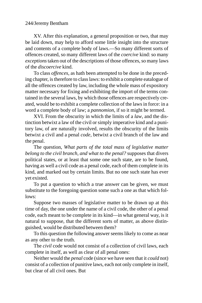XV. After this explanation, a general proposition or two, that may be laid down, may help to afford some little insight into the structure and contents of a complete body of laws.—So many different sorts of offences created, so many different laws of the *coercive* kind: so many *exceptions* taken out of the descriptions of those offences, so many laws of the *discoercive* kind.

To class *offences*, as hath been attempted to be done in the preceding chapter, is therefore to class laws: to exhibit a complete eatalogue of all the offences created by law, including the whole mass of expository matter necessary for fixing and exhibiting the import of the terms contained in the several laws, by which those offences are respectively created, would be to exhibit a complete collection of the laws in force: in a word a complete body of law; a *pannomion*, if so it might be termed.

XVI. From the obscurity in which the limits of a *law*, and the distinction betwixt a law of the civil or simply imperative kind and a punitory law, of are naturally involved, results the obscurity of the limits betwixt a civil and a penal *code*, betwixt a civil branch of the law and the penal.

The question, *What parts of the total mass of legislative matter belong to the civil branch, and what to the penal?* supposes that divers political states, or at least that some one such state, are to be found, having as well a civil code as a penal code, each of them complete in its kind, and marked out by certain limits. But no one such state has ever yet existed.

To put a question to which a true answer can be given, we must substitute to the foregoing question some such a one as that which follows:

Suppose two masses of legislative matter to be drawn up at this time of day, the one under the name of a civil code, the other of a penal code, each meant to be complete in its kind—in what general way, is it natural to suppose, that the different sorts of matter, as above distinguished, would be distributed between them?

To this question the following answer seems likely to come as near as any other to the truth.

The *civil* code would not consist of a collection of civil laws, each complete in itself, as well as clear of all penal ones:

Neither would the *penal* code (since we have seen that it *could* not) consist of a collection of punitive laws, each not only complete in itself, but clear of all civil ones. But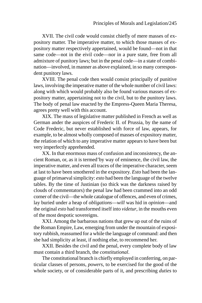XVII. The civil code would consist chiefly of mere masses of expository matter. The imperative matter, to which those masses of expository matter respectively appertained, would be found—not in that same code—not in the eivil code—nor in a pure state, free from all admixture of punitory laws; but in the penal code—in a state of combination—involved, in manner as above explained, in so many correspondent punitory laws.

XVIII. The penal code then would consist principally of punitive laws, involving the imperative matter of the whole number of civil laws: along with which would probably also be found various masses of expository matter, appertaining not to the civil, but to the punitory laws. The body of penal law enacted by the Empress-Queen Maria Theresa, agrees pretty well with this account.

XIX. The mass of legislative matter published in French as well as German ander the auspices of Frederic II. of Prussia, by the name of Code Frederic, but never established with force of law, appears, for example, to be almost wholly composed of masses of expository matter, the relation of which to any imperative matter appears to have been but very imperfectly apprehended.

XX. In that enormous mass of confusion and inconsistency, the ancient Roman, or, as it is termed'by way of eminence, the civil law, the imperative matter, and even all traces of the imperative character, seem at last to have been smothered in the expository. *Esto* had been the language of primaeval simplicity: *esto* had been the language of the twelve tables. By the time of Justinian (so thick was the darkness raised by clouds of commentators) the penal law had been crammed into an odd corner of the civil—the whole catalogue of offences, and even of crimes, lay buried under a heap of *obligations*—*will* was hid in *opinion*—and the original *esto* had transformed itself into *videtur*, in the mouths even of the most despotic sovereigns.

XXI. Among the barbarous nations that grew up out of the ruins of the Roman Empire, Law, emerging from under the mountain of expository rubbish, reassumed for a while the language of command: and then she had simplicity at least, if nothing else, to recommend her.

XXII. Besides the civil and the penal, every complete body of law must contain a third branch, the *constitutional*.

The constitutional branch is chiefly employed in conferring, on particular classes of persons, *powers*, to be exercised for the good of the whole society, or of considerable parts of it, and prescribing *duties* to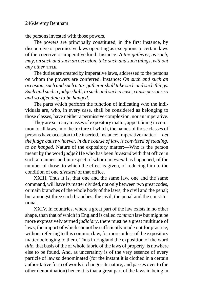the persons invested with those powers.

The powers are principally constituted, in the first instance, by discoercive or permissive laws operating as exceptions to certain laws of the coercive or imperative kind. Instance: *A tax-gatherer, as such, may, on such and such an occasion, take such and such things, without any other* TITLE.

The duties are created by imperative laws, addressed to the persons on whom the powers are conferred. Instance: *On such and such an occasion, such and such a tax-gatherer shall take such and such things. Such and such a judge shall, in such and such a case, cause persons so and so offending to be hanged*.

The parts which perform the function of indicating who the individuals are, who, in every case, shall be considered as belonging to those classes, have neither a permissive complexion, nor an imperative.

They are so many masses of expository matter, appertaining in common to all laws, into the texture of which, the names of those classes of persons have occasion to be inserted. Instance; imperative matter:—*Let the judge cause whoever, in due course of law, is convicted of stealing, to be hanged*. Nature of the expository matter:—Who is the person meant by the word *judge*? He who has been *invested* with that office in such a manner: and in respect of whom no *event* has happened, of the number of those, to which the effect is given, of reducing him to the condition of one *divested* of that office.

XXIII. Thus it is, that one and the same law, one and the same command, will have its matter divided, not only between two great codes, or main branches of the whole body of the laws, the civil and the penal; but amongst three such branches, the civil, the penal and the constitutional.

XXIV. In countries, where a great part of the law exists in no other shape, than that of which in England is called *common* law but might be more expressively termed *judiciary*, there must be a great multitude of laws, the import of which cannot be sufficiently made out for practice, without referring to this common law, for more or less of the expository matter belonging to them. Thus in England the exposition of the word *title*, that basis of the of whole fabric of the laws of property, is nowhere else to be found. And, as uncertainty is of the very essence of every particle of law so denominated (for the instant it is clothed in a certain authoritative form of words it changes its nature, and passes over to the other denomination) hence it is that a great part of the laws in being in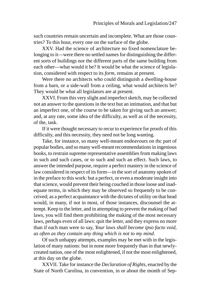such countries remain uncertain and incomplete. What are those countries? To this hour, every one on the surface of the globe.

XXV. Had the science of architecture no fixed nomenclature belonging to it—were there no settled names for distinguishing the different sorts of buildings nor the different parts of the same building from each other—what would it be? It would be what the science of legislation, considered with respect to its *form*, remains at present.

Were there no architects who could distinguish a dwelling-house from a barn, or a side-wall from a ceiling, what would architects be? They would be what all legislators are at present.

XXVI. From this very slight and imperfect sketch, may be collected not an answer to the questions in the text but an intimation, and that but an imperfect one, of the course to be taken for giving such an answer; and, at any rate, some idea of the difficulty, as well as of the necessity, of the, task.

If it were thought necessary to recur to experience for proofs of this difficulty, and this necessity, they need not be long wanting.

Take, for instance, so many well-meant endeavours on thc part of popular bodies, and so many well-meant recommendations in ingenious books, to restrain supreme representative assemblies from making laws in such and such cases, or to such and such an effect. Such laws, to answer the intended purpose, require a perfect mastery in the science of law considered in respect of its form—in the sort of anatomy spoken of in the preface to this work: but a perfect, or even a moderate insight into that science, would prevent their being couched in those loose and inadequate terms, in which they may be observed so frequently to be conceived; as a perfect acquaintance with the dictates of utility on that head would, in many, if not in most, of those instances, discounsel the attempt. Keep to the letter, and in attempting to prevent the making of bad laws, you will find them prohibiting the making of the most necessary laws, perhaps even of all laws: quit the letter, and they express no more than if each man were to say, *Your laws shall become ipso facto void, as often as they contain any thing which is not to my mind*.

Of such unhappy attempts, examples may be met with in the legislation of many nations: but in none more frequently than in that newlycreated nation, one of the most enlightened, if not the most enlightened, at this day on the globe.

XXVII. Take for instance the *Declaration of Rights*, enacted by the State of North Carolina, in convention, in or about the month of Sep-